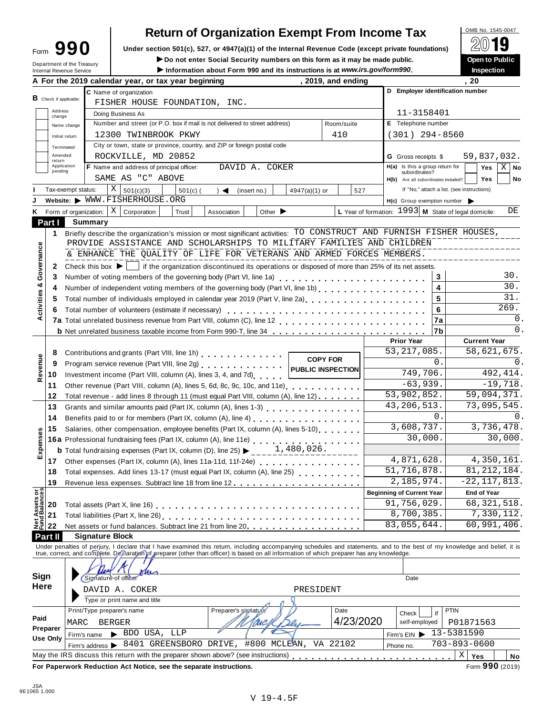# **Return of Organization Exempt From Income Tax**

Form 990 Under section 501(c), 527, or 4947(a)(1) of the Internal Revenue Code (except private foundations) <u>A</u><sup>∪</sup> in Section 1990 and environment of the Internal Revenue Code (except private foundations) **Form 1990** in S

**IDED 1999 THE Social Security numbers on this form as it may be made public.**<br>
Internal Revenue Service **Department of the Treasury Dress of Allen Social Security numbers on this form as it may be made public.**<br> **Inspec** 

| Department of the Treasury<br>Internal Revenue Service |                                                                                                                                                                                                                                                             |                                                                                                                                           |                                                                                                                                                                                                                                | ► Do not enter Social Security numbers on this form as it may be made public.<br>Information about Form 990 and its instructions is at www.irs.gov/form990. |                                    |                    |                |                             |                 |                            |                                                        |                                  |               |                            |                                     |                                            | Open to Public<br>Inspection |      |                |
|--------------------------------------------------------|-------------------------------------------------------------------------------------------------------------------------------------------------------------------------------------------------------------------------------------------------------------|-------------------------------------------------------------------------------------------------------------------------------------------|--------------------------------------------------------------------------------------------------------------------------------------------------------------------------------------------------------------------------------|-------------------------------------------------------------------------------------------------------------------------------------------------------------|------------------------------------|--------------------|----------------|-----------------------------|-----------------|----------------------------|--------------------------------------------------------|----------------------------------|---------------|----------------------------|-------------------------------------|--------------------------------------------|------------------------------|------|----------------|
|                                                        |                                                                                                                                                                                                                                                             |                                                                                                                                           | A For the 2019 calendar year, or tax year beginning                                                                                                                                                                            |                                                                                                                                                             |                                    |                    |                |                             |                 |                            | , 2019, and ending                                     |                                  |               |                            |                                     | . 20                                       |                              |      |                |
|                                                        |                                                                                                                                                                                                                                                             |                                                                                                                                           | C Name of organization                                                                                                                                                                                                         |                                                                                                                                                             |                                    |                    |                |                             |                 |                            |                                                        |                                  |               |                            |                                     | D Employer identification number           |                              |      |                |
| $B$ Check if applicable:                               |                                                                                                                                                                                                                                                             |                                                                                                                                           | FISHER HOUSE FOUNDATION, INC.                                                                                                                                                                                                  |                                                                                                                                                             |                                    |                    |                |                             |                 |                            |                                                        |                                  |               |                            |                                     |                                            |                              |      |                |
| Address<br>change                                      |                                                                                                                                                                                                                                                             |                                                                                                                                           | Doing Business As                                                                                                                                                                                                              |                                                                                                                                                             |                                    |                    |                |                             |                 |                            |                                                        |                                  |               |                            | 11-3158401                          |                                            |                              |      |                |
|                                                        | Name change                                                                                                                                                                                                                                                 |                                                                                                                                           | Number and street (or P.O. box if mail is not delivered to street address)                                                                                                                                                     |                                                                                                                                                             |                                    |                    |                |                             |                 |                            | Room/suite                                             |                                  |               |                            | E Telephone number                  |                                            |                              |      |                |
|                                                        | Initial return                                                                                                                                                                                                                                              |                                                                                                                                           | 12300 TWINBROOK PKWY                                                                                                                                                                                                           |                                                                                                                                                             |                                    |                    |                |                             |                 |                            | 410                                                    |                                  |               |                            | $(301)$ 294-8560                    |                                            |                              |      |                |
|                                                        |                                                                                                                                                                                                                                                             |                                                                                                                                           | City or town, state or province, country, and ZIP or foreign postal code                                                                                                                                                       |                                                                                                                                                             |                                    |                    |                |                             |                 |                            |                                                        |                                  |               |                            |                                     |                                            |                              |      |                |
|                                                        | Terminated<br>Amended                                                                                                                                                                                                                                       |                                                                                                                                           | ROCKVILLE, MD 20852                                                                                                                                                                                                            |                                                                                                                                                             |                                    |                    |                |                             |                 |                            |                                                        |                                  |               | <b>G</b> Gross receipts \$ |                                     |                                            | 59,837,032.                  |      |                |
| return                                                 | Application                                                                                                                                                                                                                                                 |                                                                                                                                           | F Name and address of principal officer:                                                                                                                                                                                       |                                                                                                                                                             |                                    |                    | DAVID A. COKER |                             |                 |                            |                                                        |                                  |               |                            | $H(a)$ Is this a group return for   |                                            | Yes                          |      | $X \mid$ No    |
| pending                                                |                                                                                                                                                                                                                                                             |                                                                                                                                           | SAME AS "C" ABOVE                                                                                                                                                                                                              |                                                                                                                                                             |                                    |                    |                |                             |                 |                            |                                                        |                                  |               | subordinates?              |                                     |                                            |                              |      |                |
|                                                        |                                                                                                                                                                                                                                                             |                                                                                                                                           |                                                                                                                                                                                                                                |                                                                                                                                                             |                                    |                    |                |                             |                 |                            |                                                        |                                  |               |                            | H(b) Are all subordinates included? |                                            | <b>Yes</b>                   |      | No             |
|                                                        | Tax-exempt status:                                                                                                                                                                                                                                          |                                                                                                                                           | X<br>501(c)(3)                                                                                                                                                                                                                 | $501(c)$ (                                                                                                                                                  | $\rightarrow$ $\blacktriangleleft$ |                    | (insert no.)   |                             | $4947(a)(1)$ or |                            | 527                                                    |                                  |               |                            |                                     | If "No," attach a list. (see instructions) |                              |      |                |
|                                                        |                                                                                                                                                                                                                                                             |                                                                                                                                           | Website: WWW.FISHERHOUSE.ORG                                                                                                                                                                                                   |                                                                                                                                                             |                                    |                    |                |                             |                 |                            |                                                        |                                  |               |                            |                                     | $H(c)$ Group exemption number              |                              |      |                |
| K Form of organization:                                |                                                                                                                                                                                                                                                             |                                                                                                                                           | $X \vert$ Corporation                                                                                                                                                                                                          | Trust                                                                                                                                                       | Association                        |                    |                | Other $\blacktriangleright$ |                 |                            | L Year of formation: $1993$ M State of legal domicile: |                                  |               |                            |                                     |                                            |                              |      | DE             |
| Part I                                                 |                                                                                                                                                                                                                                                             | <b>Summary</b>                                                                                                                            |                                                                                                                                                                                                                                |                                                                                                                                                             |                                    |                    |                |                             |                 |                            |                                                        |                                  |               |                            |                                     |                                            |                              |      |                |
| $\mathbf{1}$                                           |                                                                                                                                                                                                                                                             |                                                                                                                                           | Briefly describe the organization's mission or most significant activities: TO CONSTRUCT AND FURNISH FISHER HOUSES,                                                                                                            |                                                                                                                                                             |                                    |                    |                |                             |                 |                            |                                                        |                                  |               |                            |                                     |                                            |                              |      |                |
|                                                        |                                                                                                                                                                                                                                                             |                                                                                                                                           | PROVIDE ASSISTANCE AND SCHOLARSHIPS TO MILITARY FAMILIES AND CHILDREN                                                                                                                                                          |                                                                                                                                                             |                                    |                    |                |                             |                 |                            |                                                        |                                  |               |                            |                                     |                                            |                              |      |                |
|                                                        |                                                                                                                                                                                                                                                             |                                                                                                                                           | & ENHANCE THE QUALITY OF LIFE FOR VETERANS AND ARMED FORCES MEMBERS.                                                                                                                                                           |                                                                                                                                                             |                                    |                    |                |                             |                 |                            |                                                        |                                  |               |                            |                                     |                                            |                              |      |                |
| Governance<br>2                                        |                                                                                                                                                                                                                                                             | Check this box $\blacktriangleright$                                                                                                      |                                                                                                                                                                                                                                | If the organization discontinued its operations or disposed of more than 25% of its net assets.                                                             |                                    |                    |                |                             |                 |                            |                                                        |                                  |               |                            |                                     |                                            |                              |      |                |
| 3                                                      |                                                                                                                                                                                                                                                             |                                                                                                                                           | Number of voting members of the governing body (Part VI, line 1a)                                                                                                                                                              |                                                                                                                                                             |                                    |                    |                |                             |                 |                            |                                                        |                                  |               |                            | 3                                   |                                            |                              |      | 30.            |
| ೲ<br>4                                                 |                                                                                                                                                                                                                                                             |                                                                                                                                           | Number of independent voting members of the governing body (Part VI, line 1b)                                                                                                                                                  |                                                                                                                                                             |                                    |                    |                |                             |                 |                            |                                                        |                                  |               |                            | $\overline{\mathbf{4}}$             |                                            |                              |      | 30.            |
| Activities<br>5                                        |                                                                                                                                                                                                                                                             |                                                                                                                                           | Total number of individuals employed in calendar year 2019 (Part V, line 2a)                                                                                                                                                   |                                                                                                                                                             |                                    |                    |                |                             |                 |                            |                                                        |                                  |               |                            | 5                                   |                                            |                              |      | 31.            |
| 6                                                      |                                                                                                                                                                                                                                                             |                                                                                                                                           | Total number of volunteers (estimate if necessary)                                                                                                                                                                             |                                                                                                                                                             |                                    |                    |                |                             |                 |                            |                                                        |                                  |               |                            | 6                                   |                                            |                              | 269. |                |
|                                                        |                                                                                                                                                                                                                                                             |                                                                                                                                           |                                                                                                                                                                                                                                |                                                                                                                                                             |                                    |                    |                |                             |                 |                            |                                                        |                                  |               |                            | 7a                                  |                                            |                              |      | 0.             |
|                                                        |                                                                                                                                                                                                                                                             |                                                                                                                                           | <b>b</b> Net unrelated business taxable income from Form 990-T, line 34                                                                                                                                                        |                                                                                                                                                             |                                    |                    |                |                             |                 |                            |                                                        |                                  |               |                            | 7b                                  |                                            |                              |      | $\mathbf{0}$ . |
|                                                        |                                                                                                                                                                                                                                                             |                                                                                                                                           |                                                                                                                                                                                                                                |                                                                                                                                                             |                                    |                    |                |                             |                 |                            |                                                        |                                  |               | <b>Prior Year</b>          |                                     |                                            | <b>Current Year</b>          |      |                |
| 8                                                      | Contributions and grants (Part VIII, line 1h) Contributions and grants (Part VIII, line 1h)<br><b>COPY FOR</b><br>Program service revenue (Part VIII, line 2g)<br><b>PUBLIC INSPECTION</b><br>Investment income (Part VIII, column (A), lines 3, 4, and 7d) |                                                                                                                                           |                                                                                                                                                                                                                                |                                                                                                                                                             |                                    |                    |                |                             |                 |                            |                                                        |                                  | 53, 217, 085. |                            |                                     | 58,621,675.                                |                              |      |                |
| 9                                                      |                                                                                                                                                                                                                                                             |                                                                                                                                           |                                                                                                                                                                                                                                |                                                                                                                                                             |                                    |                    |                |                             |                 |                            |                                                        |                                  | 0.            |                            |                                     |                                            | 0.                           |      |                |
| Revenue<br>10                                          |                                                                                                                                                                                                                                                             |                                                                                                                                           |                                                                                                                                                                                                                                |                                                                                                                                                             |                                    |                    |                |                             |                 |                            | 749,706.                                               |                                  |               |                            |                                     | 492, 414.                                  |                              |      |                |
| 11                                                     |                                                                                                                                                                                                                                                             | Other revenue (Part VIII, column (A), lines 5, 6d, 8c, 9c, 10c, and 11e)                                                                  |                                                                                                                                                                                                                                |                                                                                                                                                             |                                    |                    |                |                             |                 |                            |                                                        | $-63,939.$                       |               |                            |                                     |                                            | $-19,718.$                   |      |                |
| 12                                                     |                                                                                                                                                                                                                                                             |                                                                                                                                           | Total revenue - add lines 8 through 11 (must equal Part VIII, column (A), line 12)                                                                                                                                             |                                                                                                                                                             |                                    |                    |                |                             |                 |                            |                                                        |                                  |               | 53,902,852.                |                                     |                                            | 59,094,371.                  |      |                |
| 13                                                     |                                                                                                                                                                                                                                                             |                                                                                                                                           |                                                                                                                                                                                                                                |                                                                                                                                                             |                                    |                    |                |                             |                 |                            |                                                        |                                  |               | 43, 206, 513.              |                                     |                                            | 73,095,545.                  |      |                |
| 14                                                     | 0.                                                                                                                                                                                                                                                          |                                                                                                                                           |                                                                                                                                                                                                                                |                                                                                                                                                             |                                    |                    |                |                             |                 |                            |                                                        |                                  |               |                            | $\Omega$ .                          |                                            |                              |      |                |
| 15                                                     |                                                                                                                                                                                                                                                             |                                                                                                                                           | Salaries, other compensation, employee benefits (Part IX, column (A), lines 5-10)                                                                                                                                              |                                                                                                                                                             |                                    |                    |                |                             |                 |                            |                                                        |                                  | 3,608,737.    |                            |                                     | 3,736,478.                                 |                              |      |                |
|                                                        |                                                                                                                                                                                                                                                             |                                                                                                                                           | 16a Professional fundraising fees (Part IX, column (A), line 11e)<br>16a Professional fundraising fees (Part IX, column (A), line 11e)                                                                                         |                                                                                                                                                             |                                    |                    |                |                             |                 |                            |                                                        |                                  | 30,000.       |                            |                                     | 30,000.                                    |                              |      |                |
| Expenses                                               |                                                                                                                                                                                                                                                             |                                                                                                                                           | <b>b</b> Total fundraising expenses (Part IX, column (D), line 25) $\blacktriangleright$                                                                                                                                       |                                                                                                                                                             |                                    |                    |                |                             | 1,480,026.      |                            |                                                        |                                  |               |                            |                                     |                                            |                              |      |                |
| 17                                                     |                                                                                                                                                                                                                                                             |                                                                                                                                           |                                                                                                                                                                                                                                |                                                                                                                                                             |                                    |                    |                |                             |                 |                            |                                                        |                                  | 4,871,628.    |                            |                                     | 4,350,161.                                 |                              |      |                |
|                                                        |                                                                                                                                                                                                                                                             | Other expenses (Part IX, column (A), lines 11a-11d, 11f-24e)<br>Total expenses. Add lines 13-17 (must equal Part IX, column (A), line 25) |                                                                                                                                                                                                                                |                                                                                                                                                             |                                    |                    |                |                             |                 |                            |                                                        |                                  |               | 51,716,878.                |                                     | 81, 212, 184.                              |                              |      |                |
| 18                                                     |                                                                                                                                                                                                                                                             |                                                                                                                                           |                                                                                                                                                                                                                                |                                                                                                                                                             |                                    |                    |                |                             |                 |                            |                                                        |                                  |               | 2,185,974.                 |                                     |                                            | $-22, 117, 813.$             |      |                |
| 19                                                     |                                                                                                                                                                                                                                                             |                                                                                                                                           | Revenue less expenses. Subtract line 18 from line 12.                                                                                                                                                                          |                                                                                                                                                             |                                    |                    |                |                             |                 |                            |                                                        |                                  |               |                            |                                     |                                            |                              |      |                |
| <b>Net Assets or<br/>Fund Balances</b>                 |                                                                                                                                                                                                                                                             |                                                                                                                                           |                                                                                                                                                                                                                                |                                                                                                                                                             |                                    |                    |                |                             |                 |                            |                                                        | <b>Beginning of Current Year</b> |               |                            |                                     |                                            | <b>End of Year</b>           |      |                |
| 20                                                     |                                                                                                                                                                                                                                                             |                                                                                                                                           |                                                                                                                                                                                                                                |                                                                                                                                                             |                                    |                    |                |                             |                 |                            |                                                        |                                  |               | 91,756,029.                |                                     |                                            | 68, 321, 518.                |      |                |
| 21                                                     |                                                                                                                                                                                                                                                             |                                                                                                                                           |                                                                                                                                                                                                                                |                                                                                                                                                             |                                    |                    |                |                             |                 |                            |                                                        |                                  |               | 8,700,385.                 |                                     |                                            | 7,330,112.                   |      |                |
| 22                                                     |                                                                                                                                                                                                                                                             |                                                                                                                                           | Net assets or fund balances. Subtract line 21 from line 20.                                                                                                                                                                    |                                                                                                                                                             |                                    |                    |                |                             |                 |                            |                                                        |                                  |               | 83,055,644.                |                                     |                                            | 60,991,406.                  |      |                |
| Part II                                                |                                                                                                                                                                                                                                                             |                                                                                                                                           | <b>Signature Block</b>                                                                                                                                                                                                         |                                                                                                                                                             |                                    |                    |                |                             |                 |                            |                                                        |                                  |               |                            |                                     |                                            |                              |      |                |
|                                                        |                                                                                                                                                                                                                                                             |                                                                                                                                           | Under penalties of perjury, I declare that I have examined this return, including accompanying schedules and statements, and to the best of my knowledge and belief, it is true, correct, and complete. Delief, it is strue, c |                                                                                                                                                             |                                    |                    |                |                             |                 |                            |                                                        |                                  |               |                            |                                     |                                            |                              |      |                |
|                                                        |                                                                                                                                                                                                                                                             |                                                                                                                                           |                                                                                                                                                                                                                                |                                                                                                                                                             |                                    |                    |                |                             |                 |                            |                                                        |                                  |               |                            |                                     |                                            |                              |      |                |
| Sign                                                   |                                                                                                                                                                                                                                                             | Signature of office                                                                                                                       |                                                                                                                                                                                                                                |                                                                                                                                                             |                                    |                    |                |                             |                 |                            |                                                        |                                  |               |                            |                                     |                                            |                              |      |                |
| Here                                                   |                                                                                                                                                                                                                                                             |                                                                                                                                           |                                                                                                                                                                                                                                |                                                                                                                                                             |                                    |                    |                |                             |                 |                            | Date                                                   |                                  |               |                            |                                     |                                            |                              |      |                |
|                                                        |                                                                                                                                                                                                                                                             |                                                                                                                                           | DAVID A. COKER                                                                                                                                                                                                                 |                                                                                                                                                             |                                    |                    |                |                             | PRESIDENT       |                            |                                                        |                                  |               |                            |                                     |                                            |                              |      |                |
|                                                        |                                                                                                                                                                                                                                                             |                                                                                                                                           | Type or print name and title                                                                                                                                                                                                   |                                                                                                                                                             |                                    |                    |                |                             |                 |                            |                                                        |                                  |               |                            |                                     |                                            |                              |      |                |
|                                                        |                                                                                                                                                                                                                                                             |                                                                                                                                           | Print/Type preparer's name                                                                                                                                                                                                     |                                                                                                                                                             |                                    | Preparer's signatu |                |                             |                 |                            | Date                                                   | PTIN<br>Check<br>if              |               |                            |                                     |                                            |                              |      |                |
| Paid                                                   | 4/23/2020<br>MARC<br><b>BERGER</b>                                                                                                                                                                                                                          |                                                                                                                                           |                                                                                                                                                                                                                                |                                                                                                                                                             |                                    |                    |                |                             |                 | P01871563<br>self-employed |                                                        |                                  |               |                            |                                     |                                            |                              |      |                |
| Preparer<br><b>Use Only</b>                            |                                                                                                                                                                                                                                                             | Firm's name                                                                                                                               | BDO USA, LLP                                                                                                                                                                                                                   |                                                                                                                                                             |                                    |                    |                |                             |                 |                            |                                                        |                                  |               | Firm's $EIN$               |                                     | 13-5381590                                 |                              |      |                |
|                                                        |                                                                                                                                                                                                                                                             | Firm's address >                                                                                                                          |                                                                                                                                                                                                                                | 8401 GREENSBORO DRIVE, #800 MCLEAN, VA 22102                                                                                                                |                                    |                    |                |                             |                 |                            |                                                        |                                  | Phone no.     |                            |                                     | $703 - 893 - 0600$                         |                              |      |                |
|                                                        |                                                                                                                                                                                                                                                             |                                                                                                                                           |                                                                                                                                                                                                                                |                                                                                                                                                             |                                    |                    |                |                             |                 |                            |                                                        |                                  |               |                            |                                     |                                            |                              |      |                |
|                                                        |                                                                                                                                                                                                                                                             |                                                                                                                                           | May the IRS discuss this return with the preparer shown above? (see instructions)                                                                                                                                              |                                                                                                                                                             |                                    |                    |                |                             |                 |                            |                                                        |                                  |               |                            |                                     | $\mathbf X$                                | Yes                          |      | No             |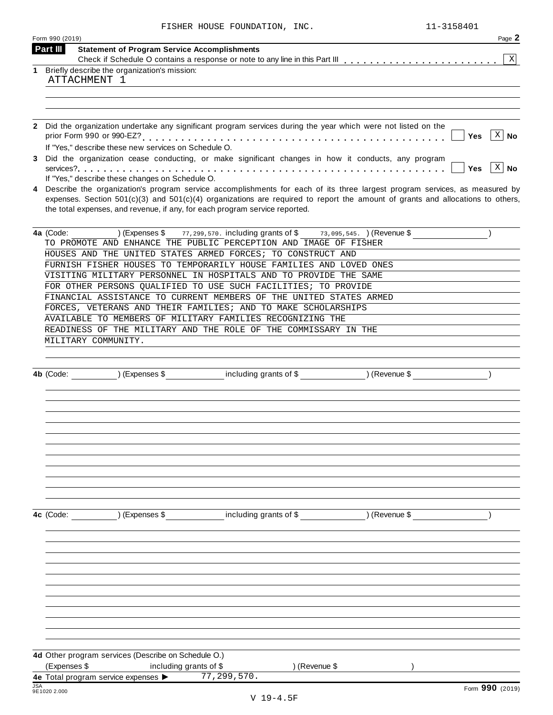|   | Form 990 (2019)                                                                                                                                                      | Page 2          |
|---|----------------------------------------------------------------------------------------------------------------------------------------------------------------------|-----------------|
|   | Part III<br><b>Statement of Program Service Accomplishments</b>                                                                                                      |                 |
| 1 | Briefly describe the organization's mission:                                                                                                                         | $\mathbf{X}$    |
|   | ATTACHMENT 1                                                                                                                                                         |                 |
|   |                                                                                                                                                                      |                 |
|   |                                                                                                                                                                      |                 |
|   |                                                                                                                                                                      |                 |
| 2 | Did the organization undertake any significant program services during the year which were not listed on the                                                         |                 |
|   | Yes                                                                                                                                                                  | $ X $ No        |
|   | If "Yes," describe these new services on Schedule O.                                                                                                                 |                 |
|   | Did the organization cease conducting, or make significant changes in how it conducts, any program<br>Yes                                                            | $ X $ No        |
|   | If "Yes," describe these changes on Schedule O.                                                                                                                      |                 |
|   | Describe the organization's program service accomplishments for each of its three largest program services, as measured by                                           |                 |
|   | expenses. Section $501(c)(3)$ and $501(c)(4)$ organizations are required to report the amount of grants and allocations to others,                                   |                 |
|   | the total expenses, and revenue, if any, for each program service reported.                                                                                          |                 |
|   |                                                                                                                                                                      |                 |
|   | 77, 299, 570. including grants of \$<br>4a (Code:<br>) (Expenses \$<br>73,095,545. ) (Revenue \$<br>TO PROMOTE AND ENHANCE THE PUBLIC PERCEPTION AND IMAGE OF FISHER |                 |
|   | HOUSES AND THE UNITED STATES ARMED FORCES; TO CONSTRUCT AND                                                                                                          |                 |
|   | FURNISH FISHER HOUSES TO TEMPORARILY HOUSE FAMILIES AND LOVED ONES                                                                                                   |                 |
|   | VISITING MILITARY PERSONNEL IN HOSPITALS AND TO PROVIDE THE SAME                                                                                                     |                 |
|   | FOR OTHER PERSONS QUALIFIED TO USE SUCH FACILITIES; TO PROVIDE                                                                                                       |                 |
|   | FINANCIAL ASSISTANCE TO CURRENT MEMBERS OF THE UNITED STATES ARMED                                                                                                   |                 |
|   | FORCES, VETERANS AND THEIR FAMILIES; AND TO MAKE SCHOLARSHIPS                                                                                                        |                 |
|   | AVAILABLE TO MEMBERS OF MILITARY FAMILIES RECOGNIZING THE<br>READINESS OF THE MILITARY AND THE ROLE OF THE COMMISSARY IN THE                                         |                 |
|   | MILITARY COMMUNITY.                                                                                                                                                  |                 |
|   |                                                                                                                                                                      |                 |
|   |                                                                                                                                                                      |                 |
|   | 4b (Code: ) (Expenses \$ including grants of \$ ) (Revenue \$                                                                                                        |                 |
|   |                                                                                                                                                                      |                 |
|   |                                                                                                                                                                      |                 |
|   |                                                                                                                                                                      |                 |
|   |                                                                                                                                                                      |                 |
|   |                                                                                                                                                                      |                 |
|   |                                                                                                                                                                      |                 |
|   |                                                                                                                                                                      |                 |
|   |                                                                                                                                                                      |                 |
|   |                                                                                                                                                                      |                 |
|   |                                                                                                                                                                      |                 |
|   | including grants of \$ (Revenue \$)<br>) (Expenses \$<br>4c (Code:                                                                                                   |                 |
|   |                                                                                                                                                                      |                 |
|   |                                                                                                                                                                      |                 |
|   |                                                                                                                                                                      |                 |
|   |                                                                                                                                                                      |                 |
|   |                                                                                                                                                                      |                 |
|   |                                                                                                                                                                      |                 |
|   |                                                                                                                                                                      |                 |
|   |                                                                                                                                                                      |                 |
|   |                                                                                                                                                                      |                 |
|   |                                                                                                                                                                      |                 |
|   | 4d Other program services (Describe on Schedule O.)                                                                                                                  |                 |
|   | (Expenses \$<br>including grants of \$<br>) (Revenue \$                                                                                                              |                 |
|   | 77,299,570.<br>4e Total program service expenses >                                                                                                                   |                 |
|   | 9E1020 2.000                                                                                                                                                         | Form 990 (2019) |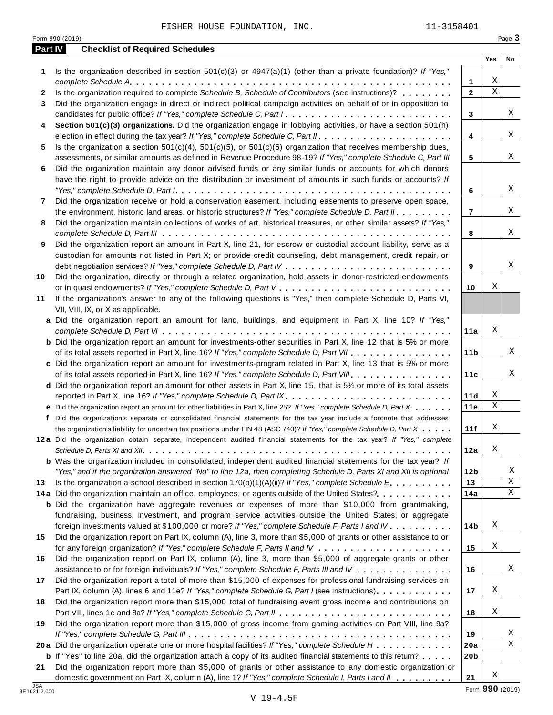**Part IV Checklist of Required Schedules**

Form 990 (2019)

|                     | <b>18</b> Did the organization report more than \$15,000 total of fundraising event gross income and contril         |
|---------------------|----------------------------------------------------------------------------------------------------------------------|
|                     |                                                                                                                      |
| 19                  | Did the organization report more than \$15,000 of gross income from gaming activities on Part VI                     |
|                     |                                                                                                                      |
|                     | 20 a Did the organization operate one or more hospital facilities? If "Yes," complete Schedule H                     |
|                     | <b>b</b> If "Yes" to line 20a, did the organization attach a copy of its audited financial statements to this return |
| 21                  | Did the organization report more than \$5,000 of grants or other assistance to any domestic org                      |
|                     | domestic government on Part IX, column (A), line 1? If "Yes," complete Schedule I, Parts I and II                    |
| JSA<br>9E1021 2.000 |                                                                                                                      |
|                     | $V$ 19-4.5F                                                                                                          |
|                     |                                                                                                                      |
|                     |                                                                                                                      |

|        |                                                                                                                                                                                                                                                                                                                                                                                               |                        | Yes         | No     |
|--------|-----------------------------------------------------------------------------------------------------------------------------------------------------------------------------------------------------------------------------------------------------------------------------------------------------------------------------------------------------------------------------------------------|------------------------|-------------|--------|
| 1      | Is the organization described in section $501(c)(3)$ or $4947(a)(1)$ (other than a private foundation)? If "Yes,"                                                                                                                                                                                                                                                                             |                        | Χ           |        |
|        | Is the organization required to complete Schedule B, Schedule of Contributors (see instructions)?                                                                                                                                                                                                                                                                                             | 1<br>$\overline{2}$    | $\mathbf X$ |        |
| 2<br>3 | Did the organization engage in direct or indirect political campaign activities on behalf of or in opposition to                                                                                                                                                                                                                                                                              |                        |             |        |
|        | candidates for public office? If "Yes," complete Schedule C, Part I                                                                                                                                                                                                                                                                                                                           | 3                      |             | Χ      |
| 4      | Section 501(c)(3) organizations. Did the organization engage in lobbying activities, or have a section 501(h)                                                                                                                                                                                                                                                                                 | 4                      |             | X      |
| 5      | Is the organization a section $501(c)(4)$ , $501(c)(5)$ , or $501(c)(6)$ organization that receives membership dues,                                                                                                                                                                                                                                                                          |                        |             |        |
|        | assessments, or similar amounts as defined in Revenue Procedure 98-19? If "Yes," complete Schedule C, Part III                                                                                                                                                                                                                                                                                | 5                      |             | X      |
| 6      | Did the organization maintain any donor advised funds or any similar funds or accounts for which donors                                                                                                                                                                                                                                                                                       |                        |             |        |
|        | have the right to provide advice on the distribution or investment of amounts in such funds or accounts? If                                                                                                                                                                                                                                                                                   |                        |             |        |
|        | "Yes," complete Schedule D, Part $l_1, \ldots, l_k, \ldots, l_k, \ldots, l_k, \ldots, l_k, \ldots, l_k, \ldots, l_k, \ldots, l_k, \ldots, l_k, \ldots, l_k, \ldots, l_k, \ldots, l_k, \ldots, l_k, \ldots, l_k, \ldots, l_k, \ldots, l_k, \ldots, l_k, \ldots, l_k, \ldots, l_k, \ldots, l_k, \ldots, l_k, \ldots, l_k, \ldots, l_k, \ldots, l_k, \ldots, l_k, \ldots, l_k, \ldots, l_k, \ld$ | 6                      |             | X      |
| 7      | Did the organization receive or hold a conservation easement, including easements to preserve open space,<br>the environment, historic land areas, or historic structures? If "Yes," complete Schedule D, Part II.                                                                                                                                                                            | 7                      |             | X      |
| 8      | Did the organization maintain collections of works of art, historical treasures, or other similar assets? If "Yes,"                                                                                                                                                                                                                                                                           |                        |             |        |
|        |                                                                                                                                                                                                                                                                                                                                                                                               | 8                      |             | Χ      |
| 9      | Did the organization report an amount in Part X, line 21, for escrow or custodial account liability, serve as a                                                                                                                                                                                                                                                                               |                        |             |        |
|        | custodian for amounts not listed in Part X; or provide credit counseling, debt management, credit repair, or                                                                                                                                                                                                                                                                                  |                        |             |        |
|        |                                                                                                                                                                                                                                                                                                                                                                                               | 9                      |             | Χ      |
| 10     | Did the organization, directly or through a related organization, hold assets in donor-restricted endowments                                                                                                                                                                                                                                                                                  |                        |             |        |
|        |                                                                                                                                                                                                                                                                                                                                                                                               | 10                     | Χ           |        |
| 11     | If the organization's answer to any of the following questions is "Yes," then complete Schedule D, Parts VI,                                                                                                                                                                                                                                                                                  |                        |             |        |
|        | VII, VIII, IX, or X as applicable.                                                                                                                                                                                                                                                                                                                                                            |                        |             |        |
|        | a Did the organization report an amount for land, buildings, and equipment in Part X, line 10? If "Yes,"                                                                                                                                                                                                                                                                                      |                        | Χ           |        |
|        |                                                                                                                                                                                                                                                                                                                                                                                               | 11a                    |             |        |
|        | <b>b</b> Did the organization report an amount for investments-other securities in Part X, line 12 that is 5% or more<br>of its total assets reported in Part X, line 16? If "Yes," complete Schedule D, Part VII                                                                                                                                                                             | 11 <sub>b</sub>        |             | Χ      |
|        | c Did the organization report an amount for investments-program related in Part X, line 13 that is 5% or more                                                                                                                                                                                                                                                                                 |                        |             |        |
|        | of its total assets reported in Part X, line 16? If "Yes," complete Schedule D, Part VIII                                                                                                                                                                                                                                                                                                     | 11c                    |             | Χ      |
|        | d Did the organization report an amount for other assets in Part X, line 15, that is 5% or more of its total assets                                                                                                                                                                                                                                                                           |                        |             |        |
|        |                                                                                                                                                                                                                                                                                                                                                                                               | 11d                    | Х           |        |
|        | e Did the organization report an amount for other liabilities in Part X, line 25? If "Yes," complete Schedule D, Part X                                                                                                                                                                                                                                                                       | 11e                    | Χ           |        |
|        | f Did the organization's separate or consolidated financial statements for the tax year include a footnote that addresses                                                                                                                                                                                                                                                                     |                        |             |        |
|        | the organization's liability for uncertain tax positions under FIN 48 (ASC 740)? If "Yes," complete Schedule D, Part X                                                                                                                                                                                                                                                                        | 11f                    | Χ           |        |
|        | 12a Did the organization obtain separate, independent audited financial statements for the tax year? If "Yes," complete                                                                                                                                                                                                                                                                       |                        |             |        |
|        |                                                                                                                                                                                                                                                                                                                                                                                               | 12a                    | Χ           |        |
|        | <b>b</b> Was the organization included in consolidated, independent audited financial statements for the tax year? If                                                                                                                                                                                                                                                                         |                        |             |        |
|        | "Yes," and if the organization answered "No" to line 12a, then completing Schedule D, Parts XI and XII is optional                                                                                                                                                                                                                                                                            | 12 <sub>b</sub>        |             | Χ      |
| 13     | Is the organization a school described in section $170(b)(1)(A)(ii)$ ? If "Yes," complete Schedule E.<br>14a Did the organization maintain an office, employees, or agents outside of the United States?.                                                                                                                                                                                     | 13                     |             | Χ<br>X |
|        | <b>b</b> Did the organization have aggregate revenues or expenses of more than \$10,000 from grantmaking,                                                                                                                                                                                                                                                                                     | 14a                    |             |        |
|        | fundraising, business, investment, and program service activities outside the United States, or aggregate                                                                                                                                                                                                                                                                                     |                        |             |        |
|        | foreign investments valued at \$100,000 or more? If "Yes," complete Schedule F, Parts I and IV                                                                                                                                                                                                                                                                                                | 14b                    | Χ           |        |
| 15     | Did the organization report on Part IX, column (A), line 3, more than \$5,000 of grants or other assistance to or                                                                                                                                                                                                                                                                             |                        |             |        |
|        |                                                                                                                                                                                                                                                                                                                                                                                               | 15                     | Χ           |        |
| 16     | Did the organization report on Part IX, column (A), line 3, more than \$5,000 of aggregate grants or other                                                                                                                                                                                                                                                                                    |                        |             |        |
|        | assistance to or for foreign individuals? If "Yes," complete Schedule F, Parts III and IV                                                                                                                                                                                                                                                                                                     | 16                     |             | Χ      |
| 17     | Did the organization report a total of more than \$15,000 of expenses for professional fundraising services on                                                                                                                                                                                                                                                                                |                        |             |        |
|        | Part IX, column (A), lines 6 and 11e? If "Yes," complete Schedule G, Part I (see instructions)                                                                                                                                                                                                                                                                                                | 17                     | Χ           |        |
| 18     | Did the organization report more than \$15,000 total of fundraising event gross income and contributions on                                                                                                                                                                                                                                                                                   |                        |             |        |
|        |                                                                                                                                                                                                                                                                                                                                                                                               | 18                     | Χ           |        |
| 19     | Did the organization report more than \$15,000 of gross income from gaming activities on Part VIII, line 9a?                                                                                                                                                                                                                                                                                  |                        |             |        |
|        |                                                                                                                                                                                                                                                                                                                                                                                               | 19                     |             | Χ<br>X |
|        | 20a Did the organization operate one or more hospital facilities? If "Yes," complete Schedule H<br><b>b</b> If "Yes" to line 20a, did the organization attach a copy of its audited financial statements to this return?                                                                                                                                                                      | 20a<br>20 <sub>b</sub> |             |        |
| 21     | Did the organization report more than \$5,000 of grants or other assistance to any domestic organization or                                                                                                                                                                                                                                                                                   |                        |             |        |
|        |                                                                                                                                                                                                                                                                                                                                                                                               |                        |             |        |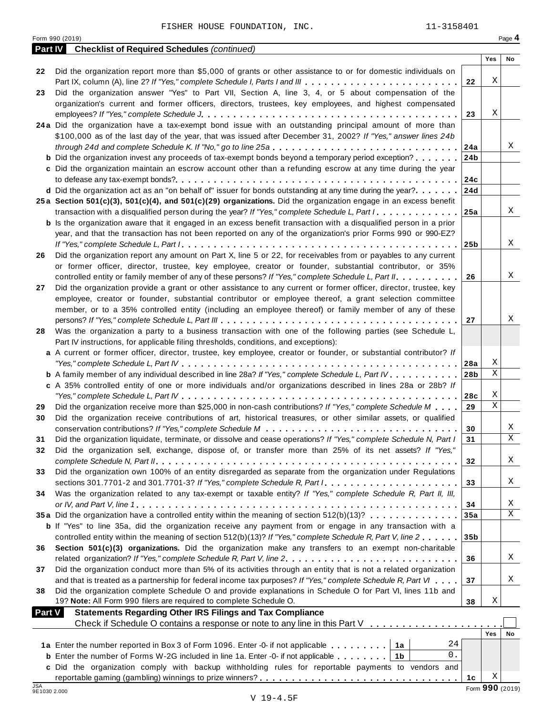| Page 4<br>Form 990 (2019)<br><b>Part IV</b><br><b>Checklist of Required Schedules (continued)</b><br>Yes<br>No<br>Did the organization report more than \$5,000 of grants or other assistance to or for domestic individuals on<br>22<br>Χ<br>Part IX, column (A), line 2? If "Yes," complete Schedule I, Parts I and III<br>22<br>Did the organization answer "Yes" to Part VII, Section A, line 3, 4, or 5 about compensation of the<br>23<br>organization's current and former officers, directors, trustees, key employees, and highest compensated<br>Χ<br>23<br>24a Did the organization have a tax-exempt bond issue with an outstanding principal amount of more than<br>\$100,000 as of the last day of the year, that was issued after December 31, 2002? If "Yes," answer lines 24b<br>Χ<br>through 24d and complete Schedule K. If "No," go to line 25a<br>24a<br><b>b</b> Did the organization invest any proceeds of tax-exempt bonds beyond a temporary period exception?<br>24 <sub>b</sub><br>c Did the organization maintain an escrow account other than a refunding escrow at any time during the year<br>24c<br>d Did the organization act as an "on behalf of" issuer for bonds outstanding at any time during the year?<br>24d<br>25a Section 501(c)(3), 501(c)(4), and 501(c)(29) organizations. Did the organization engage in an excess benefit<br>X<br>transaction with a disqualified person during the year? If "Yes," complete Schedule L, Part I<br>25a<br><b>b</b> Is the organization aware that it engaged in an excess benefit transaction with a disqualified person in a prior<br>year, and that the transaction has not been reported on any of the organization's prior Forms 990 or 990-EZ?<br>Χ<br>25 <sub>b</sub><br>Did the organization report any amount on Part X, line 5 or 22, for receivables from or payables to any current<br>26<br>or former officer, director, trustee, key employee, creator or founder, substantial contributor, or 35%<br>Χ<br>controlled entity or family member of any of these persons? If "Yes," complete Schedule L, Part II.<br>26<br>Did the organization provide a grant or other assistance to any current or former officer, director, trustee, key<br>27<br>employee, creator or founder, substantial contributor or employee thereof, a grant selection committee<br>member, or to a 35% controlled entity (including an employee thereof) or family member of any of these<br>Χ<br>27<br>Was the organization a party to a business transaction with one of the following parties (see Schedule L,<br>28<br>Part IV instructions, for applicable filing thresholds, conditions, and exceptions):<br>a A current or former officer, director, trustee, key employee, creator or founder, or substantial contributor? If<br>Χ<br>28a<br>$\mathbf X$<br><b>b</b> A family member of any individual described in line 28a? If "Yes," complete Schedule L, Part IV.<br>28 <sub>b</sub><br>c A 35% controlled entity of one or more individuals and/or organizations described in lines 28a or 28b? If<br>Χ<br>28c<br>$\mathbf X$<br>Did the organization receive more than \$25,000 in non-cash contributions? If "Yes," complete Schedule M<br>29<br>29<br>Did the organization receive contributions of art, historical treasures, or other similar assets, or qualified<br>30<br>Χ<br>30<br>$\mathbf X$<br>Did the organization liquidate, terminate, or dissolve and cease operations? If "Yes," complete Schedule N, Part I<br>31<br>31<br>Did the organization sell, exchange, dispose of, or transfer more than 25% of its net assets? If "Yes,"<br>32<br>X<br>32<br>Did the organization own 100% of an entity disregarded as separate from the organization under Regulations<br>33<br>Χ<br>33<br>Was the organization related to any tax-exempt or taxable entity? If "Yes," complete Schedule R, Part II, III,<br>34<br>Χ<br>34<br>X<br>35a Did the organization have a controlled entity within the meaning of section 512(b)(13)?<br>35a<br><b>b</b> If "Yes" to line 35a, did the organization receive any payment from or engage in any transaction with a<br>controlled entity within the meaning of section 512(b)(13)? If "Yes," complete Schedule R, Part V, line 2<br>35 <sub>b</sub><br>Section 501(c)(3) organizations. Did the organization make any transfers to an exempt non-charitable<br>36<br>Χ<br>36<br>Did the organization conduct more than 5% of its activities through an entity that is not a related organization<br>37<br>Χ<br>and that is treated as a partnership for federal income tax purposes? If "Yes," complete Schedule R, Part VI<br>37<br>Did the organization complete Schedule O and provide explanations in Schedule O for Part VI, lines 11b and<br>38<br>19? Note: All Form 990 filers are required to complete Schedule O.<br>Χ<br>38<br>Part V<br><b>Statements Regarding Other IRS Filings and Tax Compliance</b><br>Check if Schedule O contains a response or note to any line in this Part V<br>Yes<br>No<br>24<br>1a<br>$0$ .<br><b>b</b> Enter the number of Forms W-2G included in line 1a. Enter -0- if not applicable $\ldots$ ,,,,,<br>1 <sub>b</sub><br>c Did the organization comply with backup withholding rules for reportable payments to vendors and<br>Χ<br>1c<br>Form 990 (2019)<br>9E1030 2.000 |            | 11-3158401<br>FISHER HOUSE FOUNDATION, INC. |  |  |
|--------------------------------------------------------------------------------------------------------------------------------------------------------------------------------------------------------------------------------------------------------------------------------------------------------------------------------------------------------------------------------------------------------------------------------------------------------------------------------------------------------------------------------------------------------------------------------------------------------------------------------------------------------------------------------------------------------------------------------------------------------------------------------------------------------------------------------------------------------------------------------------------------------------------------------------------------------------------------------------------------------------------------------------------------------------------------------------------------------------------------------------------------------------------------------------------------------------------------------------------------------------------------------------------------------------------------------------------------------------------------------------------------------------------------------------------------------------------------------------------------------------------------------------------------------------------------------------------------------------------------------------------------------------------------------------------------------------------------------------------------------------------------------------------------------------------------------------------------------------------------------------------------------------------------------------------------------------------------------------------------------------------------------------------------------------------------------------------------------------------------------------------------------------------------------------------------------------------------------------------------------------------------------------------------------------------------------------------------------------------------------------------------------------------------------------------------------------------------------------------------------------------------------------------------------------------------------------------------------------------------------------------------------------------------------------------------------------------------------------------------------------------------------------------------------------------------------------------------------------------------------------------------------------------------------------------------------------------------------------------------------------------------------------------------------------------------------------------------------------------------------------------------------------------------------------------------------------------------------------------------------------------------------------------------------------------------------------------------------------------------------------------------------------------------------------------------------------------------------------------------------------------------------------------------------------------------------------------------------------------------------------------------------------------------------------------------------------------------------------------------------------------------------------------------------------------------------------------------------------------------------------------------------------------------------------------------------------------------------------------------------------------------------------------------------------------------------------------------------------------------------------------------------------------------------------------------------------------------------------------------------------------------------------------------------------------------------------------------------------------------------------------------------------------------------------------------------------------------------------------------------------------------------------------------------------------------------------------------------------------------------------------------------------------------------------------------------------------------------------------------------------------------------------------------------------------------------------------------------------------------------------------------------------------------------------------------------------------------------------------------------------------------------------------------------------------------------------------------------------------------------------------------------------------------------------------------------------------------------------------------------------------------------------------------------------------------------------------------------------|------------|---------------------------------------------|--|--|
|                                                                                                                                                                                                                                                                                                                                                                                                                                                                                                                                                                                                                                                                                                                                                                                                                                                                                                                                                                                                                                                                                                                                                                                                                                                                                                                                                                                                                                                                                                                                                                                                                                                                                                                                                                                                                                                                                                                                                                                                                                                                                                                                                                                                                                                                                                                                                                                                                                                                                                                                                                                                                                                                                                                                                                                                                                                                                                                                                                                                                                                                                                                                                                                                                                                                                                                                                                                                                                                                                                                                                                                                                                                                                                                                                                                                                                                                                                                                                                                                                                                                                                                                                                                                                                                                                                                                                                                                                                                                                                                                                                                                                                                                                                                                                                                                                                                                                                                                                                                                                                                                                                                                                                                                                                                                                                                                                              |            |                                             |  |  |
|                                                                                                                                                                                                                                                                                                                                                                                                                                                                                                                                                                                                                                                                                                                                                                                                                                                                                                                                                                                                                                                                                                                                                                                                                                                                                                                                                                                                                                                                                                                                                                                                                                                                                                                                                                                                                                                                                                                                                                                                                                                                                                                                                                                                                                                                                                                                                                                                                                                                                                                                                                                                                                                                                                                                                                                                                                                                                                                                                                                                                                                                                                                                                                                                                                                                                                                                                                                                                                                                                                                                                                                                                                                                                                                                                                                                                                                                                                                                                                                                                                                                                                                                                                                                                                                                                                                                                                                                                                                                                                                                                                                                                                                                                                                                                                                                                                                                                                                                                                                                                                                                                                                                                                                                                                                                                                                                                              |            |                                             |  |  |
|                                                                                                                                                                                                                                                                                                                                                                                                                                                                                                                                                                                                                                                                                                                                                                                                                                                                                                                                                                                                                                                                                                                                                                                                                                                                                                                                                                                                                                                                                                                                                                                                                                                                                                                                                                                                                                                                                                                                                                                                                                                                                                                                                                                                                                                                                                                                                                                                                                                                                                                                                                                                                                                                                                                                                                                                                                                                                                                                                                                                                                                                                                                                                                                                                                                                                                                                                                                                                                                                                                                                                                                                                                                                                                                                                                                                                                                                                                                                                                                                                                                                                                                                                                                                                                                                                                                                                                                                                                                                                                                                                                                                                                                                                                                                                                                                                                                                                                                                                                                                                                                                                                                                                                                                                                                                                                                                                              |            |                                             |  |  |
|                                                                                                                                                                                                                                                                                                                                                                                                                                                                                                                                                                                                                                                                                                                                                                                                                                                                                                                                                                                                                                                                                                                                                                                                                                                                                                                                                                                                                                                                                                                                                                                                                                                                                                                                                                                                                                                                                                                                                                                                                                                                                                                                                                                                                                                                                                                                                                                                                                                                                                                                                                                                                                                                                                                                                                                                                                                                                                                                                                                                                                                                                                                                                                                                                                                                                                                                                                                                                                                                                                                                                                                                                                                                                                                                                                                                                                                                                                                                                                                                                                                                                                                                                                                                                                                                                                                                                                                                                                                                                                                                                                                                                                                                                                                                                                                                                                                                                                                                                                                                                                                                                                                                                                                                                                                                                                                                                              |            |                                             |  |  |
|                                                                                                                                                                                                                                                                                                                                                                                                                                                                                                                                                                                                                                                                                                                                                                                                                                                                                                                                                                                                                                                                                                                                                                                                                                                                                                                                                                                                                                                                                                                                                                                                                                                                                                                                                                                                                                                                                                                                                                                                                                                                                                                                                                                                                                                                                                                                                                                                                                                                                                                                                                                                                                                                                                                                                                                                                                                                                                                                                                                                                                                                                                                                                                                                                                                                                                                                                                                                                                                                                                                                                                                                                                                                                                                                                                                                                                                                                                                                                                                                                                                                                                                                                                                                                                                                                                                                                                                                                                                                                                                                                                                                                                                                                                                                                                                                                                                                                                                                                                                                                                                                                                                                                                                                                                                                                                                                                              |            |                                             |  |  |
|                                                                                                                                                                                                                                                                                                                                                                                                                                                                                                                                                                                                                                                                                                                                                                                                                                                                                                                                                                                                                                                                                                                                                                                                                                                                                                                                                                                                                                                                                                                                                                                                                                                                                                                                                                                                                                                                                                                                                                                                                                                                                                                                                                                                                                                                                                                                                                                                                                                                                                                                                                                                                                                                                                                                                                                                                                                                                                                                                                                                                                                                                                                                                                                                                                                                                                                                                                                                                                                                                                                                                                                                                                                                                                                                                                                                                                                                                                                                                                                                                                                                                                                                                                                                                                                                                                                                                                                                                                                                                                                                                                                                                                                                                                                                                                                                                                                                                                                                                                                                                                                                                                                                                                                                                                                                                                                                                              |            |                                             |  |  |
|                                                                                                                                                                                                                                                                                                                                                                                                                                                                                                                                                                                                                                                                                                                                                                                                                                                                                                                                                                                                                                                                                                                                                                                                                                                                                                                                                                                                                                                                                                                                                                                                                                                                                                                                                                                                                                                                                                                                                                                                                                                                                                                                                                                                                                                                                                                                                                                                                                                                                                                                                                                                                                                                                                                                                                                                                                                                                                                                                                                                                                                                                                                                                                                                                                                                                                                                                                                                                                                                                                                                                                                                                                                                                                                                                                                                                                                                                                                                                                                                                                                                                                                                                                                                                                                                                                                                                                                                                                                                                                                                                                                                                                                                                                                                                                                                                                                                                                                                                                                                                                                                                                                                                                                                                                                                                                                                                              |            |                                             |  |  |
|                                                                                                                                                                                                                                                                                                                                                                                                                                                                                                                                                                                                                                                                                                                                                                                                                                                                                                                                                                                                                                                                                                                                                                                                                                                                                                                                                                                                                                                                                                                                                                                                                                                                                                                                                                                                                                                                                                                                                                                                                                                                                                                                                                                                                                                                                                                                                                                                                                                                                                                                                                                                                                                                                                                                                                                                                                                                                                                                                                                                                                                                                                                                                                                                                                                                                                                                                                                                                                                                                                                                                                                                                                                                                                                                                                                                                                                                                                                                                                                                                                                                                                                                                                                                                                                                                                                                                                                                                                                                                                                                                                                                                                                                                                                                                                                                                                                                                                                                                                                                                                                                                                                                                                                                                                                                                                                                                              |            |                                             |  |  |
|                                                                                                                                                                                                                                                                                                                                                                                                                                                                                                                                                                                                                                                                                                                                                                                                                                                                                                                                                                                                                                                                                                                                                                                                                                                                                                                                                                                                                                                                                                                                                                                                                                                                                                                                                                                                                                                                                                                                                                                                                                                                                                                                                                                                                                                                                                                                                                                                                                                                                                                                                                                                                                                                                                                                                                                                                                                                                                                                                                                                                                                                                                                                                                                                                                                                                                                                                                                                                                                                                                                                                                                                                                                                                                                                                                                                                                                                                                                                                                                                                                                                                                                                                                                                                                                                                                                                                                                                                                                                                                                                                                                                                                                                                                                                                                                                                                                                                                                                                                                                                                                                                                                                                                                                                                                                                                                                                              |            |                                             |  |  |
|                                                                                                                                                                                                                                                                                                                                                                                                                                                                                                                                                                                                                                                                                                                                                                                                                                                                                                                                                                                                                                                                                                                                                                                                                                                                                                                                                                                                                                                                                                                                                                                                                                                                                                                                                                                                                                                                                                                                                                                                                                                                                                                                                                                                                                                                                                                                                                                                                                                                                                                                                                                                                                                                                                                                                                                                                                                                                                                                                                                                                                                                                                                                                                                                                                                                                                                                                                                                                                                                                                                                                                                                                                                                                                                                                                                                                                                                                                                                                                                                                                                                                                                                                                                                                                                                                                                                                                                                                                                                                                                                                                                                                                                                                                                                                                                                                                                                                                                                                                                                                                                                                                                                                                                                                                                                                                                                                              |            |                                             |  |  |
|                                                                                                                                                                                                                                                                                                                                                                                                                                                                                                                                                                                                                                                                                                                                                                                                                                                                                                                                                                                                                                                                                                                                                                                                                                                                                                                                                                                                                                                                                                                                                                                                                                                                                                                                                                                                                                                                                                                                                                                                                                                                                                                                                                                                                                                                                                                                                                                                                                                                                                                                                                                                                                                                                                                                                                                                                                                                                                                                                                                                                                                                                                                                                                                                                                                                                                                                                                                                                                                                                                                                                                                                                                                                                                                                                                                                                                                                                                                                                                                                                                                                                                                                                                                                                                                                                                                                                                                                                                                                                                                                                                                                                                                                                                                                                                                                                                                                                                                                                                                                                                                                                                                                                                                                                                                                                                                                                              |            |                                             |  |  |
|                                                                                                                                                                                                                                                                                                                                                                                                                                                                                                                                                                                                                                                                                                                                                                                                                                                                                                                                                                                                                                                                                                                                                                                                                                                                                                                                                                                                                                                                                                                                                                                                                                                                                                                                                                                                                                                                                                                                                                                                                                                                                                                                                                                                                                                                                                                                                                                                                                                                                                                                                                                                                                                                                                                                                                                                                                                                                                                                                                                                                                                                                                                                                                                                                                                                                                                                                                                                                                                                                                                                                                                                                                                                                                                                                                                                                                                                                                                                                                                                                                                                                                                                                                                                                                                                                                                                                                                                                                                                                                                                                                                                                                                                                                                                                                                                                                                                                                                                                                                                                                                                                                                                                                                                                                                                                                                                                              |            |                                             |  |  |
|                                                                                                                                                                                                                                                                                                                                                                                                                                                                                                                                                                                                                                                                                                                                                                                                                                                                                                                                                                                                                                                                                                                                                                                                                                                                                                                                                                                                                                                                                                                                                                                                                                                                                                                                                                                                                                                                                                                                                                                                                                                                                                                                                                                                                                                                                                                                                                                                                                                                                                                                                                                                                                                                                                                                                                                                                                                                                                                                                                                                                                                                                                                                                                                                                                                                                                                                                                                                                                                                                                                                                                                                                                                                                                                                                                                                                                                                                                                                                                                                                                                                                                                                                                                                                                                                                                                                                                                                                                                                                                                                                                                                                                                                                                                                                                                                                                                                                                                                                                                                                                                                                                                                                                                                                                                                                                                                                              |            |                                             |  |  |
|                                                                                                                                                                                                                                                                                                                                                                                                                                                                                                                                                                                                                                                                                                                                                                                                                                                                                                                                                                                                                                                                                                                                                                                                                                                                                                                                                                                                                                                                                                                                                                                                                                                                                                                                                                                                                                                                                                                                                                                                                                                                                                                                                                                                                                                                                                                                                                                                                                                                                                                                                                                                                                                                                                                                                                                                                                                                                                                                                                                                                                                                                                                                                                                                                                                                                                                                                                                                                                                                                                                                                                                                                                                                                                                                                                                                                                                                                                                                                                                                                                                                                                                                                                                                                                                                                                                                                                                                                                                                                                                                                                                                                                                                                                                                                                                                                                                                                                                                                                                                                                                                                                                                                                                                                                                                                                                                                              |            |                                             |  |  |
|                                                                                                                                                                                                                                                                                                                                                                                                                                                                                                                                                                                                                                                                                                                                                                                                                                                                                                                                                                                                                                                                                                                                                                                                                                                                                                                                                                                                                                                                                                                                                                                                                                                                                                                                                                                                                                                                                                                                                                                                                                                                                                                                                                                                                                                                                                                                                                                                                                                                                                                                                                                                                                                                                                                                                                                                                                                                                                                                                                                                                                                                                                                                                                                                                                                                                                                                                                                                                                                                                                                                                                                                                                                                                                                                                                                                                                                                                                                                                                                                                                                                                                                                                                                                                                                                                                                                                                                                                                                                                                                                                                                                                                                                                                                                                                                                                                                                                                                                                                                                                                                                                                                                                                                                                                                                                                                                                              |            |                                             |  |  |
|                                                                                                                                                                                                                                                                                                                                                                                                                                                                                                                                                                                                                                                                                                                                                                                                                                                                                                                                                                                                                                                                                                                                                                                                                                                                                                                                                                                                                                                                                                                                                                                                                                                                                                                                                                                                                                                                                                                                                                                                                                                                                                                                                                                                                                                                                                                                                                                                                                                                                                                                                                                                                                                                                                                                                                                                                                                                                                                                                                                                                                                                                                                                                                                                                                                                                                                                                                                                                                                                                                                                                                                                                                                                                                                                                                                                                                                                                                                                                                                                                                                                                                                                                                                                                                                                                                                                                                                                                                                                                                                                                                                                                                                                                                                                                                                                                                                                                                                                                                                                                                                                                                                                                                                                                                                                                                                                                              |            |                                             |  |  |
|                                                                                                                                                                                                                                                                                                                                                                                                                                                                                                                                                                                                                                                                                                                                                                                                                                                                                                                                                                                                                                                                                                                                                                                                                                                                                                                                                                                                                                                                                                                                                                                                                                                                                                                                                                                                                                                                                                                                                                                                                                                                                                                                                                                                                                                                                                                                                                                                                                                                                                                                                                                                                                                                                                                                                                                                                                                                                                                                                                                                                                                                                                                                                                                                                                                                                                                                                                                                                                                                                                                                                                                                                                                                                                                                                                                                                                                                                                                                                                                                                                                                                                                                                                                                                                                                                                                                                                                                                                                                                                                                                                                                                                                                                                                                                                                                                                                                                                                                                                                                                                                                                                                                                                                                                                                                                                                                                              |            |                                             |  |  |
|                                                                                                                                                                                                                                                                                                                                                                                                                                                                                                                                                                                                                                                                                                                                                                                                                                                                                                                                                                                                                                                                                                                                                                                                                                                                                                                                                                                                                                                                                                                                                                                                                                                                                                                                                                                                                                                                                                                                                                                                                                                                                                                                                                                                                                                                                                                                                                                                                                                                                                                                                                                                                                                                                                                                                                                                                                                                                                                                                                                                                                                                                                                                                                                                                                                                                                                                                                                                                                                                                                                                                                                                                                                                                                                                                                                                                                                                                                                                                                                                                                                                                                                                                                                                                                                                                                                                                                                                                                                                                                                                                                                                                                                                                                                                                                                                                                                                                                                                                                                                                                                                                                                                                                                                                                                                                                                                                              |            |                                             |  |  |
|                                                                                                                                                                                                                                                                                                                                                                                                                                                                                                                                                                                                                                                                                                                                                                                                                                                                                                                                                                                                                                                                                                                                                                                                                                                                                                                                                                                                                                                                                                                                                                                                                                                                                                                                                                                                                                                                                                                                                                                                                                                                                                                                                                                                                                                                                                                                                                                                                                                                                                                                                                                                                                                                                                                                                                                                                                                                                                                                                                                                                                                                                                                                                                                                                                                                                                                                                                                                                                                                                                                                                                                                                                                                                                                                                                                                                                                                                                                                                                                                                                                                                                                                                                                                                                                                                                                                                                                                                                                                                                                                                                                                                                                                                                                                                                                                                                                                                                                                                                                                                                                                                                                                                                                                                                                                                                                                                              |            |                                             |  |  |
|                                                                                                                                                                                                                                                                                                                                                                                                                                                                                                                                                                                                                                                                                                                                                                                                                                                                                                                                                                                                                                                                                                                                                                                                                                                                                                                                                                                                                                                                                                                                                                                                                                                                                                                                                                                                                                                                                                                                                                                                                                                                                                                                                                                                                                                                                                                                                                                                                                                                                                                                                                                                                                                                                                                                                                                                                                                                                                                                                                                                                                                                                                                                                                                                                                                                                                                                                                                                                                                                                                                                                                                                                                                                                                                                                                                                                                                                                                                                                                                                                                                                                                                                                                                                                                                                                                                                                                                                                                                                                                                                                                                                                                                                                                                                                                                                                                                                                                                                                                                                                                                                                                                                                                                                                                                                                                                                                              |            |                                             |  |  |
|                                                                                                                                                                                                                                                                                                                                                                                                                                                                                                                                                                                                                                                                                                                                                                                                                                                                                                                                                                                                                                                                                                                                                                                                                                                                                                                                                                                                                                                                                                                                                                                                                                                                                                                                                                                                                                                                                                                                                                                                                                                                                                                                                                                                                                                                                                                                                                                                                                                                                                                                                                                                                                                                                                                                                                                                                                                                                                                                                                                                                                                                                                                                                                                                                                                                                                                                                                                                                                                                                                                                                                                                                                                                                                                                                                                                                                                                                                                                                                                                                                                                                                                                                                                                                                                                                                                                                                                                                                                                                                                                                                                                                                                                                                                                                                                                                                                                                                                                                                                                                                                                                                                                                                                                                                                                                                                                                              |            |                                             |  |  |
|                                                                                                                                                                                                                                                                                                                                                                                                                                                                                                                                                                                                                                                                                                                                                                                                                                                                                                                                                                                                                                                                                                                                                                                                                                                                                                                                                                                                                                                                                                                                                                                                                                                                                                                                                                                                                                                                                                                                                                                                                                                                                                                                                                                                                                                                                                                                                                                                                                                                                                                                                                                                                                                                                                                                                                                                                                                                                                                                                                                                                                                                                                                                                                                                                                                                                                                                                                                                                                                                                                                                                                                                                                                                                                                                                                                                                                                                                                                                                                                                                                                                                                                                                                                                                                                                                                                                                                                                                                                                                                                                                                                                                                                                                                                                                                                                                                                                                                                                                                                                                                                                                                                                                                                                                                                                                                                                                              |            |                                             |  |  |
|                                                                                                                                                                                                                                                                                                                                                                                                                                                                                                                                                                                                                                                                                                                                                                                                                                                                                                                                                                                                                                                                                                                                                                                                                                                                                                                                                                                                                                                                                                                                                                                                                                                                                                                                                                                                                                                                                                                                                                                                                                                                                                                                                                                                                                                                                                                                                                                                                                                                                                                                                                                                                                                                                                                                                                                                                                                                                                                                                                                                                                                                                                                                                                                                                                                                                                                                                                                                                                                                                                                                                                                                                                                                                                                                                                                                                                                                                                                                                                                                                                                                                                                                                                                                                                                                                                                                                                                                                                                                                                                                                                                                                                                                                                                                                                                                                                                                                                                                                                                                                                                                                                                                                                                                                                                                                                                                                              |            |                                             |  |  |
|                                                                                                                                                                                                                                                                                                                                                                                                                                                                                                                                                                                                                                                                                                                                                                                                                                                                                                                                                                                                                                                                                                                                                                                                                                                                                                                                                                                                                                                                                                                                                                                                                                                                                                                                                                                                                                                                                                                                                                                                                                                                                                                                                                                                                                                                                                                                                                                                                                                                                                                                                                                                                                                                                                                                                                                                                                                                                                                                                                                                                                                                                                                                                                                                                                                                                                                                                                                                                                                                                                                                                                                                                                                                                                                                                                                                                                                                                                                                                                                                                                                                                                                                                                                                                                                                                                                                                                                                                                                                                                                                                                                                                                                                                                                                                                                                                                                                                                                                                                                                                                                                                                                                                                                                                                                                                                                                                              |            |                                             |  |  |
|                                                                                                                                                                                                                                                                                                                                                                                                                                                                                                                                                                                                                                                                                                                                                                                                                                                                                                                                                                                                                                                                                                                                                                                                                                                                                                                                                                                                                                                                                                                                                                                                                                                                                                                                                                                                                                                                                                                                                                                                                                                                                                                                                                                                                                                                                                                                                                                                                                                                                                                                                                                                                                                                                                                                                                                                                                                                                                                                                                                                                                                                                                                                                                                                                                                                                                                                                                                                                                                                                                                                                                                                                                                                                                                                                                                                                                                                                                                                                                                                                                                                                                                                                                                                                                                                                                                                                                                                                                                                                                                                                                                                                                                                                                                                                                                                                                                                                                                                                                                                                                                                                                                                                                                                                                                                                                                                                              |            |                                             |  |  |
|                                                                                                                                                                                                                                                                                                                                                                                                                                                                                                                                                                                                                                                                                                                                                                                                                                                                                                                                                                                                                                                                                                                                                                                                                                                                                                                                                                                                                                                                                                                                                                                                                                                                                                                                                                                                                                                                                                                                                                                                                                                                                                                                                                                                                                                                                                                                                                                                                                                                                                                                                                                                                                                                                                                                                                                                                                                                                                                                                                                                                                                                                                                                                                                                                                                                                                                                                                                                                                                                                                                                                                                                                                                                                                                                                                                                                                                                                                                                                                                                                                                                                                                                                                                                                                                                                                                                                                                                                                                                                                                                                                                                                                                                                                                                                                                                                                                                                                                                                                                                                                                                                                                                                                                                                                                                                                                                                              |            |                                             |  |  |
|                                                                                                                                                                                                                                                                                                                                                                                                                                                                                                                                                                                                                                                                                                                                                                                                                                                                                                                                                                                                                                                                                                                                                                                                                                                                                                                                                                                                                                                                                                                                                                                                                                                                                                                                                                                                                                                                                                                                                                                                                                                                                                                                                                                                                                                                                                                                                                                                                                                                                                                                                                                                                                                                                                                                                                                                                                                                                                                                                                                                                                                                                                                                                                                                                                                                                                                                                                                                                                                                                                                                                                                                                                                                                                                                                                                                                                                                                                                                                                                                                                                                                                                                                                                                                                                                                                                                                                                                                                                                                                                                                                                                                                                                                                                                                                                                                                                                                                                                                                                                                                                                                                                                                                                                                                                                                                                                                              |            |                                             |  |  |
|                                                                                                                                                                                                                                                                                                                                                                                                                                                                                                                                                                                                                                                                                                                                                                                                                                                                                                                                                                                                                                                                                                                                                                                                                                                                                                                                                                                                                                                                                                                                                                                                                                                                                                                                                                                                                                                                                                                                                                                                                                                                                                                                                                                                                                                                                                                                                                                                                                                                                                                                                                                                                                                                                                                                                                                                                                                                                                                                                                                                                                                                                                                                                                                                                                                                                                                                                                                                                                                                                                                                                                                                                                                                                                                                                                                                                                                                                                                                                                                                                                                                                                                                                                                                                                                                                                                                                                                                                                                                                                                                                                                                                                                                                                                                                                                                                                                                                                                                                                                                                                                                                                                                                                                                                                                                                                                                                              |            |                                             |  |  |
|                                                                                                                                                                                                                                                                                                                                                                                                                                                                                                                                                                                                                                                                                                                                                                                                                                                                                                                                                                                                                                                                                                                                                                                                                                                                                                                                                                                                                                                                                                                                                                                                                                                                                                                                                                                                                                                                                                                                                                                                                                                                                                                                                                                                                                                                                                                                                                                                                                                                                                                                                                                                                                                                                                                                                                                                                                                                                                                                                                                                                                                                                                                                                                                                                                                                                                                                                                                                                                                                                                                                                                                                                                                                                                                                                                                                                                                                                                                                                                                                                                                                                                                                                                                                                                                                                                                                                                                                                                                                                                                                                                                                                                                                                                                                                                                                                                                                                                                                                                                                                                                                                                                                                                                                                                                                                                                                                              |            |                                             |  |  |
|                                                                                                                                                                                                                                                                                                                                                                                                                                                                                                                                                                                                                                                                                                                                                                                                                                                                                                                                                                                                                                                                                                                                                                                                                                                                                                                                                                                                                                                                                                                                                                                                                                                                                                                                                                                                                                                                                                                                                                                                                                                                                                                                                                                                                                                                                                                                                                                                                                                                                                                                                                                                                                                                                                                                                                                                                                                                                                                                                                                                                                                                                                                                                                                                                                                                                                                                                                                                                                                                                                                                                                                                                                                                                                                                                                                                                                                                                                                                                                                                                                                                                                                                                                                                                                                                                                                                                                                                                                                                                                                                                                                                                                                                                                                                                                                                                                                                                                                                                                                                                                                                                                                                                                                                                                                                                                                                                              |            |                                             |  |  |
|                                                                                                                                                                                                                                                                                                                                                                                                                                                                                                                                                                                                                                                                                                                                                                                                                                                                                                                                                                                                                                                                                                                                                                                                                                                                                                                                                                                                                                                                                                                                                                                                                                                                                                                                                                                                                                                                                                                                                                                                                                                                                                                                                                                                                                                                                                                                                                                                                                                                                                                                                                                                                                                                                                                                                                                                                                                                                                                                                                                                                                                                                                                                                                                                                                                                                                                                                                                                                                                                                                                                                                                                                                                                                                                                                                                                                                                                                                                                                                                                                                                                                                                                                                                                                                                                                                                                                                                                                                                                                                                                                                                                                                                                                                                                                                                                                                                                                                                                                                                                                                                                                                                                                                                                                                                                                                                                                              |            |                                             |  |  |
|                                                                                                                                                                                                                                                                                                                                                                                                                                                                                                                                                                                                                                                                                                                                                                                                                                                                                                                                                                                                                                                                                                                                                                                                                                                                                                                                                                                                                                                                                                                                                                                                                                                                                                                                                                                                                                                                                                                                                                                                                                                                                                                                                                                                                                                                                                                                                                                                                                                                                                                                                                                                                                                                                                                                                                                                                                                                                                                                                                                                                                                                                                                                                                                                                                                                                                                                                                                                                                                                                                                                                                                                                                                                                                                                                                                                                                                                                                                                                                                                                                                                                                                                                                                                                                                                                                                                                                                                                                                                                                                                                                                                                                                                                                                                                                                                                                                                                                                                                                                                                                                                                                                                                                                                                                                                                                                                                              |            |                                             |  |  |
|                                                                                                                                                                                                                                                                                                                                                                                                                                                                                                                                                                                                                                                                                                                                                                                                                                                                                                                                                                                                                                                                                                                                                                                                                                                                                                                                                                                                                                                                                                                                                                                                                                                                                                                                                                                                                                                                                                                                                                                                                                                                                                                                                                                                                                                                                                                                                                                                                                                                                                                                                                                                                                                                                                                                                                                                                                                                                                                                                                                                                                                                                                                                                                                                                                                                                                                                                                                                                                                                                                                                                                                                                                                                                                                                                                                                                                                                                                                                                                                                                                                                                                                                                                                                                                                                                                                                                                                                                                                                                                                                                                                                                                                                                                                                                                                                                                                                                                                                                                                                                                                                                                                                                                                                                                                                                                                                                              |            |                                             |  |  |
|                                                                                                                                                                                                                                                                                                                                                                                                                                                                                                                                                                                                                                                                                                                                                                                                                                                                                                                                                                                                                                                                                                                                                                                                                                                                                                                                                                                                                                                                                                                                                                                                                                                                                                                                                                                                                                                                                                                                                                                                                                                                                                                                                                                                                                                                                                                                                                                                                                                                                                                                                                                                                                                                                                                                                                                                                                                                                                                                                                                                                                                                                                                                                                                                                                                                                                                                                                                                                                                                                                                                                                                                                                                                                                                                                                                                                                                                                                                                                                                                                                                                                                                                                                                                                                                                                                                                                                                                                                                                                                                                                                                                                                                                                                                                                                                                                                                                                                                                                                                                                                                                                                                                                                                                                                                                                                                                                              |            |                                             |  |  |
|                                                                                                                                                                                                                                                                                                                                                                                                                                                                                                                                                                                                                                                                                                                                                                                                                                                                                                                                                                                                                                                                                                                                                                                                                                                                                                                                                                                                                                                                                                                                                                                                                                                                                                                                                                                                                                                                                                                                                                                                                                                                                                                                                                                                                                                                                                                                                                                                                                                                                                                                                                                                                                                                                                                                                                                                                                                                                                                                                                                                                                                                                                                                                                                                                                                                                                                                                                                                                                                                                                                                                                                                                                                                                                                                                                                                                                                                                                                                                                                                                                                                                                                                                                                                                                                                                                                                                                                                                                                                                                                                                                                                                                                                                                                                                                                                                                                                                                                                                                                                                                                                                                                                                                                                                                                                                                                                                              |            |                                             |  |  |
|                                                                                                                                                                                                                                                                                                                                                                                                                                                                                                                                                                                                                                                                                                                                                                                                                                                                                                                                                                                                                                                                                                                                                                                                                                                                                                                                                                                                                                                                                                                                                                                                                                                                                                                                                                                                                                                                                                                                                                                                                                                                                                                                                                                                                                                                                                                                                                                                                                                                                                                                                                                                                                                                                                                                                                                                                                                                                                                                                                                                                                                                                                                                                                                                                                                                                                                                                                                                                                                                                                                                                                                                                                                                                                                                                                                                                                                                                                                                                                                                                                                                                                                                                                                                                                                                                                                                                                                                                                                                                                                                                                                                                                                                                                                                                                                                                                                                                                                                                                                                                                                                                                                                                                                                                                                                                                                                                              |            |                                             |  |  |
|                                                                                                                                                                                                                                                                                                                                                                                                                                                                                                                                                                                                                                                                                                                                                                                                                                                                                                                                                                                                                                                                                                                                                                                                                                                                                                                                                                                                                                                                                                                                                                                                                                                                                                                                                                                                                                                                                                                                                                                                                                                                                                                                                                                                                                                                                                                                                                                                                                                                                                                                                                                                                                                                                                                                                                                                                                                                                                                                                                                                                                                                                                                                                                                                                                                                                                                                                                                                                                                                                                                                                                                                                                                                                                                                                                                                                                                                                                                                                                                                                                                                                                                                                                                                                                                                                                                                                                                                                                                                                                                                                                                                                                                                                                                                                                                                                                                                                                                                                                                                                                                                                                                                                                                                                                                                                                                                                              |            |                                             |  |  |
|                                                                                                                                                                                                                                                                                                                                                                                                                                                                                                                                                                                                                                                                                                                                                                                                                                                                                                                                                                                                                                                                                                                                                                                                                                                                                                                                                                                                                                                                                                                                                                                                                                                                                                                                                                                                                                                                                                                                                                                                                                                                                                                                                                                                                                                                                                                                                                                                                                                                                                                                                                                                                                                                                                                                                                                                                                                                                                                                                                                                                                                                                                                                                                                                                                                                                                                                                                                                                                                                                                                                                                                                                                                                                                                                                                                                                                                                                                                                                                                                                                                                                                                                                                                                                                                                                                                                                                                                                                                                                                                                                                                                                                                                                                                                                                                                                                                                                                                                                                                                                                                                                                                                                                                                                                                                                                                                                              |            |                                             |  |  |
|                                                                                                                                                                                                                                                                                                                                                                                                                                                                                                                                                                                                                                                                                                                                                                                                                                                                                                                                                                                                                                                                                                                                                                                                                                                                                                                                                                                                                                                                                                                                                                                                                                                                                                                                                                                                                                                                                                                                                                                                                                                                                                                                                                                                                                                                                                                                                                                                                                                                                                                                                                                                                                                                                                                                                                                                                                                                                                                                                                                                                                                                                                                                                                                                                                                                                                                                                                                                                                                                                                                                                                                                                                                                                                                                                                                                                                                                                                                                                                                                                                                                                                                                                                                                                                                                                                                                                                                                                                                                                                                                                                                                                                                                                                                                                                                                                                                                                                                                                                                                                                                                                                                                                                                                                                                                                                                                                              |            |                                             |  |  |
|                                                                                                                                                                                                                                                                                                                                                                                                                                                                                                                                                                                                                                                                                                                                                                                                                                                                                                                                                                                                                                                                                                                                                                                                                                                                                                                                                                                                                                                                                                                                                                                                                                                                                                                                                                                                                                                                                                                                                                                                                                                                                                                                                                                                                                                                                                                                                                                                                                                                                                                                                                                                                                                                                                                                                                                                                                                                                                                                                                                                                                                                                                                                                                                                                                                                                                                                                                                                                                                                                                                                                                                                                                                                                                                                                                                                                                                                                                                                                                                                                                                                                                                                                                                                                                                                                                                                                                                                                                                                                                                                                                                                                                                                                                                                                                                                                                                                                                                                                                                                                                                                                                                                                                                                                                                                                                                                                              |            |                                             |  |  |
|                                                                                                                                                                                                                                                                                                                                                                                                                                                                                                                                                                                                                                                                                                                                                                                                                                                                                                                                                                                                                                                                                                                                                                                                                                                                                                                                                                                                                                                                                                                                                                                                                                                                                                                                                                                                                                                                                                                                                                                                                                                                                                                                                                                                                                                                                                                                                                                                                                                                                                                                                                                                                                                                                                                                                                                                                                                                                                                                                                                                                                                                                                                                                                                                                                                                                                                                                                                                                                                                                                                                                                                                                                                                                                                                                                                                                                                                                                                                                                                                                                                                                                                                                                                                                                                                                                                                                                                                                                                                                                                                                                                                                                                                                                                                                                                                                                                                                                                                                                                                                                                                                                                                                                                                                                                                                                                                                              |            |                                             |  |  |
|                                                                                                                                                                                                                                                                                                                                                                                                                                                                                                                                                                                                                                                                                                                                                                                                                                                                                                                                                                                                                                                                                                                                                                                                                                                                                                                                                                                                                                                                                                                                                                                                                                                                                                                                                                                                                                                                                                                                                                                                                                                                                                                                                                                                                                                                                                                                                                                                                                                                                                                                                                                                                                                                                                                                                                                                                                                                                                                                                                                                                                                                                                                                                                                                                                                                                                                                                                                                                                                                                                                                                                                                                                                                                                                                                                                                                                                                                                                                                                                                                                                                                                                                                                                                                                                                                                                                                                                                                                                                                                                                                                                                                                                                                                                                                                                                                                                                                                                                                                                                                                                                                                                                                                                                                                                                                                                                                              |            |                                             |  |  |
|                                                                                                                                                                                                                                                                                                                                                                                                                                                                                                                                                                                                                                                                                                                                                                                                                                                                                                                                                                                                                                                                                                                                                                                                                                                                                                                                                                                                                                                                                                                                                                                                                                                                                                                                                                                                                                                                                                                                                                                                                                                                                                                                                                                                                                                                                                                                                                                                                                                                                                                                                                                                                                                                                                                                                                                                                                                                                                                                                                                                                                                                                                                                                                                                                                                                                                                                                                                                                                                                                                                                                                                                                                                                                                                                                                                                                                                                                                                                                                                                                                                                                                                                                                                                                                                                                                                                                                                                                                                                                                                                                                                                                                                                                                                                                                                                                                                                                                                                                                                                                                                                                                                                                                                                                                                                                                                                                              |            |                                             |  |  |
|                                                                                                                                                                                                                                                                                                                                                                                                                                                                                                                                                                                                                                                                                                                                                                                                                                                                                                                                                                                                                                                                                                                                                                                                                                                                                                                                                                                                                                                                                                                                                                                                                                                                                                                                                                                                                                                                                                                                                                                                                                                                                                                                                                                                                                                                                                                                                                                                                                                                                                                                                                                                                                                                                                                                                                                                                                                                                                                                                                                                                                                                                                                                                                                                                                                                                                                                                                                                                                                                                                                                                                                                                                                                                                                                                                                                                                                                                                                                                                                                                                                                                                                                                                                                                                                                                                                                                                                                                                                                                                                                                                                                                                                                                                                                                                                                                                                                                                                                                                                                                                                                                                                                                                                                                                                                                                                                                              |            |                                             |  |  |
|                                                                                                                                                                                                                                                                                                                                                                                                                                                                                                                                                                                                                                                                                                                                                                                                                                                                                                                                                                                                                                                                                                                                                                                                                                                                                                                                                                                                                                                                                                                                                                                                                                                                                                                                                                                                                                                                                                                                                                                                                                                                                                                                                                                                                                                                                                                                                                                                                                                                                                                                                                                                                                                                                                                                                                                                                                                                                                                                                                                                                                                                                                                                                                                                                                                                                                                                                                                                                                                                                                                                                                                                                                                                                                                                                                                                                                                                                                                                                                                                                                                                                                                                                                                                                                                                                                                                                                                                                                                                                                                                                                                                                                                                                                                                                                                                                                                                                                                                                                                                                                                                                                                                                                                                                                                                                                                                                              |            |                                             |  |  |
|                                                                                                                                                                                                                                                                                                                                                                                                                                                                                                                                                                                                                                                                                                                                                                                                                                                                                                                                                                                                                                                                                                                                                                                                                                                                                                                                                                                                                                                                                                                                                                                                                                                                                                                                                                                                                                                                                                                                                                                                                                                                                                                                                                                                                                                                                                                                                                                                                                                                                                                                                                                                                                                                                                                                                                                                                                                                                                                                                                                                                                                                                                                                                                                                                                                                                                                                                                                                                                                                                                                                                                                                                                                                                                                                                                                                                                                                                                                                                                                                                                                                                                                                                                                                                                                                                                                                                                                                                                                                                                                                                                                                                                                                                                                                                                                                                                                                                                                                                                                                                                                                                                                                                                                                                                                                                                                                                              |            |                                             |  |  |
|                                                                                                                                                                                                                                                                                                                                                                                                                                                                                                                                                                                                                                                                                                                                                                                                                                                                                                                                                                                                                                                                                                                                                                                                                                                                                                                                                                                                                                                                                                                                                                                                                                                                                                                                                                                                                                                                                                                                                                                                                                                                                                                                                                                                                                                                                                                                                                                                                                                                                                                                                                                                                                                                                                                                                                                                                                                                                                                                                                                                                                                                                                                                                                                                                                                                                                                                                                                                                                                                                                                                                                                                                                                                                                                                                                                                                                                                                                                                                                                                                                                                                                                                                                                                                                                                                                                                                                                                                                                                                                                                                                                                                                                                                                                                                                                                                                                                                                                                                                                                                                                                                                                                                                                                                                                                                                                                                              |            |                                             |  |  |
|                                                                                                                                                                                                                                                                                                                                                                                                                                                                                                                                                                                                                                                                                                                                                                                                                                                                                                                                                                                                                                                                                                                                                                                                                                                                                                                                                                                                                                                                                                                                                                                                                                                                                                                                                                                                                                                                                                                                                                                                                                                                                                                                                                                                                                                                                                                                                                                                                                                                                                                                                                                                                                                                                                                                                                                                                                                                                                                                                                                                                                                                                                                                                                                                                                                                                                                                                                                                                                                                                                                                                                                                                                                                                                                                                                                                                                                                                                                                                                                                                                                                                                                                                                                                                                                                                                                                                                                                                                                                                                                                                                                                                                                                                                                                                                                                                                                                                                                                                                                                                                                                                                                                                                                                                                                                                                                                                              |            |                                             |  |  |
|                                                                                                                                                                                                                                                                                                                                                                                                                                                                                                                                                                                                                                                                                                                                                                                                                                                                                                                                                                                                                                                                                                                                                                                                                                                                                                                                                                                                                                                                                                                                                                                                                                                                                                                                                                                                                                                                                                                                                                                                                                                                                                                                                                                                                                                                                                                                                                                                                                                                                                                                                                                                                                                                                                                                                                                                                                                                                                                                                                                                                                                                                                                                                                                                                                                                                                                                                                                                                                                                                                                                                                                                                                                                                                                                                                                                                                                                                                                                                                                                                                                                                                                                                                                                                                                                                                                                                                                                                                                                                                                                                                                                                                                                                                                                                                                                                                                                                                                                                                                                                                                                                                                                                                                                                                                                                                                                                              |            |                                             |  |  |
|                                                                                                                                                                                                                                                                                                                                                                                                                                                                                                                                                                                                                                                                                                                                                                                                                                                                                                                                                                                                                                                                                                                                                                                                                                                                                                                                                                                                                                                                                                                                                                                                                                                                                                                                                                                                                                                                                                                                                                                                                                                                                                                                                                                                                                                                                                                                                                                                                                                                                                                                                                                                                                                                                                                                                                                                                                                                                                                                                                                                                                                                                                                                                                                                                                                                                                                                                                                                                                                                                                                                                                                                                                                                                                                                                                                                                                                                                                                                                                                                                                                                                                                                                                                                                                                                                                                                                                                                                                                                                                                                                                                                                                                                                                                                                                                                                                                                                                                                                                                                                                                                                                                                                                                                                                                                                                                                                              |            |                                             |  |  |
|                                                                                                                                                                                                                                                                                                                                                                                                                                                                                                                                                                                                                                                                                                                                                                                                                                                                                                                                                                                                                                                                                                                                                                                                                                                                                                                                                                                                                                                                                                                                                                                                                                                                                                                                                                                                                                                                                                                                                                                                                                                                                                                                                                                                                                                                                                                                                                                                                                                                                                                                                                                                                                                                                                                                                                                                                                                                                                                                                                                                                                                                                                                                                                                                                                                                                                                                                                                                                                                                                                                                                                                                                                                                                                                                                                                                                                                                                                                                                                                                                                                                                                                                                                                                                                                                                                                                                                                                                                                                                                                                                                                                                                                                                                                                                                                                                                                                                                                                                                                                                                                                                                                                                                                                                                                                                                                                                              |            |                                             |  |  |
|                                                                                                                                                                                                                                                                                                                                                                                                                                                                                                                                                                                                                                                                                                                                                                                                                                                                                                                                                                                                                                                                                                                                                                                                                                                                                                                                                                                                                                                                                                                                                                                                                                                                                                                                                                                                                                                                                                                                                                                                                                                                                                                                                                                                                                                                                                                                                                                                                                                                                                                                                                                                                                                                                                                                                                                                                                                                                                                                                                                                                                                                                                                                                                                                                                                                                                                                                                                                                                                                                                                                                                                                                                                                                                                                                                                                                                                                                                                                                                                                                                                                                                                                                                                                                                                                                                                                                                                                                                                                                                                                                                                                                                                                                                                                                                                                                                                                                                                                                                                                                                                                                                                                                                                                                                                                                                                                                              |            |                                             |  |  |
|                                                                                                                                                                                                                                                                                                                                                                                                                                                                                                                                                                                                                                                                                                                                                                                                                                                                                                                                                                                                                                                                                                                                                                                                                                                                                                                                                                                                                                                                                                                                                                                                                                                                                                                                                                                                                                                                                                                                                                                                                                                                                                                                                                                                                                                                                                                                                                                                                                                                                                                                                                                                                                                                                                                                                                                                                                                                                                                                                                                                                                                                                                                                                                                                                                                                                                                                                                                                                                                                                                                                                                                                                                                                                                                                                                                                                                                                                                                                                                                                                                                                                                                                                                                                                                                                                                                                                                                                                                                                                                                                                                                                                                                                                                                                                                                                                                                                                                                                                                                                                                                                                                                                                                                                                                                                                                                                                              |            |                                             |  |  |
|                                                                                                                                                                                                                                                                                                                                                                                                                                                                                                                                                                                                                                                                                                                                                                                                                                                                                                                                                                                                                                                                                                                                                                                                                                                                                                                                                                                                                                                                                                                                                                                                                                                                                                                                                                                                                                                                                                                                                                                                                                                                                                                                                                                                                                                                                                                                                                                                                                                                                                                                                                                                                                                                                                                                                                                                                                                                                                                                                                                                                                                                                                                                                                                                                                                                                                                                                                                                                                                                                                                                                                                                                                                                                                                                                                                                                                                                                                                                                                                                                                                                                                                                                                                                                                                                                                                                                                                                                                                                                                                                                                                                                                                                                                                                                                                                                                                                                                                                                                                                                                                                                                                                                                                                                                                                                                                                                              |            |                                             |  |  |
|                                                                                                                                                                                                                                                                                                                                                                                                                                                                                                                                                                                                                                                                                                                                                                                                                                                                                                                                                                                                                                                                                                                                                                                                                                                                                                                                                                                                                                                                                                                                                                                                                                                                                                                                                                                                                                                                                                                                                                                                                                                                                                                                                                                                                                                                                                                                                                                                                                                                                                                                                                                                                                                                                                                                                                                                                                                                                                                                                                                                                                                                                                                                                                                                                                                                                                                                                                                                                                                                                                                                                                                                                                                                                                                                                                                                                                                                                                                                                                                                                                                                                                                                                                                                                                                                                                                                                                                                                                                                                                                                                                                                                                                                                                                                                                                                                                                                                                                                                                                                                                                                                                                                                                                                                                                                                                                                                              |            |                                             |  |  |
|                                                                                                                                                                                                                                                                                                                                                                                                                                                                                                                                                                                                                                                                                                                                                                                                                                                                                                                                                                                                                                                                                                                                                                                                                                                                                                                                                                                                                                                                                                                                                                                                                                                                                                                                                                                                                                                                                                                                                                                                                                                                                                                                                                                                                                                                                                                                                                                                                                                                                                                                                                                                                                                                                                                                                                                                                                                                                                                                                                                                                                                                                                                                                                                                                                                                                                                                                                                                                                                                                                                                                                                                                                                                                                                                                                                                                                                                                                                                                                                                                                                                                                                                                                                                                                                                                                                                                                                                                                                                                                                                                                                                                                                                                                                                                                                                                                                                                                                                                                                                                                                                                                                                                                                                                                                                                                                                                              |            |                                             |  |  |
|                                                                                                                                                                                                                                                                                                                                                                                                                                                                                                                                                                                                                                                                                                                                                                                                                                                                                                                                                                                                                                                                                                                                                                                                                                                                                                                                                                                                                                                                                                                                                                                                                                                                                                                                                                                                                                                                                                                                                                                                                                                                                                                                                                                                                                                                                                                                                                                                                                                                                                                                                                                                                                                                                                                                                                                                                                                                                                                                                                                                                                                                                                                                                                                                                                                                                                                                                                                                                                                                                                                                                                                                                                                                                                                                                                                                                                                                                                                                                                                                                                                                                                                                                                                                                                                                                                                                                                                                                                                                                                                                                                                                                                                                                                                                                                                                                                                                                                                                                                                                                                                                                                                                                                                                                                                                                                                                                              | <b>JSA</b> |                                             |  |  |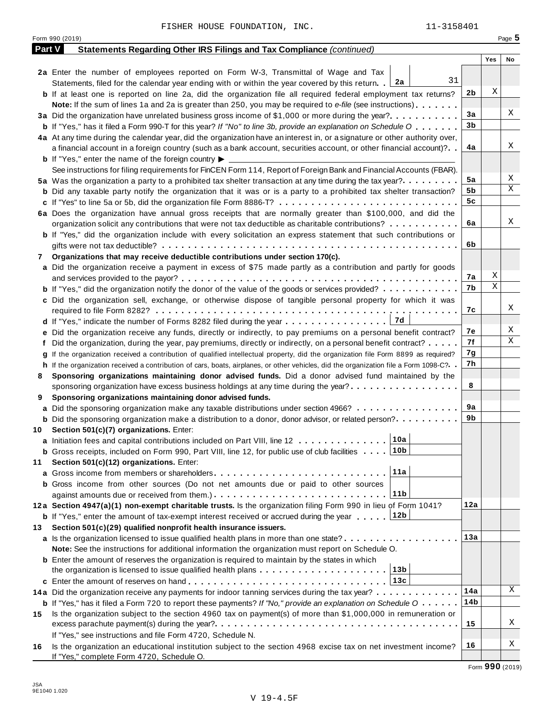|        | Form 990 (2019)                                                                                                                              |     |     | Page 5 |
|--------|----------------------------------------------------------------------------------------------------------------------------------------------|-----|-----|--------|
| Part V | Statements Regarding Other IRS Filings and Tax Compliance (continued)                                                                        |     |     |        |
|        |                                                                                                                                              |     | Yes | No     |
|        | 2a Enter the number of employees reported on Form W-3, Transmittal of Wage and Tax                                                           |     |     |        |
|        | 31<br>Statements, filed for the calendar year ending with or within the year covered by this return. [2a                                     |     |     |        |
|        | <b>b</b> If at least one is reported on line 2a, did the organization file all required federal employment tax returns?                      | 2b  | Χ   |        |
|        | <b>Note:</b> If the sum of lines 1a and 2a is greater than 250, you may be required to e-file (see instructions).                            |     |     |        |
|        | 3a Did the organization have unrelated business gross income of \$1,000 or more during the year?                                             | 3a  |     | Χ      |
|        | <b>b</b> If "Yes," has it filed a Form 990-T for this year? If "No" to line 3b, provide an explanation on Schedule O                         | 3b  |     |        |
|        | 4a At any time during the calendar year, did the organization have an interest in, or a signature or other authority over,                   |     |     |        |
|        | a financial account in a foreign country (such as a bank account, securities account, or other financial account)?                           | 4a  |     | Χ      |
|        | <b>b</b> If "Yes," enter the name of the foreign country $\blacktriangleright$                                                               |     |     |        |
|        | See instructions for filing requirements for FinCEN Form 114, Report of Foreign Bank and Financial Accounts (FBAR).                          |     |     |        |
|        | 5a Was the organization a party to a prohibited tax shelter transaction at any time during the tax year?                                     | 5a  |     | Χ      |
|        | <b>b</b> Did any taxable party notify the organization that it was or is a party to a prohibited tax shelter transaction?                    | 5b  |     | Χ      |
|        |                                                                                                                                              | 5c  |     |        |
|        | 6a Does the organization have annual gross receipts that are normally greater than \$100,000, and did the                                    |     |     |        |
|        | organization solicit any contributions that were not tax deductible as charitable contributions?                                             | 6a  |     | Χ      |
|        | <b>b</b> If "Yes," did the organization include with every solicitation an express statement that such contributions or                      |     |     |        |
|        |                                                                                                                                              | 6b  |     |        |
| 7      | Organizations that may receive deductible contributions under section 170(c).                                                                |     |     |        |
|        | a Did the organization receive a payment in excess of \$75 made partly as a contribution and partly for goods                                |     |     |        |
|        |                                                                                                                                              | 7а  | Χ   |        |
|        | <b>b</b> If "Yes," did the organization notify the donor of the value of the goods or services provided?                                     | 7b  | Χ   |        |
|        | c Did the organization sell, exchange, or otherwise dispose of tangible personal property for which it was                                   |     |     |        |
|        |                                                                                                                                              | 7с  |     | Χ      |
|        | 7d                                                                                                                                           |     |     |        |
|        | e Did the organization receive any funds, directly or indirectly, to pay premiums on a personal benefit contract?                            | 7е  |     | Χ      |
|        | f Did the organization, during the year, pay premiums, directly or indirectly, on a personal benefit contract?                               | 7f  |     | Χ      |
|        | If the organization received a contribution of qualified intellectual property, did the organization file Form 8899 as required?             | 7g  |     |        |
|        | h If the organization received a contribution of cars, boats, airplanes, or other vehicles, did the organization file a Form 1098-C?         | 7h  |     |        |
| 8      | Sponsoring organizations maintaining donor advised funds. Did a donor advised fund maintained by the                                         |     |     |        |
|        | sponsoring organization have excess business holdings at any time during the year?                                                           | 8   |     |        |
| 9      | Sponsoring organizations maintaining donor advised funds.                                                                                    |     |     |        |
|        | <b>a</b> Did the sponsoring organization make any taxable distributions under section 4966?                                                  | 9а  |     |        |
|        | <b>b</b> Did the sponsoring organization make a distribution to a donor, donor advisor, or related person?                                   | 9b  |     |        |
|        | 10 Section 501(c)(7) organizations. Enter:                                                                                                   |     |     |        |
|        | 10a <br>a Initiation fees and capital contributions included on Part VIII, line 12                                                           |     |     |        |
|        | 10b<br><b>b</b> Gross receipts, included on Form 990, Part VIII, line 12, for public use of club facilities                                  |     |     |        |
| 11     | Section 501(c)(12) organizations. Enter:                                                                                                     |     |     |        |
|        | 11a                                                                                                                                          |     |     |        |
|        | b Gross income from other sources (Do not net amounts due or paid to other sources                                                           |     |     |        |
|        | 11b                                                                                                                                          |     |     |        |
|        | 12a Section 4947(a)(1) non-exempt charitable trusts. Is the organization filing Form 990 in lieu of Form 1041?                               | 12a |     |        |
|        | 12b<br><b>b</b> If "Yes," enter the amount of tax-exempt interest received or accrued during the year                                        |     |     |        |
| 13.    | Section 501(c)(29) qualified nonprofit health insurance issuers.                                                                             |     |     |        |
|        | <b>a</b> Is the organization licensed to issue qualified health plans in more than one state?                                                | 13а |     |        |
|        | Note: See the instructions for additional information the organization must report on Schedule O.                                            |     |     |        |
|        | <b>b</b> Enter the amount of reserves the organization is required to maintain by the states in which                                        |     |     |        |
|        | 13b<br>the organization is licensed to issue qualified health plans $\dots \dots \dots \dots \dots \dots \dots$                              |     |     |        |
|        | 13c                                                                                                                                          |     |     |        |
|        | 14a Did the organization receive any payments for indoor tanning services during the tax year?                                               | 14a |     | Χ      |
|        | <b>b</b> If "Yes," has it filed a Form 720 to report these payments? If "No," provide an explanation on Schedule $0 \cdot \cdot \cdot \cdot$ | 14b |     |        |
| 15     | Is the organization subject to the section 4960 tax on payment(s) of more than \$1,000,000 in remuneration or                                |     |     |        |
|        |                                                                                                                                              | 15  |     | Χ      |
|        | If "Yes," see instructions and file Form 4720, Schedule N.                                                                                   |     |     |        |
| 16     | Is the organization an educational institution subject to the section 4968 excise tax on net investment income?                              | 16  |     | Χ      |
|        | If "Yes," complete Form 4720, Schedule O.                                                                                                    |     |     |        |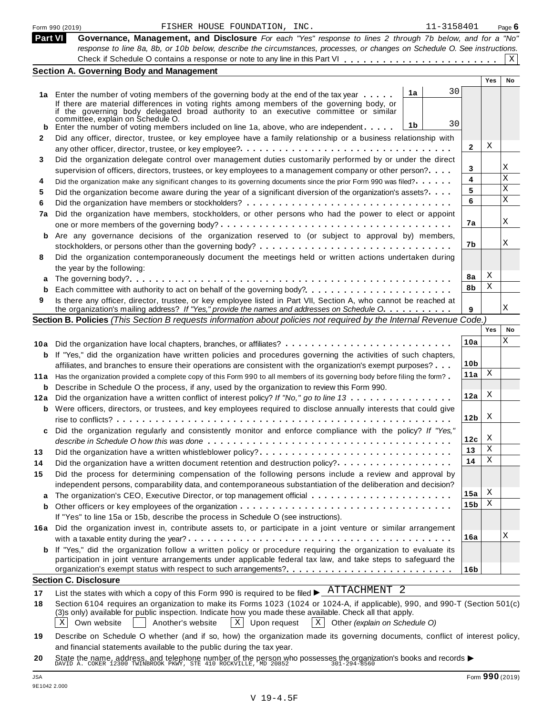|                | FISHER HOUSE FOUNDATION, INC.<br>11-3158401<br>Form 990 (2019)                                                                                                                                                   |              |            | Page $6$    |
|----------------|------------------------------------------------------------------------------------------------------------------------------------------------------------------------------------------------------------------|--------------|------------|-------------|
| <b>Part VI</b> | Governance, Management, and Disclosure For each "Yes" response to lines 2 through 7b below, and for a "No"                                                                                                       |              |            |             |
|                | response to line 8a, 8b, or 10b below, describe the circumstances, processes, or changes on Schedule O. See instructions.                                                                                        |              |            |             |
|                |                                                                                                                                                                                                                  |              |            | $\mathbf X$ |
|                | <b>Section A. Governing Body and Management</b>                                                                                                                                                                  |              |            |             |
|                |                                                                                                                                                                                                                  |              | <b>Yes</b> | No          |
|                | 30<br>1a<br>1a Enter the number of voting members of the governing body at the end of the tax year                                                                                                               |              |            |             |
|                | If there are material differences in voting rights among members of the governing body, or                                                                                                                       |              |            |             |
|                | if the governing body delegated broad authority to an executive committee or similar                                                                                                                             |              |            |             |
|                | committée, explain on Schedule O.<br>30<br>1b<br>Enter the number of voting members included on line 1a, above, who are independent                                                                              |              |            |             |
| b<br>2         | Did any officer, director, trustee, or key employee have a family relationship or a business relationship with                                                                                                   |              |            |             |
|                |                                                                                                                                                                                                                  | $\mathbf{2}$ | Χ          |             |
| 3              | Did the organization delegate control over management duties customarily performed by or under the direct                                                                                                        |              |            |             |
|                | supervision of officers, directors, trustees, or key employees to a management company or other person?                                                                                                          | 3            |            | Χ           |
| 4              | Did the organization make any significant changes to its governing documents since the prior Form 990 was filed?                                                                                                 | 4            |            | X           |
| 5              | Did the organization become aware during the year of a significant diversion of the organization's assets?                                                                                                       | 5            |            | X           |
|                |                                                                                                                                                                                                                  | 6            |            | X           |
| 6              | Did the organization have members, stockholders, or other persons who had the power to elect or appoint                                                                                                          |              |            |             |
| 7a             |                                                                                                                                                                                                                  | 7a           |            | Χ           |
|                |                                                                                                                                                                                                                  |              |            |             |
|                | b Are any governance decisions of the organization reserved to (or subject to approval by) members,                                                                                                              | 7b           |            | Χ           |
|                |                                                                                                                                                                                                                  |              |            |             |
| 8              | Did the organization contemporaneously document the meetings held or written actions undertaken during                                                                                                           |              |            |             |
|                | the year by the following:                                                                                                                                                                                       | 8a           | X          |             |
| a              |                                                                                                                                                                                                                  | 8b           | Χ          |             |
| b              | Each committee with authority to act on behalf of the governing body?                                                                                                                                            |              |            |             |
| 9              | Is there any officer, director, trustee, or key employee listed in Part VII, Section A, who cannot be reached at<br>the organization's mailing address? If "Yes," provide the names and addresses on Schedule O. | 9            |            | X           |
|                | Section B. Policies (This Section B requests information about policies not required by the Internal Revenue Code.)                                                                                              |              |            |             |
|                |                                                                                                                                                                                                                  |              | Yes        | No          |
|                |                                                                                                                                                                                                                  | 10a          |            | X           |
|                | 10a Did the organization have local chapters, branches, or affiliates?                                                                                                                                           |              |            |             |
|                | <b>b</b> If "Yes," did the organization have written policies and procedures governing the activities of such chapters,                                                                                          |              |            |             |
|                | affiliates, and branches to ensure their operations are consistent with the organization's exempt purposes?                                                                                                      | 10b          | X          |             |
| 11 a           | Has the organization provided a complete copy of this Form 990 to all members of its governing body before filing the form?                                                                                      | 11a          |            |             |
| b              | Describe in Schedule O the process, if any, used by the organization to review this Form 990.                                                                                                                    | 12a          | Χ          |             |
|                | 12a Did the organization have a written conflict of interest policy? If "No," go to line 13                                                                                                                      |              |            |             |
|                | <b>b</b> Were officers, directors, or trustees, and key employees required to disclose annually interests that could give                                                                                        |              | X          |             |
|                |                                                                                                                                                                                                                  | 12b          |            |             |
| C              | Did the organization regularly and consistently monitor and enforce compliance with the policy? If "Yes,"                                                                                                        |              | X          |             |
|                |                                                                                                                                                                                                                  | 12c          |            |             |
| 13             | Did the organization have a written whistleblower policy?                                                                                                                                                        | 13           | Χ<br>Χ     |             |
| 14             |                                                                                                                                                                                                                  | 14           |            |             |
| 15             | Did the process for determining compensation of the following persons include a review and approval by                                                                                                           |              |            |             |
|                | independent persons, comparability data, and contemporaneous substantiation of the deliberation and decision?                                                                                                    |              |            |             |
| a              |                                                                                                                                                                                                                  | 15a          | X          |             |
| b              |                                                                                                                                                                                                                  | 15b          | Χ          |             |
|                | If "Yes" to line 15a or 15b, describe the process in Schedule O (see instructions).                                                                                                                              |              |            |             |
|                | 16a Did the organization invest in, contribute assets to, or participate in a joint venture or similar arrangement                                                                                               |              |            |             |
|                |                                                                                                                                                                                                                  | 16a          |            | Χ           |
|                | <b>b</b> If "Yes," did the organization follow a written policy or procedure requiring the organization to evaluate its                                                                                          |              |            |             |
|                | participation in joint venture arrangements under applicable federal tax law, and take steps to safeguard the                                                                                                    |              |            |             |
|                |                                                                                                                                                                                                                  | 16b          |            |             |
|                | <b>Section C. Disclosure</b>                                                                                                                                                                                     |              |            |             |
| 17             | List the states with which a copy of this Form 990 is required to be filed $\blacktriangleright$ $\overline{\text{ATTACHMENT}}$ 2                                                                                |              |            |             |
| 18             | Section 6104 requires an organization to make its Forms 1023 (1024 or 1024-A, if applicable), 990, and 990-T (Section 501(c)                                                                                     |              |            |             |
|                | (3)s only) available for public inspection. Indicate how you made these available. Check all that apply.                                                                                                         |              |            |             |
|                | X<br>Own website<br>Another's website<br>$\mathbf{X}$<br>Upon request<br>$\vert$ X $\vert$<br>Other (explain on Schedule O)                                                                                      |              |            |             |
| 19             | Describe on Schedule O whether (and if so, how) the organization made its governing documents, conflict of interest policy,                                                                                      |              |            |             |
|                | and financial statements available to the public during the tax year.                                                                                                                                            |              |            |             |

**20** and infancial statements available to the public during the tax year.<br>State the name, address, and telephone number of the person who possesses the organization's books and records<br>DAVID A. COKER 12300 TWINBROOK PKWY, STE

| FISHER HOUSE |
|--------------|
|--------------|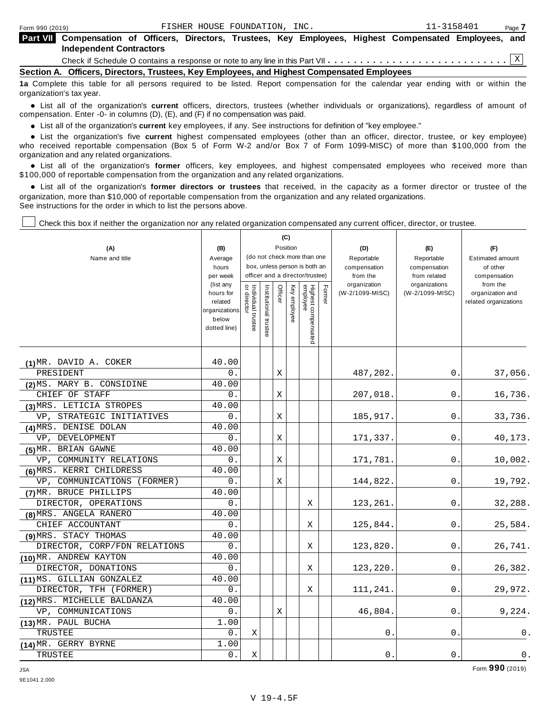|  | <b>Part VII</b> Compensation of Officers, Directors, Trustees, Key Employees, Highest Compensated Employees, and<br><b>Independent Contractors</b> |  |  |  |  |  |  |  |
|--|----------------------------------------------------------------------------------------------------------------------------------------------------|--|--|--|--|--|--|--|
|  |                                                                                                                                                    |  |  |  |  |  |  |  |
|  | Section A. Officers, Directors, Trustees, Key Employees, and Highest Compensated Employees                                                         |  |  |  |  |  |  |  |

**1a** Complete this table for all persons required to be listed. Report compensation for the calendar year ending with or within the organization's tax year.

anization's lax year.<br>● List all of the organization's **current** officers, directors, trustees (whether individuals or organizations), regardless of amount of<br>nnensation Enter -0- in columns (D) (E) and (E) if no compensa compensation. Enter -0- in columns (D), (E), and (F) if no compensation was paid.

■ List all of the organization's **current** key employees, if any. See instructions for definition of "key employee."<br>■ List the experientials five event highert expressed employees (other than an efficer director of

**Example in the organization's current** key employees, if any. See instructions for definition of key employee.<br>• List the organization's five **current** highest compensated employees (other than an officer, director, trust who received reportable compensation (Box 5 of Form W-2 and/or Box 7 of Form 1099-MISC) of more than \$100,000 from the

organization and any related organizations.<br>• List all of the organization's **former** officers, key employees, and highest compensated employees who received more than<br>\$1.00.000 of reportable componention from the erganiza \$100,000 of reportable compensation from the organization and any related organizations.

% List all of the organization's **former directors or trustees** that received, in the capacity as a former director or trustee of the organization, more than \$10,000 of reportable compensation from the organization and any related organizations. See instructions for the order in which to list the persons above.

Check this box if neither the organization nor any related organization compensated any current officer, director, or trustee.

| (A)<br>Name and title        | (B)<br>Average                                                              |                                   |                                                                  |         | (C)<br>Position<br>(do not check more than one |                                 |        | (D)<br>Reportable               | (E)<br>Reportable                | (F)<br><b>Estimated amount</b>                        |
|------------------------------|-----------------------------------------------------------------------------|-----------------------------------|------------------------------------------------------------------|---------|------------------------------------------------|---------------------------------|--------|---------------------------------|----------------------------------|-------------------------------------------------------|
|                              | hours<br>per week                                                           |                                   | box, unless person is both an<br>officer and a director/trustee) |         |                                                |                                 |        | compensation<br>from the        | compensation<br>from related     | of other<br>compensation                              |
|                              | (list any<br>hours for<br>related<br>organizations<br>below<br>dotted line) | Individual trustee<br>or director | Institutional trustee                                            | Officer | Key employee                                   | Highest compensated<br>employee | Former | organization<br>(W-2/1099-MISC) | organizations<br>(W-2/1099-MISC) | from the<br>organization and<br>related organizations |
| (1) MR. DAVID A. COKER       | 40.00                                                                       |                                   |                                                                  |         |                                                |                                 |        |                                 |                                  |                                                       |
| PRESIDENT                    | 0.                                                                          |                                   |                                                                  | Χ       |                                                |                                 |        | 487,202.                        | 0.                               | 37,056.                                               |
| (2) MS. MARY B. CONSIDINE    | 40.00                                                                       |                                   |                                                                  |         |                                                |                                 |        |                                 |                                  |                                                       |
| CHIEF OF STAFF               | 0.                                                                          |                                   |                                                                  | Χ       |                                                |                                 |        | 207,018.                        | 0.                               | 16,736.                                               |
| (3) MRS. LETICIA STROPES     | 40.00                                                                       |                                   |                                                                  |         |                                                |                                 |        |                                 |                                  |                                                       |
| VP, STRATEGIC INITIATIVES    | 0.                                                                          |                                   |                                                                  | X       |                                                |                                 |        | 185,917.                        | 0.                               | 33,736.                                               |
| (4) MRS. DENISE DOLAN        | 40.00                                                                       |                                   |                                                                  |         |                                                |                                 |        |                                 |                                  |                                                       |
| VP, DEVELOPMENT              | 0.                                                                          |                                   |                                                                  | Χ       |                                                |                                 |        | 171,337.                        | 0.                               | 40,173.                                               |
| (5) MR. BRIAN GAWNE          | 40.00                                                                       |                                   |                                                                  |         |                                                |                                 |        |                                 |                                  |                                                       |
| VP, COMMUNITY RELATIONS      | 0.                                                                          |                                   |                                                                  | Χ       |                                                |                                 |        | 171,781.                        | 0.                               | 10,002.                                               |
| (6) MRS. KERRI CHILDRESS     | 40.00                                                                       |                                   |                                                                  |         |                                                |                                 |        |                                 |                                  |                                                       |
| VP, COMMUNICATIONS (FORMER)  | 0.                                                                          |                                   |                                                                  | Χ       |                                                |                                 |        | 144,822.                        | 0.                               | 19,792.                                               |
| (7) MR. BRUCE PHILLIPS       | 40.00                                                                       |                                   |                                                                  |         |                                                |                                 |        |                                 |                                  |                                                       |
| DIRECTOR, OPERATIONS         | 0.                                                                          |                                   |                                                                  |         |                                                | Χ                               |        | 123,261.                        | 0.                               | 32,288.                                               |
| (8) MRS. ANGELA RANERO       | 40.00                                                                       |                                   |                                                                  |         |                                                |                                 |        |                                 |                                  |                                                       |
| CHIEF ACCOUNTANT             | 0.                                                                          |                                   |                                                                  |         |                                                | Χ                               |        | 125,844.                        | 0.                               | 25,584.                                               |
| (9) MRS. STACY THOMAS        | 40.00                                                                       |                                   |                                                                  |         |                                                |                                 |        |                                 |                                  |                                                       |
| DIRECTOR, CORP/FDN RELATIONS | 0.                                                                          |                                   |                                                                  |         |                                                | Χ                               |        | 123,820.                        | 0.                               | 26,741.                                               |
| (10) MR. ANDREW KAYTON       | 40.00                                                                       |                                   |                                                                  |         |                                                |                                 |        |                                 |                                  |                                                       |
| DIRECTOR, DONATIONS          | 0.                                                                          |                                   |                                                                  |         |                                                | Χ                               |        | 123,220.                        | 0.                               | 26,382.                                               |
| (11) MS. GILLIAN GONZALEZ    | 40.00                                                                       |                                   |                                                                  |         |                                                |                                 |        |                                 |                                  |                                                       |
| DIRECTOR, TFH (FORMER)       | 0.                                                                          |                                   |                                                                  |         |                                                | Χ                               |        | 111,241.                        | 0.                               | 29,972.                                               |
| (12) MRS. MICHELLE BALDANZA  | 40.00                                                                       |                                   |                                                                  |         |                                                |                                 |        |                                 |                                  |                                                       |
| VP, COMMUNICATIONS           | 0.                                                                          |                                   |                                                                  | Χ       |                                                |                                 |        | 46,804.                         | 0.                               | 9,224.                                                |
| (13) MR. PAUL BUCHA          | 1.00                                                                        |                                   |                                                                  |         |                                                |                                 |        |                                 |                                  |                                                       |
| TRUSTEE                      | 0.                                                                          | Χ                                 |                                                                  |         |                                                |                                 |        | 0                               | $0$ .                            | 0.                                                    |
| (14) MR. GERRY BYRNE         | 1.00                                                                        |                                   |                                                                  |         |                                                |                                 |        |                                 |                                  |                                                       |
| TRUSTEE                      | 0.                                                                          | X                                 |                                                                  |         |                                                |                                 |        | 0.                              | 0.                               | 0.                                                    |

JSA Form **990** (2019)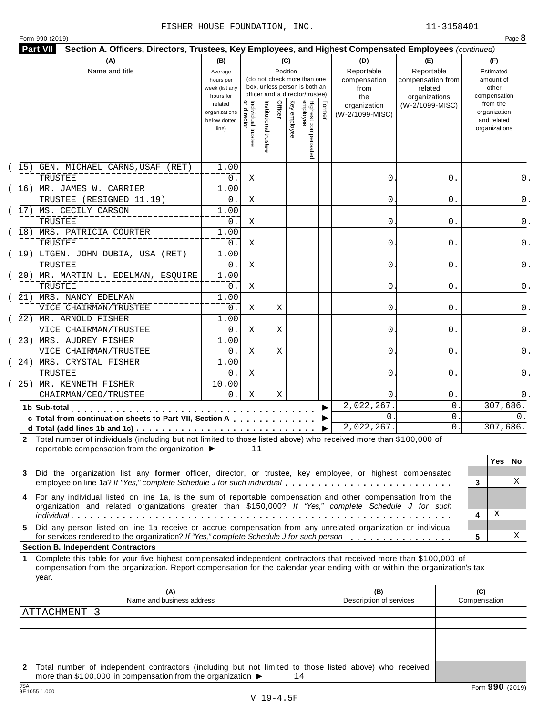|  | Form 990 (2019) |  |
|--|-----------------|--|
|  |                 |  |

|    | (A)                                                                                                                                                                                                                                                                                                                                                          | (B)                                                 |                                           |                       |         | (C)          |                                                                                                 |        | (D)                                        | (E)                                                         | (F)                                                      |
|----|--------------------------------------------------------------------------------------------------------------------------------------------------------------------------------------------------------------------------------------------------------------------------------------------------------------------------------------------------------------|-----------------------------------------------------|-------------------------------------------|-----------------------|---------|--------------|-------------------------------------------------------------------------------------------------|--------|--------------------------------------------|-------------------------------------------------------------|----------------------------------------------------------|
|    | Name and title                                                                                                                                                                                                                                                                                                                                               | Average<br>hours per<br>week (list any<br>hours for |                                           |                       |         | Position     | (do not check more than one<br>box, unless person is both an<br>officer and a director/trustee) |        | Reportable<br>compensation<br>from<br>the  | Reportable<br>compensation from<br>related<br>organizations | Estimated<br>amount of<br>other<br>compensation          |
|    |                                                                                                                                                                                                                                                                                                                                                              | related<br>organizations<br>below dotted<br>line)   | <br>  Individual trustee<br>  or director | Institutional trustee | Officer | Key employee | Highest compensated<br>employee                                                                 | Former | organization<br>(W-2/1099-MISC)            | (W-2/1099-MISC)                                             | from the<br>organization<br>and related<br>organizations |
|    | (15) GEN. MICHAEL CARNS, USAF (RET)<br>TRUSTEE                                                                                                                                                                                                                                                                                                               | 1.00<br>$0$ .                                       | Χ                                         |                       |         |              |                                                                                                 |        | 0                                          | 0.                                                          |                                                          |
|    | (16) MR. JAMES W. CARRIER<br>TRUSTEE (RESIGNED 11.19)                                                                                                                                                                                                                                                                                                        | 1.00<br>0.                                          | Χ                                         |                       |         |              |                                                                                                 |        | 0                                          | 0.                                                          |                                                          |
|    | (17) MS. CECILY CARSON<br>TRUSTEE                                                                                                                                                                                                                                                                                                                            | 1.00<br>0.                                          | Χ                                         |                       |         |              |                                                                                                 |        | 0                                          | 0.                                                          |                                                          |
|    | (18) MRS. PATRICIA COURTER<br>TRUSTEE                                                                                                                                                                                                                                                                                                                        | 1.00<br>0.                                          | Χ                                         |                       |         |              |                                                                                                 |        | 0                                          | 0.                                                          |                                                          |
|    | (19) LTGEN. JOHN DUBIA, USA (RET)<br>TRUSTEE                                                                                                                                                                                                                                                                                                                 | 1.00<br>0.                                          | Χ                                         |                       |         |              |                                                                                                 |        | 0                                          | 0.                                                          |                                                          |
|    | (20) MR. MARTIN L. EDELMAN, ESQUIRE<br>TRUSTEE                                                                                                                                                                                                                                                                                                               | 1.00<br>$0$ .                                       | Χ                                         |                       |         |              |                                                                                                 |        | 0                                          | 0.                                                          |                                                          |
|    | (21) MRS. NANCY EDELMAN<br>VICE CHAIRMAN/TRUSTEE                                                                                                                                                                                                                                                                                                             | 1.00<br>0.                                          | Χ                                         |                       | Χ       |              |                                                                                                 |        | 0                                          | 0.                                                          |                                                          |
|    | (22) MR. ARNOLD FISHER<br>VICE CHAIRMAN/TRUSTEE                                                                                                                                                                                                                                                                                                              | 1.00<br>0.                                          | Χ                                         |                       | Χ       |              |                                                                                                 |        | 0                                          | 0.                                                          |                                                          |
|    | (23) MRS. AUDREY FISHER<br>VICE CHAIRMAN/TRUSTEE                                                                                                                                                                                                                                                                                                             | 1.00<br>$0$ .                                       | Χ                                         |                       | Χ       |              |                                                                                                 |        | 0                                          | 0.                                                          |                                                          |
|    | (24) MRS. CRYSTAL FISHER<br>TRUSTEE                                                                                                                                                                                                                                                                                                                          | 1.00<br>$0$ .                                       | Χ                                         |                       |         |              |                                                                                                 |        | 0                                          | 0.                                                          |                                                          |
|    | 25) MR. KENNETH FISHER<br>CHAIRMAN/CEO/TRUSTEE                                                                                                                                                                                                                                                                                                               | 10.00<br>0.                                         | Χ                                         |                       | Χ       |              |                                                                                                 |        | $\Omega$                                   | 0.                                                          |                                                          |
|    | 1b Sub-total<br>c Total from continuation sheets to Part VII, Section A                                                                                                                                                                                                                                                                                      |                                                     |                                           |                       |         |              |                                                                                                 |        | 2,022,267.<br>$\mathbf{0}$ .<br>2,022,267. | 0<br>0<br>$\mathsf{O}$ .                                    | 307,686.<br>0.<br>307,686.                               |
| 3  | 2 Total number of individuals (including but not limited to those listed above) who received more than \$100,000 of<br>reportable compensation from the organization ▶<br>Did the organization list any former officer, director, or trustee, key employee, or highest compensated<br>employee on line 1a? If "Yes," complete Schedule J for such individual |                                                     | 11                                        |                       |         |              |                                                                                                 |        |                                            |                                                             | <b>Yes</b><br>No.<br>X                                   |
| 4  | For any individual listed on line 1a, is the sum of reportable compensation and other compensation from the<br>organization and related organizations greater than \$150,000? If "Yes," complete Schedule J for such                                                                                                                                         |                                                     |                                           |                       |         |              |                                                                                                 |        |                                            |                                                             | 3<br>Χ<br>4                                              |
| 5. | Did any person listed on line 1a receive or accrue compensation from any unrelated organization or individual<br>for services rendered to the organization? If "Yes," complete Schedule J for such person<br><b>Section B. Independent Contractors</b>                                                                                                       |                                                     |                                           |                       |         |              |                                                                                                 |        |                                            |                                                             | X<br>5                                                   |
| 1. | Complete this table for your five highest compensated independent contractors that received more than \$100,000 of<br>compensation from the organization. Report compensation for the calendar year ending with or within the organization's tax<br>year.                                                                                                    |                                                     |                                           |                       |         |              |                                                                                                 |        |                                            |                                                             |                                                          |
|    | (A)<br>Name and business address<br>ATTACHMENT 3                                                                                                                                                                                                                                                                                                             |                                                     |                                           |                       |         |              |                                                                                                 |        | (B)<br>Description of services             |                                                             | (C)<br>Compensation                                      |
|    |                                                                                                                                                                                                                                                                                                                                                              |                                                     |                                           |                       |         |              |                                                                                                 |        |                                            |                                                             |                                                          |

**2** Total number of independent contractors (including but not limited to those listed above) who received more than \$100,000 in compensation from the organization  $\blacktriangleright$  14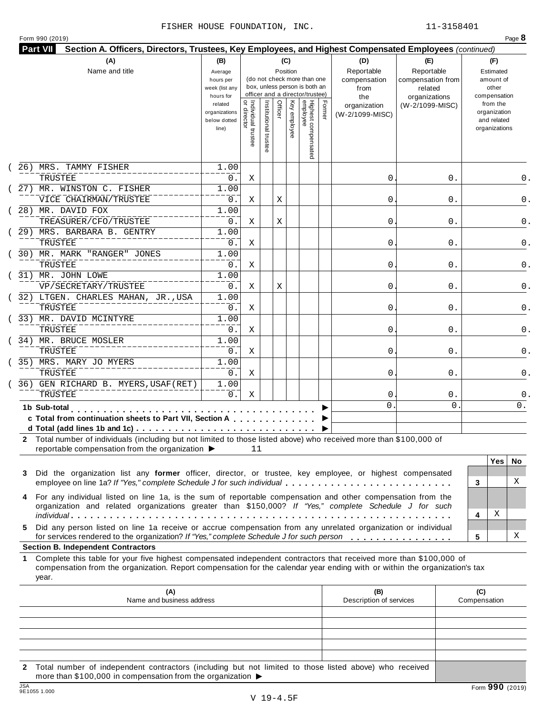|  | Form 990 (2019) |  |
|--|-----------------|--|

| (A)                                                                                                                                                                                                                                                             | (B)                                                 |                                     |                       | (C)                     |                                                                                                 |        | (D)                                       | (E)                                                         |                     | (F)                                                      |     |
|-----------------------------------------------------------------------------------------------------------------------------------------------------------------------------------------------------------------------------------------------------------------|-----------------------------------------------------|-------------------------------------|-----------------------|-------------------------|-------------------------------------------------------------------------------------------------|--------|-------------------------------------------|-------------------------------------------------------------|---------------------|----------------------------------------------------------|-----|
| Name and title                                                                                                                                                                                                                                                  | Average<br>hours per<br>week (list any<br>hours for |                                     |                       | Position                | (do not check more than one<br>box, unless person is both an<br>officer and a director/trustee) |        | Reportable<br>compensation<br>from<br>the | Reportable<br>compensation from<br>related<br>organizations |                     | Estimated<br>amount of<br>other<br>compensation          |     |
|                                                                                                                                                                                                                                                                 | related<br>organizations<br>below dotted<br>line)   | Individual trustee<br>  or director | Institutional trustee | Officer<br>Key employee | Highest compensated<br>employee                                                                 | Former | organization<br>(W-2/1099-MISC)           | (W-2/1099-MISC)                                             |                     | from the<br>organization<br>and related<br>organizations |     |
| 26) MRS. TAMMY FISHER<br>TRUSTEE                                                                                                                                                                                                                                | 1.00<br>0.                                          | Χ                                   |                       |                         |                                                                                                 |        | 0                                         |                                                             | 0.                  |                                                          | 0.  |
| 27) MR. WINSTON C. FISHER<br>VICE CHAIRMAN/TRUSTEE                                                                                                                                                                                                              | 1.00<br>0.                                          | Χ                                   |                       | Χ                       |                                                                                                 |        | 0                                         |                                                             | 0.                  |                                                          | 0.  |
| 28) MR. DAVID FOX                                                                                                                                                                                                                                               | 1.00                                                |                                     |                       |                         |                                                                                                 |        |                                           |                                                             |                     |                                                          |     |
| TREASURER/CFO/TRUSTEE<br>29) MRS. BARBARA B. GENTRY                                                                                                                                                                                                             | 0.<br>1.00                                          | Χ                                   |                       | Χ                       |                                                                                                 |        | 0                                         |                                                             | 0.                  |                                                          |     |
| TRUSTEE<br>30) MR. MARK "RANGER" JONES                                                                                                                                                                                                                          | 0.<br>1.00                                          | Χ                                   |                       |                         |                                                                                                 |        | 0                                         |                                                             | 0.                  |                                                          |     |
| TRUSTEE<br>(31) MR. JOHN LOWE                                                                                                                                                                                                                                   | 0.<br>1.00                                          | Χ                                   |                       |                         |                                                                                                 |        | 0                                         |                                                             | 0.                  |                                                          |     |
| VP/SECRETARY/TRUSTEE                                                                                                                                                                                                                                            | 0.                                                  | Χ                                   |                       | Χ                       |                                                                                                 |        | 0                                         |                                                             | 0.                  |                                                          |     |
| (32) LTGEN. CHARLES MAHAN, JR., USA<br>TRUSTEE                                                                                                                                                                                                                  | 1.00<br>0.                                          | Χ                                   |                       |                         |                                                                                                 |        | 0                                         |                                                             | 0.                  |                                                          |     |
| 33) MR. DAVID MCINTYRE<br>TRUSTEE                                                                                                                                                                                                                               | 1.00<br>0.                                          | Χ                                   |                       |                         |                                                                                                 |        | 0                                         |                                                             | 0.                  |                                                          |     |
| 34) MR. BRUCE MOSLER<br>TRUSTEE                                                                                                                                                                                                                                 | 1.00<br>0.                                          | Χ                                   |                       |                         |                                                                                                 |        | 0                                         |                                                             | 0.                  |                                                          |     |
| 35) MRS. MARY JO MYERS<br>TRUSTEE                                                                                                                                                                                                                               | 1.00<br>0.                                          |                                     |                       |                         |                                                                                                 |        |                                           |                                                             |                     |                                                          |     |
| 36) GEN RICHARD B. MYERS, USAF (RET)                                                                                                                                                                                                                            | 1.00                                                | Χ                                   |                       |                         |                                                                                                 |        | 0                                         |                                                             | 0.                  |                                                          |     |
| TRUSTEE<br>1b Sub-total<br><b>The Commission Commission</b>                                                                                                                                                                                                     | 0.                                                  | Χ                                   |                       |                         |                                                                                                 |        | 0<br>$\Omega$                             |                                                             | 0.<br>0             |                                                          | 0.  |
| c Total from continuation sheets to Part VII, Section A<br>d Total (add lines 1b and 1c) $\ldots \ldots \ldots \ldots \ldots \ldots \ldots \ldots \ldots \ldots$                                                                                                |                                                     |                                     |                       |                         |                                                                                                 |        |                                           |                                                             |                     |                                                          |     |
| 2 Total number of individuals (including but not limited to those listed above) who received more than \$100,000 of<br>reportable compensation from the organization ▶                                                                                          |                                                     | 11                                  |                       |                         |                                                                                                 |        |                                           |                                                             |                     |                                                          |     |
|                                                                                                                                                                                                                                                                 |                                                     |                                     |                       |                         |                                                                                                 |        |                                           |                                                             |                     | <b>Yes</b>                                               | No. |
| Did the organization list any former officer, director, or trustee, key employee, or highest compensated<br>3<br>employee on line 1a? If "Yes," complete Schedule J for such individual                                                                         |                                                     |                                     |                       |                         |                                                                                                 |        |                                           |                                                             | 3                   |                                                          | X   |
| For any individual listed on line 1a, is the sum of reportable compensation and other compensation from the<br>4<br>organization and related organizations greater than \$150,000? If "Yes," complete Schedule J for such                                       |                                                     |                                     |                       |                         |                                                                                                 |        |                                           |                                                             |                     |                                                          |     |
| Did any person listed on line 1a receive or accrue compensation from any unrelated organization or individual<br>5.                                                                                                                                             |                                                     |                                     |                       |                         |                                                                                                 |        |                                           |                                                             | 4                   | Χ                                                        |     |
| for services rendered to the organization? If "Yes," complete Schedule J for such person<br><b>Section B. Independent Contractors</b>                                                                                                                           |                                                     |                                     |                       |                         |                                                                                                 |        |                                           |                                                             | 5                   |                                                          | X   |
| Complete this table for your five highest compensated independent contractors that received more than \$100,000 of<br>1.<br>compensation from the organization. Report compensation for the calendar year ending with or within the organization's tax<br>year. |                                                     |                                     |                       |                         |                                                                                                 |        |                                           |                                                             |                     |                                                          |     |
| (A)<br>Name and business address                                                                                                                                                                                                                                |                                                     |                                     |                       |                         |                                                                                                 |        | (B)<br>Description of services            |                                                             | (C)<br>Compensation |                                                          |     |
|                                                                                                                                                                                                                                                                 |                                                     |                                     |                       |                         |                                                                                                 |        |                                           |                                                             |                     |                                                          |     |
|                                                                                                                                                                                                                                                                 |                                                     |                                     |                       |                         |                                                                                                 |        |                                           |                                                             |                     |                                                          |     |

**2** Total number of independent contractors (including but not limited to those listed above) who received more than \$100,000 in compensation from the organization  $\blacktriangleright$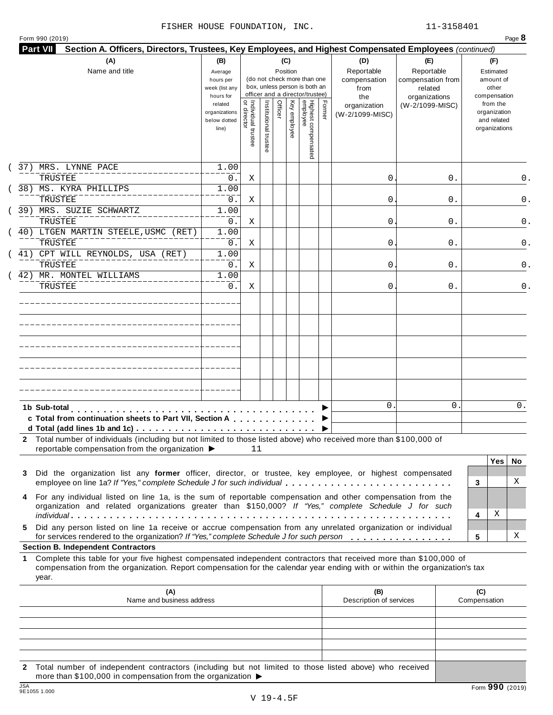|  | Form 990 (2019) |  |
|--|-----------------|--|

| (A)<br>Name and title                                                                                                                                                                                                                                 | (B)<br>Average<br>hours per<br>week (list any<br>hours for |                                     |                       |         | (C)<br>Position | (do not check more than one<br>box, unless person is both an<br>officer and a director/trustee) |        | (D)<br>Reportable<br>compensation<br>from<br>the | (E)<br>Reportable<br>compensation from<br>related<br>organizations | (F)<br>Estimated<br>amount of<br>other<br>compensation   |
|-------------------------------------------------------------------------------------------------------------------------------------------------------------------------------------------------------------------------------------------------------|------------------------------------------------------------|-------------------------------------|-----------------------|---------|-----------------|-------------------------------------------------------------------------------------------------|--------|--------------------------------------------------|--------------------------------------------------------------------|----------------------------------------------------------|
|                                                                                                                                                                                                                                                       | related<br>organizations<br>below dotted<br>line)          | Individual trustee<br>  or director | Institutional trustee | Officer | Key employee    | Highest compensated<br>employee                                                                 | Former | organization<br>(W-2/1099-MISC)                  | (W-2/1099-MISC)                                                    | from the<br>organization<br>and related<br>organizations |
| 37) MRS. LYNNE PACE<br>TRUSTEE                                                                                                                                                                                                                        | 1.00                                                       |                                     |                       |         |                 |                                                                                                 |        | 0                                                |                                                                    | 0.                                                       |
| 38) MS. KYRA PHILLIPS                                                                                                                                                                                                                                 | $0$ .<br>1.00                                              | Χ                                   |                       |         |                 |                                                                                                 |        |                                                  | 0.                                                                 |                                                          |
| TRUSTEE                                                                                                                                                                                                                                               | $0$ .                                                      | Χ                                   |                       |         |                 |                                                                                                 |        | 0                                                | 0.                                                                 | 0.                                                       |
| 39) MRS. SUZIE SCHWARTZ                                                                                                                                                                                                                               | 1.00                                                       |                                     |                       |         |                 |                                                                                                 |        |                                                  |                                                                    |                                                          |
| TRUSTEE                                                                                                                                                                                                                                               | $0$ .                                                      | Χ                                   |                       |         |                 |                                                                                                 |        | 0                                                | 0.                                                                 | 0.                                                       |
| 40) LTGEN MARTIN STEELE, USMC (RET)<br>TRUSTEE                                                                                                                                                                                                        | 1.00<br>$0$ .                                              | Χ                                   |                       |         |                 |                                                                                                 |        | 0                                                | 0.                                                                 | 0.                                                       |
| 41) CPT WILL REYNOLDS, USA (RET)<br>TRUSTEE                                                                                                                                                                                                           | 1.00<br>0.                                                 | Χ                                   |                       |         |                 |                                                                                                 |        | 0                                                | 0.                                                                 | 0.                                                       |
| 42) MR. MONTEL WILLIAMS                                                                                                                                                                                                                               | 1.00                                                       |                                     |                       |         |                 |                                                                                                 |        |                                                  |                                                                    |                                                          |
| TRUSTEE                                                                                                                                                                                                                                               | 0.                                                         | Χ                                   |                       |         |                 |                                                                                                 |        | 0                                                | 0.                                                                 | 0.                                                       |
|                                                                                                                                                                                                                                                       |                                                            |                                     |                       |         |                 |                                                                                                 |        |                                                  |                                                                    |                                                          |
|                                                                                                                                                                                                                                                       |                                                            |                                     |                       |         |                 |                                                                                                 |        |                                                  |                                                                    |                                                          |
|                                                                                                                                                                                                                                                       |                                                            |                                     |                       |         |                 |                                                                                                 |        |                                                  |                                                                    |                                                          |
|                                                                                                                                                                                                                                                       |                                                            |                                     |                       |         |                 |                                                                                                 |        |                                                  |                                                                    |                                                          |
|                                                                                                                                                                                                                                                       |                                                            |                                     |                       |         |                 |                                                                                                 |        |                                                  |                                                                    |                                                          |
| 1b Sub-total<br>c Total from continuation sheets to Part VII, Section A<br>2 Total number of individuals (including but not limited to those listed above) who received more than \$100,000 of                                                        |                                                            |                                     |                       |         |                 |                                                                                                 |        | $\Omega$                                         | 0                                                                  | 0.                                                       |
| reportable compensation from the organization ▶                                                                                                                                                                                                       |                                                            | 11                                  |                       |         |                 |                                                                                                 |        |                                                  |                                                                    |                                                          |
|                                                                                                                                                                                                                                                       |                                                            |                                     |                       |         |                 |                                                                                                 |        |                                                  |                                                                    | <b>Yes</b><br>No.                                        |
| Did the organization list any former officer, director, or trustee, key employee, or highest compensated<br>3<br>employee on line 1a? If "Yes," complete Schedule J for such individual                                                               |                                                            |                                     |                       |         |                 |                                                                                                 |        |                                                  |                                                                    | X<br>3                                                   |
| For any individual listed on line 1a, is the sum of reportable compensation and other compensation from the<br>4<br>organization and related organizations greater than \$150,000? If "Yes," complete Schedule J for such                             |                                                            |                                     |                       |         |                 |                                                                                                 |        |                                                  |                                                                    |                                                          |
|                                                                                                                                                                                                                                                       |                                                            |                                     |                       |         |                 |                                                                                                 |        |                                                  |                                                                    | Χ<br>4                                                   |
| Did any person listed on line 1a receive or accrue compensation from any unrelated organization or individual<br>5.<br>for services rendered to the organization? If "Yes," complete Schedule J for such person                                       |                                                            |                                     |                       |         |                 |                                                                                                 |        |                                                  |                                                                    | х<br>5                                                   |
| <b>Section B. Independent Contractors</b>                                                                                                                                                                                                             |                                                            |                                     |                       |         |                 |                                                                                                 |        |                                                  |                                                                    |                                                          |
| Complete this table for your five highest compensated independent contractors that received more than \$100,000 of<br>1<br>compensation from the organization. Report compensation for the calendar year ending with or within the organization's tax |                                                            |                                     |                       |         |                 |                                                                                                 |        |                                                  |                                                                    |                                                          |
| year.                                                                                                                                                                                                                                                 |                                                            |                                     |                       |         |                 |                                                                                                 |        | (B)                                              |                                                                    | (C)                                                      |
| (A)<br>Name and business address                                                                                                                                                                                                                      |                                                            |                                     |                       |         |                 |                                                                                                 |        | Description of services                          |                                                                    | Compensation                                             |
|                                                                                                                                                                                                                                                       |                                                            |                                     |                       |         |                 |                                                                                                 |        |                                                  |                                                                    |                                                          |
|                                                                                                                                                                                                                                                       |                                                            |                                     |                       |         |                 |                                                                                                 |        |                                                  |                                                                    |                                                          |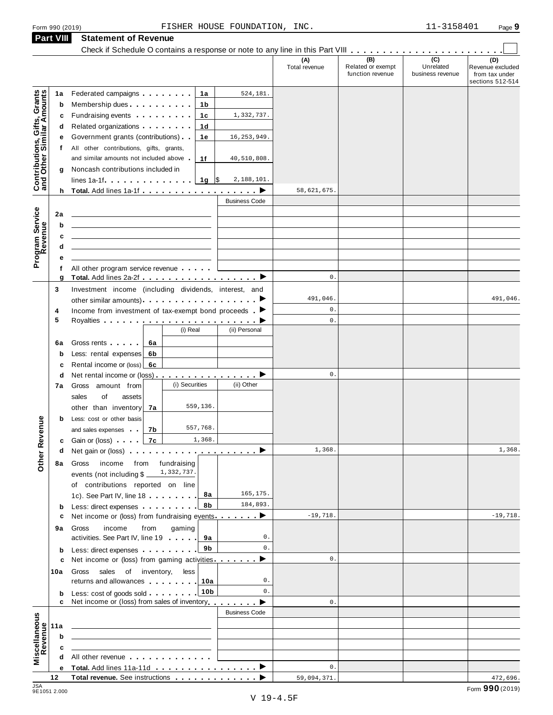**Part VIII Statement of Revenue**

|                                                                                         |              | Check if Schedule O contains a response or note to any line in this Part VIII                                                                                                                                                  |                 |                      |                      |                                              |                                      |                                                               |
|-----------------------------------------------------------------------------------------|--------------|--------------------------------------------------------------------------------------------------------------------------------------------------------------------------------------------------------------------------------|-----------------|----------------------|----------------------|----------------------------------------------|--------------------------------------|---------------------------------------------------------------|
|                                                                                         |              |                                                                                                                                                                                                                                |                 |                      | (A)<br>Total revenue | (B)<br>Related or exempt<br>function revenue | (C)<br>Unrelated<br>business revenue | (D)<br>Revenue excluded<br>from tax under<br>sections 512-514 |
|                                                                                         | 1a           | Federated campaigns [19]                                                                                                                                                                                                       | 1a              | 524,181.             |                      |                                              |                                      |                                                               |
|                                                                                         | b            | Membership dues                                                                                                                                                                                                                | 1b              |                      |                      |                                              |                                      |                                                               |
| Contributions, Gifts, Grants<br>and Other Similar Amounts<br>Program Service<br>Revenue | с            | Fundraising events <b>Fundraising</b>                                                                                                                                                                                          | 1c              | 1,332,737.           |                      |                                              |                                      |                                                               |
|                                                                                         | d            | Related organizations <b>contains</b> a matter of the Related organizations and a matter                                                                                                                                       | 1d              |                      |                      |                                              |                                      |                                                               |
|                                                                                         | е            | Government grants (contributions)                                                                                                                                                                                              | 1e              | 16, 253, 949.        |                      |                                              |                                      |                                                               |
|                                                                                         | $^{\dagger}$ | All other contributions, gifts, grants,                                                                                                                                                                                        |                 |                      |                      |                                              |                                      |                                                               |
|                                                                                         |              | and similar amounts not included above                                                                                                                                                                                         | 1f              | 40,510,808.          |                      |                                              |                                      |                                                               |
|                                                                                         | g            | Noncash contributions included in                                                                                                                                                                                              |                 |                      |                      |                                              |                                      |                                                               |
|                                                                                         |              | $lines 1a-1f$                                                                                                                                                                                                                  | $1g$ \$         | 2,188,101.           |                      |                                              |                                      |                                                               |
|                                                                                         |              |                                                                                                                                                                                                                                |                 |                      | 58,621,675           |                                              |                                      |                                                               |
|                                                                                         |              |                                                                                                                                                                                                                                |                 | <b>Business Code</b> |                      |                                              |                                      |                                                               |
|                                                                                         | 2a           |                                                                                                                                                                                                                                |                 |                      |                      |                                              |                                      |                                                               |
|                                                                                         | b            |                                                                                                                                                                                                                                |                 |                      |                      |                                              |                                      |                                                               |
|                                                                                         | c            |                                                                                                                                                                                                                                |                 |                      |                      |                                              |                                      |                                                               |
|                                                                                         | d            |                                                                                                                                                                                                                                |                 |                      |                      |                                              |                                      |                                                               |
|                                                                                         |              |                                                                                                                                                                                                                                |                 |                      |                      |                                              |                                      |                                                               |
|                                                                                         | f            | All other program service revenue                                                                                                                                                                                              |                 |                      |                      |                                              |                                      |                                                               |
|                                                                                         | g            |                                                                                                                                                                                                                                |                 |                      | 0.                   |                                              |                                      |                                                               |
|                                                                                         | 3            | Investment income (including dividends, interest, and                                                                                                                                                                          |                 |                      |                      |                                              |                                      |                                                               |
|                                                                                         |              |                                                                                                                                                                                                                                |                 |                      | 491,046.             |                                              |                                      | 491,046.                                                      |
|                                                                                         | 4            | Income from investment of tax-exempt bond proceeds $\blacktriangleright$                                                                                                                                                       |                 |                      | 0.                   |                                              |                                      |                                                               |
|                                                                                         | 5            |                                                                                                                                                                                                                                |                 |                      | 0.                   |                                              |                                      |                                                               |
|                                                                                         |              |                                                                                                                                                                                                                                | (i) Real        | (ii) Personal        |                      |                                              |                                      |                                                               |
|                                                                                         | 6a           | Gross rents<br>6а                                                                                                                                                                                                              |                 |                      |                      |                                              |                                      |                                                               |
|                                                                                         | b            | Less: rental expenses<br>6b                                                                                                                                                                                                    |                 |                      |                      |                                              |                                      |                                                               |
|                                                                                         | c            | Rental income or (loss) 6c                                                                                                                                                                                                     |                 |                      |                      |                                              |                                      |                                                               |
|                                                                                         | d            | Net rental income or (loss) $\ldots$ , $\ldots$ , $\ldots$ , $\blacktriangleright$                                                                                                                                             |                 |                      | 0.                   |                                              |                                      |                                                               |
|                                                                                         | 7a           | Gross amount from                                                                                                                                                                                                              | (i) Securities  | (ii) Other           |                      |                                              |                                      |                                                               |
|                                                                                         |              | sales<br>of<br>assets                                                                                                                                                                                                          |                 |                      |                      |                                              |                                      |                                                               |
|                                                                                         |              | other than inventory<br>7a                                                                                                                                                                                                     | 559,136.        |                      |                      |                                              |                                      |                                                               |
|                                                                                         | b            | Less: cost or other basis                                                                                                                                                                                                      |                 |                      |                      |                                              |                                      |                                                               |
| evenue                                                                                  |              | 7b<br>and sales expenses                                                                                                                                                                                                       | 557,768.        |                      |                      |                                              |                                      |                                                               |
|                                                                                         |              | 7c<br><b>c</b> Gain or (loss) and a                                                                                                                                                                                            | 1,368.          |                      |                      |                                              |                                      |                                                               |
|                                                                                         | d            | Net gain or (loss) $\cdots$ $\cdots$ $\cdots$ $\cdots$ $\cdots$ $\cdots$ $\cdots$                                                                                                                                              |                 |                      | 1,368.               |                                              |                                      | 1,368.                                                        |
| Other <sub>R</sub>                                                                      | 8а           | income from fundraising<br>Gross                                                                                                                                                                                               |                 |                      |                      |                                              |                                      |                                                               |
|                                                                                         |              | events (not including \$                                                                                                                                                                                                       | 1,332,737.      |                      |                      |                                              |                                      |                                                               |
|                                                                                         |              | of contributions reported on line                                                                                                                                                                                              |                 |                      |                      |                                              |                                      |                                                               |
|                                                                                         |              | 1c). See Part IV, line 18                                                                                                                                                                                                      | 8a              | 165, 175.            |                      |                                              |                                      |                                                               |
|                                                                                         | $\mathbf b$  | Less: direct expenses extending the state of the state of the state of the state of the state of the state of the state of the state of the state of the state of the state of the state of the state of the state of the stat | 8b              | 184,893.             |                      |                                              |                                      |                                                               |
|                                                                                         | c            | Net income or (loss) from fundraising events ▶                                                                                                                                                                                 |                 |                      | $-19,718.$           |                                              |                                      | $-19,718.$                                                    |
|                                                                                         | 9а           | income<br>from<br>Gross                                                                                                                                                                                                        | gaming          |                      |                      |                                              |                                      |                                                               |
|                                                                                         |              | activities. See Part IV, line 19                                                                                                                                                                                               | 9а              | 0.                   |                      |                                              |                                      |                                                               |
|                                                                                         | $\mathbf b$  | Less: direct expenses                                                                                                                                                                                                          | 9b              | $0$ .                |                      |                                              |                                      |                                                               |
|                                                                                         | c            | Net income or (loss) from gaming activities.                                                                                                                                                                                   |                 | ▸                    | $\mathbf{0}$ .       |                                              |                                      |                                                               |
|                                                                                         | 10a          | Gross sales<br>of inventory,                                                                                                                                                                                                   | less            |                      |                      |                                              |                                      |                                                               |
|                                                                                         |              | returns and allowances 10a                                                                                                                                                                                                     |                 | 0.                   |                      |                                              |                                      |                                                               |
|                                                                                         | b            | Less: cost of goods sold                                                                                                                                                                                                       | 10 <sub>b</sub> | $0$ .                |                      |                                              |                                      |                                                               |
|                                                                                         |              | Net income or (loss) from sales of inventory                                                                                                                                                                                   |                 | ▸                    | $0$ .                |                                              |                                      |                                                               |
|                                                                                         |              |                                                                                                                                                                                                                                |                 | <b>Business Code</b> |                      |                                              |                                      |                                                               |
| Miscellaneous<br>Revenue                                                                | 11a          |                                                                                                                                                                                                                                |                 |                      |                      |                                              |                                      |                                                               |
|                                                                                         | b            |                                                                                                                                                                                                                                |                 |                      |                      |                                              |                                      |                                                               |
|                                                                                         | c            |                                                                                                                                                                                                                                |                 |                      |                      |                                              |                                      |                                                               |
|                                                                                         |              | All other revenue example and the state of the state of the state of the state of the state of the state of the state of the state of the state of the state of the state of the state of the state of the state of the state  |                 |                      |                      |                                              |                                      |                                                               |
|                                                                                         | е            |                                                                                                                                                                                                                                |                 |                      | $0$ .                |                                              |                                      |                                                               |
|                                                                                         | 12           | Total revenue. See instructions                                                                                                                                                                                                |                 |                      | 59,094,371.          |                                              |                                      | 472,696.                                                      |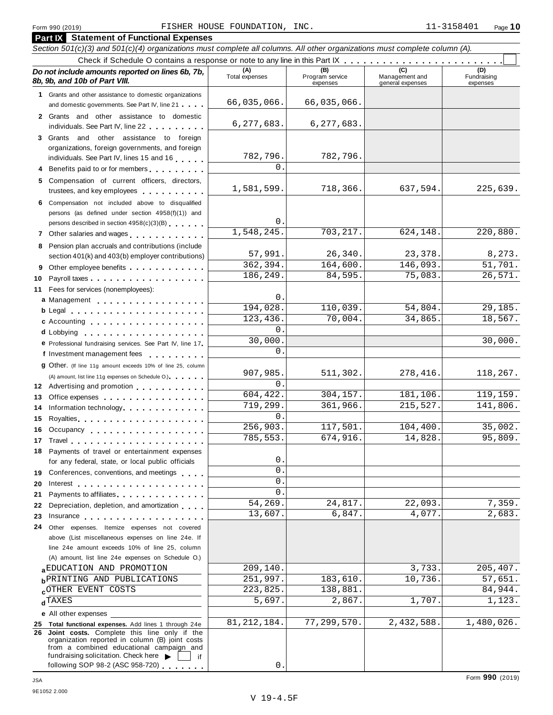| Section 501(c)(3) and 501(c)(4) organizations must complete all columns. All other organizations must complete column (A).<br>(A)<br>(B)<br>(D)<br>Do not include amounts reported on lines 6b, 7b,<br>Management and<br>Total expenses<br>Program service<br>Fundraising<br>8b, 9b, and 10b of Part VIII.<br>expenses<br>general expenses<br>expenses<br>1 Grants and other assistance to domestic organizations<br>66,035,066.<br>66,035,066.<br>and domestic governments. See Part IV, line 21<br>2 Grants and other assistance to domestic<br>6, 277, 683.<br>6, 277, 683.<br>individuals. See Part IV, line 22<br>3 Grants and other assistance to foreign<br>organizations, foreign governments, and foreign<br>782,796.<br>782,796.<br>individuals. See Part IV, lines 15 and 16<br>$\Omega$<br>4 Benefits paid to or for members<br>5 Compensation of current officers, directors,<br>1,581,599.<br>718,366.<br>637,594.<br>225,639.<br>trustees, and key employees<br>6 Compensation not included above to disqualified<br>persons (as defined under section 4958(f)(1)) and<br>0<br>persons described in section 4958(c)(3)(B)<br>1,548,245.<br>703, 217.<br>624,148.<br>220,880.<br>7 Other salaries and wages<br>8 Pension plan accruals and contributions (include<br>26,340.<br>8,273.<br>57,991.<br>23,378.<br>section 401(k) and 403(b) employer contributions)<br>362,394.<br>164,600.<br>146,093.<br>51,701.<br>9 Other employee benefits<br>186,249.<br>75,083.<br>26,571.<br>84,595.<br>10<br>Fees for services (nonemployees):<br>11<br>0<br>a Management<br>194,028.<br>110,039.<br>54,804.<br>29,185.<br>$b$ Legal $\ldots \ldots \ldots \ldots \ldots \ldots$<br>70,004.<br>34,865.<br>18,567.<br>123,436.<br>c Accounting<br>0<br>d Lobbying entering the state of the state of the state of the state of the state of the state of the state of<br>30,000<br>30,000.<br>e Professional fundraising services. See Part IV, line 17<br>$\Omega$<br>f Investment management fees<br>9 Other. (If line 11g amount exceeds 10% of line 25, column<br>511,302.<br>907,985.<br>278,416.<br>118,267.<br>(A) amount, list line 11g expenses on Schedule O.)<br>$\Omega$<br>12 Advertising and promotion<br>304, 157.<br>119,159.<br>604,422.<br>181,106.<br>Office expenses expenses<br>13<br>719,299.<br>361,966.<br>215,527.<br>141,806.<br>Information technology<br>14<br>0<br>15<br>117,501.<br>256,903.<br>104,400.<br>35,002.<br>16 Occupancy<br>785,553.<br>674,916.<br>14,828.<br>95,809.<br>18 Payments of travel or entertainment expenses<br>0<br>for any federal, state, or local public officials<br>0<br>Conferences, conventions, and meetings<br>19<br>0<br>20<br>Interest $\cdots$ , $\cdots$ , $\cdots$ , $\cdots$ , $\cdots$<br>0<br>Payments to affiliates expansion of the set of the set of the set of the set of the set of the set of the set o<br>21<br>54,269.<br>7,359.<br>24,817.<br>22,093.<br>Depreciation, depletion, and amortization<br>22<br>2,683.<br>13,607.<br>6,847.<br>4,077.<br>23<br>Insurance <b>All Accounts</b> in the set of the set of the set of the set of the set of the set of the set of the set of the set of the set of the set of the set of the set of the set of the set of the set of the set of the set<br>24<br>Other expenses. Itemize expenses not covered<br>above (List miscellaneous expenses on line 24e. If<br>line 24e amount exceeds 10% of line 25, column<br>(A) amount, list line 24e expenses on Schedule O.)<br>209,140.<br>3,733.<br>205,407.<br>a EDUCATION AND PROMOTION<br>57,651.<br>251,997.<br>183,610.<br>10,736.<br><b>b</b> PRINTING AND PUBLICATIONS<br>223,825.<br>84,944.<br><b>cOTHER EVENT COSTS</b><br>138,881.<br>5,697.<br>2,867.<br>1,707.<br>1,123.<br>$d$ TAXES<br>e All other expenses<br>81, 212, 184.<br>77,299,570.<br>2,432,588.<br>1,480,026.<br>25 Total functional expenses. Add lines 1 through 24e<br>26 Joint costs. Complete this line only if the<br>organization reported in column (B) joint costs<br>from a combined educational campaign and<br>fundraising solicitation. Check here<br>if<br>following SOP 98-2 (ASC 958-720)<br>$0$ . | <b>Part IX</b> Statement of Functional Expenses |  |  |
|--------------------------------------------------------------------------------------------------------------------------------------------------------------------------------------------------------------------------------------------------------------------------------------------------------------------------------------------------------------------------------------------------------------------------------------------------------------------------------------------------------------------------------------------------------------------------------------------------------------------------------------------------------------------------------------------------------------------------------------------------------------------------------------------------------------------------------------------------------------------------------------------------------------------------------------------------------------------------------------------------------------------------------------------------------------------------------------------------------------------------------------------------------------------------------------------------------------------------------------------------------------------------------------------------------------------------------------------------------------------------------------------------------------------------------------------------------------------------------------------------------------------------------------------------------------------------------------------------------------------------------------------------------------------------------------------------------------------------------------------------------------------------------------------------------------------------------------------------------------------------------------------------------------------------------------------------------------------------------------------------------------------------------------------------------------------------------------------------------------------------------------------------------------------------------------------------------------------------------------------------------------------------------------------------------------------------------------------------------------------------------------------------------------------------------------------------------------------------------------------------------------------------------------------------------------------------------------------------------------------------------------------------------------------------------------------------------------------------------------------------------------------------------------------------------------------------------------------------------------------------------------------------------------------------------------------------------------------------------------------------------------------------------------------------------------------------------------------------------------------------------------------------------------------------------------------------------------------------------------------------------------------------------------------------------------------------------------------------------------------------------------------------------------------------------------------------------------------------------------------------------------------------------------------------------------------------------------------------------------------------------------------------------------------------------------------------------------------------------------------------------------------------------------------------------------------------------------------------------------------------------------------------------------------------------------------------------------------------------------------------------------------------------------------------------------------------------------------------------------------------------------------------------------------------|-------------------------------------------------|--|--|
|                                                                                                                                                                                                                                                                                                                                                                                                                                                                                                                                                                                                                                                                                                                                                                                                                                                                                                                                                                                                                                                                                                                                                                                                                                                                                                                                                                                                                                                                                                                                                                                                                                                                                                                                                                                                                                                                                                                                                                                                                                                                                                                                                                                                                                                                                                                                                                                                                                                                                                                                                                                                                                                                                                                                                                                                                                                                                                                                                                                                                                                                                                                                                                                                                                                                                                                                                                                                                                                                                                                                                                                                                                                                                                                                                                                                                                                                                                                                                                                                                                                                                                                                                                          |                                                 |  |  |
|                                                                                                                                                                                                                                                                                                                                                                                                                                                                                                                                                                                                                                                                                                                                                                                                                                                                                                                                                                                                                                                                                                                                                                                                                                                                                                                                                                                                                                                                                                                                                                                                                                                                                                                                                                                                                                                                                                                                                                                                                                                                                                                                                                                                                                                                                                                                                                                                                                                                                                                                                                                                                                                                                                                                                                                                                                                                                                                                                                                                                                                                                                                                                                                                                                                                                                                                                                                                                                                                                                                                                                                                                                                                                                                                                                                                                                                                                                                                                                                                                                                                                                                                                                          |                                                 |  |  |
|                                                                                                                                                                                                                                                                                                                                                                                                                                                                                                                                                                                                                                                                                                                                                                                                                                                                                                                                                                                                                                                                                                                                                                                                                                                                                                                                                                                                                                                                                                                                                                                                                                                                                                                                                                                                                                                                                                                                                                                                                                                                                                                                                                                                                                                                                                                                                                                                                                                                                                                                                                                                                                                                                                                                                                                                                                                                                                                                                                                                                                                                                                                                                                                                                                                                                                                                                                                                                                                                                                                                                                                                                                                                                                                                                                                                                                                                                                                                                                                                                                                                                                                                                                          |                                                 |  |  |
|                                                                                                                                                                                                                                                                                                                                                                                                                                                                                                                                                                                                                                                                                                                                                                                                                                                                                                                                                                                                                                                                                                                                                                                                                                                                                                                                                                                                                                                                                                                                                                                                                                                                                                                                                                                                                                                                                                                                                                                                                                                                                                                                                                                                                                                                                                                                                                                                                                                                                                                                                                                                                                                                                                                                                                                                                                                                                                                                                                                                                                                                                                                                                                                                                                                                                                                                                                                                                                                                                                                                                                                                                                                                                                                                                                                                                                                                                                                                                                                                                                                                                                                                                                          |                                                 |  |  |
|                                                                                                                                                                                                                                                                                                                                                                                                                                                                                                                                                                                                                                                                                                                                                                                                                                                                                                                                                                                                                                                                                                                                                                                                                                                                                                                                                                                                                                                                                                                                                                                                                                                                                                                                                                                                                                                                                                                                                                                                                                                                                                                                                                                                                                                                                                                                                                                                                                                                                                                                                                                                                                                                                                                                                                                                                                                                                                                                                                                                                                                                                                                                                                                                                                                                                                                                                                                                                                                                                                                                                                                                                                                                                                                                                                                                                                                                                                                                                                                                                                                                                                                                                                          |                                                 |  |  |
|                                                                                                                                                                                                                                                                                                                                                                                                                                                                                                                                                                                                                                                                                                                                                                                                                                                                                                                                                                                                                                                                                                                                                                                                                                                                                                                                                                                                                                                                                                                                                                                                                                                                                                                                                                                                                                                                                                                                                                                                                                                                                                                                                                                                                                                                                                                                                                                                                                                                                                                                                                                                                                                                                                                                                                                                                                                                                                                                                                                                                                                                                                                                                                                                                                                                                                                                                                                                                                                                                                                                                                                                                                                                                                                                                                                                                                                                                                                                                                                                                                                                                                                                                                          |                                                 |  |  |
|                                                                                                                                                                                                                                                                                                                                                                                                                                                                                                                                                                                                                                                                                                                                                                                                                                                                                                                                                                                                                                                                                                                                                                                                                                                                                                                                                                                                                                                                                                                                                                                                                                                                                                                                                                                                                                                                                                                                                                                                                                                                                                                                                                                                                                                                                                                                                                                                                                                                                                                                                                                                                                                                                                                                                                                                                                                                                                                                                                                                                                                                                                                                                                                                                                                                                                                                                                                                                                                                                                                                                                                                                                                                                                                                                                                                                                                                                                                                                                                                                                                                                                                                                                          |                                                 |  |  |
|                                                                                                                                                                                                                                                                                                                                                                                                                                                                                                                                                                                                                                                                                                                                                                                                                                                                                                                                                                                                                                                                                                                                                                                                                                                                                                                                                                                                                                                                                                                                                                                                                                                                                                                                                                                                                                                                                                                                                                                                                                                                                                                                                                                                                                                                                                                                                                                                                                                                                                                                                                                                                                                                                                                                                                                                                                                                                                                                                                                                                                                                                                                                                                                                                                                                                                                                                                                                                                                                                                                                                                                                                                                                                                                                                                                                                                                                                                                                                                                                                                                                                                                                                                          |                                                 |  |  |
|                                                                                                                                                                                                                                                                                                                                                                                                                                                                                                                                                                                                                                                                                                                                                                                                                                                                                                                                                                                                                                                                                                                                                                                                                                                                                                                                                                                                                                                                                                                                                                                                                                                                                                                                                                                                                                                                                                                                                                                                                                                                                                                                                                                                                                                                                                                                                                                                                                                                                                                                                                                                                                                                                                                                                                                                                                                                                                                                                                                                                                                                                                                                                                                                                                                                                                                                                                                                                                                                                                                                                                                                                                                                                                                                                                                                                                                                                                                                                                                                                                                                                                                                                                          |                                                 |  |  |
|                                                                                                                                                                                                                                                                                                                                                                                                                                                                                                                                                                                                                                                                                                                                                                                                                                                                                                                                                                                                                                                                                                                                                                                                                                                                                                                                                                                                                                                                                                                                                                                                                                                                                                                                                                                                                                                                                                                                                                                                                                                                                                                                                                                                                                                                                                                                                                                                                                                                                                                                                                                                                                                                                                                                                                                                                                                                                                                                                                                                                                                                                                                                                                                                                                                                                                                                                                                                                                                                                                                                                                                                                                                                                                                                                                                                                                                                                                                                                                                                                                                                                                                                                                          |                                                 |  |  |
|                                                                                                                                                                                                                                                                                                                                                                                                                                                                                                                                                                                                                                                                                                                                                                                                                                                                                                                                                                                                                                                                                                                                                                                                                                                                                                                                                                                                                                                                                                                                                                                                                                                                                                                                                                                                                                                                                                                                                                                                                                                                                                                                                                                                                                                                                                                                                                                                                                                                                                                                                                                                                                                                                                                                                                                                                                                                                                                                                                                                                                                                                                                                                                                                                                                                                                                                                                                                                                                                                                                                                                                                                                                                                                                                                                                                                                                                                                                                                                                                                                                                                                                                                                          |                                                 |  |  |
|                                                                                                                                                                                                                                                                                                                                                                                                                                                                                                                                                                                                                                                                                                                                                                                                                                                                                                                                                                                                                                                                                                                                                                                                                                                                                                                                                                                                                                                                                                                                                                                                                                                                                                                                                                                                                                                                                                                                                                                                                                                                                                                                                                                                                                                                                                                                                                                                                                                                                                                                                                                                                                                                                                                                                                                                                                                                                                                                                                                                                                                                                                                                                                                                                                                                                                                                                                                                                                                                                                                                                                                                                                                                                                                                                                                                                                                                                                                                                                                                                                                                                                                                                                          |                                                 |  |  |
|                                                                                                                                                                                                                                                                                                                                                                                                                                                                                                                                                                                                                                                                                                                                                                                                                                                                                                                                                                                                                                                                                                                                                                                                                                                                                                                                                                                                                                                                                                                                                                                                                                                                                                                                                                                                                                                                                                                                                                                                                                                                                                                                                                                                                                                                                                                                                                                                                                                                                                                                                                                                                                                                                                                                                                                                                                                                                                                                                                                                                                                                                                                                                                                                                                                                                                                                                                                                                                                                                                                                                                                                                                                                                                                                                                                                                                                                                                                                                                                                                                                                                                                                                                          |                                                 |  |  |
|                                                                                                                                                                                                                                                                                                                                                                                                                                                                                                                                                                                                                                                                                                                                                                                                                                                                                                                                                                                                                                                                                                                                                                                                                                                                                                                                                                                                                                                                                                                                                                                                                                                                                                                                                                                                                                                                                                                                                                                                                                                                                                                                                                                                                                                                                                                                                                                                                                                                                                                                                                                                                                                                                                                                                                                                                                                                                                                                                                                                                                                                                                                                                                                                                                                                                                                                                                                                                                                                                                                                                                                                                                                                                                                                                                                                                                                                                                                                                                                                                                                                                                                                                                          |                                                 |  |  |
|                                                                                                                                                                                                                                                                                                                                                                                                                                                                                                                                                                                                                                                                                                                                                                                                                                                                                                                                                                                                                                                                                                                                                                                                                                                                                                                                                                                                                                                                                                                                                                                                                                                                                                                                                                                                                                                                                                                                                                                                                                                                                                                                                                                                                                                                                                                                                                                                                                                                                                                                                                                                                                                                                                                                                                                                                                                                                                                                                                                                                                                                                                                                                                                                                                                                                                                                                                                                                                                                                                                                                                                                                                                                                                                                                                                                                                                                                                                                                                                                                                                                                                                                                                          |                                                 |  |  |
|                                                                                                                                                                                                                                                                                                                                                                                                                                                                                                                                                                                                                                                                                                                                                                                                                                                                                                                                                                                                                                                                                                                                                                                                                                                                                                                                                                                                                                                                                                                                                                                                                                                                                                                                                                                                                                                                                                                                                                                                                                                                                                                                                                                                                                                                                                                                                                                                                                                                                                                                                                                                                                                                                                                                                                                                                                                                                                                                                                                                                                                                                                                                                                                                                                                                                                                                                                                                                                                                                                                                                                                                                                                                                                                                                                                                                                                                                                                                                                                                                                                                                                                                                                          |                                                 |  |  |
|                                                                                                                                                                                                                                                                                                                                                                                                                                                                                                                                                                                                                                                                                                                                                                                                                                                                                                                                                                                                                                                                                                                                                                                                                                                                                                                                                                                                                                                                                                                                                                                                                                                                                                                                                                                                                                                                                                                                                                                                                                                                                                                                                                                                                                                                                                                                                                                                                                                                                                                                                                                                                                                                                                                                                                                                                                                                                                                                                                                                                                                                                                                                                                                                                                                                                                                                                                                                                                                                                                                                                                                                                                                                                                                                                                                                                                                                                                                                                                                                                                                                                                                                                                          |                                                 |  |  |
|                                                                                                                                                                                                                                                                                                                                                                                                                                                                                                                                                                                                                                                                                                                                                                                                                                                                                                                                                                                                                                                                                                                                                                                                                                                                                                                                                                                                                                                                                                                                                                                                                                                                                                                                                                                                                                                                                                                                                                                                                                                                                                                                                                                                                                                                                                                                                                                                                                                                                                                                                                                                                                                                                                                                                                                                                                                                                                                                                                                                                                                                                                                                                                                                                                                                                                                                                                                                                                                                                                                                                                                                                                                                                                                                                                                                                                                                                                                                                                                                                                                                                                                                                                          |                                                 |  |  |
|                                                                                                                                                                                                                                                                                                                                                                                                                                                                                                                                                                                                                                                                                                                                                                                                                                                                                                                                                                                                                                                                                                                                                                                                                                                                                                                                                                                                                                                                                                                                                                                                                                                                                                                                                                                                                                                                                                                                                                                                                                                                                                                                                                                                                                                                                                                                                                                                                                                                                                                                                                                                                                                                                                                                                                                                                                                                                                                                                                                                                                                                                                                                                                                                                                                                                                                                                                                                                                                                                                                                                                                                                                                                                                                                                                                                                                                                                                                                                                                                                                                                                                                                                                          |                                                 |  |  |
|                                                                                                                                                                                                                                                                                                                                                                                                                                                                                                                                                                                                                                                                                                                                                                                                                                                                                                                                                                                                                                                                                                                                                                                                                                                                                                                                                                                                                                                                                                                                                                                                                                                                                                                                                                                                                                                                                                                                                                                                                                                                                                                                                                                                                                                                                                                                                                                                                                                                                                                                                                                                                                                                                                                                                                                                                                                                                                                                                                                                                                                                                                                                                                                                                                                                                                                                                                                                                                                                                                                                                                                                                                                                                                                                                                                                                                                                                                                                                                                                                                                                                                                                                                          |                                                 |  |  |
|                                                                                                                                                                                                                                                                                                                                                                                                                                                                                                                                                                                                                                                                                                                                                                                                                                                                                                                                                                                                                                                                                                                                                                                                                                                                                                                                                                                                                                                                                                                                                                                                                                                                                                                                                                                                                                                                                                                                                                                                                                                                                                                                                                                                                                                                                                                                                                                                                                                                                                                                                                                                                                                                                                                                                                                                                                                                                                                                                                                                                                                                                                                                                                                                                                                                                                                                                                                                                                                                                                                                                                                                                                                                                                                                                                                                                                                                                                                                                                                                                                                                                                                                                                          |                                                 |  |  |
|                                                                                                                                                                                                                                                                                                                                                                                                                                                                                                                                                                                                                                                                                                                                                                                                                                                                                                                                                                                                                                                                                                                                                                                                                                                                                                                                                                                                                                                                                                                                                                                                                                                                                                                                                                                                                                                                                                                                                                                                                                                                                                                                                                                                                                                                                                                                                                                                                                                                                                                                                                                                                                                                                                                                                                                                                                                                                                                                                                                                                                                                                                                                                                                                                                                                                                                                                                                                                                                                                                                                                                                                                                                                                                                                                                                                                                                                                                                                                                                                                                                                                                                                                                          |                                                 |  |  |
|                                                                                                                                                                                                                                                                                                                                                                                                                                                                                                                                                                                                                                                                                                                                                                                                                                                                                                                                                                                                                                                                                                                                                                                                                                                                                                                                                                                                                                                                                                                                                                                                                                                                                                                                                                                                                                                                                                                                                                                                                                                                                                                                                                                                                                                                                                                                                                                                                                                                                                                                                                                                                                                                                                                                                                                                                                                                                                                                                                                                                                                                                                                                                                                                                                                                                                                                                                                                                                                                                                                                                                                                                                                                                                                                                                                                                                                                                                                                                                                                                                                                                                                                                                          |                                                 |  |  |
|                                                                                                                                                                                                                                                                                                                                                                                                                                                                                                                                                                                                                                                                                                                                                                                                                                                                                                                                                                                                                                                                                                                                                                                                                                                                                                                                                                                                                                                                                                                                                                                                                                                                                                                                                                                                                                                                                                                                                                                                                                                                                                                                                                                                                                                                                                                                                                                                                                                                                                                                                                                                                                                                                                                                                                                                                                                                                                                                                                                                                                                                                                                                                                                                                                                                                                                                                                                                                                                                                                                                                                                                                                                                                                                                                                                                                                                                                                                                                                                                                                                                                                                                                                          |                                                 |  |  |
|                                                                                                                                                                                                                                                                                                                                                                                                                                                                                                                                                                                                                                                                                                                                                                                                                                                                                                                                                                                                                                                                                                                                                                                                                                                                                                                                                                                                                                                                                                                                                                                                                                                                                                                                                                                                                                                                                                                                                                                                                                                                                                                                                                                                                                                                                                                                                                                                                                                                                                                                                                                                                                                                                                                                                                                                                                                                                                                                                                                                                                                                                                                                                                                                                                                                                                                                                                                                                                                                                                                                                                                                                                                                                                                                                                                                                                                                                                                                                                                                                                                                                                                                                                          |                                                 |  |  |
|                                                                                                                                                                                                                                                                                                                                                                                                                                                                                                                                                                                                                                                                                                                                                                                                                                                                                                                                                                                                                                                                                                                                                                                                                                                                                                                                                                                                                                                                                                                                                                                                                                                                                                                                                                                                                                                                                                                                                                                                                                                                                                                                                                                                                                                                                                                                                                                                                                                                                                                                                                                                                                                                                                                                                                                                                                                                                                                                                                                                                                                                                                                                                                                                                                                                                                                                                                                                                                                                                                                                                                                                                                                                                                                                                                                                                                                                                                                                                                                                                                                                                                                                                                          |                                                 |  |  |
|                                                                                                                                                                                                                                                                                                                                                                                                                                                                                                                                                                                                                                                                                                                                                                                                                                                                                                                                                                                                                                                                                                                                                                                                                                                                                                                                                                                                                                                                                                                                                                                                                                                                                                                                                                                                                                                                                                                                                                                                                                                                                                                                                                                                                                                                                                                                                                                                                                                                                                                                                                                                                                                                                                                                                                                                                                                                                                                                                                                                                                                                                                                                                                                                                                                                                                                                                                                                                                                                                                                                                                                                                                                                                                                                                                                                                                                                                                                                                                                                                                                                                                                                                                          |                                                 |  |  |
|                                                                                                                                                                                                                                                                                                                                                                                                                                                                                                                                                                                                                                                                                                                                                                                                                                                                                                                                                                                                                                                                                                                                                                                                                                                                                                                                                                                                                                                                                                                                                                                                                                                                                                                                                                                                                                                                                                                                                                                                                                                                                                                                                                                                                                                                                                                                                                                                                                                                                                                                                                                                                                                                                                                                                                                                                                                                                                                                                                                                                                                                                                                                                                                                                                                                                                                                                                                                                                                                                                                                                                                                                                                                                                                                                                                                                                                                                                                                                                                                                                                                                                                                                                          |                                                 |  |  |
|                                                                                                                                                                                                                                                                                                                                                                                                                                                                                                                                                                                                                                                                                                                                                                                                                                                                                                                                                                                                                                                                                                                                                                                                                                                                                                                                                                                                                                                                                                                                                                                                                                                                                                                                                                                                                                                                                                                                                                                                                                                                                                                                                                                                                                                                                                                                                                                                                                                                                                                                                                                                                                                                                                                                                                                                                                                                                                                                                                                                                                                                                                                                                                                                                                                                                                                                                                                                                                                                                                                                                                                                                                                                                                                                                                                                                                                                                                                                                                                                                                                                                                                                                                          |                                                 |  |  |
|                                                                                                                                                                                                                                                                                                                                                                                                                                                                                                                                                                                                                                                                                                                                                                                                                                                                                                                                                                                                                                                                                                                                                                                                                                                                                                                                                                                                                                                                                                                                                                                                                                                                                                                                                                                                                                                                                                                                                                                                                                                                                                                                                                                                                                                                                                                                                                                                                                                                                                                                                                                                                                                                                                                                                                                                                                                                                                                                                                                                                                                                                                                                                                                                                                                                                                                                                                                                                                                                                                                                                                                                                                                                                                                                                                                                                                                                                                                                                                                                                                                                                                                                                                          |                                                 |  |  |
|                                                                                                                                                                                                                                                                                                                                                                                                                                                                                                                                                                                                                                                                                                                                                                                                                                                                                                                                                                                                                                                                                                                                                                                                                                                                                                                                                                                                                                                                                                                                                                                                                                                                                                                                                                                                                                                                                                                                                                                                                                                                                                                                                                                                                                                                                                                                                                                                                                                                                                                                                                                                                                                                                                                                                                                                                                                                                                                                                                                                                                                                                                                                                                                                                                                                                                                                                                                                                                                                                                                                                                                                                                                                                                                                                                                                                                                                                                                                                                                                                                                                                                                                                                          |                                                 |  |  |
|                                                                                                                                                                                                                                                                                                                                                                                                                                                                                                                                                                                                                                                                                                                                                                                                                                                                                                                                                                                                                                                                                                                                                                                                                                                                                                                                                                                                                                                                                                                                                                                                                                                                                                                                                                                                                                                                                                                                                                                                                                                                                                                                                                                                                                                                                                                                                                                                                                                                                                                                                                                                                                                                                                                                                                                                                                                                                                                                                                                                                                                                                                                                                                                                                                                                                                                                                                                                                                                                                                                                                                                                                                                                                                                                                                                                                                                                                                                                                                                                                                                                                                                                                                          |                                                 |  |  |
|                                                                                                                                                                                                                                                                                                                                                                                                                                                                                                                                                                                                                                                                                                                                                                                                                                                                                                                                                                                                                                                                                                                                                                                                                                                                                                                                                                                                                                                                                                                                                                                                                                                                                                                                                                                                                                                                                                                                                                                                                                                                                                                                                                                                                                                                                                                                                                                                                                                                                                                                                                                                                                                                                                                                                                                                                                                                                                                                                                                                                                                                                                                                                                                                                                                                                                                                                                                                                                                                                                                                                                                                                                                                                                                                                                                                                                                                                                                                                                                                                                                                                                                                                                          |                                                 |  |  |
|                                                                                                                                                                                                                                                                                                                                                                                                                                                                                                                                                                                                                                                                                                                                                                                                                                                                                                                                                                                                                                                                                                                                                                                                                                                                                                                                                                                                                                                                                                                                                                                                                                                                                                                                                                                                                                                                                                                                                                                                                                                                                                                                                                                                                                                                                                                                                                                                                                                                                                                                                                                                                                                                                                                                                                                                                                                                                                                                                                                                                                                                                                                                                                                                                                                                                                                                                                                                                                                                                                                                                                                                                                                                                                                                                                                                                                                                                                                                                                                                                                                                                                                                                                          |                                                 |  |  |
|                                                                                                                                                                                                                                                                                                                                                                                                                                                                                                                                                                                                                                                                                                                                                                                                                                                                                                                                                                                                                                                                                                                                                                                                                                                                                                                                                                                                                                                                                                                                                                                                                                                                                                                                                                                                                                                                                                                                                                                                                                                                                                                                                                                                                                                                                                                                                                                                                                                                                                                                                                                                                                                                                                                                                                                                                                                                                                                                                                                                                                                                                                                                                                                                                                                                                                                                                                                                                                                                                                                                                                                                                                                                                                                                                                                                                                                                                                                                                                                                                                                                                                                                                                          |                                                 |  |  |
|                                                                                                                                                                                                                                                                                                                                                                                                                                                                                                                                                                                                                                                                                                                                                                                                                                                                                                                                                                                                                                                                                                                                                                                                                                                                                                                                                                                                                                                                                                                                                                                                                                                                                                                                                                                                                                                                                                                                                                                                                                                                                                                                                                                                                                                                                                                                                                                                                                                                                                                                                                                                                                                                                                                                                                                                                                                                                                                                                                                                                                                                                                                                                                                                                                                                                                                                                                                                                                                                                                                                                                                                                                                                                                                                                                                                                                                                                                                                                                                                                                                                                                                                                                          |                                                 |  |  |
|                                                                                                                                                                                                                                                                                                                                                                                                                                                                                                                                                                                                                                                                                                                                                                                                                                                                                                                                                                                                                                                                                                                                                                                                                                                                                                                                                                                                                                                                                                                                                                                                                                                                                                                                                                                                                                                                                                                                                                                                                                                                                                                                                                                                                                                                                                                                                                                                                                                                                                                                                                                                                                                                                                                                                                                                                                                                                                                                                                                                                                                                                                                                                                                                                                                                                                                                                                                                                                                                                                                                                                                                                                                                                                                                                                                                                                                                                                                                                                                                                                                                                                                                                                          |                                                 |  |  |
|                                                                                                                                                                                                                                                                                                                                                                                                                                                                                                                                                                                                                                                                                                                                                                                                                                                                                                                                                                                                                                                                                                                                                                                                                                                                                                                                                                                                                                                                                                                                                                                                                                                                                                                                                                                                                                                                                                                                                                                                                                                                                                                                                                                                                                                                                                                                                                                                                                                                                                                                                                                                                                                                                                                                                                                                                                                                                                                                                                                                                                                                                                                                                                                                                                                                                                                                                                                                                                                                                                                                                                                                                                                                                                                                                                                                                                                                                                                                                                                                                                                                                                                                                                          |                                                 |  |  |
|                                                                                                                                                                                                                                                                                                                                                                                                                                                                                                                                                                                                                                                                                                                                                                                                                                                                                                                                                                                                                                                                                                                                                                                                                                                                                                                                                                                                                                                                                                                                                                                                                                                                                                                                                                                                                                                                                                                                                                                                                                                                                                                                                                                                                                                                                                                                                                                                                                                                                                                                                                                                                                                                                                                                                                                                                                                                                                                                                                                                                                                                                                                                                                                                                                                                                                                                                                                                                                                                                                                                                                                                                                                                                                                                                                                                                                                                                                                                                                                                                                                                                                                                                                          |                                                 |  |  |
|                                                                                                                                                                                                                                                                                                                                                                                                                                                                                                                                                                                                                                                                                                                                                                                                                                                                                                                                                                                                                                                                                                                                                                                                                                                                                                                                                                                                                                                                                                                                                                                                                                                                                                                                                                                                                                                                                                                                                                                                                                                                                                                                                                                                                                                                                                                                                                                                                                                                                                                                                                                                                                                                                                                                                                                                                                                                                                                                                                                                                                                                                                                                                                                                                                                                                                                                                                                                                                                                                                                                                                                                                                                                                                                                                                                                                                                                                                                                                                                                                                                                                                                                                                          |                                                 |  |  |
|                                                                                                                                                                                                                                                                                                                                                                                                                                                                                                                                                                                                                                                                                                                                                                                                                                                                                                                                                                                                                                                                                                                                                                                                                                                                                                                                                                                                                                                                                                                                                                                                                                                                                                                                                                                                                                                                                                                                                                                                                                                                                                                                                                                                                                                                                                                                                                                                                                                                                                                                                                                                                                                                                                                                                                                                                                                                                                                                                                                                                                                                                                                                                                                                                                                                                                                                                                                                                                                                                                                                                                                                                                                                                                                                                                                                                                                                                                                                                                                                                                                                                                                                                                          |                                                 |  |  |
|                                                                                                                                                                                                                                                                                                                                                                                                                                                                                                                                                                                                                                                                                                                                                                                                                                                                                                                                                                                                                                                                                                                                                                                                                                                                                                                                                                                                                                                                                                                                                                                                                                                                                                                                                                                                                                                                                                                                                                                                                                                                                                                                                                                                                                                                                                                                                                                                                                                                                                                                                                                                                                                                                                                                                                                                                                                                                                                                                                                                                                                                                                                                                                                                                                                                                                                                                                                                                                                                                                                                                                                                                                                                                                                                                                                                                                                                                                                                                                                                                                                                                                                                                                          |                                                 |  |  |
|                                                                                                                                                                                                                                                                                                                                                                                                                                                                                                                                                                                                                                                                                                                                                                                                                                                                                                                                                                                                                                                                                                                                                                                                                                                                                                                                                                                                                                                                                                                                                                                                                                                                                                                                                                                                                                                                                                                                                                                                                                                                                                                                                                                                                                                                                                                                                                                                                                                                                                                                                                                                                                                                                                                                                                                                                                                                                                                                                                                                                                                                                                                                                                                                                                                                                                                                                                                                                                                                                                                                                                                                                                                                                                                                                                                                                                                                                                                                                                                                                                                                                                                                                                          |                                                 |  |  |
|                                                                                                                                                                                                                                                                                                                                                                                                                                                                                                                                                                                                                                                                                                                                                                                                                                                                                                                                                                                                                                                                                                                                                                                                                                                                                                                                                                                                                                                                                                                                                                                                                                                                                                                                                                                                                                                                                                                                                                                                                                                                                                                                                                                                                                                                                                                                                                                                                                                                                                                                                                                                                                                                                                                                                                                                                                                                                                                                                                                                                                                                                                                                                                                                                                                                                                                                                                                                                                                                                                                                                                                                                                                                                                                                                                                                                                                                                                                                                                                                                                                                                                                                                                          |                                                 |  |  |
|                                                                                                                                                                                                                                                                                                                                                                                                                                                                                                                                                                                                                                                                                                                                                                                                                                                                                                                                                                                                                                                                                                                                                                                                                                                                                                                                                                                                                                                                                                                                                                                                                                                                                                                                                                                                                                                                                                                                                                                                                                                                                                                                                                                                                                                                                                                                                                                                                                                                                                                                                                                                                                                                                                                                                                                                                                                                                                                                                                                                                                                                                                                                                                                                                                                                                                                                                                                                                                                                                                                                                                                                                                                                                                                                                                                                                                                                                                                                                                                                                                                                                                                                                                          |                                                 |  |  |
|                                                                                                                                                                                                                                                                                                                                                                                                                                                                                                                                                                                                                                                                                                                                                                                                                                                                                                                                                                                                                                                                                                                                                                                                                                                                                                                                                                                                                                                                                                                                                                                                                                                                                                                                                                                                                                                                                                                                                                                                                                                                                                                                                                                                                                                                                                                                                                                                                                                                                                                                                                                                                                                                                                                                                                                                                                                                                                                                                                                                                                                                                                                                                                                                                                                                                                                                                                                                                                                                                                                                                                                                                                                                                                                                                                                                                                                                                                                                                                                                                                                                                                                                                                          |                                                 |  |  |
|                                                                                                                                                                                                                                                                                                                                                                                                                                                                                                                                                                                                                                                                                                                                                                                                                                                                                                                                                                                                                                                                                                                                                                                                                                                                                                                                                                                                                                                                                                                                                                                                                                                                                                                                                                                                                                                                                                                                                                                                                                                                                                                                                                                                                                                                                                                                                                                                                                                                                                                                                                                                                                                                                                                                                                                                                                                                                                                                                                                                                                                                                                                                                                                                                                                                                                                                                                                                                                                                                                                                                                                                                                                                                                                                                                                                                                                                                                                                                                                                                                                                                                                                                                          |                                                 |  |  |
|                                                                                                                                                                                                                                                                                                                                                                                                                                                                                                                                                                                                                                                                                                                                                                                                                                                                                                                                                                                                                                                                                                                                                                                                                                                                                                                                                                                                                                                                                                                                                                                                                                                                                                                                                                                                                                                                                                                                                                                                                                                                                                                                                                                                                                                                                                                                                                                                                                                                                                                                                                                                                                                                                                                                                                                                                                                                                                                                                                                                                                                                                                                                                                                                                                                                                                                                                                                                                                                                                                                                                                                                                                                                                                                                                                                                                                                                                                                                                                                                                                                                                                                                                                          |                                                 |  |  |
|                                                                                                                                                                                                                                                                                                                                                                                                                                                                                                                                                                                                                                                                                                                                                                                                                                                                                                                                                                                                                                                                                                                                                                                                                                                                                                                                                                                                                                                                                                                                                                                                                                                                                                                                                                                                                                                                                                                                                                                                                                                                                                                                                                                                                                                                                                                                                                                                                                                                                                                                                                                                                                                                                                                                                                                                                                                                                                                                                                                                                                                                                                                                                                                                                                                                                                                                                                                                                                                                                                                                                                                                                                                                                                                                                                                                                                                                                                                                                                                                                                                                                                                                                                          |                                                 |  |  |
|                                                                                                                                                                                                                                                                                                                                                                                                                                                                                                                                                                                                                                                                                                                                                                                                                                                                                                                                                                                                                                                                                                                                                                                                                                                                                                                                                                                                                                                                                                                                                                                                                                                                                                                                                                                                                                                                                                                                                                                                                                                                                                                                                                                                                                                                                                                                                                                                                                                                                                                                                                                                                                                                                                                                                                                                                                                                                                                                                                                                                                                                                                                                                                                                                                                                                                                                                                                                                                                                                                                                                                                                                                                                                                                                                                                                                                                                                                                                                                                                                                                                                                                                                                          |                                                 |  |  |
|                                                                                                                                                                                                                                                                                                                                                                                                                                                                                                                                                                                                                                                                                                                                                                                                                                                                                                                                                                                                                                                                                                                                                                                                                                                                                                                                                                                                                                                                                                                                                                                                                                                                                                                                                                                                                                                                                                                                                                                                                                                                                                                                                                                                                                                                                                                                                                                                                                                                                                                                                                                                                                                                                                                                                                                                                                                                                                                                                                                                                                                                                                                                                                                                                                                                                                                                                                                                                                                                                                                                                                                                                                                                                                                                                                                                                                                                                                                                                                                                                                                                                                                                                                          |                                                 |  |  |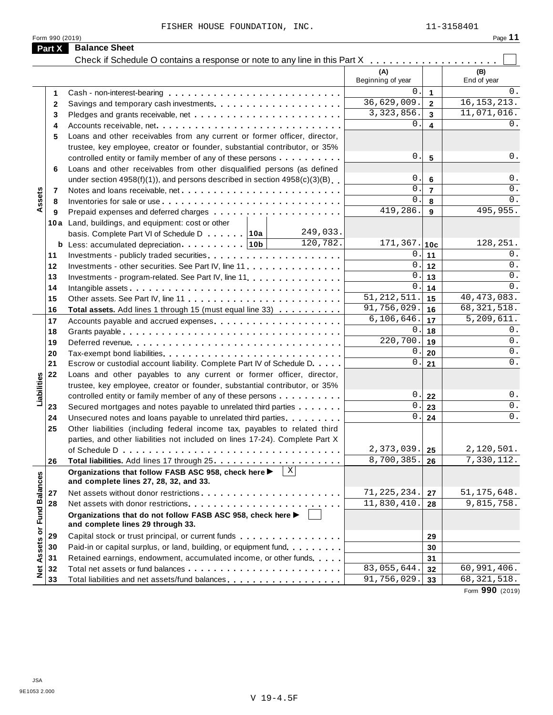FISHER HOUSE FOUNDATION, INC. 11-3158401

| Check if Schedule O contains a response or note to any line in this Part X<br>(A)<br>(B)<br>Beginning of year<br>End of year<br>$\mathbf 0$<br>0.<br>$\mathbf{1}$<br>1<br>36,629,009.<br>16, 153, 213.<br>$\overline{2}$<br>2<br>3, 323, 856.<br>11,071,016.<br>$\overline{3}$<br>3<br>0<br>0.<br>$\overline{\mathbf{4}}$<br>4<br>Loans and other receivables from any current or former officer, director,<br>5<br>trustee, key employee, creator or founder, substantial contributor, or 35%<br>0<br>0.<br>5<br>controlled entity or family member of any of these persons<br>Loans and other receivables from other disqualified persons (as defined<br>6<br>$\mathbf 0$<br>0.<br>$\bf 6$<br>under section $4958(f)(1)$ , and persons described in section $4958(c)(3)(B)$<br>$\mathbf 0$<br>$\overline{7}$<br>$0$ .<br>Assets<br>Notes and loans receivable, net<br>7<br>$\mathsf{O}$<br>0.<br>8<br>8<br>419,286.<br>495,955.<br>9<br>9<br>10a Land, buildings, and equipment: cost or other<br>249,033.<br>basis. Complete Part VI of Schedule D 10a<br>120,782.<br>$171, 367.$ 10c<br>128, 251.<br>0<br>0.<br>11<br>11<br>0<br>0.<br>12<br>12<br>Investments - other securities. See Part IV, line 11<br>0<br>0.<br>13<br>13<br>Investments - program-related. See Part IV, line 11<br>$\mathsf{O}$<br>0.<br>14<br>14<br>51, 212, 511.<br>40, 473, 083.<br>15<br>15<br>91,756,029.<br>68, 321, 518.<br>16<br>16<br>Total assets. Add lines 1 through 15 (must equal line 33)<br>$\overline{5,209,611}.$<br>6,106,646.<br>17<br>17<br>0<br>0.<br>18<br>18<br>220,700<br>0.<br>19<br>19<br>0.<br>0<br>20<br>20<br>0<br>0.<br>21<br>21<br>Escrow or custodial account liability. Complete Part IV of Schedule D.<br>22<br>Loans and other payables to any current or former officer, director,<br>Liabilities<br>trustee, key employee, creator or founder, substantial contributor, or 35%<br>0.<br>0.<br>22<br>controlled entity or family member of any of these persons<br>$\mathsf{O}$<br>0.<br>23<br>23<br>Secured mortgages and notes payable to unrelated third parties<br>$0$ .<br>0.<br>24<br>24<br>Unsecured notes and loans payable to unrelated third parties.<br>25<br>Other liabilities (including federal income tax, payables to related third<br>parties, and other liabilities not included on lines 17-24). Complete Part X<br>$2,373,039.$ 25<br>2,120,501.<br>8,700,385.<br>7,330,112.<br>26<br>26<br>$\vert X \vert$<br>Organizations that follow FASB ASC 958, check here ▶<br><b>Fund Balances</b><br>and complete lines 27, 28, 32, and 33.<br>71, 225, 234.<br>51, 175, 648.<br>Net assets without donor restrictions entitled and according to the set of the set of the set of the set of the<br>27<br>27<br>11,830,410.<br>9,815,758.<br>28<br>28<br>Organizations that do not follow FASB ASC 958, check here ▶<br>and complete lines 29 through 33.<br>Net Assets or<br>29<br>Capital stock or trust principal, or current funds<br>29<br>Paid-in or capital surplus, or land, building, or equipment fund.<br>30<br>30<br>Retained earnings, endowment, accumulated income, or other funds<br>31<br>31<br>83,055,644.<br>60,991,406.<br>32<br>32<br>91,756,029.<br>68, 321, 518.<br>33<br>Total liabilities and net assets/fund balances<br>33 | Part X | <b>Balance Sheet</b> |  |  |
|------------------------------------------------------------------------------------------------------------------------------------------------------------------------------------------------------------------------------------------------------------------------------------------------------------------------------------------------------------------------------------------------------------------------------------------------------------------------------------------------------------------------------------------------------------------------------------------------------------------------------------------------------------------------------------------------------------------------------------------------------------------------------------------------------------------------------------------------------------------------------------------------------------------------------------------------------------------------------------------------------------------------------------------------------------------------------------------------------------------------------------------------------------------------------------------------------------------------------------------------------------------------------------------------------------------------------------------------------------------------------------------------------------------------------------------------------------------------------------------------------------------------------------------------------------------------------------------------------------------------------------------------------------------------------------------------------------------------------------------------------------------------------------------------------------------------------------------------------------------------------------------------------------------------------------------------------------------------------------------------------------------------------------------------------------------------------------------------------------------------------------------------------------------------------------------------------------------------------------------------------------------------------------------------------------------------------------------------------------------------------------------------------------------------------------------------------------------------------------------------------------------------------------------------------------------------------------------------------------------------------------------------------------------------------------------------------------------------------------------------------------------------------------------------------------------------------------------------------------------------------------------------------------------------------------------------------------------------------------------------------------------------------------------------------------------------------------------------------------------------------------------------------------------------------------------------------------------------------------------------------------------------------------|--------|----------------------|--|--|
|                                                                                                                                                                                                                                                                                                                                                                                                                                                                                                                                                                                                                                                                                                                                                                                                                                                                                                                                                                                                                                                                                                                                                                                                                                                                                                                                                                                                                                                                                                                                                                                                                                                                                                                                                                                                                                                                                                                                                                                                                                                                                                                                                                                                                                                                                                                                                                                                                                                                                                                                                                                                                                                                                                                                                                                                                                                                                                                                                                                                                                                                                                                                                                                                                                                                                    |        |                      |  |  |
|                                                                                                                                                                                                                                                                                                                                                                                                                                                                                                                                                                                                                                                                                                                                                                                                                                                                                                                                                                                                                                                                                                                                                                                                                                                                                                                                                                                                                                                                                                                                                                                                                                                                                                                                                                                                                                                                                                                                                                                                                                                                                                                                                                                                                                                                                                                                                                                                                                                                                                                                                                                                                                                                                                                                                                                                                                                                                                                                                                                                                                                                                                                                                                                                                                                                                    |        |                      |  |  |
|                                                                                                                                                                                                                                                                                                                                                                                                                                                                                                                                                                                                                                                                                                                                                                                                                                                                                                                                                                                                                                                                                                                                                                                                                                                                                                                                                                                                                                                                                                                                                                                                                                                                                                                                                                                                                                                                                                                                                                                                                                                                                                                                                                                                                                                                                                                                                                                                                                                                                                                                                                                                                                                                                                                                                                                                                                                                                                                                                                                                                                                                                                                                                                                                                                                                                    |        |                      |  |  |
|                                                                                                                                                                                                                                                                                                                                                                                                                                                                                                                                                                                                                                                                                                                                                                                                                                                                                                                                                                                                                                                                                                                                                                                                                                                                                                                                                                                                                                                                                                                                                                                                                                                                                                                                                                                                                                                                                                                                                                                                                                                                                                                                                                                                                                                                                                                                                                                                                                                                                                                                                                                                                                                                                                                                                                                                                                                                                                                                                                                                                                                                                                                                                                                                                                                                                    |        |                      |  |  |
|                                                                                                                                                                                                                                                                                                                                                                                                                                                                                                                                                                                                                                                                                                                                                                                                                                                                                                                                                                                                                                                                                                                                                                                                                                                                                                                                                                                                                                                                                                                                                                                                                                                                                                                                                                                                                                                                                                                                                                                                                                                                                                                                                                                                                                                                                                                                                                                                                                                                                                                                                                                                                                                                                                                                                                                                                                                                                                                                                                                                                                                                                                                                                                                                                                                                                    |        |                      |  |  |
|                                                                                                                                                                                                                                                                                                                                                                                                                                                                                                                                                                                                                                                                                                                                                                                                                                                                                                                                                                                                                                                                                                                                                                                                                                                                                                                                                                                                                                                                                                                                                                                                                                                                                                                                                                                                                                                                                                                                                                                                                                                                                                                                                                                                                                                                                                                                                                                                                                                                                                                                                                                                                                                                                                                                                                                                                                                                                                                                                                                                                                                                                                                                                                                                                                                                                    |        |                      |  |  |
|                                                                                                                                                                                                                                                                                                                                                                                                                                                                                                                                                                                                                                                                                                                                                                                                                                                                                                                                                                                                                                                                                                                                                                                                                                                                                                                                                                                                                                                                                                                                                                                                                                                                                                                                                                                                                                                                                                                                                                                                                                                                                                                                                                                                                                                                                                                                                                                                                                                                                                                                                                                                                                                                                                                                                                                                                                                                                                                                                                                                                                                                                                                                                                                                                                                                                    |        |                      |  |  |
|                                                                                                                                                                                                                                                                                                                                                                                                                                                                                                                                                                                                                                                                                                                                                                                                                                                                                                                                                                                                                                                                                                                                                                                                                                                                                                                                                                                                                                                                                                                                                                                                                                                                                                                                                                                                                                                                                                                                                                                                                                                                                                                                                                                                                                                                                                                                                                                                                                                                                                                                                                                                                                                                                                                                                                                                                                                                                                                                                                                                                                                                                                                                                                                                                                                                                    |        |                      |  |  |
|                                                                                                                                                                                                                                                                                                                                                                                                                                                                                                                                                                                                                                                                                                                                                                                                                                                                                                                                                                                                                                                                                                                                                                                                                                                                                                                                                                                                                                                                                                                                                                                                                                                                                                                                                                                                                                                                                                                                                                                                                                                                                                                                                                                                                                                                                                                                                                                                                                                                                                                                                                                                                                                                                                                                                                                                                                                                                                                                                                                                                                                                                                                                                                                                                                                                                    |        |                      |  |  |
|                                                                                                                                                                                                                                                                                                                                                                                                                                                                                                                                                                                                                                                                                                                                                                                                                                                                                                                                                                                                                                                                                                                                                                                                                                                                                                                                                                                                                                                                                                                                                                                                                                                                                                                                                                                                                                                                                                                                                                                                                                                                                                                                                                                                                                                                                                                                                                                                                                                                                                                                                                                                                                                                                                                                                                                                                                                                                                                                                                                                                                                                                                                                                                                                                                                                                    |        |                      |  |  |
|                                                                                                                                                                                                                                                                                                                                                                                                                                                                                                                                                                                                                                                                                                                                                                                                                                                                                                                                                                                                                                                                                                                                                                                                                                                                                                                                                                                                                                                                                                                                                                                                                                                                                                                                                                                                                                                                                                                                                                                                                                                                                                                                                                                                                                                                                                                                                                                                                                                                                                                                                                                                                                                                                                                                                                                                                                                                                                                                                                                                                                                                                                                                                                                                                                                                                    |        |                      |  |  |
|                                                                                                                                                                                                                                                                                                                                                                                                                                                                                                                                                                                                                                                                                                                                                                                                                                                                                                                                                                                                                                                                                                                                                                                                                                                                                                                                                                                                                                                                                                                                                                                                                                                                                                                                                                                                                                                                                                                                                                                                                                                                                                                                                                                                                                                                                                                                                                                                                                                                                                                                                                                                                                                                                                                                                                                                                                                                                                                                                                                                                                                                                                                                                                                                                                                                                    |        |                      |  |  |
|                                                                                                                                                                                                                                                                                                                                                                                                                                                                                                                                                                                                                                                                                                                                                                                                                                                                                                                                                                                                                                                                                                                                                                                                                                                                                                                                                                                                                                                                                                                                                                                                                                                                                                                                                                                                                                                                                                                                                                                                                                                                                                                                                                                                                                                                                                                                                                                                                                                                                                                                                                                                                                                                                                                                                                                                                                                                                                                                                                                                                                                                                                                                                                                                                                                                                    |        |                      |  |  |
|                                                                                                                                                                                                                                                                                                                                                                                                                                                                                                                                                                                                                                                                                                                                                                                                                                                                                                                                                                                                                                                                                                                                                                                                                                                                                                                                                                                                                                                                                                                                                                                                                                                                                                                                                                                                                                                                                                                                                                                                                                                                                                                                                                                                                                                                                                                                                                                                                                                                                                                                                                                                                                                                                                                                                                                                                                                                                                                                                                                                                                                                                                                                                                                                                                                                                    |        |                      |  |  |
|                                                                                                                                                                                                                                                                                                                                                                                                                                                                                                                                                                                                                                                                                                                                                                                                                                                                                                                                                                                                                                                                                                                                                                                                                                                                                                                                                                                                                                                                                                                                                                                                                                                                                                                                                                                                                                                                                                                                                                                                                                                                                                                                                                                                                                                                                                                                                                                                                                                                                                                                                                                                                                                                                                                                                                                                                                                                                                                                                                                                                                                                                                                                                                                                                                                                                    |        |                      |  |  |
|                                                                                                                                                                                                                                                                                                                                                                                                                                                                                                                                                                                                                                                                                                                                                                                                                                                                                                                                                                                                                                                                                                                                                                                                                                                                                                                                                                                                                                                                                                                                                                                                                                                                                                                                                                                                                                                                                                                                                                                                                                                                                                                                                                                                                                                                                                                                                                                                                                                                                                                                                                                                                                                                                                                                                                                                                                                                                                                                                                                                                                                                                                                                                                                                                                                                                    |        |                      |  |  |
|                                                                                                                                                                                                                                                                                                                                                                                                                                                                                                                                                                                                                                                                                                                                                                                                                                                                                                                                                                                                                                                                                                                                                                                                                                                                                                                                                                                                                                                                                                                                                                                                                                                                                                                                                                                                                                                                                                                                                                                                                                                                                                                                                                                                                                                                                                                                                                                                                                                                                                                                                                                                                                                                                                                                                                                                                                                                                                                                                                                                                                                                                                                                                                                                                                                                                    |        |                      |  |  |
|                                                                                                                                                                                                                                                                                                                                                                                                                                                                                                                                                                                                                                                                                                                                                                                                                                                                                                                                                                                                                                                                                                                                                                                                                                                                                                                                                                                                                                                                                                                                                                                                                                                                                                                                                                                                                                                                                                                                                                                                                                                                                                                                                                                                                                                                                                                                                                                                                                                                                                                                                                                                                                                                                                                                                                                                                                                                                                                                                                                                                                                                                                                                                                                                                                                                                    |        |                      |  |  |
|                                                                                                                                                                                                                                                                                                                                                                                                                                                                                                                                                                                                                                                                                                                                                                                                                                                                                                                                                                                                                                                                                                                                                                                                                                                                                                                                                                                                                                                                                                                                                                                                                                                                                                                                                                                                                                                                                                                                                                                                                                                                                                                                                                                                                                                                                                                                                                                                                                                                                                                                                                                                                                                                                                                                                                                                                                                                                                                                                                                                                                                                                                                                                                                                                                                                                    |        |                      |  |  |
|                                                                                                                                                                                                                                                                                                                                                                                                                                                                                                                                                                                                                                                                                                                                                                                                                                                                                                                                                                                                                                                                                                                                                                                                                                                                                                                                                                                                                                                                                                                                                                                                                                                                                                                                                                                                                                                                                                                                                                                                                                                                                                                                                                                                                                                                                                                                                                                                                                                                                                                                                                                                                                                                                                                                                                                                                                                                                                                                                                                                                                                                                                                                                                                                                                                                                    |        |                      |  |  |
|                                                                                                                                                                                                                                                                                                                                                                                                                                                                                                                                                                                                                                                                                                                                                                                                                                                                                                                                                                                                                                                                                                                                                                                                                                                                                                                                                                                                                                                                                                                                                                                                                                                                                                                                                                                                                                                                                                                                                                                                                                                                                                                                                                                                                                                                                                                                                                                                                                                                                                                                                                                                                                                                                                                                                                                                                                                                                                                                                                                                                                                                                                                                                                                                                                                                                    |        |                      |  |  |
|                                                                                                                                                                                                                                                                                                                                                                                                                                                                                                                                                                                                                                                                                                                                                                                                                                                                                                                                                                                                                                                                                                                                                                                                                                                                                                                                                                                                                                                                                                                                                                                                                                                                                                                                                                                                                                                                                                                                                                                                                                                                                                                                                                                                                                                                                                                                                                                                                                                                                                                                                                                                                                                                                                                                                                                                                                                                                                                                                                                                                                                                                                                                                                                                                                                                                    |        |                      |  |  |
|                                                                                                                                                                                                                                                                                                                                                                                                                                                                                                                                                                                                                                                                                                                                                                                                                                                                                                                                                                                                                                                                                                                                                                                                                                                                                                                                                                                                                                                                                                                                                                                                                                                                                                                                                                                                                                                                                                                                                                                                                                                                                                                                                                                                                                                                                                                                                                                                                                                                                                                                                                                                                                                                                                                                                                                                                                                                                                                                                                                                                                                                                                                                                                                                                                                                                    |        |                      |  |  |
|                                                                                                                                                                                                                                                                                                                                                                                                                                                                                                                                                                                                                                                                                                                                                                                                                                                                                                                                                                                                                                                                                                                                                                                                                                                                                                                                                                                                                                                                                                                                                                                                                                                                                                                                                                                                                                                                                                                                                                                                                                                                                                                                                                                                                                                                                                                                                                                                                                                                                                                                                                                                                                                                                                                                                                                                                                                                                                                                                                                                                                                                                                                                                                                                                                                                                    |        |                      |  |  |
|                                                                                                                                                                                                                                                                                                                                                                                                                                                                                                                                                                                                                                                                                                                                                                                                                                                                                                                                                                                                                                                                                                                                                                                                                                                                                                                                                                                                                                                                                                                                                                                                                                                                                                                                                                                                                                                                                                                                                                                                                                                                                                                                                                                                                                                                                                                                                                                                                                                                                                                                                                                                                                                                                                                                                                                                                                                                                                                                                                                                                                                                                                                                                                                                                                                                                    |        |                      |  |  |
|                                                                                                                                                                                                                                                                                                                                                                                                                                                                                                                                                                                                                                                                                                                                                                                                                                                                                                                                                                                                                                                                                                                                                                                                                                                                                                                                                                                                                                                                                                                                                                                                                                                                                                                                                                                                                                                                                                                                                                                                                                                                                                                                                                                                                                                                                                                                                                                                                                                                                                                                                                                                                                                                                                                                                                                                                                                                                                                                                                                                                                                                                                                                                                                                                                                                                    |        |                      |  |  |
|                                                                                                                                                                                                                                                                                                                                                                                                                                                                                                                                                                                                                                                                                                                                                                                                                                                                                                                                                                                                                                                                                                                                                                                                                                                                                                                                                                                                                                                                                                                                                                                                                                                                                                                                                                                                                                                                                                                                                                                                                                                                                                                                                                                                                                                                                                                                                                                                                                                                                                                                                                                                                                                                                                                                                                                                                                                                                                                                                                                                                                                                                                                                                                                                                                                                                    |        |                      |  |  |
|                                                                                                                                                                                                                                                                                                                                                                                                                                                                                                                                                                                                                                                                                                                                                                                                                                                                                                                                                                                                                                                                                                                                                                                                                                                                                                                                                                                                                                                                                                                                                                                                                                                                                                                                                                                                                                                                                                                                                                                                                                                                                                                                                                                                                                                                                                                                                                                                                                                                                                                                                                                                                                                                                                                                                                                                                                                                                                                                                                                                                                                                                                                                                                                                                                                                                    |        |                      |  |  |
|                                                                                                                                                                                                                                                                                                                                                                                                                                                                                                                                                                                                                                                                                                                                                                                                                                                                                                                                                                                                                                                                                                                                                                                                                                                                                                                                                                                                                                                                                                                                                                                                                                                                                                                                                                                                                                                                                                                                                                                                                                                                                                                                                                                                                                                                                                                                                                                                                                                                                                                                                                                                                                                                                                                                                                                                                                                                                                                                                                                                                                                                                                                                                                                                                                                                                    |        |                      |  |  |
|                                                                                                                                                                                                                                                                                                                                                                                                                                                                                                                                                                                                                                                                                                                                                                                                                                                                                                                                                                                                                                                                                                                                                                                                                                                                                                                                                                                                                                                                                                                                                                                                                                                                                                                                                                                                                                                                                                                                                                                                                                                                                                                                                                                                                                                                                                                                                                                                                                                                                                                                                                                                                                                                                                                                                                                                                                                                                                                                                                                                                                                                                                                                                                                                                                                                                    |        |                      |  |  |
|                                                                                                                                                                                                                                                                                                                                                                                                                                                                                                                                                                                                                                                                                                                                                                                                                                                                                                                                                                                                                                                                                                                                                                                                                                                                                                                                                                                                                                                                                                                                                                                                                                                                                                                                                                                                                                                                                                                                                                                                                                                                                                                                                                                                                                                                                                                                                                                                                                                                                                                                                                                                                                                                                                                                                                                                                                                                                                                                                                                                                                                                                                                                                                                                                                                                                    |        |                      |  |  |
|                                                                                                                                                                                                                                                                                                                                                                                                                                                                                                                                                                                                                                                                                                                                                                                                                                                                                                                                                                                                                                                                                                                                                                                                                                                                                                                                                                                                                                                                                                                                                                                                                                                                                                                                                                                                                                                                                                                                                                                                                                                                                                                                                                                                                                                                                                                                                                                                                                                                                                                                                                                                                                                                                                                                                                                                                                                                                                                                                                                                                                                                                                                                                                                                                                                                                    |        |                      |  |  |
|                                                                                                                                                                                                                                                                                                                                                                                                                                                                                                                                                                                                                                                                                                                                                                                                                                                                                                                                                                                                                                                                                                                                                                                                                                                                                                                                                                                                                                                                                                                                                                                                                                                                                                                                                                                                                                                                                                                                                                                                                                                                                                                                                                                                                                                                                                                                                                                                                                                                                                                                                                                                                                                                                                                                                                                                                                                                                                                                                                                                                                                                                                                                                                                                                                                                                    |        |                      |  |  |
|                                                                                                                                                                                                                                                                                                                                                                                                                                                                                                                                                                                                                                                                                                                                                                                                                                                                                                                                                                                                                                                                                                                                                                                                                                                                                                                                                                                                                                                                                                                                                                                                                                                                                                                                                                                                                                                                                                                                                                                                                                                                                                                                                                                                                                                                                                                                                                                                                                                                                                                                                                                                                                                                                                                                                                                                                                                                                                                                                                                                                                                                                                                                                                                                                                                                                    |        |                      |  |  |
|                                                                                                                                                                                                                                                                                                                                                                                                                                                                                                                                                                                                                                                                                                                                                                                                                                                                                                                                                                                                                                                                                                                                                                                                                                                                                                                                                                                                                                                                                                                                                                                                                                                                                                                                                                                                                                                                                                                                                                                                                                                                                                                                                                                                                                                                                                                                                                                                                                                                                                                                                                                                                                                                                                                                                                                                                                                                                                                                                                                                                                                                                                                                                                                                                                                                                    |        |                      |  |  |
|                                                                                                                                                                                                                                                                                                                                                                                                                                                                                                                                                                                                                                                                                                                                                                                                                                                                                                                                                                                                                                                                                                                                                                                                                                                                                                                                                                                                                                                                                                                                                                                                                                                                                                                                                                                                                                                                                                                                                                                                                                                                                                                                                                                                                                                                                                                                                                                                                                                                                                                                                                                                                                                                                                                                                                                                                                                                                                                                                                                                                                                                                                                                                                                                                                                                                    |        |                      |  |  |
|                                                                                                                                                                                                                                                                                                                                                                                                                                                                                                                                                                                                                                                                                                                                                                                                                                                                                                                                                                                                                                                                                                                                                                                                                                                                                                                                                                                                                                                                                                                                                                                                                                                                                                                                                                                                                                                                                                                                                                                                                                                                                                                                                                                                                                                                                                                                                                                                                                                                                                                                                                                                                                                                                                                                                                                                                                                                                                                                                                                                                                                                                                                                                                                                                                                                                    |        |                      |  |  |
|                                                                                                                                                                                                                                                                                                                                                                                                                                                                                                                                                                                                                                                                                                                                                                                                                                                                                                                                                                                                                                                                                                                                                                                                                                                                                                                                                                                                                                                                                                                                                                                                                                                                                                                                                                                                                                                                                                                                                                                                                                                                                                                                                                                                                                                                                                                                                                                                                                                                                                                                                                                                                                                                                                                                                                                                                                                                                                                                                                                                                                                                                                                                                                                                                                                                                    |        |                      |  |  |
|                                                                                                                                                                                                                                                                                                                                                                                                                                                                                                                                                                                                                                                                                                                                                                                                                                                                                                                                                                                                                                                                                                                                                                                                                                                                                                                                                                                                                                                                                                                                                                                                                                                                                                                                                                                                                                                                                                                                                                                                                                                                                                                                                                                                                                                                                                                                                                                                                                                                                                                                                                                                                                                                                                                                                                                                                                                                                                                                                                                                                                                                                                                                                                                                                                                                                    |        |                      |  |  |
|                                                                                                                                                                                                                                                                                                                                                                                                                                                                                                                                                                                                                                                                                                                                                                                                                                                                                                                                                                                                                                                                                                                                                                                                                                                                                                                                                                                                                                                                                                                                                                                                                                                                                                                                                                                                                                                                                                                                                                                                                                                                                                                                                                                                                                                                                                                                                                                                                                                                                                                                                                                                                                                                                                                                                                                                                                                                                                                                                                                                                                                                                                                                                                                                                                                                                    |        |                      |  |  |
|                                                                                                                                                                                                                                                                                                                                                                                                                                                                                                                                                                                                                                                                                                                                                                                                                                                                                                                                                                                                                                                                                                                                                                                                                                                                                                                                                                                                                                                                                                                                                                                                                                                                                                                                                                                                                                                                                                                                                                                                                                                                                                                                                                                                                                                                                                                                                                                                                                                                                                                                                                                                                                                                                                                                                                                                                                                                                                                                                                                                                                                                                                                                                                                                                                                                                    |        |                      |  |  |
|                                                                                                                                                                                                                                                                                                                                                                                                                                                                                                                                                                                                                                                                                                                                                                                                                                                                                                                                                                                                                                                                                                                                                                                                                                                                                                                                                                                                                                                                                                                                                                                                                                                                                                                                                                                                                                                                                                                                                                                                                                                                                                                                                                                                                                                                                                                                                                                                                                                                                                                                                                                                                                                                                                                                                                                                                                                                                                                                                                                                                                                                                                                                                                                                                                                                                    |        |                      |  |  |
|                                                                                                                                                                                                                                                                                                                                                                                                                                                                                                                                                                                                                                                                                                                                                                                                                                                                                                                                                                                                                                                                                                                                                                                                                                                                                                                                                                                                                                                                                                                                                                                                                                                                                                                                                                                                                                                                                                                                                                                                                                                                                                                                                                                                                                                                                                                                                                                                                                                                                                                                                                                                                                                                                                                                                                                                                                                                                                                                                                                                                                                                                                                                                                                                                                                                                    |        |                      |  |  |
|                                                                                                                                                                                                                                                                                                                                                                                                                                                                                                                                                                                                                                                                                                                                                                                                                                                                                                                                                                                                                                                                                                                                                                                                                                                                                                                                                                                                                                                                                                                                                                                                                                                                                                                                                                                                                                                                                                                                                                                                                                                                                                                                                                                                                                                                                                                                                                                                                                                                                                                                                                                                                                                                                                                                                                                                                                                                                                                                                                                                                                                                                                                                                                                                                                                                                    |        |                      |  |  |
|                                                                                                                                                                                                                                                                                                                                                                                                                                                                                                                                                                                                                                                                                                                                                                                                                                                                                                                                                                                                                                                                                                                                                                                                                                                                                                                                                                                                                                                                                                                                                                                                                                                                                                                                                                                                                                                                                                                                                                                                                                                                                                                                                                                                                                                                                                                                                                                                                                                                                                                                                                                                                                                                                                                                                                                                                                                                                                                                                                                                                                                                                                                                                                                                                                                                                    |        |                      |  |  |
|                                                                                                                                                                                                                                                                                                                                                                                                                                                                                                                                                                                                                                                                                                                                                                                                                                                                                                                                                                                                                                                                                                                                                                                                                                                                                                                                                                                                                                                                                                                                                                                                                                                                                                                                                                                                                                                                                                                                                                                                                                                                                                                                                                                                                                                                                                                                                                                                                                                                                                                                                                                                                                                                                                                                                                                                                                                                                                                                                                                                                                                                                                                                                                                                                                                                                    |        |                      |  |  |

Form **990** (2019)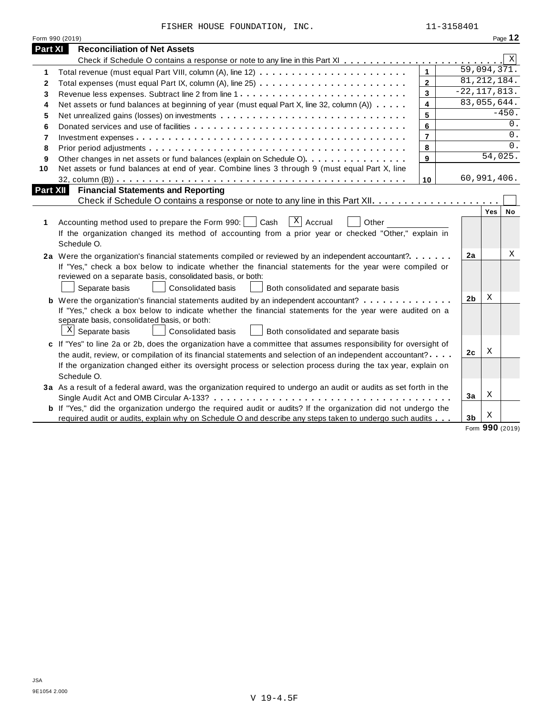FISHER HOUSE FOUNDATION, INC. 11-3158401

|                 | Form 990 (2019)                                                                                                                                                                                                                                                                                                                                                   |                         |                |                  | Page 12      |
|-----------------|-------------------------------------------------------------------------------------------------------------------------------------------------------------------------------------------------------------------------------------------------------------------------------------------------------------------------------------------------------------------|-------------------------|----------------|------------------|--------------|
| <b>Part XI</b>  | <b>Reconciliation of Net Assets</b>                                                                                                                                                                                                                                                                                                                               |                         |                |                  |              |
|                 |                                                                                                                                                                                                                                                                                                                                                                   |                         |                |                  | $\mathbf{x}$ |
| 1               |                                                                                                                                                                                                                                                                                                                                                                   | $\mathbf{1}$            |                | 59,094,371.      |              |
| 2               |                                                                                                                                                                                                                                                                                                                                                                   | $\overline{2}$          |                | 81, 212, 184.    |              |
| 3               |                                                                                                                                                                                                                                                                                                                                                                   | $\overline{3}$          |                | $-22, 117, 813.$ |              |
| 4               | Net assets or fund balances at beginning of year (must equal Part X, line 32, column (A))                                                                                                                                                                                                                                                                         | $\overline{\mathbf{4}}$ |                | 83,055,644.      |              |
| 5               | Net unrealized gains (losses) on investments                                                                                                                                                                                                                                                                                                                      | 5                       |                |                  | $-450.$      |
| 6               |                                                                                                                                                                                                                                                                                                                                                                   | 6                       |                |                  | 0.           |
| 7               |                                                                                                                                                                                                                                                                                                                                                                   | $\overline{7}$          |                |                  | 0.           |
| 8               |                                                                                                                                                                                                                                                                                                                                                                   | 8                       |                |                  | $0$ .        |
| 9               | Other changes in net assets or fund balances (explain on Schedule O)                                                                                                                                                                                                                                                                                              | 9                       |                | 54,025.          |              |
| 10              | Net assets or fund balances at end of year. Combine lines 3 through 9 (must equal Part X, line                                                                                                                                                                                                                                                                    |                         |                |                  |              |
|                 |                                                                                                                                                                                                                                                                                                                                                                   | 10                      |                | 60,991,406.      |              |
| <b>Part XII</b> | <b>Financial Statements and Reporting</b>                                                                                                                                                                                                                                                                                                                         |                         |                |                  |              |
|                 |                                                                                                                                                                                                                                                                                                                                                                   |                         |                |                  |              |
| 1               | $\overline{X}$ Accrual<br>Accounting method used to prepare the Form 990:<br>Cash<br>Other<br>If the organization changed its method of accounting from a prior year or checked "Other," explain in<br>Schedule O.                                                                                                                                                |                         |                | Yes              | No           |
|                 | 2a Were the organization's financial statements compiled or reviewed by an independent accountant?<br>If "Yes," check a box below to indicate whether the financial statements for the year were compiled or<br>reviewed on a separate basis, consolidated basis, or both:<br>Separate basis<br><b>Consolidated basis</b><br>Both consolidated and separate basis |                         | 2a             |                  | Χ            |
|                 | <b>b</b> Were the organization's financial statements audited by an independent accountant?                                                                                                                                                                                                                                                                       |                         | 2b             | х                |              |
|                 | If "Yes," check a box below to indicate whether the financial statements for the year were audited on a<br>separate basis, consolidated basis, or both:<br>$X$ Separate basis<br>Consolidated basis<br>Both consolidated and separate basis                                                                                                                       |                         |                |                  |              |
|                 | c If "Yes" to line 2a or 2b, does the organization have a committee that assumes responsibility for oversight of                                                                                                                                                                                                                                                  |                         |                |                  |              |
|                 | the audit, review, or compilation of its financial statements and selection of an independent accountant?                                                                                                                                                                                                                                                         |                         | 2c             | Χ                |              |
|                 | If the organization changed either its oversight process or selection process during the tax year, explain on<br>Schedule O.                                                                                                                                                                                                                                      |                         |                |                  |              |
|                 | 3a As a result of a federal award, was the organization required to undergo an audit or audits as set forth in the                                                                                                                                                                                                                                                |                         |                |                  |              |
|                 |                                                                                                                                                                                                                                                                                                                                                                   |                         | 3a             | Χ                |              |
|                 | <b>b</b> If "Yes," did the organization undergo the required audit or audits? If the organization did not undergo the<br>required audit or audits, explain why on Schedule O and describe any steps taken to undergo such audits                                                                                                                                  |                         | 3 <sub>b</sub> | Χ                |              |

Form **990** (2019)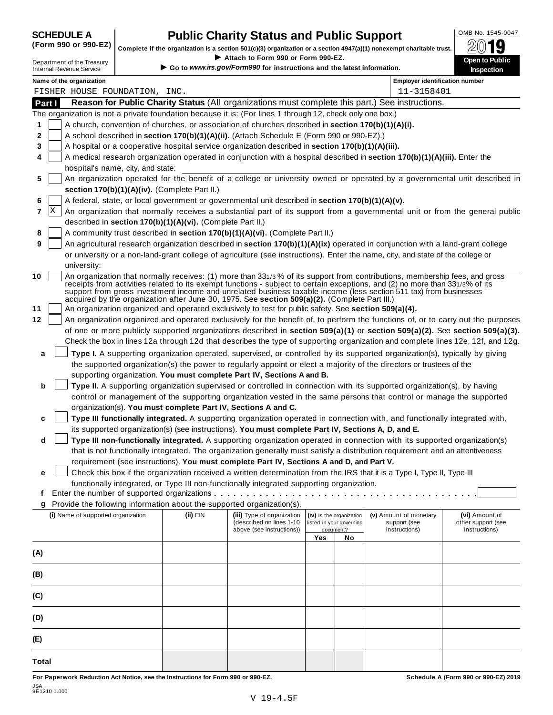## **CHEDULE A Public Charity Status and Public Support**  $\frac{100\text{dB No. }1545-0047}{000\text{dB No.}}$

(Form 990 or 990-EZ) complete if the organization is a section 501(c)(3) organization or a section 4947(a)(1) nonexempt charitable trust.  $2019$ 

|        |   |                                                               |                                                            |                                                                                                              |     |                                       | Complete if the organization is a section 501(c)(3) organization or a section $4947(a)(1)$ nonexempt charitable trust.                                                                                                                                          | ZW IJ                               |
|--------|---|---------------------------------------------------------------|------------------------------------------------------------|--------------------------------------------------------------------------------------------------------------|-----|---------------------------------------|-----------------------------------------------------------------------------------------------------------------------------------------------------------------------------------------------------------------------------------------------------------------|-------------------------------------|
|        |   | Department of the Treasury<br><b>Internal Revenue Service</b> |                                                            | Attach to Form 990 or Form 990-EZ.<br>Go to www.irs.gov/Form990 for instructions and the latest information. |     |                                       |                                                                                                                                                                                                                                                                 | Open to Public<br>Inspection        |
|        |   | Name of the organization                                      |                                                            |                                                                                                              |     |                                       | <b>Employer identification number</b>                                                                                                                                                                                                                           |                                     |
|        |   | FISHER HOUSE FOUNDATION, INC.                                 |                                                            |                                                                                                              |     |                                       | 11-3158401                                                                                                                                                                                                                                                      |                                     |
| Part I |   |                                                               |                                                            |                                                                                                              |     |                                       | Reason for Public Charity Status (All organizations must complete this part.) See instructions.                                                                                                                                                                 |                                     |
|        |   |                                                               |                                                            | The organization is not a private foundation because it is: (For lines 1 through 12, check only one box.)    |     |                                       |                                                                                                                                                                                                                                                                 |                                     |
| 1      |   |                                                               |                                                            | A church, convention of churches, or association of churches described in section 170(b)(1)(A)(i).           |     |                                       |                                                                                                                                                                                                                                                                 |                                     |
| 2      |   |                                                               |                                                            | A school described in section 170(b)(1)(A)(ii). (Attach Schedule E (Form 990 or 990-EZ).)                    |     |                                       |                                                                                                                                                                                                                                                                 |                                     |
| 3      |   |                                                               |                                                            | A hospital or a cooperative hospital service organization described in section 170(b)(1)(A)(iii).            |     |                                       |                                                                                                                                                                                                                                                                 |                                     |
| 4      |   |                                                               |                                                            |                                                                                                              |     |                                       | A medical research organization operated in conjunction with a hospital described in section 170(b)(1)(A)(iii). Enter the                                                                                                                                       |                                     |
|        |   | hospital's name, city, and state:                             |                                                            |                                                                                                              |     |                                       |                                                                                                                                                                                                                                                                 |                                     |
| 5      |   |                                                               |                                                            |                                                                                                              |     |                                       | An organization operated for the benefit of a college or university owned or operated by a governmental unit described in                                                                                                                                       |                                     |
|        |   |                                                               | section 170(b)(1)(A)(iv). (Complete Part II.)              |                                                                                                              |     |                                       |                                                                                                                                                                                                                                                                 |                                     |
| 6      |   |                                                               |                                                            | A federal, state, or local government or governmental unit described in section 170(b)(1)(A)(v).             |     |                                       |                                                                                                                                                                                                                                                                 |                                     |
| 7      | X |                                                               |                                                            |                                                                                                              |     |                                       | An organization that normally receives a substantial part of its support from a governmental unit or from the general public                                                                                                                                    |                                     |
|        |   |                                                               | described in section 170(b)(1)(A)(vi). (Complete Part II.) |                                                                                                              |     |                                       |                                                                                                                                                                                                                                                                 |                                     |
| 8      |   |                                                               |                                                            | A community trust described in section 170(b)(1)(A)(vi). (Complete Part II.)                                 |     |                                       |                                                                                                                                                                                                                                                                 |                                     |
| 9      |   |                                                               |                                                            |                                                                                                              |     |                                       | An agricultural research organization described in section 170(b)(1)(A)(ix) operated in conjunction with a land-grant college<br>or university or a non-land-grant college of agriculture (see instructions). Enter the name, city, and state of the college or |                                     |
|        |   |                                                               |                                                            |                                                                                                              |     |                                       |                                                                                                                                                                                                                                                                 |                                     |
| 10     |   | university:                                                   |                                                            |                                                                                                              |     |                                       | An organization that normally receives: (1) more than 331/3% of its support from contributions, membership fees, and gross                                                                                                                                      |                                     |
|        |   |                                                               |                                                            |                                                                                                              |     |                                       | receipts from activities related to its exempt functions - subject to certain exceptions, and (2) no more than 331/3% of its                                                                                                                                    |                                     |
|        |   |                                                               |                                                            | acquired by the organization after June 30, 1975. See section 509(a)(2). (Complete Part III.)                |     |                                       | support from gross investment income and unrelated business taxable income (less section 511 tax) from businesses                                                                                                                                               |                                     |
| 11     |   |                                                               |                                                            | An organization organized and operated exclusively to test for public safety. See section 509(a)(4).         |     |                                       |                                                                                                                                                                                                                                                                 |                                     |
| 12     |   |                                                               |                                                            |                                                                                                              |     |                                       | An organization organized and operated exclusively for the benefit of, to perform the functions of, or to carry out the purposes                                                                                                                                |                                     |
|        |   |                                                               |                                                            |                                                                                                              |     |                                       | of one or more publicly supported organizations described in section 509(a)(1) or section 509(a)(2). See section 509(a)(3).                                                                                                                                     |                                     |
|        |   |                                                               |                                                            |                                                                                                              |     |                                       | Check the box in lines 12a through 12d that describes the type of supporting organization and complete lines 12e, 12f, and 12g.                                                                                                                                 |                                     |
| a      |   |                                                               |                                                            |                                                                                                              |     |                                       | Type I. A supporting organization operated, supervised, or controlled by its supported organization(s), typically by giving                                                                                                                                     |                                     |
|        |   |                                                               |                                                            |                                                                                                              |     |                                       | the supported organization(s) the power to regularly appoint or elect a majority of the directors or trustees of the                                                                                                                                            |                                     |
|        |   |                                                               |                                                            | supporting organization. You must complete Part IV, Sections A and B.                                        |     |                                       |                                                                                                                                                                                                                                                                 |                                     |
| b      |   |                                                               |                                                            |                                                                                                              |     |                                       | Type II. A supporting organization supervised or controlled in connection with its supported organization(s), by having                                                                                                                                         |                                     |
|        |   |                                                               |                                                            |                                                                                                              |     |                                       | control or management of the supporting organization vested in the same persons that control or manage the supported                                                                                                                                            |                                     |
|        |   |                                                               |                                                            | organization(s). You must complete Part IV, Sections A and C.                                                |     |                                       |                                                                                                                                                                                                                                                                 |                                     |
| c      |   |                                                               |                                                            |                                                                                                              |     |                                       | Type III functionally integrated. A supporting organization operated in connection with, and functionally integrated with,                                                                                                                                      |                                     |
|        |   |                                                               |                                                            | its supported organization(s) (see instructions). You must complete Part IV, Sections A, D, and E.           |     |                                       |                                                                                                                                                                                                                                                                 |                                     |
| d      |   |                                                               |                                                            |                                                                                                              |     |                                       | Type III non-functionally integrated. A supporting organization operated in connection with its supported organization(s)                                                                                                                                       |                                     |
|        |   |                                                               |                                                            |                                                                                                              |     |                                       | that is not functionally integrated. The organization generally must satisfy a distribution requirement and an attentiveness                                                                                                                                    |                                     |
|        |   |                                                               |                                                            | requirement (see instructions). You must complete Part IV, Sections A and D, and Part V.                     |     |                                       |                                                                                                                                                                                                                                                                 |                                     |
| е      |   |                                                               |                                                            | functionally integrated, or Type III non-functionally integrated supporting organization.                    |     |                                       | Check this box if the organization received a written determination from the IRS that it is a Type I, Type II, Type III                                                                                                                                         |                                     |
| t      |   |                                                               |                                                            |                                                                                                              |     |                                       |                                                                                                                                                                                                                                                                 |                                     |
| g      |   |                                                               |                                                            | Provide the following information about the supported organization(s).                                       |     |                                       |                                                                                                                                                                                                                                                                 |                                     |
|        |   | (i) Name of supported organization                            | (ii) EIN                                                   | (iii) Type of organization                                                                                   |     | (iv) Is the organization              | (v) Amount of monetary                                                                                                                                                                                                                                          | (vi) Amount of                      |
|        |   |                                                               |                                                            | (described on lines 1-10<br>above (see instructions))                                                        |     | listed in your governing<br>document? | support (see<br>instructions)                                                                                                                                                                                                                                   | other support (see<br>instructions) |
|        |   |                                                               |                                                            |                                                                                                              | Yes | No                                    |                                                                                                                                                                                                                                                                 |                                     |
| (A)    |   |                                                               |                                                            |                                                                                                              |     |                                       |                                                                                                                                                                                                                                                                 |                                     |
|        |   |                                                               |                                                            |                                                                                                              |     |                                       |                                                                                                                                                                                                                                                                 |                                     |
| (B)    |   |                                                               |                                                            |                                                                                                              |     |                                       |                                                                                                                                                                                                                                                                 |                                     |
|        |   |                                                               |                                                            |                                                                                                              |     |                                       |                                                                                                                                                                                                                                                                 |                                     |
| (C)    |   |                                                               |                                                            |                                                                                                              |     |                                       |                                                                                                                                                                                                                                                                 |                                     |
|        |   |                                                               |                                                            |                                                                                                              |     |                                       |                                                                                                                                                                                                                                                                 |                                     |
| (D)    |   |                                                               |                                                            |                                                                                                              |     |                                       |                                                                                                                                                                                                                                                                 |                                     |
|        |   |                                                               |                                                            |                                                                                                              |     |                                       |                                                                                                                                                                                                                                                                 |                                     |
| (E)    |   |                                                               |                                                            |                                                                                                              |     |                                       |                                                                                                                                                                                                                                                                 |                                     |
|        |   |                                                               |                                                            |                                                                                                              |     |                                       |                                                                                                                                                                                                                                                                 |                                     |

For Paperwork Reduction Act Notice, see the Instructions for Form 990 or 990-EZ. Schedule A (Form 990 or 990-EZ) 2019

**Total**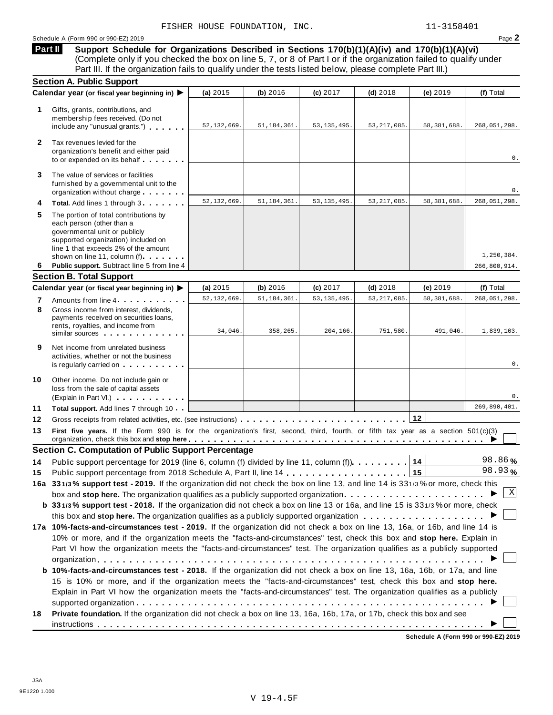## Schedule <sup>A</sup> (Form <sup>990</sup> or 990-EZ) <sup>2019</sup> Page **2**

**Support Schedule for Organizations Described in Sections 170(b)(1)(A)(iv) and 170(b)(1)(A)(vi)** (Complete only if you checked the box on line 5, 7, or 8 of Part I or if the organization failed to qualify under Part III. If the organization fails to qualify under the tests listed below, please complete Part III.) **Part II**

|              | <b>Section A. Public Support</b>                                                                                                                                                                                   |               |               |               |               |               |                |
|--------------|--------------------------------------------------------------------------------------------------------------------------------------------------------------------------------------------------------------------|---------------|---------------|---------------|---------------|---------------|----------------|
|              | Calendar year (or fiscal year beginning in) ▶                                                                                                                                                                      | (a) 2015      | (b) 2016      | (c) 2017      | $(d)$ 2018    | (e) 2019      | (f) Total      |
| 1.           | Gifts, grants, contributions, and<br>membership fees received. (Do not<br>include any "unusual grants.")                                                                                                           | 52, 132, 669. | 51, 184, 361. | 53, 135, 495. | 53, 217, 085. | 58,381,688.   | 268,051,298.   |
| $\mathbf{2}$ | Tax revenues levied for the<br>organization's benefit and either paid<br>to or expended on its behalf                                                                                                              |               |               |               |               |               | 0.             |
| 3            | The value of services or facilities<br>furnished by a governmental unit to the<br>organization without charge                                                                                                      |               |               |               |               |               | 0.             |
| 4            | Total. Add lines 1 through 3                                                                                                                                                                                       | 52, 132, 669  | 51, 184, 361  | 53, 135, 495. | 53, 217, 085. | 58, 381, 688. | 268, 051, 298. |
| 5            | The portion of total contributions by<br>each person (other than a<br>governmental unit or publicly<br>supported organization) included on<br>line 1 that exceeds 2% of the amount<br>shown on line 11, column (f) |               |               |               |               |               | 1,250,384.     |
| 6            | Public support. Subtract line 5 from line 4                                                                                                                                                                        |               |               |               |               |               | 266,800,914.   |
|              | <b>Section B. Total Support</b>                                                                                                                                                                                    |               |               |               |               |               |                |
|              | Calendar year (or fiscal year beginning in) ▶                                                                                                                                                                      | (a) 2015      | (b) 2016      | (c) 2017      | $(d)$ 2018    | (e) 2019      | (f) Total      |
| 7            | Amounts from line 4                                                                                                                                                                                                | 52, 132, 669  | 51, 184, 361. | 53, 135, 495. | 53, 217, 085. | 58, 381, 688. | 268, 051, 298. |
| 8            | Gross income from interest, dividends,<br>payments received on securities loans,<br>rents, royalties, and income from<br>similar sources experiences                                                               | 34,046.       | 358,265.      | 204,166.      | 751,580.      | 491,046.      | 1,839,103.     |
| 9            | Net income from unrelated business<br>activities, whether or not the business<br>is regularly carried on the control of the set of the set of the set of the set of the set of the set of the s                    |               |               |               |               |               | 0.             |
| 10           | Other income. Do not include gain or<br>loss from the sale of capital assets<br>(Explain in Part VI.)                                                                                                              |               |               |               |               |               | 0.             |
| 11           | Total support. Add lines 7 through 10                                                                                                                                                                              |               |               |               |               |               | 269,890,401.   |
| 12           |                                                                                                                                                                                                                    |               |               |               |               |               |                |
| 13           | First five years. If the Form 990 is for the organization's first, second, third, fourth, or fifth tax year as a section 501(c)(3)                                                                                 |               |               |               |               |               |                |
|              | <b>Section C. Computation of Public Support Percentage</b>                                                                                                                                                         |               |               |               |               |               |                |
| 14           | Public support percentage for 2019 (line 6, column (f) divided by line 11, column (f)).                                                                                                                            |               |               |               |               | 14            | 98.86%         |
| 15           |                                                                                                                                                                                                                    |               |               |               |               | 15            | 98.93%         |
|              | 16a 331/3% support test - 2019. If the organization did not check the box on line 13, and line 14 is 331/3% or more, check this                                                                                    |               |               |               |               |               |                |
|              |                                                                                                                                                                                                                    |               |               |               |               |               | Χ              |
|              | b 331/3% support test - 2018. If the organization did not check a box on line 13 or 16a, and line 15 is 331/3% or more, check                                                                                      |               |               |               |               |               |                |
|              |                                                                                                                                                                                                                    |               |               |               |               |               |                |
|              | 17a 10%-facts-and-circumstances test - 2019. If the organization did not check a box on line 13, 16a, or 16b, and line 14 is                                                                                       |               |               |               |               |               |                |
|              | 10% or more, and if the organization meets the "facts-and-circumstances" test, check this box and stop here. Explain in                                                                                            |               |               |               |               |               |                |
|              | Part VI how the organization meets the "facts-and-circumstances" test. The organization qualifies as a publicly supported                                                                                          |               |               |               |               |               |                |
|              |                                                                                                                                                                                                                    |               |               |               |               |               |                |
|              | b 10%-facts-and-circumstances test - 2018. If the organization did not check a box on line 13, 16a, 16b, or 17a, and line                                                                                          |               |               |               |               |               |                |
|              | 15 is 10% or more, and if the organization meets the "facts-and-circumstances" test, check this box and stop here.                                                                                                 |               |               |               |               |               |                |
|              | Explain in Part VI how the organization meets the "facts-and-circumstances" test. The organization qualifies as a publicly                                                                                         |               |               |               |               |               |                |
|              |                                                                                                                                                                                                                    |               |               |               |               |               |                |
| 18           | Private foundation. If the organization did not check a box on line 13, 16a, 16b, 17a, or 17b, check this box and see                                                                                              |               |               |               |               |               |                |
|              |                                                                                                                                                                                                                    |               |               |               |               |               |                |

**Schedule A (Form 990 or 990-EZ) 2019**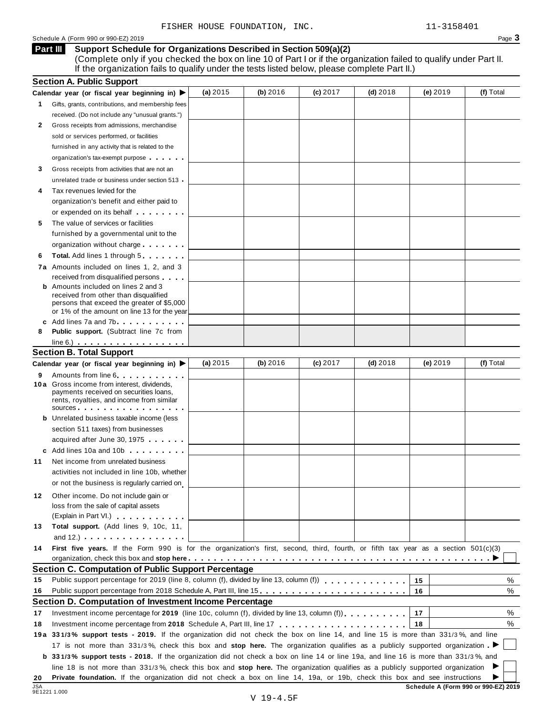## Schedule A (Form 990 or 990-EZ) 2019 Page 3

### **Support Schedule for Organizations Described in Section 509(a)(2) Part III**

(Complete only if you checked the box on line 10 of Part I or if the organization failed to qualify under Part II. If the organization fails to qualify under the tests listed below, please complete Part II.)

|        | <b>Section A. Public Support</b>                                                                                                                                                                                                     |            |          |            |            |          |           |
|--------|--------------------------------------------------------------------------------------------------------------------------------------------------------------------------------------------------------------------------------------|------------|----------|------------|------------|----------|-----------|
|        | Calendar year (or fiscal year beginning in) $\blacktriangleright$                                                                                                                                                                    | (a) $2015$ | (b) 2016 | $(c)$ 2017 | $(d)$ 2018 | (e) 2019 | (f) Total |
| 1.     | Gifts, grants, contributions, and membership fees                                                                                                                                                                                    |            |          |            |            |          |           |
|        | received. (Do not include any "unusual grants.")                                                                                                                                                                                     |            |          |            |            |          |           |
| 2      | Gross receipts from admissions, merchandise                                                                                                                                                                                          |            |          |            |            |          |           |
|        | sold or services performed, or facilities                                                                                                                                                                                            |            |          |            |            |          |           |
|        | furnished in any activity that is related to the                                                                                                                                                                                     |            |          |            |            |          |           |
|        | organization's tax-exempt purpose                                                                                                                                                                                                    |            |          |            |            |          |           |
| 3      | Gross receipts from activities that are not an                                                                                                                                                                                       |            |          |            |            |          |           |
|        | unrelated trade or business under section 513                                                                                                                                                                                        |            |          |            |            |          |           |
| 4      | Tax revenues levied for the                                                                                                                                                                                                          |            |          |            |            |          |           |
|        | organization's benefit and either paid to                                                                                                                                                                                            |            |          |            |            |          |           |
|        | or expended on its behalf <b>contains the set of the set of the set of the set of the set of the set of the set of the set of the set of the set of the set of the set of the set of the set of the set of the set of the set of</b> |            |          |            |            |          |           |
| 5      | The value of services or facilities                                                                                                                                                                                                  |            |          |            |            |          |           |
|        | furnished by a governmental unit to the                                                                                                                                                                                              |            |          |            |            |          |           |
|        | organization without charge                                                                                                                                                                                                          |            |          |            |            |          |           |
| 6      | Total. Add lines 1 through 5                                                                                                                                                                                                         |            |          |            |            |          |           |
|        | 7a Amounts included on lines 1, 2, and 3                                                                                                                                                                                             |            |          |            |            |          |           |
|        | received from disqualified persons                                                                                                                                                                                                   |            |          |            |            |          |           |
|        | <b>b</b> Amounts included on lines 2 and 3                                                                                                                                                                                           |            |          |            |            |          |           |
|        | received from other than disqualified<br>persons that exceed the greater of \$5,000                                                                                                                                                  |            |          |            |            |          |           |
|        | or 1% of the amount on line 13 for the year                                                                                                                                                                                          |            |          |            |            |          |           |
|        | c Add lines 7a and 7b                                                                                                                                                                                                                |            |          |            |            |          |           |
| 8      | <b>Public support.</b> (Subtract line 7c from                                                                                                                                                                                        |            |          |            |            |          |           |
|        | $line 6.)$                                                                                                                                                                                                                           |            |          |            |            |          |           |
|        | <b>Section B. Total Support</b>                                                                                                                                                                                                      |            |          |            |            |          |           |
|        | Calendar year (or fiscal year beginning in) ▶                                                                                                                                                                                        | (a) $2015$ | (b) 2016 | $(c)$ 2017 | $(d)$ 2018 | (e) 2019 | (f) Total |
| 9      | Amounts from line 6 <b>Amounts</b> from line 6                                                                                                                                                                                       |            |          |            |            |          |           |
|        | 10 a Gross income from interest, dividends,<br>payments received on securities loans,<br>rents, royalties, and income from similar<br>sources <b>contracts</b> and <b>sources contracts and contracts contracts and contracts</b>    |            |          |            |            |          |           |
|        | <b>b</b> Unrelated business taxable income (less                                                                                                                                                                                     |            |          |            |            |          |           |
|        | section 511 taxes) from businesses                                                                                                                                                                                                   |            |          |            |            |          |           |
|        | acquired after June 30, 1975                                                                                                                                                                                                         |            |          |            |            |          |           |
|        | c Add lines 10a and 10b                                                                                                                                                                                                              |            |          |            |            |          |           |
| 11     | Net income from unrelated business                                                                                                                                                                                                   |            |          |            |            |          |           |
|        | activities not included in line 10b, whether                                                                                                                                                                                         |            |          |            |            |          |           |
|        | or not the business is regularly carried on                                                                                                                                                                                          |            |          |            |            |          |           |
| 12     | Other income. Do not include gain or                                                                                                                                                                                                 |            |          |            |            |          |           |
|        | loss from the sale of capital assets                                                                                                                                                                                                 |            |          |            |            |          |           |
|        | (Explain in Part VI.) <b>All Accords</b>                                                                                                                                                                                             |            |          |            |            |          |           |
| 13     | Total support. (Add lines 9, 10c, 11,                                                                                                                                                                                                |            |          |            |            |          |           |
|        | and $12.$ ) $\ldots$ $\ldots$ $\ldots$ $\ldots$ $\ldots$                                                                                                                                                                             |            |          |            |            |          |           |
| 14     | First five years. If the Form 990 is for the organization's first, second, third, fourth, or fifth tax year as a section 501(c)(3)                                                                                                   |            |          |            |            |          |           |
|        |                                                                                                                                                                                                                                      |            |          |            |            |          |           |
|        | <b>Section C. Computation of Public Support Percentage</b>                                                                                                                                                                           |            |          |            |            |          |           |
| 15     | Public support percentage for 2019 (line 8, column (f), divided by line 13, column (f)) $\ldots$ ,,,,,,,,,,,,                                                                                                                        |            |          |            |            | 15       | ℅         |
| 16     | Public support percentage from 2018 Schedule A, Part III, line 15                                                                                                                                                                    |            |          |            |            | 16       | %         |
|        | Section D. Computation of Investment Income Percentage                                                                                                                                                                               |            |          |            |            |          |           |
| 17     | Investment income percentage for 2019 (line 10c, column (f), divided by line 13, column (f)).                                                                                                                                        |            |          |            |            | 17       | %         |
| 18     |                                                                                                                                                                                                                                      |            |          |            |            | 18       | %         |
|        | 19a 331/3% support tests - 2019. If the organization did not check the box on line 14, and line 15 is more than 331/3%, and line                                                                                                     |            |          |            |            |          |           |
|        | 17 is not more than 331/3%, check this box and stop here. The organization qualifies as a publicly supported organization                                                                                                            |            |          |            |            |          |           |
|        | b 331/3% support tests - 2018. If the organization did not check a box on line 14 or line 19a, and line 16 is more than 331/3%, and                                                                                                  |            |          |            |            |          |           |
|        | line 18 is not more than 331/3%, check this box and stop here. The organization qualifies as a publicly supported organization                                                                                                       |            |          |            |            |          |           |
| 20     | Private foundation. If the organization did not check a box on line 14, 19a, or 19b, check this box and see instructions                                                                                                             |            |          |            |            |          |           |
| $\sim$ |                                                                                                                                                                                                                                      |            |          |            |            |          |           |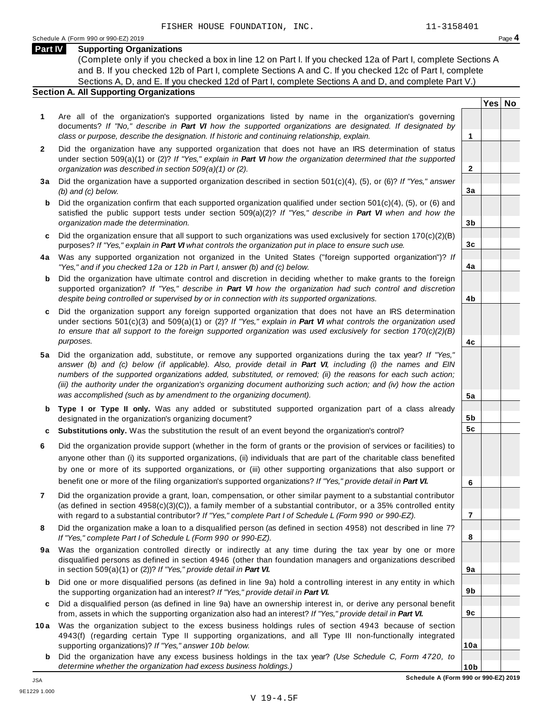## **Part IV Supporting Organizations**

(Complete only if you checked a box in line 12 on Part I. If you checked 12a of Part I, complete Sections A and B. If you checked 12b of Part I, complete Sections A and C. If you checked 12c of Part I, complete Sections A, D, and E. If you checked 12d of Part I, complete Sections A and D, and complete Part V.)

## **Section A. All Supporting Organizations**

- **1** Are all of the organization's supported organizations listed by name in the organization's governing documents? *If "No," describe in Part VI how the supported organizations are designated. If designated by class or purpose, describe the designation. If historic and continuing relationship, explain.* **1**
- **2** Did the organization have any supported organization that does not have an IRS determination of status under section 509(a)(1) or (2)? *If"Yes," explain in Part VI how the organization determined that the supported organization was described in section 509(a)(1) or (2).*
- **3 a** Did the organization have a supported organization described in section 501(c)(4), (5), or (6)? *If "Yes," answer (b) and (c) below.*
- **b** Did the organization confirm that each supported organization qualified under section 501(c)(4), (5), or (6) and | satisfied the public support tests under section 509(a)(2)? *If "Yes," describe in Part VI when and how the organization made the determination.*
- **c** Did the organization ensure that all support to such organizations was used exclusively for section 170(c)(2)(B) purposes? *If"Yes," explain in Part VI what controls the organization put in place to ensure such use.*
- **4 a** Was any supported organization not organized in the United States ("foreign supported organization")? *If "Yes," and if you checked 12a or 12b in Part I, answer (b) and (c) below.*
- **b** Did the organization have ultimate control and discretion in deciding whether to make grants to the foreign | supported organization? *If "Yes," describe in Part VI how the organization had such control and discretion despite being controlled or supervised by or in connection with its supported organizations.*
- **c** Did the organization support any foreign supported organization that does not have an IRS determination | under sections 501(c)(3) and 509(a)(1) or (2)? *If "Yes," explain in Part VI what controls the organization used to ensure that all support to the foreign supported organization was used exclusively for section 170(c)(2)(B) purposes.*
- **5 a** Did the organization add, substitute, or remove any supported organizations during the tax year? *If "Yes,"* answer (b) and (c) below (if applicable). Also, provide detail in Part VI, including (i) the names and EIN *numbers of the supported organizations added, substituted, or removed; (ii) the reasons for each such action;* (iii) the authority under the organization's organizing document authorizing such action; and (iv) how the action *was accomplished (such as by amendment to the organizing document).*
- **b Type I or Type II only.** Was any added or substituted supported organization part of a class already designated in the organization's organizing document?
- **c Substitutions only.** Was the substitution the result of an event beyond the organization's control?
- **6** Did the organization provide support (whether in the form of grants or the provision of services or facilities) to anyone other than (i) its supported organizations, (ii) individuals that are part of the charitable class benefited by one or more of its supported organizations, or (iii) other supporting organizations that also support or benefit one or more of the filing organization's supported organizations? *If"Yes," provide detail in Part VI.*
- **7** Did the organization provide a grant, loan, compensation, or other similar payment to a substantial contributor (as defined in section 4958(c)(3)(C)), a family member of a substantial contributor, or a 35% controlled entity with regard to a substantial contributor? *If"Yes," complete Part I of Schedule L (Form 990 or 990-EZ).*
- **8** Did the organization make a loan to a disqualified person (as defined in section 4958) not described in line 7? *If "Yes," complete Part I of Schedule L (Form 990 or 990-EZ).*
- **9a** Was the organization controlled directly or indirectly at any time during the tax year by one or more | disqualified persons as defined in section 4946 (other than foundation managers and organizations described in section 509(a)(1) or (2))? *If"Yes," provide detail in Part VI.*
- **b** Did one or more disqualified persons (as defined in line 9a) hold a controlling interest in any entity in which | the supporting organization had an interest? *If"Yes," provide detail in Part VI.*
- **c** Did a disqualified person (as defined in line 9a) have an ownership interest in, or derive any personal benefit from, assets in which the supporting organization also had an interest? *If"Yes," provide detail in Part VI.*
- **10a** Was the organization subject to the excess business holdings rules of section 4943 because of section | 4943(f) (regarding certain Type II supporting organizations, and all Type III non-functionally integrated supporting organizations)? *If"Yes," answer 10b below.*
	- **b** Did the organization have any excess business holdings in the tax year? *(Use Schedule C, Form 4720, to determine whether the organization had excess business holdings.)*

**Yes No**

**2**

**3a**

**3b**

**3c**

**4a**

**4b**

**4c**

**5a**

**5b 5c**

**6**

**7**

**8**

**9a**

**9b**

**9c**

**10a**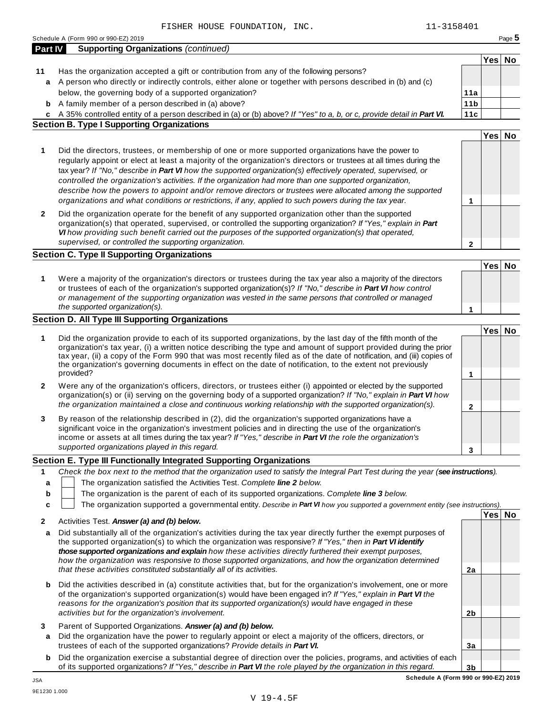|                  | Schedule A (Form 990 or 990-EZ) 2019                                                                                                                                                                                                                                                                                                                                                                                                                                                                                                                                                                                                                                         |                 |        | Page 5 |
|------------------|------------------------------------------------------------------------------------------------------------------------------------------------------------------------------------------------------------------------------------------------------------------------------------------------------------------------------------------------------------------------------------------------------------------------------------------------------------------------------------------------------------------------------------------------------------------------------------------------------------------------------------------------------------------------------|-----------------|--------|--------|
| <b>Part IV</b>   | <b>Supporting Organizations (continued)</b>                                                                                                                                                                                                                                                                                                                                                                                                                                                                                                                                                                                                                                  |                 |        |        |
|                  |                                                                                                                                                                                                                                                                                                                                                                                                                                                                                                                                                                                                                                                                              |                 | Yes No |        |
| 11               | Has the organization accepted a gift or contribution from any of the following persons?<br>a A person who directly or indirectly controls, either alone or together with persons described in (b) and (c)                                                                                                                                                                                                                                                                                                                                                                                                                                                                    |                 |        |        |
|                  | below, the governing body of a supported organization?                                                                                                                                                                                                                                                                                                                                                                                                                                                                                                                                                                                                                       | 11a             |        |        |
| b                | A family member of a person described in (a) above?                                                                                                                                                                                                                                                                                                                                                                                                                                                                                                                                                                                                                          | 11 <sub>b</sub> |        |        |
|                  | c A 35% controlled entity of a person described in (a) or (b) above? If "Yes" to a, b, or c, provide detail in Part VI.                                                                                                                                                                                                                                                                                                                                                                                                                                                                                                                                                      | 11c             |        |        |
|                  | <b>Section B. Type I Supporting Organizations</b>                                                                                                                                                                                                                                                                                                                                                                                                                                                                                                                                                                                                                            |                 |        |        |
|                  |                                                                                                                                                                                                                                                                                                                                                                                                                                                                                                                                                                                                                                                                              |                 | Yes No |        |
| 1                | Did the directors, trustees, or membership of one or more supported organizations have the power to<br>regularly appoint or elect at least a majority of the organization's directors or trustees at all times during the<br>tax year? If "No," describe in Part VI how the supported organization(s) effectively operated, supervised, or<br>controlled the organization's activities. If the organization had more than one supported organization,<br>describe how the powers to appoint and/or remove directors or trustees were allocated among the supported<br>organizations and what conditions or restrictions, if any, applied to such powers during the tax year. | 1               |        |        |
| 2                | Did the organization operate for the benefit of any supported organization other than the supported<br>organization(s) that operated, supervised, or controlled the supporting organization? If "Yes," explain in Part<br>VI how providing such benefit carried out the purposes of the supported organization(s) that operated,<br>supervised, or controlled the supporting organization.                                                                                                                                                                                                                                                                                   | 2               |        |        |
|                  | <b>Section C. Type II Supporting Organizations</b>                                                                                                                                                                                                                                                                                                                                                                                                                                                                                                                                                                                                                           |                 |        |        |
| 1                | Were a majority of the organization's directors or trustees during the tax year also a majority of the directors<br>or trustees of each of the organization's supported organization(s)? If "No," describe in Part VI how control<br>or management of the supporting organization was vested in the same persons that controlled or managed<br>the supported organization(s).                                                                                                                                                                                                                                                                                                | 1               | Yes No |        |
|                  | <b>Section D. All Type III Supporting Organizations</b>                                                                                                                                                                                                                                                                                                                                                                                                                                                                                                                                                                                                                      |                 |        |        |
| 1                | Did the organization provide to each of its supported organizations, by the last day of the fifth month of the<br>organization's tax year, (i) a written notice describing the type and amount of support provided during the prior<br>tax year, (ii) a copy of the Form 990 that was most recently filed as of the date of notification, and (iii) copies of<br>the organization's governing documents in effect on the date of notification, to the extent not previously<br>provided?                                                                                                                                                                                     | 1               | Yes No |        |
| 2                | Were any of the organization's officers, directors, or trustees either (i) appointed or elected by the supported<br>organization(s) or (ii) serving on the governing body of a supported organization? If "No," explain in Part VI how<br>the organization maintained a close and continuous working relationship with the supported organization(s).                                                                                                                                                                                                                                                                                                                        | $\mathbf{2}$    |        |        |
| 3                | By reason of the relationship described in (2), did the organization's supported organizations have a<br>significant voice in the organization's investment policies and in directing the use of the organization's<br>income or assets at all times during the tax year? If "Yes," describe in Part VI the role the organization's<br>supported organizations played in this regard.                                                                                                                                                                                                                                                                                        | 3               |        |        |
|                  | Section E. Type III Functionally Integrated Supporting Organizations                                                                                                                                                                                                                                                                                                                                                                                                                                                                                                                                                                                                         |                 |        |        |
| 1<br>a<br>b<br>c | Check the box next to the method that the organization used to satisfy the Integral Part Test during the year (see instructions).<br>The organization satisfied the Activities Test. Complete line 2 below.<br>The organization is the parent of each of its supported organizations. Complete line 3 below.<br>The organization supported a governmental entity. Describe in Part VI how you supported a government entity (see instructions).                                                                                                                                                                                                                              |                 |        |        |
|                  |                                                                                                                                                                                                                                                                                                                                                                                                                                                                                                                                                                                                                                                                              |                 | Yes No |        |
| 2<br>a           | Activities Test. Answer (a) and (b) below.<br>Did substantially all of the organization's activities during the tax year directly further the exempt purposes of<br>the supported organization(s) to which the organization was responsive? If "Yes," then in Part VI identify<br>those supported organizations and explain how these activities directly furthered their exempt purposes,<br>how the organization was responsive to those supported organizations, and how the organization determined<br>that these activities constituted substantially all of its activities.                                                                                            | 2a              |        |        |
| b                | Did the activities described in (a) constitute activities that, but for the organization's involvement, one or more<br>of the organization's supported organization(s) would have been engaged in? If "Yes," explain in Part VI the<br>reasons for the organization's position that its supported organization(s) would have engaged in these<br>activities but for the organization's involvement.                                                                                                                                                                                                                                                                          | 2 <sub>b</sub>  |        |        |
| 3<br>a           | Parent of Supported Organizations. Answer (a) and (b) below.<br>Did the organization have the power to regularly appoint or elect a majority of the officers, directors, or                                                                                                                                                                                                                                                                                                                                                                                                                                                                                                  |                 |        |        |
|                  | trustees of each of the supported organizations? Provide details in Part VI.                                                                                                                                                                                                                                                                                                                                                                                                                                                                                                                                                                                                 | 3a              |        |        |
| b                | Did the organization exercise a substantial degree of direction over the policies, programs, and activities of each<br>of its supported organizations? If "Yes," describe in Part VI the role played by the organization in this regard.                                                                                                                                                                                                                                                                                                                                                                                                                                     | 3 <sub>b</sub>  |        |        |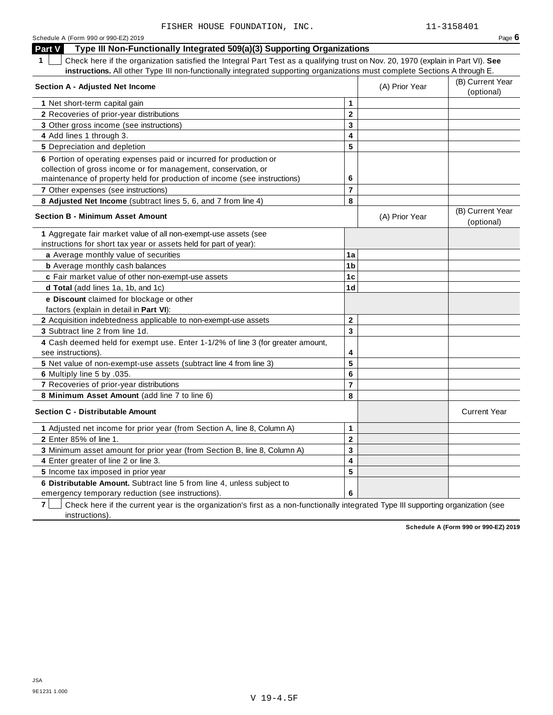| Part V<br>Type III Non-Functionally Integrated 509(a)(3) Supporting Organizations                                                                                                                                |                |                |                                |
|------------------------------------------------------------------------------------------------------------------------------------------------------------------------------------------------------------------|----------------|----------------|--------------------------------|
| Check here if the organization satisfied the Integral Part Test as a qualifying trust on Nov. 20, 1970 (explain in Part VI). See                                                                                 |                |                |                                |
| instructions. All other Type III non-functionally integrated supporting organizations must complete Sections A through E.                                                                                        |                |                |                                |
| <b>Section A - Adjusted Net Income</b>                                                                                                                                                                           |                | (A) Prior Year | (B) Current Year<br>(optional) |
| 1 Net short-term capital gain                                                                                                                                                                                    | 1              |                |                                |
| <b>2</b> Recoveries of prior-year distributions                                                                                                                                                                  | $\mathbf 2$    |                |                                |
| 3 Other gross income (see instructions)                                                                                                                                                                          | 3              |                |                                |
| 4 Add lines 1 through 3.                                                                                                                                                                                         | 4              |                |                                |
| 5 Depreciation and depletion                                                                                                                                                                                     | 5              |                |                                |
| 6 Portion of operating expenses paid or incurred for production or<br>collection of gross income or for management, conservation, or<br>maintenance of property held for production of income (see instructions) | 6              |                |                                |
| 7 Other expenses (see instructions)                                                                                                                                                                              | 7              |                |                                |
| 8 Adjusted Net Income (subtract lines 5, 6, and 7 from line 4)                                                                                                                                                   | 8              |                |                                |
| <b>Section B - Minimum Asset Amount</b>                                                                                                                                                                          |                | (A) Prior Year | (B) Current Year<br>(optional) |
| 1 Aggregate fair market value of all non-exempt-use assets (see<br>instructions for short tax year or assets held for part of year):                                                                             |                |                |                                |
| a Average monthly value of securities                                                                                                                                                                            | 1a             |                |                                |
| <b>b</b> Average monthly cash balances                                                                                                                                                                           | 1 <sub>b</sub> |                |                                |
| c Fair market value of other non-exempt-use assets                                                                                                                                                               | 1 <sub>c</sub> |                |                                |
| d Total (add lines 1a, 1b, and 1c)                                                                                                                                                                               | 1 <sub>d</sub> |                |                                |
| e Discount claimed for blockage or other<br>factors (explain in detail in <b>Part VI)</b> :                                                                                                                      |                |                |                                |
| 2 Acquisition indebtedness applicable to non-exempt-use assets                                                                                                                                                   | $\mathbf 2$    |                |                                |
| 3 Subtract line 2 from line 1d.                                                                                                                                                                                  | 3              |                |                                |
| 4 Cash deemed held for exempt use. Enter 1-1/2% of line 3 (for greater amount,<br>see instructions).                                                                                                             | 4              |                |                                |
| 5 Net value of non-exempt-use assets (subtract line 4 from line 3)                                                                                                                                               | 5              |                |                                |
| 6 Multiply line 5 by .035.                                                                                                                                                                                       | 6              |                |                                |
| 7 Recoveries of prior-year distributions                                                                                                                                                                         | $\overline{7}$ |                |                                |
| 8 Minimum Asset Amount (add line 7 to line 6)                                                                                                                                                                    | 8              |                |                                |
| <b>Section C - Distributable Amount</b>                                                                                                                                                                          |                |                | <b>Current Year</b>            |
| 1 Adjusted net income for prior year (from Section A, line 8, Column A)                                                                                                                                          | 1              |                |                                |
| 2 Enter 85% of line 1.                                                                                                                                                                                           | $\mathbf 2$    |                |                                |
| 3 Minimum asset amount for prior year (from Section B, line 8, Column A)                                                                                                                                         | 3              |                |                                |
| 4 Enter greater of line 2 or line 3.                                                                                                                                                                             | 4              |                |                                |
| 5 Income tax imposed in prior year                                                                                                                                                                               | 5              |                |                                |
| 6 Distributable Amount. Subtract line 5 from line 4, unless subject to<br>emergency temporary reduction (see instructions).                                                                                      | 6              |                |                                |

emergency temporary reduction (see instructions).

**7** | Check here if the current year is the organization's first as a non-functionally integrated Type III supporting organization (see instructions).

**Schedule A (Form 990 or 990-EZ) 2019**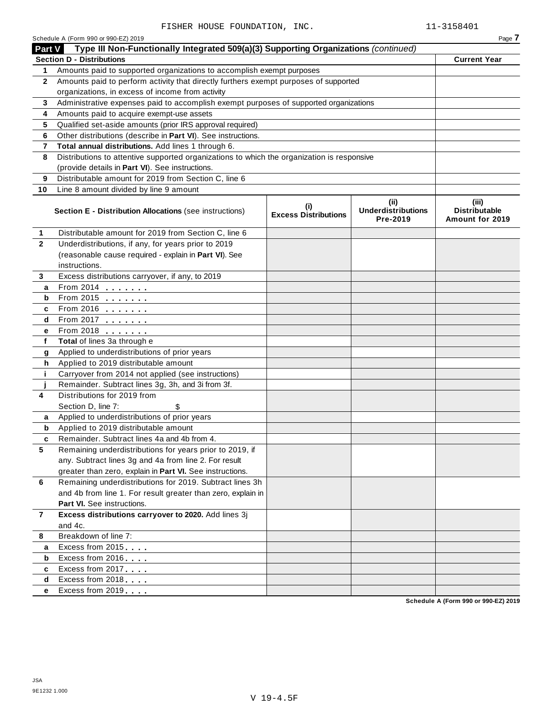|              | Schedule A (Form 990 or 990-EZ) 2019                                                       |                                    |                                               | Page 7                                           |
|--------------|--------------------------------------------------------------------------------------------|------------------------------------|-----------------------------------------------|--------------------------------------------------|
| Part V       | Type III Non-Functionally Integrated 509(a)(3) Supporting Organizations (continued)        |                                    |                                               |                                                  |
|              | <b>Section D - Distributions</b>                                                           |                                    |                                               | <b>Current Year</b>                              |
| 1            | Amounts paid to supported organizations to accomplish exempt purposes                      |                                    |                                               |                                                  |
| $\mathbf{2}$ | Amounts paid to perform activity that directly furthers exempt purposes of supported       |                                    |                                               |                                                  |
|              | organizations, in excess of income from activity                                           |                                    |                                               |                                                  |
| 3            | Administrative expenses paid to accomplish exempt purposes of supported organizations      |                                    |                                               |                                                  |
| 4            | Amounts paid to acquire exempt-use assets                                                  |                                    |                                               |                                                  |
| 5            | Qualified set-aside amounts (prior IRS approval required)                                  |                                    |                                               |                                                  |
| 6            | Other distributions (describe in Part VI). See instructions.                               |                                    |                                               |                                                  |
| 7            | Total annual distributions. Add lines 1 through 6.                                         |                                    |                                               |                                                  |
| 8            | Distributions to attentive supported organizations to which the organization is responsive |                                    |                                               |                                                  |
|              | (provide details in Part VI). See instructions.                                            |                                    |                                               |                                                  |
| 9            | Distributable amount for 2019 from Section C, line 6                                       |                                    |                                               |                                                  |
| 10           | Line 8 amount divided by line 9 amount                                                     |                                    |                                               |                                                  |
|              | <b>Section E - Distribution Allocations (see instructions)</b>                             | (i)<br><b>Excess Distributions</b> | (ii)<br><b>Underdistributions</b><br>Pre-2019 | (iii)<br><b>Distributable</b><br>Amount for 2019 |
| 1            | Distributable amount for 2019 from Section C, line 6                                       |                                    |                                               |                                                  |
| $\mathbf{2}$ | Underdistributions, if any, for years prior to 2019                                        |                                    |                                               |                                                  |
|              | (reasonable cause required - explain in Part VI). See                                      |                                    |                                               |                                                  |
|              | instructions.                                                                              |                                    |                                               |                                                  |
| 3            | Excess distributions carryover, if any, to 2019                                            |                                    |                                               |                                                  |
| а            | From 2014 2014                                                                             |                                    |                                               |                                                  |
| b            |                                                                                            |                                    |                                               |                                                  |
| c            | From 2016 <b></b>                                                                          |                                    |                                               |                                                  |
| d            |                                                                                            |                                    |                                               |                                                  |
| е            | From 2018                                                                                  |                                    |                                               |                                                  |
| f            | Total of lines 3a through e                                                                |                                    |                                               |                                                  |
| g            | Applied to underdistributions of prior years                                               |                                    |                                               |                                                  |
| h            | Applied to 2019 distributable amount                                                       |                                    |                                               |                                                  |
| j.           | Carryover from 2014 not applied (see instructions)                                         |                                    |                                               |                                                  |
|              | Remainder. Subtract lines 3g, 3h, and 3i from 3f.                                          |                                    |                                               |                                                  |
| 4            | Distributions for 2019 from                                                                |                                    |                                               |                                                  |
|              | Section D, line 7:<br>\$                                                                   |                                    |                                               |                                                  |
| a            | Applied to underdistributions of prior years                                               |                                    |                                               |                                                  |
| b            | Applied to 2019 distributable amount<br>Remainder. Subtract lines 4a and 4b from 4.        |                                    |                                               |                                                  |
| 5            | Remaining underdistributions for years prior to 2019, if                                   |                                    |                                               |                                                  |
|              | any. Subtract lines 3g and 4a from line 2. For result                                      |                                    |                                               |                                                  |
|              | greater than zero, explain in Part VI. See instructions.                                   |                                    |                                               |                                                  |
| 6            | Remaining underdistributions for 2019. Subtract lines 3h                                   |                                    |                                               |                                                  |
|              | and 4b from line 1. For result greater than zero, explain in                               |                                    |                                               |                                                  |
|              | Part VI. See instructions.                                                                 |                                    |                                               |                                                  |
| $\mathbf{7}$ | Excess distributions carryover to 2020. Add lines 3j                                       |                                    |                                               |                                                  |
|              | and 4c.                                                                                    |                                    |                                               |                                                  |
| 8            | Breakdown of line 7:                                                                       |                                    |                                               |                                                  |
| a            | Excess from 2015                                                                           |                                    |                                               |                                                  |
| b            | Excess from 2016                                                                           |                                    |                                               |                                                  |
| C            | Excess from 2017                                                                           |                                    |                                               |                                                  |
| d            | Excess from 2018                                                                           |                                    |                                               |                                                  |
| е            | Excess from 2019                                                                           |                                    |                                               |                                                  |
|              |                                                                                            |                                    |                                               |                                                  |

**Schedule A (Form 990 or 990-EZ) 2019**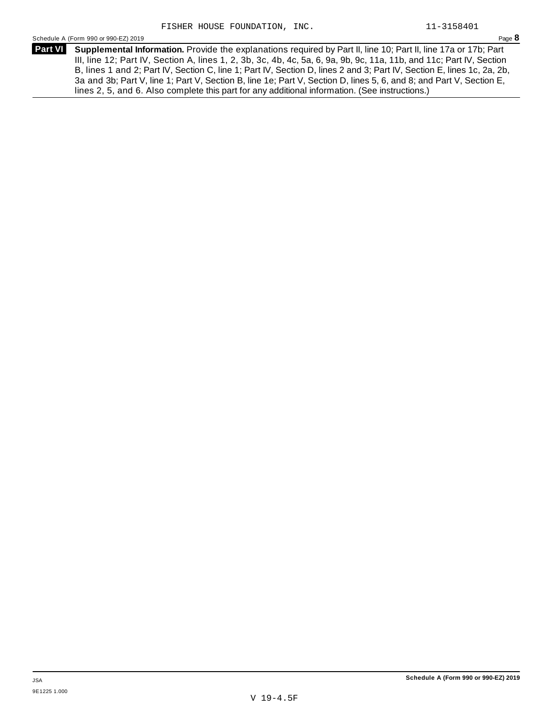Schedule <sup>A</sup> (Form <sup>990</sup> or 990-EZ) <sup>2019</sup> Page **8**

**Supplemental Information.** Provide the explanations required by Part II, line 10; Part II, line 17a or 17b; Part **Part VI** III, line 12; Part IV, Section A, lines 1, 2, 3b, 3c, 4b, 4c, 5a, 6, 9a, 9b, 9c, 11a, 11b, and 11c; Part IV, Section B, lines 1 and 2; Part IV, Section C, line 1; Part IV, Section D, lines 2 and 3; Part IV, Section E, lines 1c, 2a, 2b, 3a and 3b; Part V, line 1; Part V, Section B, line 1e; Part V, Section D, lines 5, 6, and 8; and Part V, Section E, lines 2, 5, and 6. Also complete this part for any additional information. (See instructions.)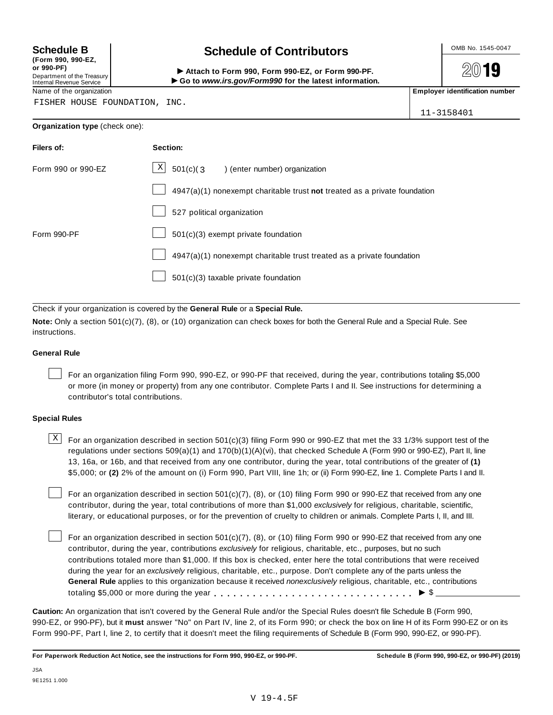**(Form 990, 990-EZ, or 990-PF)** Department of the Treasury<br>Internal Revenue Service

## **Schedule B chedule of Contributors**

(Porm 990, Form 990, Form 990-EZ, or Form 990-PF.<br>Department of the Treasury → Attach to Form 990, Form 990-EZ, or Form 990-PF.<br>Internal Revenue Service → → Go to www.irs.gov/Form990 for the latest information.<br>Name of th

2019

FISHER HOUSE FOUNDATION, INC.

| $11 - 3158401$ |  |
|----------------|--|

## **Organization type** (check one):

| Filers of:         | Section:                                                                  |
|--------------------|---------------------------------------------------------------------------|
| Form 990 or 990-EZ | X<br>$501(c)(3)$ (enter number) organization                              |
|                    | 4947(a)(1) nonexempt charitable trust not treated as a private foundation |
|                    | 527 political organization                                                |
| Form 990-PF        | $501(c)(3)$ exempt private foundation                                     |
|                    | 4947(a)(1) nonexempt charitable trust treated as a private foundation     |
|                    | 501(c)(3) taxable private foundation                                      |

Check if your organization is covered by the **General Rule** or a **Special Rule.**

**Note:** Only a section 501(c)(7), (8), or (10) organization can check boxes for both the General Rule and a Special Rule. See instructions.

## **General Rule**

For an organization filing Form 990, 990-EZ, or 990-PF that received, during the year, contributions totaling \$5,000 or more (in money or property) from any one contributor. Complete Parts I and II. See instructions for determining a contributor's total contributions.

## **Special Rules**

 $\text{X}$  For an organization described in section 501(c)(3) filing Form 990 or 990-EZ that met the 33 1/3% support test of the regulations under sections 509(a)(1) and 170(b)(1)(A)(vi), that checked Schedule A (Form 990 or 990-EZ), Part II, line 13, 16a, or 16b, and that received from any one contributor, during the year, total contributions of the greater of **(1)** \$5,000; or **(2)** 2% of the amount on (i) Form 990, Part VIII, line 1h; or (ii) Form 990-EZ, line 1. Complete Parts I and II.

For an organization described in section 501(c)(7), (8), or (10) filing Form 990 or 990-EZ that received from any one contributor, during the year, total contributions of more than \$1,000 *exclusively* for religious, charitable, scientific, literary, or educational purposes, or for the prevention of cruelty to children or animals. Complete Parts I, II, and III.

For an organization described in section 501(c)(7), (8), or (10) filing Form 990 or 990-EZ that received from any one contributor, during the year, contributions *exclusively* for religious, charitable, etc., purposes, but no such contributions totaled more than \$1,000. If this box is checked, enter here the total contributions that were received during the year for an *exclusively* religious, charitable, etc., purpose. Don't complete any of the parts unless the **General Rule** applies to this organization because it received *nonexclusively* religious, charitable, etc., contributions totaling \$5,000 or more during the year m m m m m m m m m m m m m m m m m m m m m m m m m m m m m m m I \$

**Caution:** An organization that isn't covered by the General Rule and/or the Special Rules doesn't file Schedule B (Form 990, 990-EZ, or 990-PF), but it **must** answer "No" on Part IV, line 2, of its Form 990; or check the box on line H of its Form 990-EZ or on its Form 990-PF, Part I, line 2, to certify that it doesn't meet the filing requirements of Schedule B (Form 990, 990-EZ, or 990-PF).

For Paperwork Reduction Act Notice, see the instructions for Form 990, 990-EZ, or 990-PF. Schedule B (Form 990, 990-EZ, or 990-PF) (2019)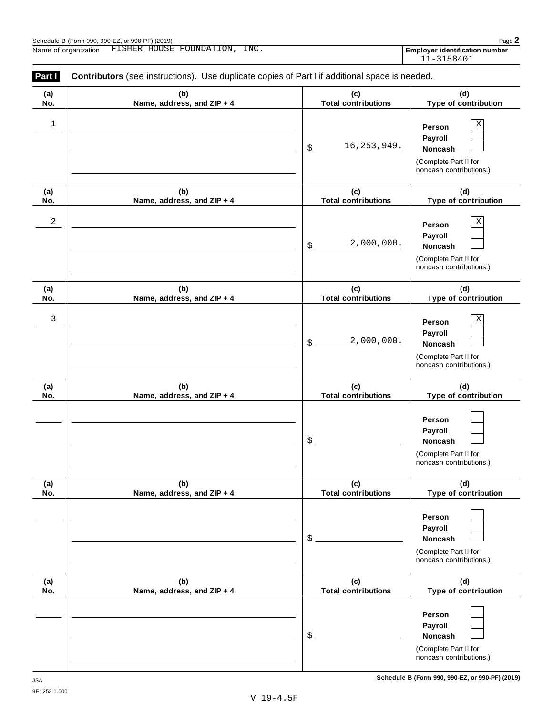| (a) | (b)                        | (c)                        | (d)                                                                                          |
|-----|----------------------------|----------------------------|----------------------------------------------------------------------------------------------|
| No. | Name, address, and ZIP + 4 | <b>Total contributions</b> | Type of contribution                                                                         |
| 1   |                            | 16, 253, 949.<br>\$        | Χ<br>Person<br>Payroll<br><b>Noncash</b><br>(Complete Part II for<br>noncash contributions.) |
| (a) | (b)                        | (c)                        | (d)                                                                                          |
| No. | Name, address, and ZIP + 4 | <b>Total contributions</b> | Type of contribution                                                                         |
| 2   |                            | 2,000,000.<br>\$           | Χ<br>Person<br>Payroll<br><b>Noncash</b><br>(Complete Part II for<br>noncash contributions.) |
| (a) | (b)                        | (c)                        | (d)                                                                                          |
| No. | Name, address, and ZIP + 4 | <b>Total contributions</b> | Type of contribution                                                                         |
| 3   |                            | 2,000,000.<br>\$           | Χ<br>Person<br>Payroll<br><b>Noncash</b><br>(Complete Part II for<br>noncash contributions.) |
| (a) | (b)                        | (c)                        | (d)                                                                                          |
| No. | Name, address, and ZIP + 4 | <b>Total contributions</b> | Type of contribution                                                                         |
|     |                            | \$                         | Person<br>Payroll<br><b>Noncash</b><br>(Complete Part II for<br>noncash contributions.)      |
| (a) | (b)                        | (c)                        | (d)                                                                                          |
| No. | Name, address, and ZIP + 4 | <b>Total contributions</b> | Type of contribution                                                                         |
|     |                            | \$                         | Person<br>Payroll<br>Noncash<br>(Complete Part II for<br>noncash contributions.)             |
| (a) | (b)                        | (c)                        | (d)                                                                                          |
| No. | Name, address, and ZIP + 4 | <b>Total contributions</b> | Type of contribution                                                                         |
|     |                            | \$                         | Person<br>Payroll<br><b>Noncash</b><br>(Complete Part II for<br>noncash contributions.)      |

**Schedule B (Form 990, 990-EZ, or 990-PF) (2019)** JSA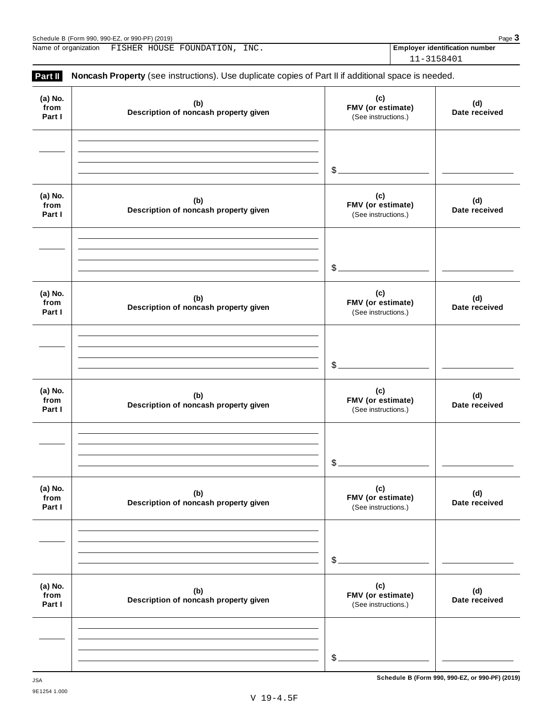| (2019)<br>Schedule<br>or $QQ(1, \mathsf{PF})$<br>. 990-E7<br>Form 990<br>. ວວບ.<br>. 990- |  |   |  | Page |
|-------------------------------------------------------------------------------------------|--|---|--|------|
| $- - - - -$                                                                               |  | . |  |      |

Name of organization FISHER HOUSE FOUNDATION, INC. **Employer identification number** 

11-3158401

| (a) No.                   |                                              | (c)                                             |                      |
|---------------------------|----------------------------------------------|-------------------------------------------------|----------------------|
| from<br>Part I            | (b)<br>Description of noncash property given | FMV (or estimate)<br>(See instructions.)        | (d)<br>Date received |
|                           |                                              | \$.                                             |                      |
|                           |                                              |                                                 |                      |
| (a) No.<br>from<br>Part I | (b)<br>Description of noncash property given | (c)<br>FMV (or estimate)<br>(See instructions.) | (d)<br>Date received |
|                           |                                              |                                                 |                      |
|                           |                                              | \$                                              |                      |
| (a) No.<br>from<br>Part I | (b)<br>Description of noncash property given | (c)<br>FMV (or estimate)<br>(See instructions.) | (d)<br>Date received |
|                           |                                              |                                                 |                      |
|                           |                                              |                                                 |                      |
|                           |                                              | \$                                              |                      |
| (a) No.<br>from<br>Part I | (b)<br>Description of noncash property given | (c)<br>FMV (or estimate)<br>(See instructions.) | (d)<br>Date received |
|                           |                                              |                                                 |                      |
|                           |                                              |                                                 |                      |
|                           |                                              | \$                                              |                      |
| (a) No.<br>from<br>Part I | (b)<br>Description of noncash property given | (c)<br>FMV (or estimate)<br>(See instructions.) | (d)<br>Date received |
|                           |                                              |                                                 |                      |
|                           |                                              |                                                 |                      |
|                           |                                              | \$                                              |                      |
| (a) No.<br>from<br>Part I | (b)<br>Description of noncash property given | (c)<br>FMV (or estimate)<br>(See instructions.) | (d)<br>Date received |
|                           |                                              |                                                 |                      |
|                           |                                              |                                                 |                      |
|                           |                                              | \$                                              |                      |

**Schedule B (Form 990, 990-EZ, or 990-PF) (2019)** JSA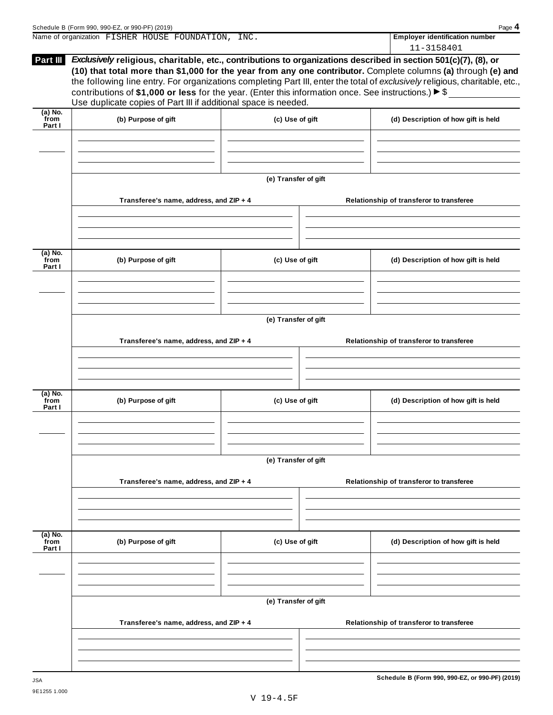|                             | Schedule B (Form 990, 990-EZ, or 990-PF) (2019)                                                                                                                                                                                                                                                                                                                                                                                                                                                                                                            |                      | Page 4                                              |
|-----------------------------|------------------------------------------------------------------------------------------------------------------------------------------------------------------------------------------------------------------------------------------------------------------------------------------------------------------------------------------------------------------------------------------------------------------------------------------------------------------------------------------------------------------------------------------------------------|----------------------|-----------------------------------------------------|
|                             | Name of organization FISHER HOUSE FOUNDATION, INC.                                                                                                                                                                                                                                                                                                                                                                                                                                                                                                         |                      | <b>Employer identification number</b><br>11-3158401 |
| Part III                    | Exclusively religious, charitable, etc., contributions to organizations described in section 501(c)(7), (8), or<br>(10) that total more than \$1,000 for the year from any one contributor. Complete columns (a) through (e) and<br>the following line entry. For organizations completing Part III, enter the total of exclusively religious, charitable, etc.,<br>contributions of \$1,000 or less for the year. (Enter this information once. See instructions.) $\triangleright$ \$<br>Use duplicate copies of Part III if additional space is needed. |                      |                                                     |
| $(a)$ No.<br>from<br>Part I | (b) Purpose of gift                                                                                                                                                                                                                                                                                                                                                                                                                                                                                                                                        | (c) Use of gift      | (d) Description of how gift is held                 |
|                             |                                                                                                                                                                                                                                                                                                                                                                                                                                                                                                                                                            |                      |                                                     |
|                             | Transferee's name, address, and ZIP + 4                                                                                                                                                                                                                                                                                                                                                                                                                                                                                                                    | (e) Transfer of gift | Relationship of transferor to transferee            |
|                             |                                                                                                                                                                                                                                                                                                                                                                                                                                                                                                                                                            |                      |                                                     |
| (a) No.<br>from<br>Part I   | (b) Purpose of gift                                                                                                                                                                                                                                                                                                                                                                                                                                                                                                                                        | (c) Use of gift      | (d) Description of how gift is held                 |
|                             |                                                                                                                                                                                                                                                                                                                                                                                                                                                                                                                                                            | (e) Transfer of gift |                                                     |
|                             | Transferee's name, address, and ZIP + 4                                                                                                                                                                                                                                                                                                                                                                                                                                                                                                                    |                      | Relationship of transferor to transferee            |
| (a) No.<br>from<br>Part I   | (b) Purpose of gift                                                                                                                                                                                                                                                                                                                                                                                                                                                                                                                                        | (c) Use of gift      | (d) Description of how gift is held                 |
|                             |                                                                                                                                                                                                                                                                                                                                                                                                                                                                                                                                                            | (e) Transfer of gift |                                                     |
|                             | Transferee's name, address, and ZIP + 4                                                                                                                                                                                                                                                                                                                                                                                                                                                                                                                    |                      | Relationship of transferor to transferee            |
| $(a)$ No.<br>from<br>Part I | (b) Purpose of gift                                                                                                                                                                                                                                                                                                                                                                                                                                                                                                                                        | (c) Use of gift      | (d) Description of how gift is held                 |
|                             |                                                                                                                                                                                                                                                                                                                                                                                                                                                                                                                                                            | (e) Transfer of gift |                                                     |
|                             | Transferee's name, address, and ZIP + 4                                                                                                                                                                                                                                                                                                                                                                                                                                                                                                                    |                      | Relationship of transferor to transferee            |
|                             |                                                                                                                                                                                                                                                                                                                                                                                                                                                                                                                                                            |                      |                                                     |

**Schedule B (Form 990, 990-EZ, or 990-PF) (2019)** JSA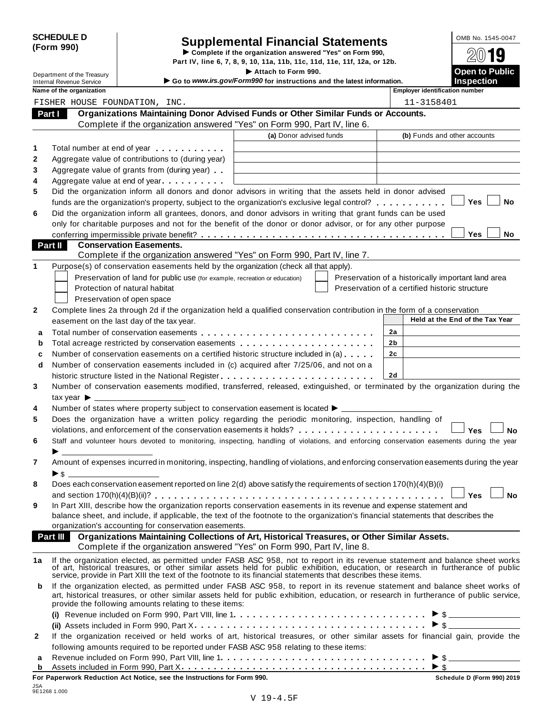|            | <b>SCHEDULE D</b> |
|------------|-------------------|
| (Form 990) |                   |

# CHEDULE D<br>
Supplemental Financial Statements<br>
Complete if the organization answered "Yes" on Form 990,<br>
Part IV, line 6, 7, 8, 9, 10, 11a, 11b, 11c, 11d, 11e, 11f, 12a, or 12b.<br>
Attach to Form 990.<br>
Deen to Public

|              |                                     |                                                                            | Part IV, line 6, 7, 8, 9, 10, 11a, 11b, 11c, 11d, 11e, 11f, 12a, or 12b.                                                                  | ZW IJ                                                                                                                                                                                                                                                                  |
|--------------|-------------------------------------|----------------------------------------------------------------------------|-------------------------------------------------------------------------------------------------------------------------------------------|------------------------------------------------------------------------------------------------------------------------------------------------------------------------------------------------------------------------------------------------------------------------|
|              | Department of the Treasury          |                                                                            | Attach to Form 990.                                                                                                                       | <b>Open to Public</b>                                                                                                                                                                                                                                                  |
|              | <b>Internal Revenue Service</b>     |                                                                            | Go to www.irs.gov/Form990 for instructions and the latest information.                                                                    | <b>Inspection</b>                                                                                                                                                                                                                                                      |
|              | Name of the organization            |                                                                            |                                                                                                                                           | <b>Employer identification number</b>                                                                                                                                                                                                                                  |
|              |                                     | FISHER HOUSE FOUNDATION, INC.                                              |                                                                                                                                           | 11-3158401                                                                                                                                                                                                                                                             |
| Part I       |                                     |                                                                            | Organizations Maintaining Donor Advised Funds or Other Similar Funds or Accounts.                                                         |                                                                                                                                                                                                                                                                        |
|              |                                     |                                                                            | Complete if the organization answered "Yes" on Form 990, Part IV, line 6.                                                                 |                                                                                                                                                                                                                                                                        |
|              |                                     |                                                                            | (a) Donor advised funds                                                                                                                   | (b) Funds and other accounts                                                                                                                                                                                                                                           |
| 1            |                                     | Total number at end of year example.                                       |                                                                                                                                           |                                                                                                                                                                                                                                                                        |
| $\mathbf{2}$ |                                     | Aggregate value of contributions to (during year)                          |                                                                                                                                           |                                                                                                                                                                                                                                                                        |
| 3            |                                     | Aggregate value of grants from (during year)                               |                                                                                                                                           |                                                                                                                                                                                                                                                                        |
| 4            |                                     | Aggregate value at end of year                                             |                                                                                                                                           |                                                                                                                                                                                                                                                                        |
| 5            |                                     |                                                                            | Did the organization inform all donors and donor advisors in writing that the assets held in donor advised                                |                                                                                                                                                                                                                                                                        |
|              |                                     |                                                                            | funds are the organization's property, subject to the organization's exclusive legal control?                                             | <b>Yes</b><br>No                                                                                                                                                                                                                                                       |
| 6            |                                     |                                                                            | Did the organization inform all grantees, donors, and donor advisors in writing that grant funds can be used                              |                                                                                                                                                                                                                                                                        |
|              |                                     |                                                                            | only for charitable purposes and not for the benefit of the donor or donor advisor, or for any other purpose                              |                                                                                                                                                                                                                                                                        |
|              |                                     |                                                                            |                                                                                                                                           | <b>Yes</b><br>No                                                                                                                                                                                                                                                       |
| Part II      |                                     | <b>Conservation Easements.</b>                                             |                                                                                                                                           |                                                                                                                                                                                                                                                                        |
|              |                                     |                                                                            | Complete if the organization answered "Yes" on Form 990, Part IV, line 7.                                                                 |                                                                                                                                                                                                                                                                        |
| 1            |                                     |                                                                            | Purpose(s) of conservation easements held by the organization (check all that apply).                                                     |                                                                                                                                                                                                                                                                        |
|              |                                     | Preservation of land for public use (for example, recreation or education) |                                                                                                                                           | Preservation of a historically important land area                                                                                                                                                                                                                     |
|              |                                     | Protection of natural habitat                                              |                                                                                                                                           | Preservation of a certified historic structure                                                                                                                                                                                                                         |
|              |                                     | Preservation of open space                                                 |                                                                                                                                           |                                                                                                                                                                                                                                                                        |
| $\mathbf{2}$ |                                     |                                                                            | Complete lines 2a through 2d if the organization held a qualified conservation contribution in the form of a conservation                 |                                                                                                                                                                                                                                                                        |
|              |                                     | easement on the last day of the tax year.                                  |                                                                                                                                           | Held at the End of the Tax Year                                                                                                                                                                                                                                        |
| a            |                                     |                                                                            |                                                                                                                                           | 2a                                                                                                                                                                                                                                                                     |
| b            |                                     |                                                                            | Total acreage restricted by conservation easements                                                                                        | 2b                                                                                                                                                                                                                                                                     |
| c            |                                     |                                                                            | Number of conservation easements on a certified historic structure included in (a)                                                        | 2c                                                                                                                                                                                                                                                                     |
| d            |                                     |                                                                            | Number of conservation easements included in (c) acquired after 7/25/06, and not on a                                                     |                                                                                                                                                                                                                                                                        |
|              |                                     |                                                                            | historic structure listed in the National Register                                                                                        | 2d                                                                                                                                                                                                                                                                     |
| 3            |                                     |                                                                            |                                                                                                                                           | Number of conservation easements modified, transferred, released, extinguished, or terminated by the organization during the                                                                                                                                           |
|              | tax year $\blacktriangleright$ ____ |                                                                            |                                                                                                                                           |                                                                                                                                                                                                                                                                        |
| 4            |                                     |                                                                            | Number of states where property subject to conservation easement is located ▶ _____                                                       |                                                                                                                                                                                                                                                                        |
| 5            |                                     |                                                                            | Does the organization have a written policy regarding the periodic monitoring, inspection, handling of                                    |                                                                                                                                                                                                                                                                        |
|              |                                     |                                                                            |                                                                                                                                           | <b>Yes</b><br>No                                                                                                                                                                                                                                                       |
| 6            |                                     |                                                                            | Staff and volunteer hours devoted to monitoring, inspecting, handling of violations, and enforcing conservation easements during the year |                                                                                                                                                                                                                                                                        |
|              |                                     |                                                                            |                                                                                                                                           |                                                                                                                                                                                                                                                                        |
| 7            |                                     |                                                                            | Amount of expenses incurred in monitoring, inspecting, handling of violations, and enforcing conservation easements during the year       |                                                                                                                                                                                                                                                                        |
|              | $\triangleright$ \$                 |                                                                            |                                                                                                                                           |                                                                                                                                                                                                                                                                        |
| 8            |                                     |                                                                            | Does each conservation easement reported on line 2(d) above satisfy the requirements of section 170(h)(4)(B)(i)                           |                                                                                                                                                                                                                                                                        |
|              |                                     |                                                                            |                                                                                                                                           | <b>Yes</b><br><b>No</b>                                                                                                                                                                                                                                                |
| 9            |                                     |                                                                            | In Part XIII, describe how the organization reports conservation easements in its revenue and expense statement and                       |                                                                                                                                                                                                                                                                        |
|              |                                     |                                                                            | balance sheet, and include, if applicable, the text of the footnote to the organization's financial statements that describes the         |                                                                                                                                                                                                                                                                        |
|              |                                     | organization's accounting for conservation easements.                      |                                                                                                                                           |                                                                                                                                                                                                                                                                        |
|              | Part III                            |                                                                            | Organizations Maintaining Collections of Art, Historical Treasures, or Other Similar Assets.                                              |                                                                                                                                                                                                                                                                        |
|              |                                     |                                                                            | Complete if the organization answered "Yes" on Form 990, Part IV, line 8.                                                                 |                                                                                                                                                                                                                                                                        |
| 1a           |                                     |                                                                            | service, provide in Part XIII the text of the footnote to its financial statements that describes these items.                            | If the organization elected, as permitted under FASB ASC 958, not to report in its revenue statement and balance sheet works<br>of art, historical treasures, or other similar assets held for public exhibition, education, or research in furtherance of public      |
| b            |                                     | provide the following amounts relating to these items:                     |                                                                                                                                           | If the organization elected, as permitted under FASB ASC 958, to report in its revenue statement and balance sheet works of<br>art, historical treasures, or other similar assets held for public exhibition, education, or research in furtherance of public service, |
|              |                                     |                                                                            |                                                                                                                                           |                                                                                                                                                                                                                                                                        |
|              |                                     |                                                                            |                                                                                                                                           | $\triangleright$ \$                                                                                                                                                                                                                                                    |
| 2            |                                     |                                                                            |                                                                                                                                           | If the organization received or held works of art, historical treasures, or other similar assets for financial gain, provide the                                                                                                                                       |
|              |                                     |                                                                            | following amounts required to be reported under FASB ASC 958 relating to these items:                                                     |                                                                                                                                                                                                                                                                        |
| a            |                                     | $\mathbf{A}$ is a book of the Figure 000 $\mathbf{D}$ and $\mathbf{V}$     |                                                                                                                                           |                                                                                                                                                                                                                                                                        |

Assets included in Form 990, Part X **<sup>b</sup>** m m m m m m m m m m m m m m m m m m m m m m m m m m m m m m m m m m m m m m I \$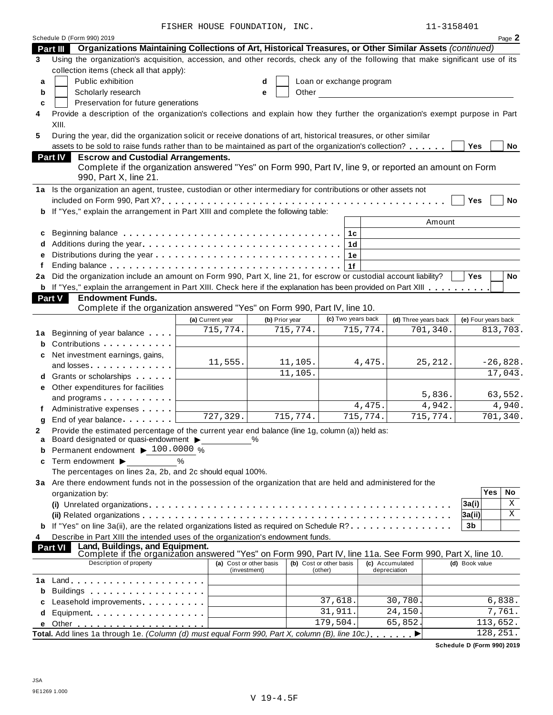FISHER HOUSE FOUNDATION, INC.  $11-3158401$ 

|    | Schedule D (Form 990) 2019                                                                                                                                                  |                                         |                |                                    |                                 |                       | Page 2              |
|----|-----------------------------------------------------------------------------------------------------------------------------------------------------------------------------|-----------------------------------------|----------------|------------------------------------|---------------------------------|-----------------------|---------------------|
|    | Organizations Maintaining Collections of Art, Historical Treasures, or Other Similar Assets (continued)<br>Part III                                                         |                                         |                |                                    |                                 |                       |                     |
| 3  | Using the organization's acquisition, accession, and other records, check any of the following that make significant use of its<br>collection items (check all that apply): |                                         |                |                                    |                                 |                       |                     |
| a  | Public exhibition                                                                                                                                                           |                                         | d              | Loan or exchange program           |                                 |                       |                     |
| b  | Scholarly research                                                                                                                                                          |                                         | Other<br>е     |                                    |                                 |                       |                     |
| c  | Preservation for future generations                                                                                                                                         |                                         |                |                                    |                                 |                       |                     |
| 4  | Provide a description of the organization's collections and explain how they further the organization's exempt purpose in Part<br>XIII.                                     |                                         |                |                                    |                                 |                       |                     |
| 5  | During the year, did the organization solicit or receive donations of art, historical treasures, or other similar                                                           |                                         |                |                                    |                                 |                       |                     |
|    | assets to be sold to raise funds rather than to be maintained as part of the organization's collection?                                                                     |                                         |                |                                    |                                 |                       | Yes<br>No           |
|    | <b>Escrow and Custodial Arrangements.</b><br><b>Part IV</b><br>Complete if the organization answered "Yes" on Form 990, Part IV, line 9, or reported an amount on Form      |                                         |                |                                    |                                 |                       |                     |
|    | 990, Part X, line 21.                                                                                                                                                       |                                         |                |                                    |                                 |                       |                     |
|    | 1a Is the organization an agent, trustee, custodian or other intermediary for contributions or other assets not                                                             |                                         |                |                                    |                                 |                       |                     |
|    |                                                                                                                                                                             |                                         |                |                                    |                                 |                       | Yes<br>No           |
|    | b If "Yes," explain the arrangement in Part XIII and complete the following table:                                                                                          |                                         |                |                                    |                                 |                       |                     |
|    |                                                                                                                                                                             |                                         |                |                                    |                                 | Amount                |                     |
| c  | Beginning balance enterpreteration of the contract of the contract of the contract of the contract of the contr                                                             |                                         |                | 1c                                 |                                 |                       |                     |
|    |                                                                                                                                                                             |                                         |                | 1d                                 |                                 |                       |                     |
| е  |                                                                                                                                                                             |                                         |                | 1e                                 |                                 |                       |                     |
| f  | Ending balance $\ldots$ , $\ldots$ , $\ldots$ , $\ldots$ , $\ldots$ , $\ldots$ , $\ldots$ , $\ldots$ , $\ldots$ , $\ldots$ , $\ldots$                                       |                                         |                | 1f                                 |                                 |                       |                     |
| 2a | Did the organization include an amount on Form 990, Part X, line 21, for escrow or custodial account liability?                                                             |                                         |                |                                    |                                 |                       | <b>Yes</b><br>No    |
|    | <b>b</b> If "Yes," explain the arrangement in Part XIII. Check here if the explanation has been provided on Part XIII                                                       |                                         |                |                                    |                                 |                       |                     |
|    | <b>Endowment Funds.</b><br>Part V                                                                                                                                           |                                         |                |                                    |                                 |                       |                     |
|    | Complete if the organization answered "Yes" on Form 990, Part IV, line 10.                                                                                                  |                                         |                |                                    |                                 |                       |                     |
|    |                                                                                                                                                                             | (a) Current year                        | (b) Prior year | (c) Two years back                 | (d) Three years back            |                       | (e) Four years back |
| 1a | Beginning of year balance                                                                                                                                                   | 715,774.                                | 715,774.       | 715,774.                           |                                 | 701,340.              | 813,703.            |
| b  | Contributions                                                                                                                                                               |                                         |                |                                    |                                 |                       |                     |
| c  | Net investment earnings, gains,                                                                                                                                             |                                         |                |                                    |                                 |                       |                     |
|    | and losses                                                                                                                                                                  | 11,555.                                 | 11,105.        |                                    | 4,475.                          | 25, 212.              | $-26,828.$          |
| d  | Grants or scholarships <b>State of State State</b>                                                                                                                          |                                         | 11,105.        |                                    |                                 |                       | 17,043.             |
| е  | Other expenditures for facilities                                                                                                                                           |                                         |                |                                    |                                 |                       |                     |
|    | and programs                                                                                                                                                                |                                         |                |                                    |                                 | 5,836.                | 63,552.             |
| Ť. | Administrative expenses                                                                                                                                                     |                                         |                |                                    | 4,475.                          | $\overline{4}$ , 942. | 4,940.              |
| g  | End of year balance                                                                                                                                                         | 727, 329.                               | 715,774.       | 715,774.                           |                                 | 715,774.              | 701,340.            |
| 2  | Provide the estimated percentage of the current year end balance (line 1g, column (a)) held as:                                                                             |                                         |                |                                    |                                 |                       |                     |
| a  | Board designated or quasi-endowment >                                                                                                                                       |                                         | $\%$           |                                    |                                 |                       |                     |
| b  | Permanent endowment ▶ 100.0000 %                                                                                                                                            |                                         |                |                                    |                                 |                       |                     |
| c  | Term endowment ▶                                                                                                                                                            | $\frac{0}{0}$                           |                |                                    |                                 |                       |                     |
|    | The percentages on lines 2a, 2b, and 2c should equal 100%.                                                                                                                  |                                         |                |                                    |                                 |                       |                     |
|    | 3a Are there endowment funds not in the possession of the organization that are held and administered for the                                                               |                                         |                |                                    |                                 |                       |                     |
|    | organization by:                                                                                                                                                            |                                         |                |                                    |                                 |                       | Yes<br>No           |
|    |                                                                                                                                                                             |                                         |                |                                    |                                 |                       | X<br>3a(i)          |
|    |                                                                                                                                                                             |                                         |                |                                    |                                 |                       | Χ<br> 3a(i)         |
|    | If "Yes" on line 3a(ii), are the related organizations listed as required on Schedule R?                                                                                    |                                         |                |                                    |                                 |                       | 3 <sub>b</sub>      |
| 4  | Describe in Part XIII the intended uses of the organization's endowment funds.                                                                                              |                                         |                |                                    |                                 |                       |                     |
|    | Land, Buildings, and Equipment.<br><b>Part VI</b><br>Complete if the organization answered "Yes" on Form 990, Part IV, line 11a. See Form 990, Part X, line 10.             |                                         |                |                                    |                                 |                       |                     |
|    | Description of property                                                                                                                                                     | (a) Cost or other basis<br>(investment) |                | (b) Cost or other basis<br>(other) | (c) Accumulated<br>depreciation |                       | (d) Book value      |
| 1a |                                                                                                                                                                             |                                         |                |                                    |                                 |                       |                     |
| b  |                                                                                                                                                                             |                                         |                |                                    |                                 |                       |                     |
| c  | Leasehold improvements experiences                                                                                                                                          |                                         |                | 37,618.                            | 30,780                          |                       | 6,838.              |
| d  | Equipment                                                                                                                                                                   |                                         |                | 31,911.                            | 24,150                          |                       | 7,761.              |
|    |                                                                                                                                                                             |                                         |                | 179,504.                           | 65,852                          |                       | 113,652.            |
|    |                                                                                                                                                                             |                                         |                |                                    |                                 |                       |                     |
| е  | Total. Add lines 1a through 1e. (Column (d) must equal Form 990, Part X, column (B), line 10c.)                                                                             |                                         |                |                                    | ▶<br>and a state                |                       | 128, 251.           |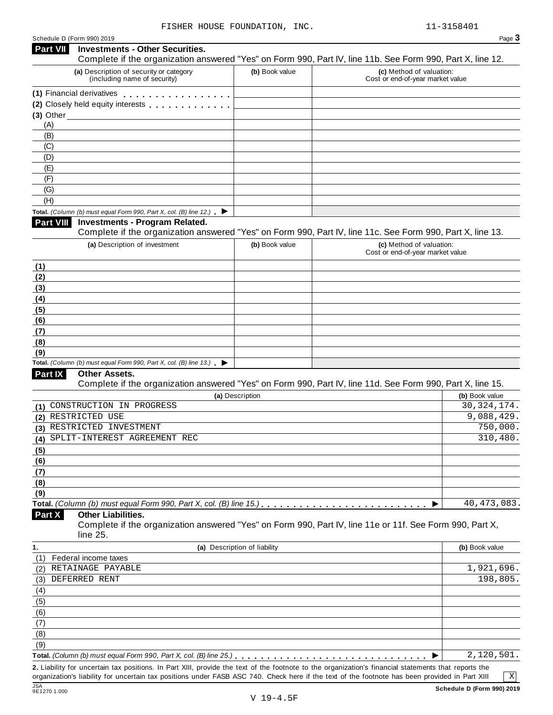| Schedule D (Form 990) 2019 |  |  |
|----------------------------|--|--|

| Part VII         | Schedule D (Form 990) 2019<br><b>Investments - Other Securities.</b>                                                 |                              |                                                              | Page 3         |
|------------------|----------------------------------------------------------------------------------------------------------------------|------------------------------|--------------------------------------------------------------|----------------|
|                  | Complete if the organization answered "Yes" on Form 990, Part IV, line 11b. See Form 990, Part X, line 12.           |                              |                                                              |                |
|                  | (a) Description of security or category<br>(including name of security)                                              | (b) Book value               | (c) Method of valuation:<br>Cost or end-of-year market value |                |
|                  | (1) Financial derivatives <b>All Accords</b> Financial derivatives                                                   |                              |                                                              |                |
|                  | (2) Closely held equity interests                                                                                    |                              |                                                              |                |
| $(3)$ Other      |                                                                                                                      |                              |                                                              |                |
| (A)              |                                                                                                                      |                              |                                                              |                |
| (B)              |                                                                                                                      |                              |                                                              |                |
| (C)              |                                                                                                                      |                              |                                                              |                |
| (D)              |                                                                                                                      |                              |                                                              |                |
| (E)              |                                                                                                                      |                              |                                                              |                |
| (F)              |                                                                                                                      |                              |                                                              |                |
| (G)              |                                                                                                                      |                              |                                                              |                |
| (H)              |                                                                                                                      |                              |                                                              |                |
|                  | Total. (Column (b) must equal Form 990, Part X, col. (B) line 12.) $\blacktriangleright$                             |                              |                                                              |                |
| <b>Part VIII</b> | <b>Investments - Program Related.</b>                                                                                |                              |                                                              |                |
|                  | Complete if the organization answered "Yes" on Form 990, Part IV, line 11c. See Form 990, Part X, line 13.           |                              |                                                              |                |
|                  | (a) Description of investment                                                                                        | (b) Book value               | (c) Method of valuation:<br>Cost or end-of-year market value |                |
| (1)              |                                                                                                                      |                              |                                                              |                |
| (2)              |                                                                                                                      |                              |                                                              |                |
| (3)              |                                                                                                                      |                              |                                                              |                |
| (4)              |                                                                                                                      |                              |                                                              |                |
| (5)              |                                                                                                                      |                              |                                                              |                |
| (6)              |                                                                                                                      |                              |                                                              |                |
| (7)              |                                                                                                                      |                              |                                                              |                |
| (8)              |                                                                                                                      |                              |                                                              |                |
| (9)              |                                                                                                                      |                              |                                                              |                |
|                  | Total. (Column (b) must equal Form 990, Part X, col. (B) line $13$ .)                                                |                              |                                                              |                |
| Part IX          | Other Assets.                                                                                                        |                              |                                                              |                |
|                  | Complete if the organization answered "Yes" on Form 990, Part IV, line 11d. See Form 990, Part X, line 15.           |                              |                                                              |                |
|                  |                                                                                                                      | (a) Description              |                                                              | (b) Book value |
| (1)              | CONSTRUCTION IN PROGRESS                                                                                             |                              |                                                              | 30, 324, 174.  |
| (2)              | RESTRICTED USE                                                                                                       |                              |                                                              | 9,088,429.     |
|                  | (3) RESTRICTED INVESTMENT                                                                                            |                              |                                                              | 750,000.       |
| (4)              | SPLIT-INTEREST AGREEMENT REC                                                                                         |                              |                                                              | 310,480.       |
| (5)              |                                                                                                                      |                              |                                                              |                |
| (6)              |                                                                                                                      |                              |                                                              |                |
| (7)              |                                                                                                                      |                              |                                                              |                |
| (8)              |                                                                                                                      |                              |                                                              |                |
| (9)              |                                                                                                                      |                              |                                                              |                |
|                  |                                                                                                                      |                              |                                                              | 40, 473, 083.  |
| Part X           | <b>Other Liabilities.</b>                                                                                            |                              |                                                              |                |
|                  | Complete if the organization answered "Yes" on Form 990, Part IV, line 11e or 11f. See Form 990, Part X,<br>line 25. |                              |                                                              |                |
| 1.               |                                                                                                                      | (a) Description of liability |                                                              | (b) Book value |
| (1)              | Federal income taxes                                                                                                 |                              |                                                              |                |
| (2)              | RETAINAGE PAYABLE                                                                                                    |                              |                                                              | 1,921,696.     |
| (3)              | DEFERRED RENT                                                                                                        |                              |                                                              | 198,805.       |
| (4)              |                                                                                                                      |                              |                                                              |                |
| (5)              |                                                                                                                      |                              |                                                              |                |
| (6)              |                                                                                                                      |                              |                                                              |                |
| (7)              |                                                                                                                      |                              |                                                              |                |
| (8)              |                                                                                                                      |                              |                                                              |                |
| (9)              |                                                                                                                      |                              |                                                              |                |
|                  |                                                                                                                      |                              |                                                              |                |
|                  |                                                                                                                      |                              |                                                              | 2,120,501.     |

**2.** Liability for uncertain tax positions. In Part XIII, provide the text of the footnote to the organization's financial statements that reports the organization's liability for uncertain tax positions under FASB ASC 740. Check here if the text of the footnote has been provided in Part XIII<br>
9E1270 1.000 **Schedule D (Form** 

X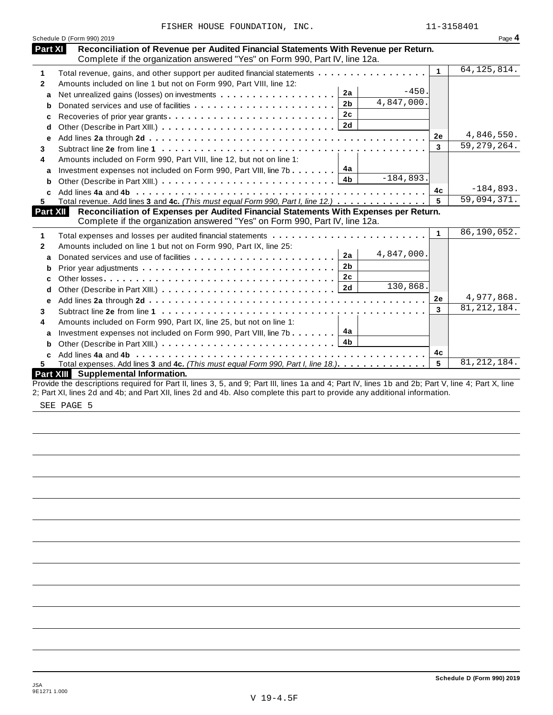|                | Schedule D (Form 990) 2019                                                                                                                                         |                      | Page 4                      |
|----------------|--------------------------------------------------------------------------------------------------------------------------------------------------------------------|----------------------|-----------------------------|
| <b>Part XI</b> | Reconciliation of Revenue per Audited Financial Statements With Revenue per Return.<br>Complete if the organization answered "Yes" on Form 990, Part IV, line 12a. |                      |                             |
| 1              | Total revenue, gains, and other support per audited financial statements                                                                                           | $\blacktriangleleft$ | 64, 125, 814.               |
| $\mathbf{2}$   | Amounts included on line 1 but not on Form 990, Part VIII, line 12:                                                                                                |                      |                             |
| a              | $-450.$<br>2a                                                                                                                                                      |                      |                             |
| b              | 4,847,000.<br>2 <sub>b</sub>                                                                                                                                       |                      |                             |
| c              |                                                                                                                                                                    |                      |                             |
| d              |                                                                                                                                                                    |                      |                             |
| e              |                                                                                                                                                                    | 2e                   | 4,846,550.                  |
| 3              |                                                                                                                                                                    | 3                    | $\overline{59}$ , 279, 264. |
| 4              | Amounts included on Form 990, Part VIII, line 12, but not on line 1:                                                                                               |                      |                             |
| a              | Investment expenses not included on Form 990, Part VIII, line 7b $\boxed{4a}$                                                                                      |                      |                             |
| b              | $-184,893.$<br>4b                                                                                                                                                  |                      |                             |
| C.             |                                                                                                                                                                    | 4c                   | $-184,893.$                 |
| 5.             | Total revenue. Add lines 3 and 4c. (This must equal Form 990, Part I, line 12.)                                                                                    | 5                    | 59,094,371.                 |
| Part XII       | Reconciliation of Expenses per Audited Financial Statements With Expenses per Return.                                                                              |                      |                             |
|                | Complete if the organization answered "Yes" on Form 990, Part IV, line 12a.                                                                                        |                      |                             |
| 1              |                                                                                                                                                                    | $\mathbf{1}$         | 86,190,052.                 |
| $\mathbf{2}$   | Amounts included on line 1 but not on Form 990, Part IX, line 25:                                                                                                  |                      |                             |
| a              | 4,847,000.<br>2a                                                                                                                                                   |                      |                             |
| b              | 2 <sub>b</sub>                                                                                                                                                     |                      |                             |
| c              | 2c                                                                                                                                                                 |                      |                             |
| d              | 130,868.                                                                                                                                                           |                      |                             |
| е              |                                                                                                                                                                    | 2e                   | 4,977,868.                  |
| 3              |                                                                                                                                                                    | 3                    | 81, 212, 184.               |
| 4              | Amounts included on Form 990, Part IX, line 25, but not on line 1:                                                                                                 |                      |                             |
| a              | 4а<br>Investment expenses not included on Form 990, Part VIII, line 7b                                                                                             |                      |                             |
| b              |                                                                                                                                                                    |                      |                             |
| c              |                                                                                                                                                                    | 4c                   |                             |
| 5.             | Total expenses. Add lines 3 and 4c. (This must equal Form 990, Part I, line 18.).                                                                                  | 5                    | 81, 212, 184.               |
|                | <b>Part XIII</b> Supplemental Information.                                                                                                                         |                      |                             |
|                | Provide the descriptions required for Part II, lines 3, 5, and 9; Part III, lines 1a and 4; Part IV, lines 1b and 2b; Part V, line 4; Part X, line                 |                      |                             |
|                | 2; Part XI, lines 2d and 4b; and Part XII, lines 2d and 4b. Also complete this part to provide any additional information.                                         |                      |                             |

SEE PAGE 5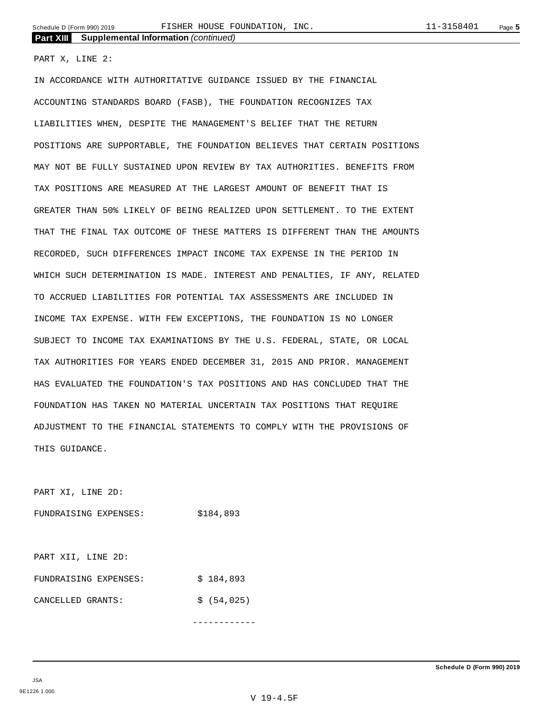PART X, LINE 2:

IN ACCORDANCE WITH AUTHORITATIVE GUIDANCE ISSUED BY THE FINANCIAL ACCOUNTING STANDARDS BOARD (FASB), THE FOUNDATION RECOGNIZES TAX LIABILITIES WHEN, DESPITE THE MANAGEMENT'S BELIEF THAT THE RETURN POSITIONS ARE SUPPORTABLE, THE FOUNDATION BELIEVES THAT CERTAIN POSITIONS MAY NOT BE FULLY SUSTAINED UPON REVIEW BY TAX AUTHORITIES. BENEFITS FROM TAX POSITIONS ARE MEASURED AT THE LARGEST AMOUNT OF BENEFIT THAT IS GREATER THAN 50% LIKELY OF BEING REALIZED UPON SETTLEMENT. TO THE EXTENT THAT THE FINAL TAX OUTCOME OF THESE MATTERS IS DIFFERENT THAN THE AMOUNTS RECORDED, SUCH DIFFERENCES IMPACT INCOME TAX EXPENSE IN THE PERIOD IN WHICH SUCH DETERMINATION IS MADE. INTEREST AND PENALTIES, IF ANY, RELATED TO ACCRUED LIABILITIES FOR POTENTIAL TAX ASSESSMENTS ARE INCLUDED IN INCOME TAX EXPENSE. WITH FEW EXCEPTIONS, THE FOUNDATION IS NO LONGER SUBJECT TO INCOME TAX EXAMINATIONS BY THE U.S. FEDERAL, STATE, OR LOCAL TAX AUTHORITIES FOR YEARS ENDED DECEMBER 31, 2015 AND PRIOR. MANAGEMENT HAS EVALUATED THE FOUNDATION'S TAX POSITIONS AND HAS CONCLUDED THAT THE FOUNDATION HAS TAKEN NO MATERIAL UNCERTAIN TAX POSITIONS THAT REQUIRE ADJUSTMENT TO THE FINANCIAL STATEMENTS TO COMPLY WITH THE PROVISIONS OF THIS GUIDANCE.

PART XI, LINE 2D:

FUNDRAISING EXPENSES: \$184,893

PART XII, LINE 2D: FUNDRAISING EXPENSES:  $$ 184,893$ CANCELLED GRANTS: \$ (54,025)

------------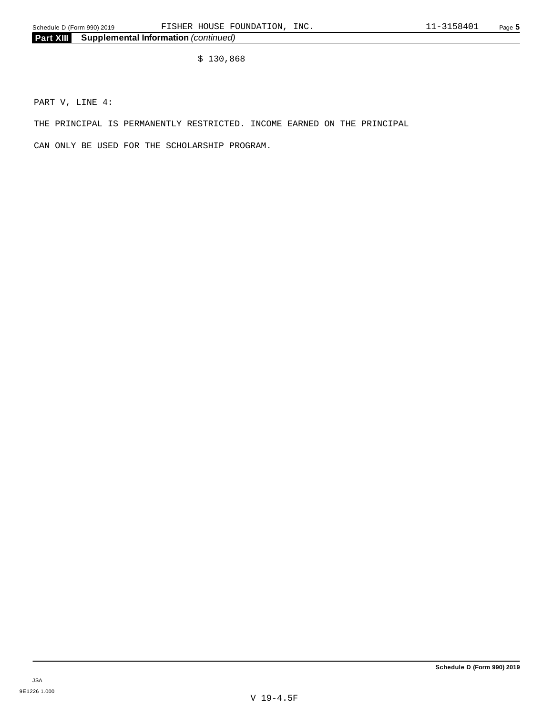\$ 130,868

PART V, LINE 4:

THE PRINCIPAL IS PERMANENTLY RESTRICTED. INCOME EARNED ON THE PRINCIPAL

CAN ONLY BE USED FOR THE SCHOLARSHIP PROGRAM.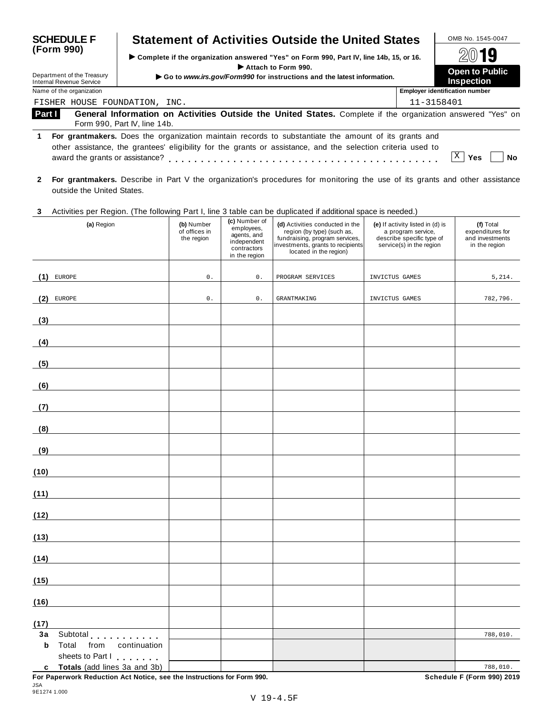| <b>SCHEDULE F</b>                                                    | <b>Statement of Activities Outside the United States</b>                                                                                                                                                             |                                                    | OMB No. 1545-0047                     |
|----------------------------------------------------------------------|----------------------------------------------------------------------------------------------------------------------------------------------------------------------------------------------------------------------|----------------------------------------------------|---------------------------------------|
| (Form 990)<br>Department of the Treasury<br>Internal Revenue Service | ► Complete if the organization answered "Yes" on Form 990, Part IV, line 14b, 15, or 16.<br>Attach to Form 990.<br>Go to www.irs.gov/Form990 for instructions and the latest information.                            | 2019<br><b>Open to Public</b><br><b>Inspection</b> |                                       |
| Name of the organization                                             |                                                                                                                                                                                                                      |                                                    | <b>Employer identification number</b> |
| FISHER HOUSE FOUNDATION, INC.                                        |                                                                                                                                                                                                                      |                                                    | 11-3158401                            |
| Part I                                                               | General Information on Activities Outside the United States. Complete if the organization answered "Yes" on<br>Form 990, Part IV, line 14b.                                                                          |                                                    |                                       |
| 1.<br>award the grants or assistance?                                | For grantmakers. Does the organization maintain records to substantiate the amount of its grants and<br>other assistance, the grantees' eligibility for the grants or assistance, and the selection criteria used to |                                                    | X<br>Yes<br>No                        |
|                                                                      | Eas graphmalare Decembe in Dert V the exacujusticals precedured for menitoring the use of its graph and other espistance                                                                                             |                                                    |                                       |

**2 For grantmakers.** Describe in Part V the organization's procedures for monitoring the use of its grants and other assistance outside the United States.

## **3** Activities per Region. (The following Part I, line 3 table can be duplicated if additional space is needed.)

| Protective por region. This reliefing ment it, line is taken can be<br>(a) Region                          | (b) Number<br>of offices in<br>the region | (c) Number of<br>employees,<br>agents, and<br>independent<br>contractors<br>in the region | adprisated in duditional opace is necessary<br>(d) Activities conducted in the<br>region (by type) (such as,<br>fundraising, program services,<br>investments, grants to recipients<br>located in the region) | (e) If activity listed in (d) is<br>a program service,<br>describe specific type of<br>service(s) in the region | (f) Total<br>expenditures for<br>and investments<br>in the region |
|------------------------------------------------------------------------------------------------------------|-------------------------------------------|-------------------------------------------------------------------------------------------|---------------------------------------------------------------------------------------------------------------------------------------------------------------------------------------------------------------|-----------------------------------------------------------------------------------------------------------------|-------------------------------------------------------------------|
| (1)<br><b>EUROPE</b>                                                                                       | $\mathsf{0}$ .                            | $\mathsf{0}$ .                                                                            | PROGRAM SERVICES                                                                                                                                                                                              | INVICTUS GAMES                                                                                                  | 5,214.                                                            |
| EUROPE<br>(2)                                                                                              | $\mathsf{0}$ .                            | $0$ .                                                                                     | <b>GRANTMAKING</b>                                                                                                                                                                                            | INVICTUS GAMES                                                                                                  | 782,796.                                                          |
|                                                                                                            |                                           |                                                                                           |                                                                                                                                                                                                               |                                                                                                                 |                                                                   |
| (3)                                                                                                        |                                           |                                                                                           |                                                                                                                                                                                                               |                                                                                                                 |                                                                   |
| (4)                                                                                                        |                                           |                                                                                           |                                                                                                                                                                                                               |                                                                                                                 |                                                                   |
| (5)                                                                                                        |                                           |                                                                                           |                                                                                                                                                                                                               |                                                                                                                 |                                                                   |
| (6)                                                                                                        |                                           |                                                                                           |                                                                                                                                                                                                               |                                                                                                                 |                                                                   |
| (7)                                                                                                        |                                           |                                                                                           |                                                                                                                                                                                                               |                                                                                                                 |                                                                   |
| (8)                                                                                                        |                                           |                                                                                           |                                                                                                                                                                                                               |                                                                                                                 |                                                                   |
| (9)<br><u> 1990 - Johann Barn, mars ann an t-</u>                                                          |                                           |                                                                                           |                                                                                                                                                                                                               |                                                                                                                 |                                                                   |
| (10)                                                                                                       |                                           |                                                                                           |                                                                                                                                                                                                               |                                                                                                                 |                                                                   |
| (11)                                                                                                       |                                           |                                                                                           |                                                                                                                                                                                                               |                                                                                                                 |                                                                   |
| (12)                                                                                                       |                                           |                                                                                           |                                                                                                                                                                                                               |                                                                                                                 |                                                                   |
| (13)                                                                                                       |                                           |                                                                                           |                                                                                                                                                                                                               |                                                                                                                 |                                                                   |
| (14)                                                                                                       |                                           |                                                                                           |                                                                                                                                                                                                               |                                                                                                                 |                                                                   |
| (15)                                                                                                       |                                           |                                                                                           |                                                                                                                                                                                                               |                                                                                                                 |                                                                   |
| (16)                                                                                                       |                                           |                                                                                           |                                                                                                                                                                                                               |                                                                                                                 |                                                                   |
| (17)                                                                                                       |                                           |                                                                                           |                                                                                                                                                                                                               |                                                                                                                 |                                                                   |
| Subtotal experiences<br>3a<br>Total<br>$\mathbf b$<br>from<br>continuation                                 |                                           |                                                                                           |                                                                                                                                                                                                               |                                                                                                                 | 788,010.                                                          |
| sheets to Part I                                                                                           |                                           |                                                                                           |                                                                                                                                                                                                               |                                                                                                                 |                                                                   |
| Totals (add lines 3a and 3b)<br>C<br>For Panerwork Peduction Act Notice, see the Instructions for Form 000 |                                           |                                                                                           |                                                                                                                                                                                                               |                                                                                                                 | 788,010.<br>Schodule E (Form 000) 2010                            |

**For Paperwork Reduction Act Notice, see the Instructions for Form 990. Schedule F (Form 990) 2019**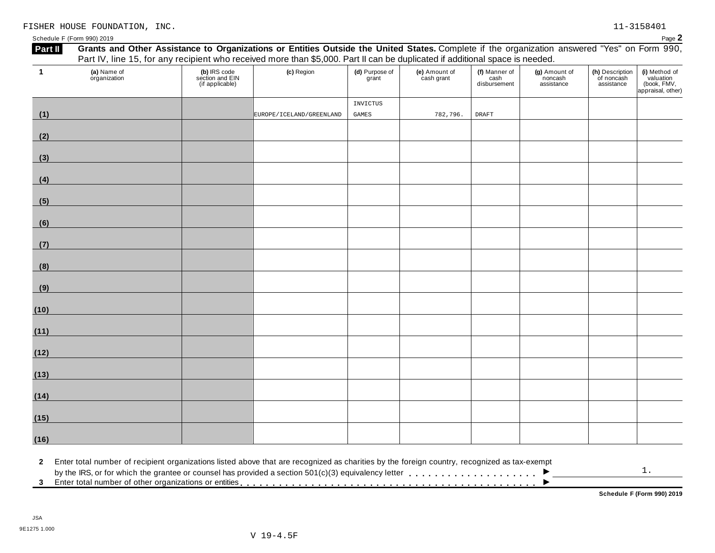| Schedule F (Form 990) 2019 | $P$ aqe $\blacktriangle$ |  |
|----------------------------|--------------------------|--|
|                            |                          |  |

| (1)<br>(2)<br>(3)<br>(4) |  |                                                                                                                                              |                 | (e) Amount of<br>cash grant | cash<br>disbursement | noncash<br>assistance | of noncash<br>assistance | valuation<br>(book, FMV,<br>appraisal, other) |
|--------------------------|--|----------------------------------------------------------------------------------------------------------------------------------------------|-----------------|-----------------------------|----------------------|-----------------------|--------------------------|-----------------------------------------------|
|                          |  |                                                                                                                                              | <b>INVICTUS</b> |                             |                      |                       |                          |                                               |
|                          |  | EUROPE/ICELAND/GREENLAND                                                                                                                     | GAMES           | 782,796.                    | <b>DRAFT</b>         |                       |                          |                                               |
|                          |  |                                                                                                                                              |                 |                             |                      |                       |                          |                                               |
|                          |  |                                                                                                                                              |                 |                             |                      |                       |                          |                                               |
|                          |  |                                                                                                                                              |                 |                             |                      |                       |                          |                                               |
| (5)                      |  |                                                                                                                                              |                 |                             |                      |                       |                          |                                               |
| (6)                      |  |                                                                                                                                              |                 |                             |                      |                       |                          |                                               |
| (7)                      |  |                                                                                                                                              |                 |                             |                      |                       |                          |                                               |
| (8)                      |  |                                                                                                                                              |                 |                             |                      |                       |                          |                                               |
| (9)                      |  |                                                                                                                                              |                 |                             |                      |                       |                          |                                               |
| (10)                     |  |                                                                                                                                              |                 |                             |                      |                       |                          |                                               |
| (11)                     |  |                                                                                                                                              |                 |                             |                      |                       |                          |                                               |
| (12)                     |  |                                                                                                                                              |                 |                             |                      |                       |                          |                                               |
| (13)                     |  |                                                                                                                                              |                 |                             |                      |                       |                          |                                               |
| (14)                     |  |                                                                                                                                              |                 |                             |                      |                       |                          |                                               |
| (15)                     |  |                                                                                                                                              |                 |                             |                      |                       |                          |                                               |
| (16)                     |  |                                                                                                                                              |                 |                             |                      |                       |                          |                                               |
| $\mathbf{2}$             |  | Enter total number of recipient organizations listed above that are recognized as charities by the foreign country, recognized as tax-exempt |                 |                             |                      |                       |                          |                                               |

**Schedule F (Form 990) 2019**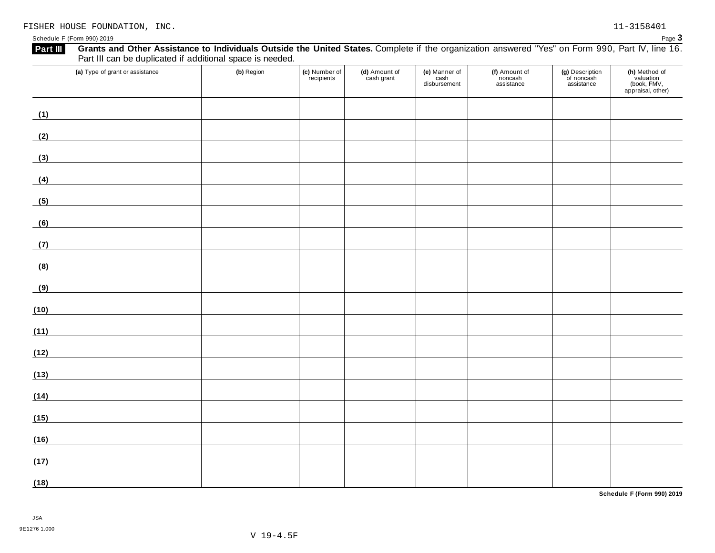| Grants and Other Assistance to Individuals Outside the United States. Complete if the organization answered "Yes" on Form 990, Part IV, line 16.<br>Part III<br>Part III can be duplicated if additional space is needed. |            |                             |                             |                                       |                                        |                                             |                                                                |
|---------------------------------------------------------------------------------------------------------------------------------------------------------------------------------------------------------------------------|------------|-----------------------------|-----------------------------|---------------------------------------|----------------------------------------|---------------------------------------------|----------------------------------------------------------------|
| (a) Type of grant or assistance                                                                                                                                                                                           | (b) Region | (c) Number of<br>recipients | (d) Amount of<br>cash grant | (e) Manner of<br>cash<br>disbursement | (f) Amount of<br>noncash<br>assistance | (g) Description<br>of noncash<br>assistance | (h) Method of<br>valuation<br>(book, FMV,<br>appraisal, other) |
| (1)                                                                                                                                                                                                                       |            |                             |                             |                                       |                                        |                                             |                                                                |
| (2)                                                                                                                                                                                                                       |            |                             |                             |                                       |                                        |                                             |                                                                |
| (3)                                                                                                                                                                                                                       |            |                             |                             |                                       |                                        |                                             |                                                                |
| (4)<br><u> 1980 - Johann Barbara, martxa a</u>                                                                                                                                                                            |            |                             |                             |                                       |                                        |                                             |                                                                |
| (5)                                                                                                                                                                                                                       |            |                             |                             |                                       |                                        |                                             |                                                                |
| (6)                                                                                                                                                                                                                       |            |                             |                             |                                       |                                        |                                             |                                                                |
| (7)                                                                                                                                                                                                                       |            |                             |                             |                                       |                                        |                                             |                                                                |
| (8)                                                                                                                                                                                                                       |            |                             |                             |                                       |                                        |                                             |                                                                |
| (9)                                                                                                                                                                                                                       |            |                             |                             |                                       |                                        |                                             |                                                                |
| (10)                                                                                                                                                                                                                      |            |                             |                             |                                       |                                        |                                             |                                                                |
| (11)                                                                                                                                                                                                                      |            |                             |                             |                                       |                                        |                                             |                                                                |
| (12)                                                                                                                                                                                                                      |            |                             |                             |                                       |                                        |                                             |                                                                |
| (13)                                                                                                                                                                                                                      |            |                             |                             |                                       |                                        |                                             |                                                                |
| (14)                                                                                                                                                                                                                      |            |                             |                             |                                       |                                        |                                             |                                                                |
| (15)                                                                                                                                                                                                                      |            |                             |                             |                                       |                                        |                                             |                                                                |
| (16)                                                                                                                                                                                                                      |            |                             |                             |                                       |                                        |                                             |                                                                |
| (17)                                                                                                                                                                                                                      |            |                             |                             |                                       |                                        |                                             |                                                                |
| (18)                                                                                                                                                                                                                      |            |                             |                             |                                       |                                        |                                             |                                                                |

**Schedule F (Form 990) 2019**

Schedule F (Form 990) 2019 Page 3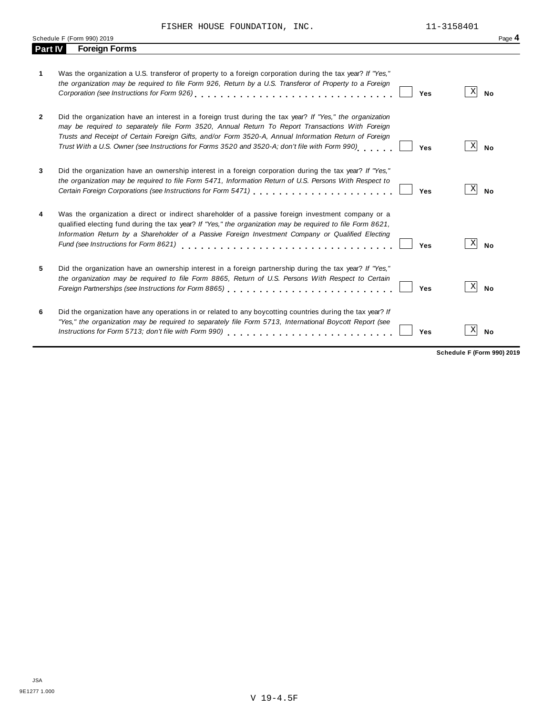|                | Schedule F (Form 990) 2019                                                                                                                                                                                                                                                                                                                                                                                                    | Page 4                       |
|----------------|-------------------------------------------------------------------------------------------------------------------------------------------------------------------------------------------------------------------------------------------------------------------------------------------------------------------------------------------------------------------------------------------------------------------------------|------------------------------|
| <b>Part IV</b> | <b>Foreign Forms</b>                                                                                                                                                                                                                                                                                                                                                                                                          |                              |
| 1              | Was the organization a U.S. transferor of property to a foreign corporation during the tax year? If "Yes,"<br>the organization may be required to file Form 926, Return by a U.S. Transferor of Property to a Foreign<br>Yes                                                                                                                                                                                                  | X <br><b>No</b>              |
| 2              | Did the organization have an interest in a foreign trust during the tax year? If "Yes," the organization<br>may be required to separately file Form 3520, Annual Return To Report Transactions With Foreign<br>Trusts and Receipt of Certain Foreign Gifts, and/or Form 3520-A, Annual Information Return of Foreign<br>Trust With a U.S. Owner (see Instructions for Forms 3520 and 3520-A; don't file with Form 990)<br>Yes | $\vert X \vert$<br><b>No</b> |
| 3              | Did the organization have an ownership interest in a foreign corporation during the tax year? If "Yes,"<br>the organization may be required to file Form 5471, Information Return of U.S. Persons With Respect to<br>Yes                                                                                                                                                                                                      | X <br><b>No</b>              |
| 4              | Was the organization a direct or indirect shareholder of a passive foreign investment company or a<br>qualified electing fund during the tax year? If "Yes," the organization may be required to file Form 8621,<br>Information Return by a Shareholder of a Passive Foreign Investment Company or Qualified Electing<br>Fund (see Instructions for Form 8621)<br>Yes                                                         | $\vert X \vert$<br><b>No</b> |
| 5              | Did the organization have an ownership interest in a foreign partnership during the tax year? If "Yes,"<br>the organization may be required to file Form 8865, Return of U.S. Persons With Respect to Certain<br>Foreign Partnerships (see Instructions for Form 8865)<br>Yes                                                                                                                                                 | $\vert X \vert$<br><b>No</b> |
| 6              | Did the organization have any operations in or related to any boycotting countries during the tax year? If<br>"Yes," the organization may be required to separately file Form 5713, International Boycott Report (see<br><b>Yes</b>                                                                                                                                                                                           | X <br><b>No</b>              |

**Schedule F (Form 990) 2019**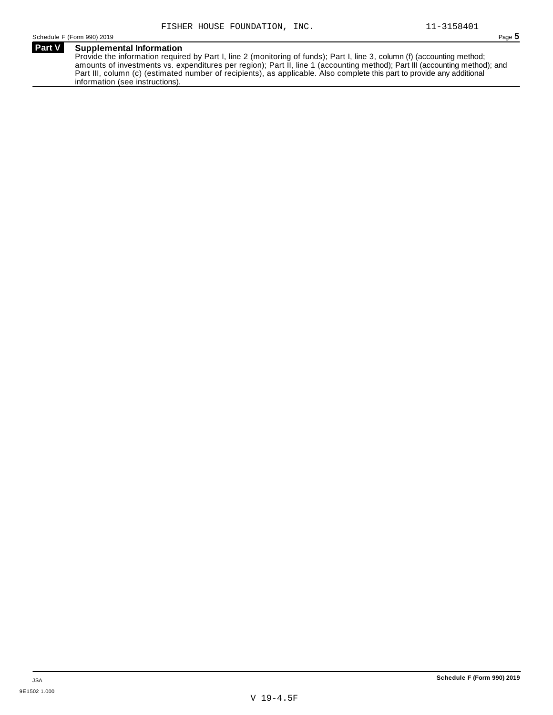**Part V Supplemental Information** Provide the information required by Part I, line 2 (monitoring of funds); Part I, line 3, column (f) (accounting method; amounts of investments vs. expenditures per region); Part II, line 1 (accounting method); Part III (accounting method); and Part III, column (c) (estimated number of recipients), as applicable. Also complete this part to provide any additional information (see instructions).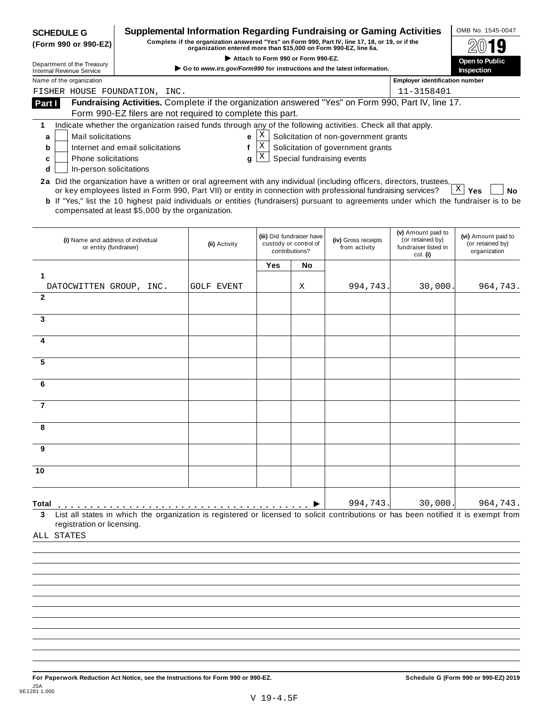| <b>SCHEDULE G</b><br>(Form 990 or 990-EZ)<br>Department of the Treasury<br><b>Internal Revenue Service</b><br>Name of the organization<br>FISHER HOUSE FOUNDATION, INC.<br>Fundraising Activities. Complete if the organization answered "Yes" on Form 990, Part IV, line 17.<br>Part I<br>Form 990-EZ filers are not required to complete this part.<br>Indicate whether the organization raised funds through any of the following activities. Check all that apply.<br>1 | Supplemental Information Regarding Fundraising or Gaming Activities<br>Complete if the organization answered "Yes" on Form 990, Part IV, line 17, 18, or 19, or if the<br>organization entered more than \$15,000 on Form 990-EZ, line 6a.<br>Go to www.irs.gov/Form990 for instructions and the latest information. | Attach to Form 990 or Form 990-EZ. |                                                                      |                                       |                                                                            |                                                         |
|-----------------------------------------------------------------------------------------------------------------------------------------------------------------------------------------------------------------------------------------------------------------------------------------------------------------------------------------------------------------------------------------------------------------------------------------------------------------------------|----------------------------------------------------------------------------------------------------------------------------------------------------------------------------------------------------------------------------------------------------------------------------------------------------------------------|------------------------------------|----------------------------------------------------------------------|---------------------------------------|----------------------------------------------------------------------------|---------------------------------------------------------|
|                                                                                                                                                                                                                                                                                                                                                                                                                                                                             |                                                                                                                                                                                                                                                                                                                      |                                    |                                                                      |                                       |                                                                            |                                                         |
|                                                                                                                                                                                                                                                                                                                                                                                                                                                                             |                                                                                                                                                                                                                                                                                                                      |                                    |                                                                      |                                       |                                                                            | Open to Public<br><b>Inspection</b>                     |
|                                                                                                                                                                                                                                                                                                                                                                                                                                                                             |                                                                                                                                                                                                                                                                                                                      |                                    |                                                                      |                                       | <b>Employer identification number</b>                                      |                                                         |
|                                                                                                                                                                                                                                                                                                                                                                                                                                                                             |                                                                                                                                                                                                                                                                                                                      |                                    |                                                                      |                                       |                                                                            |                                                         |
|                                                                                                                                                                                                                                                                                                                                                                                                                                                                             |                                                                                                                                                                                                                                                                                                                      |                                    |                                                                      |                                       | 11-3158401                                                                 |                                                         |
|                                                                                                                                                                                                                                                                                                                                                                                                                                                                             |                                                                                                                                                                                                                                                                                                                      |                                    |                                                                      |                                       |                                                                            |                                                         |
|                                                                                                                                                                                                                                                                                                                                                                                                                                                                             |                                                                                                                                                                                                                                                                                                                      |                                    |                                                                      |                                       |                                                                            |                                                         |
| Mail solicitations<br>a                                                                                                                                                                                                                                                                                                                                                                                                                                                     | е                                                                                                                                                                                                                                                                                                                    | Χ                                  |                                                                      | Solicitation of non-government grants |                                                                            |                                                         |
| Internet and email solicitations<br>b                                                                                                                                                                                                                                                                                                                                                                                                                                       | f                                                                                                                                                                                                                                                                                                                    | X                                  |                                                                      | Solicitation of government grants     |                                                                            |                                                         |
| <b>Phone solicitations</b><br>c                                                                                                                                                                                                                                                                                                                                                                                                                                             | a                                                                                                                                                                                                                                                                                                                    | X                                  |                                                                      | Special fundraising events            |                                                                            |                                                         |
| In-person solicitations<br>d                                                                                                                                                                                                                                                                                                                                                                                                                                                |                                                                                                                                                                                                                                                                                                                      |                                    |                                                                      |                                       |                                                                            |                                                         |
| 2a Did the organization have a written or oral agreement with any individual (including officers, directors, trustees,<br>or key employees listed in Form 990, Part VII) or entity in connection with professional fundraising services?<br><b>b</b> If "Yes," list the 10 highest paid individuals or entities (fundraisers) pursuant to agreements under which the fundraiser is to be<br>compensated at least \$5,000 by the organization.                               |                                                                                                                                                                                                                                                                                                                      |                                    |                                                                      |                                       |                                                                            | $X \mid Y$ es<br>No                                     |
|                                                                                                                                                                                                                                                                                                                                                                                                                                                                             |                                                                                                                                                                                                                                                                                                                      |                                    |                                                                      |                                       |                                                                            |                                                         |
| (i) Name and address of individual<br>or entity (fundraiser)                                                                                                                                                                                                                                                                                                                                                                                                                | (ii) Activity                                                                                                                                                                                                                                                                                                        |                                    | (iii) Did fundraiser have<br>custody or control of<br>contributions? | (iv) Gross receipts<br>from activity  | (v) Amount paid to<br>(or retained by)<br>fundraiser listed in<br>col. (i) | (vi) Amount paid to<br>(or retained by)<br>organization |
|                                                                                                                                                                                                                                                                                                                                                                                                                                                                             |                                                                                                                                                                                                                                                                                                                      | Yes                                | No                                                                   |                                       |                                                                            |                                                         |
| 1                                                                                                                                                                                                                                                                                                                                                                                                                                                                           |                                                                                                                                                                                                                                                                                                                      |                                    |                                                                      |                                       |                                                                            |                                                         |
| DATOCWITTEN GROUP, INC.<br>$\mathbf{2}$                                                                                                                                                                                                                                                                                                                                                                                                                                     | <b>GOLF EVENT</b>                                                                                                                                                                                                                                                                                                    |                                    | Χ                                                                    | 994,743                               | 30,000                                                                     | 964,743.                                                |
| 3                                                                                                                                                                                                                                                                                                                                                                                                                                                                           |                                                                                                                                                                                                                                                                                                                      |                                    |                                                                      |                                       |                                                                            |                                                         |
| 4                                                                                                                                                                                                                                                                                                                                                                                                                                                                           |                                                                                                                                                                                                                                                                                                                      |                                    |                                                                      |                                       |                                                                            |                                                         |
|                                                                                                                                                                                                                                                                                                                                                                                                                                                                             |                                                                                                                                                                                                                                                                                                                      |                                    |                                                                      |                                       |                                                                            |                                                         |
| 5                                                                                                                                                                                                                                                                                                                                                                                                                                                                           |                                                                                                                                                                                                                                                                                                                      |                                    |                                                                      |                                       |                                                                            |                                                         |
| 6                                                                                                                                                                                                                                                                                                                                                                                                                                                                           |                                                                                                                                                                                                                                                                                                                      |                                    |                                                                      |                                       |                                                                            |                                                         |
| $\overline{7}$                                                                                                                                                                                                                                                                                                                                                                                                                                                              |                                                                                                                                                                                                                                                                                                                      |                                    |                                                                      |                                       |                                                                            |                                                         |
| я                                                                                                                                                                                                                                                                                                                                                                                                                                                                           |                                                                                                                                                                                                                                                                                                                      |                                    |                                                                      |                                       |                                                                            |                                                         |
| 9                                                                                                                                                                                                                                                                                                                                                                                                                                                                           |                                                                                                                                                                                                                                                                                                                      |                                    |                                                                      |                                       |                                                                            |                                                         |
| 10                                                                                                                                                                                                                                                                                                                                                                                                                                                                          |                                                                                                                                                                                                                                                                                                                      |                                    |                                                                      |                                       |                                                                            |                                                         |
|                                                                                                                                                                                                                                                                                                                                                                                                                                                                             |                                                                                                                                                                                                                                                                                                                      |                                    |                                                                      |                                       |                                                                            |                                                         |
|                                                                                                                                                                                                                                                                                                                                                                                                                                                                             | List all states in which the organization is registered or licensed to solicit contributions or has been notified it is exempt from                                                                                                                                                                                  |                                    |                                                                      | 994,743.                              | 30,000.                                                                    | 964,743.                                                |

**For Paperwork Reduction Act Notice, see the Instructions for Form 990 or 990-EZ. Schedule G (Form 990 or 990-EZ) 2019** JSA 9E1281 1.000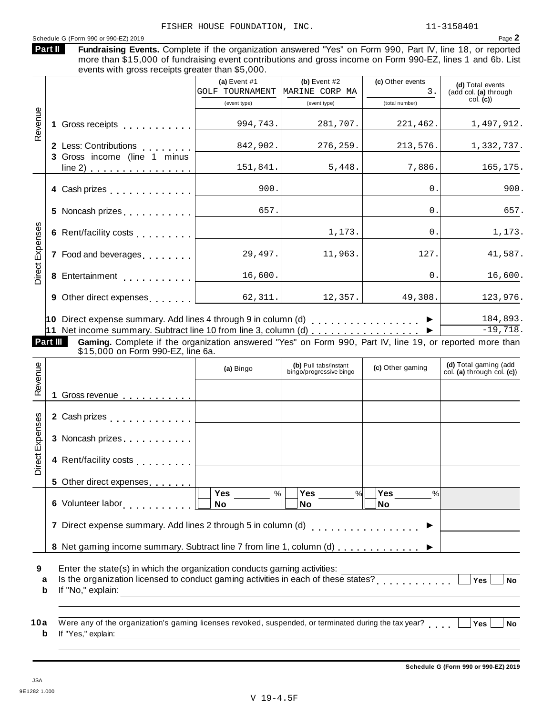|                 | more than \$15,000 of fundraising event contributions and gross income on Form 990-EZ, lines 1 and 6b. List<br>events with gross receipts greater than \$5,000. |                                          |                                  |                        | Fundraising Events. Complete if the organization answered "Yes" on Form 990, Part IV, line 18, or reported |
|-----------------|-----------------------------------------------------------------------------------------------------------------------------------------------------------------|------------------------------------------|----------------------------------|------------------------|------------------------------------------------------------------------------------------------------------|
|                 |                                                                                                                                                                 | (a) Event $#1$<br><b>GOLF TOURNAMENT</b> | (b) Event $#2$<br>MARINE CORP MA | (c) Other events<br>3. | (d) Total events<br>(add col. (a) through                                                                  |
|                 |                                                                                                                                                                 | (event type)                             | (event type)                     | (total number)         | col. (c)                                                                                                   |
| Revenue         | Gross receipts <b>Container and Street Street Street</b><br>1                                                                                                   | 994,743.                                 | 281,707.                         | 221,462.               | 1,497,912.                                                                                                 |
|                 | 2 Less: Contributions                                                                                                                                           | 842,902.                                 | 276, 259.                        | 213,576.               | 1,332,737.                                                                                                 |
|                 | 3 Gross income (line 1 minus<br>$line 2)$                                                                                                                       | 151,841.                                 | 5,448.                           | 7,886.                 | 165,175.                                                                                                   |
|                 | 4 Cash prizes                                                                                                                                                   | 900.                                     |                                  | $\Omega$ .             | 900.                                                                                                       |
|                 | 5 Noncash prizes                                                                                                                                                | 657.                                     |                                  | 0                      | 657.                                                                                                       |
|                 | 6 Rent/facility costs <b>6 Rent/facility</b> costs                                                                                                              |                                          | 1,173.                           | $\overline{0}$ .       | 1,173.                                                                                                     |
|                 | 7 Food and beverages                                                                                                                                            | 29,497.                                  | 11,963.                          | 127.                   | 41,587.                                                                                                    |
| Direct Expenses | 8 Entertainment                                                                                                                                                 | 16,600.                                  |                                  | $\mathbf{0}$ .         | 16,600.                                                                                                    |
|                 | 9 Other direct expenses [1994]                                                                                                                                  | 62,311.                                  | 12,357.                          | 49,308.                | 123,976.                                                                                                   |

| 10 Direct expense summary. Add lines 4 through 9 in column (d) $\ldots$ , ▶ | 184,893. |
|-----------------------------------------------------------------------------|----------|
|                                                                             | -19,718. |

| Part III | <b>Gaming.</b> Complete if the organization answered "Yes" on Form 990, Part IV, line 19, or reported more than |  |
|----------|-----------------------------------------------------------------------------------------------------------------|--|
|          | \$15,000 on Form 990-EZ, line 6a.                                                                               |  |

|                 | If the concentrative summary. Our data fine to from line 0, column (0) $\ldots$ , $\ldots$ , $\ldots$ , $\vdots$<br>Gaming. Complete if the organization answered "Yes" on Form 990, Part IV, line 19, or reported more than<br>Part III<br>\$15,000 on Form 990-EZ, line 6a. |                                                                                                                       |                                                  |                          |                                                     |
|-----------------|-------------------------------------------------------------------------------------------------------------------------------------------------------------------------------------------------------------------------------------------------------------------------------|-----------------------------------------------------------------------------------------------------------------------|--------------------------------------------------|--------------------------|-----------------------------------------------------|
| Revenue         |                                                                                                                                                                                                                                                                               | (a) Bingo                                                                                                             | (b) Pull tabs/instant<br>bingo/progressive bingo | (c) Other gaming         | (d) Total gaming (add<br>col. (a) through col. (c)) |
|                 | 1 Gross revenue                                                                                                                                                                                                                                                               |                                                                                                                       |                                                  |                          |                                                     |
|                 | 2 Cash prizes <u>  _ _ _ _ _ _ _ _</u>                                                                                                                                                                                                                                        |                                                                                                                       |                                                  |                          |                                                     |
| Direct Expenses |                                                                                                                                                                                                                                                                               |                                                                                                                       |                                                  |                          |                                                     |
|                 | 4 Rent/facility costs    _ _ _ _ _ _ _                                                                                                                                                                                                                                        |                                                                                                                       |                                                  |                          |                                                     |
|                 | 5 Other direct expenses ________                                                                                                                                                                                                                                              |                                                                                                                       |                                                  |                          |                                                     |
|                 | 6 Volunteer labor                                                                                                                                                                                                                                                             | Yes<br>%<br>No                                                                                                        | Yes<br>$\frac{9}{6}$<br><b>No</b>                | Yes<br>$\%$<br><b>No</b> |                                                     |
|                 | Direct expense summary. Add lines 2 through 5 in column (d)<br>[2008]                                                                                                                                                                                                         |                                                                                                                       |                                                  |                          |                                                     |
|                 | 8 Net gaming income summary. Subtract line 7 from line 1, column (d)  ▶                                                                                                                                                                                                       |                                                                                                                       |                                                  |                          |                                                     |
| 9<br>a<br>b     | Enter the state(s) in which the organization conducts gaming activities:<br>Is the organization licensed to conduct gaming activities in each of these states?<br>If "No," explain:                                                                                           | <u> 1989 - Johann Harry Harry Harry Harry Harry Harry Harry Harry Harry Harry Harry Harry Harry Harry Harry Harry</u> |                                                  |                          | <b>Yes</b><br><b>No</b>                             |
| 10a<br>b        | Were any of the organization's gaming licenses revoked, suspended, or terminated during the tax year?<br>If "Yes," explain:                                                                                                                                                   |                                                                                                                       |                                                  |                          | <b>No</b><br><b>Yes</b>                             |

|  | id the organization nooncod to conduct gammig actinued in each c |
|--|------------------------------------------------------------------|
|  | <b>b</b> If "No," explain:                                       |

| 10a Were any of the organization's gaming licenses revoked, suspended, or terminated during the tax year? $\Box$ Yes $\Box$ No |  |  |
|--------------------------------------------------------------------------------------------------------------------------------|--|--|
| <b>b</b> If "Yes," explain:                                                                                                    |  |  |

 $\overline{\phantom{a}}$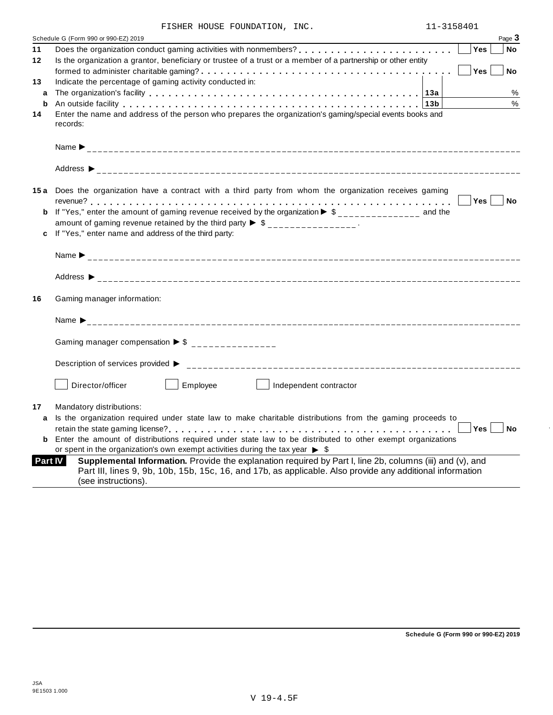| FISHER HOUSE FOUNDATION, | INC. |
|--------------------------|------|
|--------------------------|------|

| Page 3<br>Schedule G (Form 990 or 990-EZ) 2019                                                                                                                                                                                                                  |
|-----------------------------------------------------------------------------------------------------------------------------------------------------------------------------------------------------------------------------------------------------------------|
| Yes<br><b>No</b>                                                                                                                                                                                                                                                |
| Is the organization a grantor, beneficiary or trustee of a trust or a member of a partnership or other entity                                                                                                                                                   |
| Yes<br><b>No</b>                                                                                                                                                                                                                                                |
| Indicate the percentage of gaming activity conducted in:                                                                                                                                                                                                        |
| %                                                                                                                                                                                                                                                               |
| $\%$<br>An outside facility enterpretence in the series of the series of the series of the series of the series of the series of the series of the series of the series of the series of the series of the series of the series of the                          |
| Enter the name and address of the person who prepares the organization's gaming/special events books and                                                                                                                                                        |
| records:                                                                                                                                                                                                                                                        |
|                                                                                                                                                                                                                                                                 |
|                                                                                                                                                                                                                                                                 |
|                                                                                                                                                                                                                                                                 |
|                                                                                                                                                                                                                                                                 |
| 15a Does the organization have a contract with a third party from whom the organization receives gaming                                                                                                                                                         |
| Yes  <br><b>No</b>                                                                                                                                                                                                                                              |
| If "Yes," enter the amount of gaming revenue received by the organization $\triangleright$ \$______________ and the                                                                                                                                             |
| amount of gaming revenue retained by the third party $\triangleright$ \$ _______________.<br>If "Yes," enter name and address of the third party:                                                                                                               |
|                                                                                                                                                                                                                                                                 |
|                                                                                                                                                                                                                                                                 |
|                                                                                                                                                                                                                                                                 |
| Gaming manager information:                                                                                                                                                                                                                                     |
|                                                                                                                                                                                                                                                                 |
| Name $\sum_{-2}$                                                                                                                                                                                                                                                |
|                                                                                                                                                                                                                                                                 |
| Gaming manager compensation $\triangleright$ \$ _______________                                                                                                                                                                                                 |
| Description of services provided ▶                                                                                                                                                                                                                              |
|                                                                                                                                                                                                                                                                 |
| Employee<br>Director/officer<br>Independent contractor                                                                                                                                                                                                          |
|                                                                                                                                                                                                                                                                 |
| Mandatory distributions:                                                                                                                                                                                                                                        |
| Is the organization required under state law to make charitable distributions from the gaming proceeds to                                                                                                                                                       |
| Yes<br>No                                                                                                                                                                                                                                                       |
| Enter the amount of distributions required under state law to be distributed to other exempt organizations                                                                                                                                                      |
| or spent in the organization's own exempt activities during the tax year $\triangleright$ \$                                                                                                                                                                    |
| Supplemental Information. Provide the explanation required by Part I, line 2b, columns (iii) and (v), and<br><b>Part IV</b><br>Part III, lines 9, 9b, 10b, 15b, 15c, 16, and 17b, as applicable. Also provide any additional information<br>(see instructions). |
|                                                                                                                                                                                                                                                                 |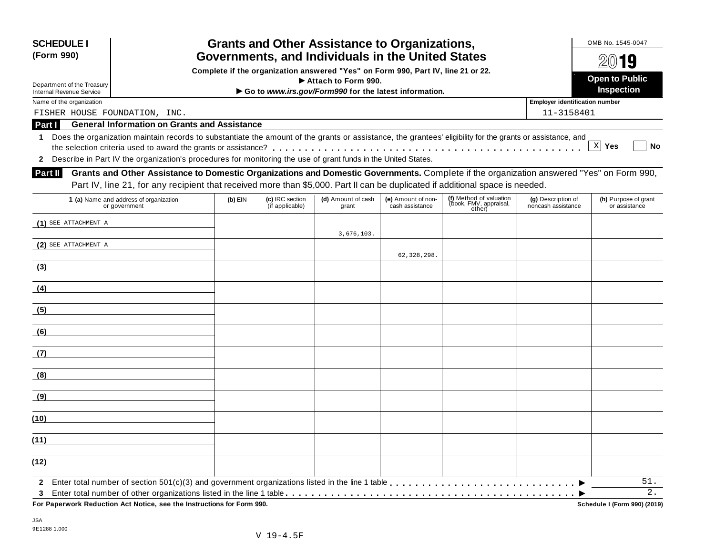| <b>SCHEDULE I</b><br>(Form 990)         |                                                                                                                                                                                                                                                                               | <b>Grants and Other Assistance to Organizations,</b><br>Governments, and Individuals in the United States |                                    |                                                                                                         |                                       |                                                             |                                          |                                       |  |  |  |  |
|-----------------------------------------|-------------------------------------------------------------------------------------------------------------------------------------------------------------------------------------------------------------------------------------------------------------------------------|-----------------------------------------------------------------------------------------------------------|------------------------------------|---------------------------------------------------------------------------------------------------------|---------------------------------------|-------------------------------------------------------------|------------------------------------------|---------------------------------------|--|--|--|--|
| Department of the Treasury              |                                                                                                                                                                                                                                                                               |                                                                                                           |                                    | Complete if the organization answered "Yes" on Form 990, Part IV, line 21 or 22.<br>Attach to Form 990. |                                       |                                                             |                                          | 20019<br><b>Open to Public</b>        |  |  |  |  |
| <b>Internal Revenue Service</b>         |                                                                                                                                                                                                                                                                               |                                                                                                           |                                    | Go to www.irs.gov/Form990 for the latest information.                                                   |                                       |                                                             |                                          | Inspection                            |  |  |  |  |
| Name of the organization                |                                                                                                                                                                                                                                                                               |                                                                                                           |                                    |                                                                                                         |                                       |                                                             | <b>Employer identification number</b>    |                                       |  |  |  |  |
| FISHER HOUSE FOUNDATION, INC.<br>Part I | <b>General Information on Grants and Assistance</b>                                                                                                                                                                                                                           |                                                                                                           |                                    |                                                                                                         |                                       |                                                             | 11-3158401                               |                                       |  |  |  |  |
| 1                                       | Does the organization maintain records to substantiate the amount of the grants or assistance, the grantees' eligibility for the grants or assistance, and<br>2 Describe in Part IV the organization's procedures for monitoring the use of grant funds in the United States. |                                                                                                           |                                    |                                                                                                         |                                       |                                                             |                                          | $X$ Yes<br>No                         |  |  |  |  |
| Part II                                 | Grants and Other Assistance to Domestic Organizations and Domestic Governments. Complete if the organization answered "Yes" on Form 990,<br>Part IV, line 21, for any recipient that received more than \$5,000. Part II can be duplicated if additional space is needed.     |                                                                                                           |                                    |                                                                                                         |                                       |                                                             |                                          |                                       |  |  |  |  |
|                                         | 1 (a) Name and address of organization<br>or government                                                                                                                                                                                                                       | $(b)$ EIN                                                                                                 | (c) IRC section<br>(if applicable) | (d) Amount of cash<br>grant                                                                             | (e) Amount of non-<br>cash assistance | (f) Method of valuation<br>(book, FMV, appraisal,<br>other) | (g) Description of<br>noncash assistance | (h) Purpose of grant<br>or assistance |  |  |  |  |
| $(1)$ SEE ATTACHMENT A                  |                                                                                                                                                                                                                                                                               |                                                                                                           |                                    | 3,676,103.                                                                                              |                                       |                                                             |                                          |                                       |  |  |  |  |
| (2) SEE ATTACHMENT A                    |                                                                                                                                                                                                                                                                               |                                                                                                           |                                    |                                                                                                         | 62, 328, 298.                         |                                                             |                                          |                                       |  |  |  |  |
| (3)                                     |                                                                                                                                                                                                                                                                               |                                                                                                           |                                    |                                                                                                         |                                       |                                                             |                                          |                                       |  |  |  |  |
| (4)                                     |                                                                                                                                                                                                                                                                               |                                                                                                           |                                    |                                                                                                         |                                       |                                                             |                                          |                                       |  |  |  |  |
| (5)                                     |                                                                                                                                                                                                                                                                               |                                                                                                           |                                    |                                                                                                         |                                       |                                                             |                                          |                                       |  |  |  |  |
| (6)                                     |                                                                                                                                                                                                                                                                               |                                                                                                           |                                    |                                                                                                         |                                       |                                                             |                                          |                                       |  |  |  |  |
| (7)                                     |                                                                                                                                                                                                                                                                               |                                                                                                           |                                    |                                                                                                         |                                       |                                                             |                                          |                                       |  |  |  |  |
| (8)                                     |                                                                                                                                                                                                                                                                               |                                                                                                           |                                    |                                                                                                         |                                       |                                                             |                                          |                                       |  |  |  |  |
| (9)                                     |                                                                                                                                                                                                                                                                               |                                                                                                           |                                    |                                                                                                         |                                       |                                                             |                                          |                                       |  |  |  |  |
| (10)                                    |                                                                                                                                                                                                                                                                               |                                                                                                           |                                    |                                                                                                         |                                       |                                                             |                                          |                                       |  |  |  |  |
| (11)                                    |                                                                                                                                                                                                                                                                               |                                                                                                           |                                    |                                                                                                         |                                       |                                                             |                                          |                                       |  |  |  |  |
| (12)                                    |                                                                                                                                                                                                                                                                               |                                                                                                           |                                    |                                                                                                         |                                       |                                                             |                                          |                                       |  |  |  |  |
| 3                                       |                                                                                                                                                                                                                                                                               |                                                                                                           |                                    |                                                                                                         |                                       |                                                             |                                          | 51.<br>2.                             |  |  |  |  |
|                                         | For Paperwork Reduction Act Notice, see the Instructions for Form 990.                                                                                                                                                                                                        |                                                                                                           |                                    |                                                                                                         |                                       |                                                             |                                          | Schedule I (Form 990) (2019)          |  |  |  |  |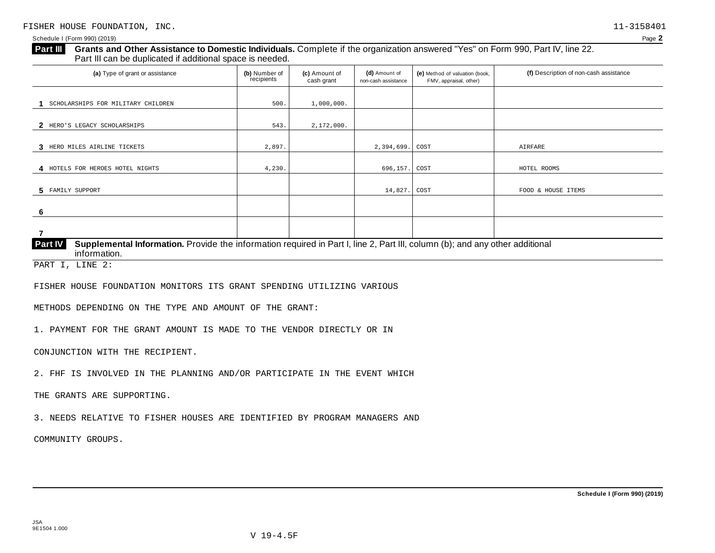## **Grants and Other Assistance to Domestic Individuals.** Complete if the organization answered "Yes" on Form 990, Part IV, line 22. Part III can be duplicated if additional space is needed. **Part III**  (a) Type of grant or assistance **(b)** Number of **(c)** Amount of **(d)** Amount of **(e)** Method of valuation (book, **(f)** Description of non-cash assistance FMV, appraisal, other) **(b)** Number of recipients **(d)** Amount of non-cash assistance **(c)** Amount of cash grant 1 SCHOLARSHIPS FOR MILITARY CHILDREN 500. 1,000,000. **2** HERO'S LEGACY SCHOLARSHIPS 543. 543. 2,172,000. **3** HERO MILES AIRLINE TICKETS 2,897. 2,394,699. COST AIRFARE **4** HOTELS FOR HEROES HOTEL NIGHTS **4,230.** 4,230. **696,157.** COST **HOTEL ROOMS 5** FAMILY SUPPORT **6 7 Supplemental Information.** Provide the information required in Part I, line 2, Part III, column (b); and any other additional information. **Part IV**  FAMILY SUPPORT SUPPORT TEMS PART I, LINE 2:

FISHER HOUSE FOUNDATION MONITORS ITS GRANT SPENDING UTILIZING VARIOUS

METHODS DEPENDING ON THE TYPE AND AMOUNT OF THE GRANT:

1. PAYMENT FOR THE GRANT AMOUNT IS MADE TO THE VENDOR DIRECTLY OR IN

CONJUNCTION WITH THE RECIPIENT.

2. FHF IS INVOLVED IN THE PLANNING AND/OR PARTICIPATE IN THE EVENT WHICH

THE GRANTS ARE SUPPORTING.

3. NEEDS RELATIVE TO FISHER HOUSES ARE IDENTIFIED BY PROGRAM MANAGERS AND

V 19-4.5F

COMMUNITY GROUPS.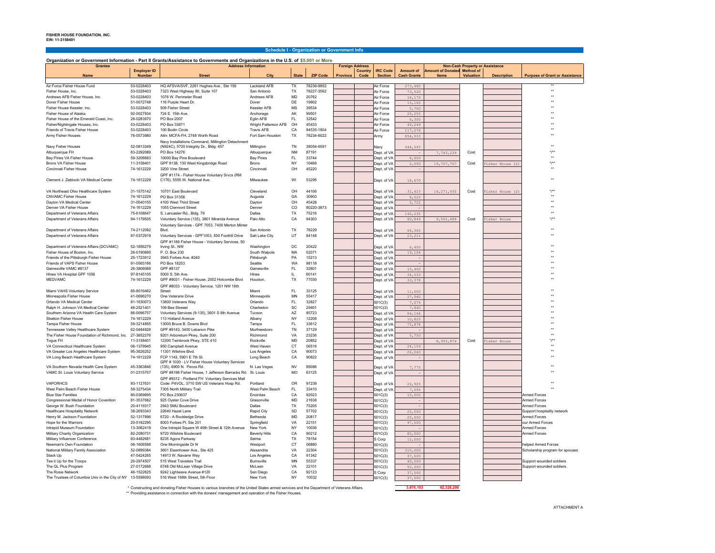## **Schedule I - Organization or Government Info**

## **Organization or Government Information - Part II Grants/Assistance to Governments and Organizations in the U.S. of \$5,001 or More**

| <b>Grantee</b>                                                    |                                     | <b>Address Information</b>                                                                  |                                           |                        |                     | <b>Foreign Address</b> |                 |                                   | <b>Non-Cash Property or Assistance</b> |                                             |           |                    |                                                        |
|-------------------------------------------------------------------|-------------------------------------|---------------------------------------------------------------------------------------------|-------------------------------------------|------------------------|---------------------|------------------------|-----------------|-----------------------------------|----------------------------------------|---------------------------------------------|-----------|--------------------|--------------------------------------------------------|
| <b>Name</b>                                                       | <b>Employer ID</b><br><b>Number</b> | <b>Street</b>                                                                               | City                                      | <b>State</b>           | <b>ZIP Code</b>     | <b>Province</b>        | Country<br>Code | <b>IRC Code</b><br><b>Section</b> | <b>Amount of</b><br><b>Cash Grants</b> | <b>Amount of Donated Method of</b><br>Items | Valuation | <b>Description</b> | <b>Purpose of Grant or Assistance</b>                  |
|                                                                   |                                     |                                                                                             |                                           |                        |                     |                        |                 |                                   |                                        |                                             |           |                    |                                                        |
| Air Force Fisher House Fund                                       | 53-0228403                          | HQ AFSVA/SVF, 2261 Hughes Ave., Ste 156                                                     | Lackland AFB                              | TX                     | 78236-9852          |                        |                 | Air Force                         | 273,480                                |                                             |           |                    |                                                        |
| <b>Fisher House Inc.</b>                                          | 53-0228403                          | 7323 West Highway 90, Suite 107                                                             | San Antonio                               | TX                     | 78227-3562          |                        |                 | Air Force                         | 73,520                                 |                                             |           |                    | $\ddot{\phantom{1}}$                                   |
| Andrews AFB Fisher House, Inc.                                    | 53-0228403                          | 1076 W. Perimeter Road                                                                      | Andrews AFB                               | MD                     | 20762               |                        |                 | Air Force                         | 18,175                                 |                                             |           |                    | $\ddot{\phantom{0}}$                                   |
| Dover Fisher House                                                | 51-0072748                          | 116 Purple Heart Dr.                                                                        | Dover                                     | DE                     | 19902               |                        |                 | Air Force                         | 13,165                                 |                                             |           |                    |                                                        |
| Fisher House Keesler, Inc.                                        | 53-0228403                          | 509 Fisher Street                                                                           | Keesler AFB                               | MS                     | 39534               |                        |                 | Air Force                         | 5,700                                  |                                             |           |                    |                                                        |
| Fisher House of Alaska                                            | 92-0027934                          | 724 E. 15th Ave                                                                             | Anchorage                                 | AK                     | 99501               |                        |                 | Air Force                         | 25,255                                 |                                             |           |                    |                                                        |
| Fisher House of the Emerald Coast, Inc.                           | 26-0283970                          | PO Box 2007                                                                                 | Eglin AFB                                 | FL                     | 32542               |                        |                 | Air Force                         | 6,300                                  |                                             |           |                    |                                                        |
| Fisher/Nightingale Houses, Inc.<br>Friends of Travis Fisher House | 53-0228403<br>53-0228403            | PO Box 33871<br>100 Bodin Circle                                                            | Wright Patterson AFB<br><b>Travis AFB</b> | OH<br>CA               | 45433<br>94535-1804 |                        |                 | Air Force                         | 49,249                                 |                                             |           |                    |                                                        |
| Army Fisher Houses                                                | 76-0573980                          | Attn: MCFA-FH 2748 Worth Road                                                               | Fort Sam Houston                          | TX                     | 78234-6022          |                        |                 | Air Force                         | 117,578                                |                                             |           |                    |                                                        |
|                                                                   |                                     |                                                                                             |                                           |                        |                     |                        |                 | Army                              | 854,933                                |                                             |           |                    |                                                        |
| Navy Fisher Houses                                                | 52-0813349                          | Navy Installations Command, Millington Detachment<br>(N924C), 5720 Integrity Dr., Bldg. 457 | Millington                                | <b>TN</b>              | 38054-6591          |                        |                 | Navy                              | 644,593                                |                                             |           |                    |                                                        |
| Albuquerque FH                                                    | 83-2292089                          | PO Box 14276                                                                                | Albuquerque                               | <b>NM</b>              | 87191               |                        |                 | Dept. of VA                       |                                        | 7,743,239                                   | Cost      |                    |                                                        |
| Bay Pines VA Fisher House                                         | 59-3206683                          | 10000 Bay Pine Boulevard                                                                    | <b>Bay Pines</b>                          | FL.                    | 33744               |                        |                 | Dept. of VA                       | 6,000                                  |                                             |           |                    |                                                        |
| Bronx VA Fisher House                                             | 11-3158401                          | GPF 8138, 130 West Kingsbridge Road                                                         | Bronx                                     | NY                     | 10468               |                        |                 | Dept. of V/                       | 2,050                                  | 19,757,767                                  | Cost      | isher House (2)    |                                                        |
| Cincinnati Fisher House                                           | 74-1612229                          | 3200 Vine Street                                                                            | Cincinnati                                | OH                     | 45220               |                        |                 | Dept. of VA                       |                                        |                                             |           |                    |                                                        |
|                                                                   |                                     | GPF #1174 - Fisher House Voluntary Srvcs (RM                                                |                                           |                        |                     |                        |                 |                                   |                                        |                                             |           |                    |                                                        |
| Clement J. Zablocki VA Medical Center                             | 74-1612229                          | C176), 5555 W. National Ave.                                                                | Milwaukee                                 | WI                     | 53295               |                        |                 | Dept. of VA                       | 18,670                                 |                                             |           |                    |                                                        |
|                                                                   |                                     |                                                                                             |                                           |                        |                     |                        |                 |                                   |                                        |                                             |           |                    |                                                        |
| VA Northeast Ohio Healthcare System                               | 31-1575142                          | 10701 East Boulevard                                                                        | Cleveland                                 | OH                     | 44106               |                        |                 | Jept. of VA                       | 31,423                                 | 16,271,930                                  | Cost      | 'isher House (2)   |                                                        |
| <b>CNVAMC Fisher House</b>                                        | 74-1612229                          | PO Box 31358                                                                                | Augusta                                   | GA                     | 30903               |                        |                 | Dept. of VA                       | 8,525                                  |                                             |           |                    |                                                        |
| Dayton VA Medical Center                                          | 31-0540155                          | 4100 West Third Street                                                                      | Davton                                    | OH                     | 45428               |                        |                 | Dept. of VA                       | 5,722                                  |                                             |           |                    |                                                        |
| Denver VA Fisher House                                            | 74-1612229                          | 1055 Clermont Street                                                                        | Denver                                    | CO                     | 80220-3873          |                        |                 | Dept. of VA                       |                                        |                                             |           |                    |                                                        |
| Department of Veterans Affairs                                    | 75-6108647                          | S. Lancaster Rd., Bldg. 79                                                                  | Dallas                                    | TX                     | 75216               |                        |                 | Dept. of VA                       | 145,235                                |                                             |           |                    |                                                        |
| Department of Veterans Affairs                                    | 94-1179505                          | Voluntary Service (135), 3801 Miranda Avenue                                                | Palo Alto                                 | CA                     | 94303               |                        |                 | Dept. of VA                       | 80,849                                 | 9,561,488                                   | Cost      | 'isher House       |                                                        |
|                                                                   |                                     | Voluntary Services - GPF 7053, 7400 Merton Minter                                           |                                           |                        |                     |                        |                 |                                   |                                        |                                             |           |                    |                                                        |
| Department of Veterans Affairs<br>Department of Veterans Affairs  | 74-2112082<br>87-0372919            | Blvd.                                                                                       | San Antonio                               | TX                     | 78229<br>84148      |                        |                 | Dept. of VA                       | 66,365                                 |                                             |           |                    |                                                        |
|                                                                   |                                     | Voluntary Services - GPF1053, 500 Foothill Drive                                            | Salt Lake City                            | UT                     |                     |                        |                 | Dept. of VA                       | 23, 211                                |                                             |           |                    |                                                        |
| Department of Veterans Affairs (DCVAMC)                           | 52-1856279                          | GPF #1189 Fisher House - Voluntary Services, 50<br>Irving St., NW                           | Washington                                | DC                     | 20422               |                        |                 |                                   |                                        |                                             |           |                    |                                                        |
| Fisher House of Boston, Inc.                                      | 26-0190895                          | P.O. Box 230                                                                                | South Walpole                             | MA                     | 02071               |                        |                 | Dept. of VA<br>Dept. of VA        | 6,400<br>19,158                        |                                             |           |                    |                                                        |
| Friends of the Pittsburgh Fisher House                            | 25-1723912                          | 3945 Forbes Ave. #240                                                                       | Pittsburgh                                | PA                     | 15213               |                        |                 | Dept. of VA                       |                                        |                                             |           |                    |                                                        |
| Friends of VAPS Fisher House                                      | 91-0565166                          | PO Box 18253                                                                                | Seattle                                   | <b>WA</b>              | 98118               |                        |                 | Dept. of VA                       |                                        |                                             |           |                    |                                                        |
| Gainesville VAMC #8137                                            | 26-3806088                          | GPF #8137                                                                                   | Gainesville                               | FL.                    | 32601               |                        |                 | Dept. of VA                       | 15,400                                 |                                             |           |                    |                                                        |
| Hines VA Hospital GPF 1056                                        | 97-8145105                          | 5000 S. 5th Ave                                                                             | Hines                                     | IL.                    | 60141               |                        |                 | Dept. of VA                       | 34,533                                 |                                             |           |                    |                                                        |
| MEDVAMC                                                           | 74-1612229                          | GPF #9031 - Fisher House, 2002 Holcombe Blvd                                                | Houston                                   | TX                     | 77030               |                        |                 | Dept. of VA                       | 33, 378                                |                                             |           |                    |                                                        |
|                                                                   |                                     | GPF #8033 - Voluntary Service, 1201 NW 16th                                                 |                                           |                        |                     |                        |                 |                                   |                                        |                                             |           |                    |                                                        |
| Miami VAHS Voluntary Service                                      | 85-8016462                          | Street                                                                                      | Miami                                     | FL                     | 33125               |                        |                 | Dept. of VA                       | 11,050                                 |                                             |           |                    |                                                        |
| Minneapolis Fisher House                                          | 41-0696270                          | One Veterans Drive                                                                          | Minneapolis                               | MN                     | 55417               |                        |                 | Dept. of VA                       | 27,940                                 |                                             |           |                    |                                                        |
| Orlando VA Medical Center                                         | 81-1630073                          | 13800 Veterans Wav                                                                          | Orlando                                   | FL.                    | 32827               |                        |                 | 501C(3)                           | 7,076                                  |                                             |           |                    |                                                        |
| Ralph H. Johnson VA Medical Center                                | 46-2521401                          | 109 Bee Streeet                                                                             | Charleston                                | SC                     | 29401               |                        |                 | 501C(3)                           | 7,840                                  |                                             |           |                    |                                                        |
| Southern Arizona VA Health Care System                            | 86-0096757                          | Voluntary Services (9-135), 3601 S 6th Avenue                                               | Tucson                                    | AZ                     | 85723               |                        |                 | Dept. of VA                       | 86,164                                 |                                             |           |                    |                                                        |
| <b>Stratton Fisher House</b>                                      | 74-1612229                          | 113 Holland Avenue                                                                          | Albany                                    | NY                     | 12208               |                        |                 | Dept. of VA                       | 10,825                                 |                                             |           |                    |                                                        |
| Tampa Fisher House                                                | 59-3214855                          | 13000 Bruce B. Downs Blvd                                                                   | Tampa                                     | FL.                    | 33612               |                        |                 | Dept. of VA                       | 75,878                                 |                                             |           |                    |                                                        |
| Tennessee Valley Healthcare System                                | 62-0484828                          | GPF #9143, 3400 Lebanon Pike                                                                | Murfreesboro                              | TN                     | 37129               |                        |                 | Dent of VA                        |                                        |                                             |           |                    |                                                        |
| The Fisher House Foundation of Richmond, Inc.                     | 27-3852276                          | 9201 Arboretum Pkwy, Suite 200                                                              | Richmond                                  | VA                     | 23236               |                        |                 | Dept. of VA                       | 5,750                                  |                                             |           |                    |                                                        |
| Togus FH                                                          | 11-3158401                          | 12300 Twinbrook Pkwy, STE 410                                                               | Rockville                                 | <b>MD</b>              | 20852               |                        |                 | Dept. of VA                       |                                        | 8,993,874                                   | Cost      | 'isher House       |                                                        |
| VA Connecticut Healthcare System                                  | 06-1379945                          | 950 Campbell Avenue                                                                         | West Haver                                | CT                     | 06516<br>90073      |                        |                 | Dept. of VA                       | 24,159                                 |                                             |           |                    |                                                        |
| VA Greater Los Angeles Healthcare System                          | 95-3626252                          | 11301 Wilshire Blvd.                                                                        | Los Angeles                               | CA                     |                     |                        |                 | Dept. of VA                       | 26,260                                 |                                             |           |                    |                                                        |
| VA Long Beach Healthcare System                                   | 74-1612229                          | FCP 1143, 5901 E 7th St.<br>GPF # 1030 - LV Fisher House Voluntary Services                 | Long Beach                                | CA                     | 90822               |                        |                 | Dept. of VA                       |                                        |                                             |           |                    |                                                        |
| VA Southern Nevada Health Care System                             | 45-3363846                          | (135), 6900 N. Pecos Rd.                                                                    | N. Las Vegas                              | <b>NV</b>              | 89086               |                        |                 | Dept. of VA                       | 7,775                                  |                                             |           |                    |                                                        |
| VAMC St. Louis Voluntary Service                                  | 01-2315757                          | GPF #8198 Fisher House, 1 Jefferson Barracks Rd.                                            | St. Louis                                 | <b>MO</b>              | 63125               |                        |                 | Dept. of VA                       |                                        |                                             |           |                    |                                                        |
|                                                                   |                                     | GPF #9312 - Portland FH Voluntary Services Mail                                             |                                           |                        |                     |                        |                 |                                   |                                        |                                             |           |                    |                                                        |
| <b>VAPORHCS</b>                                                   | 93-1127631                          | Code: P4VOL, 3710 SW US Veterans Hosp Rd.                                                   | Portland                                  | OR                     | 97239               |                        |                 | Dept. of VA                       | 26,925                                 |                                             |           |                    |                                                        |
| West Palm Beach Fisher House                                      | 59-3275434                          | 7305 North Military Trail                                                                   | West Palm Beach                           | EL.                    | 33410               |                        |                 | Dept. of VA                       | 7,596                                  |                                             |           |                    |                                                        |
| <b>Blue Star Families</b>                                         | 80-0369895                          | PO Box 230637                                                                               | <b>Encinitas</b>                          | CA                     | 92023               |                        |                 | 501C(3)                           | 15,000                                 |                                             |           |                    | Armed Forces                                           |
| Congressional Medal of Honor Covention                            | 81-3537682                          | 925 Ovster Cove Drive                                                                       | Grasonville                               | <b>MD</b>              | 21638               |                        |                 | 501C(3)                           |                                        |                                             |           |                    | Armed Forces                                           |
| George W. Bush Foundation                                         | 20-4119317                          | 2943 SMU Boulevard                                                                          | Dallas                                    | TX                     | 75205               |                        |                 | 501C(3)                           |                                        |                                             |           |                    | Armed Forces                                           |
| <b>Healthcare Hospitality Network</b>                             | 38-2693343                          | 22640 Hazel Lane                                                                            | Rapid City                                | SD                     | 57702               |                        |                 | 501C(3)                           | 25,000                                 |                                             |           |                    | Support hospitality network                            |
| Henry M. Jackson Foundation                                       | 52-1317896                          | 6720 - A Rockledge Drive                                                                    | Bethesda                                  | <b>MD</b>              | 20817               |                        |                 | 501C(3)                           | 25,000                                 |                                             |           |                    | Armed Forces                                           |
| Hope for the Warriors                                             | 20-5182295                          | 8003 Forbes PI, Ste 201                                                                     | Springfield                               | VA                     | 22151               |                        |                 | 501C(3)                           | 97,500                                 |                                             |           |                    | our Armed Forces                                       |
| Intrepid Museum Foundation                                        | 13-3062419                          | One Intrepid Square W 46th Street & 12th Avenue                                             | New York                                  | NY                     | 10036               |                        |                 | 501C(3)                           |                                        |                                             |           |                    | Armed Forces                                           |
| Military Charity Organization                                     | 82-2080731                          | 9720 Wilshire Boulevard                                                                     | <b>Beverly Hills</b>                      | CA                     | 90212               |                        |                 | 501C(3)                           | 85,000                                 |                                             |           |                    | Armed Forces                                           |
| Military Influencer Conference<br>Newman's Own Foundation         | 83-4482681<br>06-1606588            | 8235 Agora Parkway                                                                          | Selma<br>Westport                         | <b>TX</b><br><b>CT</b> | 78154<br>06880      |                        |                 | S Corp                            | 12,000                                 |                                             |           |                    |                                                        |
| National Military Family Association                              | 52-0899384                          | One Morningside Dr N<br>3601 Eisenhower Ave., Ste 425                                       | Alexandria                                | VA                     | 22304               |                        |                 | 501C(3)<br>501C(3)                | 310,000                                |                                             |           |                    | helped Armed Forces<br>Scholarship program for spouses |
| Stack Up                                                          | 47-5424265                          | 14913 W Navarre Way                                                                         | Los Angeles                               | C.A                    | 91342               |                        |                 | 501C(3)                           | 37,500                                 |                                             |           |                    |                                                        |
| Tee it Up for the Troops                                          | 20-2974507                          | 515 West Travelers Trail                                                                    | Burnsville                                | $\mathsf{MN}$          | 55337               |                        |                 | 501C(3)                           | 40,000                                 |                                             |           |                    | Support wounded soldiers                               |
| The QL Plus Program                                               | 27-0172688                          | 6748 Old McLean Village Drive                                                               | McLean                                    | VA                     | 22101               |                        |                 | 501C(3)                           | 50,000                                 |                                             |           |                    | Support wounded soldiers                               |
| The Rosie Network                                                 | 46-1522625                          | 9242 Lightwave Avenue #120                                                                  | San Diego                                 | CA                     | 92123               |                        |                 | S Corp                            | 37,500                                 |                                             |           |                    |                                                        |
| The Trustees of Columbia Univ in the City of NY 13-5598093        |                                     | 516 West 168th Street, 5th Floor                                                            | New York                                  | <b>NY</b>              | 10032               |                        |                 | 501C(3)                           | 37,500                                 |                                             |           |                    |                                                        |
|                                                                   |                                     |                                                                                             |                                           |                        |                     |                        |                 |                                   |                                        |                                             |           |                    |                                                        |

\* Constructing and donating Fisher Houses to various branches of the United States armed services and the Department of Veterans Affairs. **3,676,103 62,328,298** 

\*\* Providing assistance in connection with the donees' management and operation of the Fisher Houses.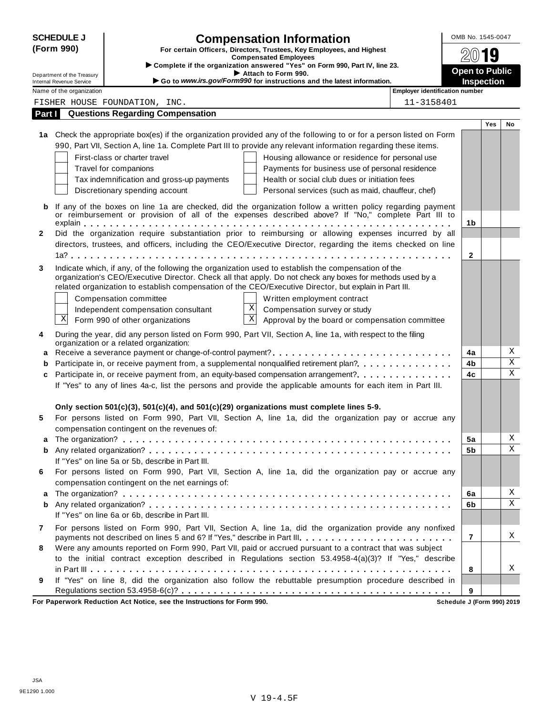|              | <b>SCHEDULE J</b><br>(Form 990)<br>Department of the Treasury |                                                                                                                                                                                                                                                                                                                                                             | <b>Compensation Information</b><br>For certain Officers, Directors, Trustees, Key Employees, and Highest<br><b>Compensated Employees</b><br>Complete if the organization answered "Yes" on Form 990, Part IV, line 23.<br>Attach to Form 990.                                                                                                                                                                                                       |                            |     |                         |  |  |  |  |
|--------------|---------------------------------------------------------------|-------------------------------------------------------------------------------------------------------------------------------------------------------------------------------------------------------------------------------------------------------------------------------------------------------------------------------------------------------------|-----------------------------------------------------------------------------------------------------------------------------------------------------------------------------------------------------------------------------------------------------------------------------------------------------------------------------------------------------------------------------------------------------------------------------------------------------|----------------------------|-----|-------------------------|--|--|--|--|
|              | <b>Internal Revenue Service</b>                               |                                                                                                                                                                                                                                                                                                                                                             | Go to www.irs.gov/Form990 for instructions and the latest information.                                                                                                                                                                                                                                                                                                                                                                              | Inspection                 |     |                         |  |  |  |  |
|              | Name of the organization                                      |                                                                                                                                                                                                                                                                                                                                                             | <b>Employer identification number</b>                                                                                                                                                                                                                                                                                                                                                                                                               |                            |     |                         |  |  |  |  |
|              |                                                               | FISHER HOUSE FOUNDATION, INC.                                                                                                                                                                                                                                                                                                                               | 11-3158401                                                                                                                                                                                                                                                                                                                                                                                                                                          |                            |     |                         |  |  |  |  |
| Part I       |                                                               | <b>Questions Regarding Compensation</b>                                                                                                                                                                                                                                                                                                                     |                                                                                                                                                                                                                                                                                                                                                                                                                                                     |                            |     |                         |  |  |  |  |
|              |                                                               | First-class or charter travel<br>Travel for companions<br>Tax indemnification and gross-up payments<br>Discretionary spending account                                                                                                                                                                                                                       | 1a Check the appropriate box(es) if the organization provided any of the following to or for a person listed on Form<br>990, Part VII, Section A, line 1a. Complete Part III to provide any relevant information regarding these items.<br>Housing allowance or residence for personal use<br>Payments for business use of personal residence<br>Health or social club dues or initiation fees<br>Personal services (such as maid, chauffeur, chef) |                            | Yes | No                      |  |  |  |  |
| b            |                                                               |                                                                                                                                                                                                                                                                                                                                                             | If any of the boxes on line 1a are checked, did the organization follow a written policy regarding payment<br>or reimbursement or provision of all of the expenses described above? If "No," complete Part III to                                                                                                                                                                                                                                   |                            |     |                         |  |  |  |  |
|              |                                                               |                                                                                                                                                                                                                                                                                                                                                             |                                                                                                                                                                                                                                                                                                                                                                                                                                                     | 1 <sub>b</sub>             |     |                         |  |  |  |  |
| $\mathbf{2}$ |                                                               |                                                                                                                                                                                                                                                                                                                                                             | Did the organization require substantiation prior to reimbursing or allowing expenses incurred by all                                                                                                                                                                                                                                                                                                                                               |                            |     |                         |  |  |  |  |
|              |                                                               |                                                                                                                                                                                                                                                                                                                                                             | directors, trustees, and officers, including the CEO/Executive Director, regarding the items checked on line                                                                                                                                                                                                                                                                                                                                        |                            |     |                         |  |  |  |  |
|              |                                                               |                                                                                                                                                                                                                                                                                                                                                             |                                                                                                                                                                                                                                                                                                                                                                                                                                                     | $\mathbf{2}$               |     |                         |  |  |  |  |
|              | Χ                                                             | Indicate which, if any, of the following the organization used to establish the compensation of the<br>related organization to establish compensation of the CEO/Executive Director, but explain in Part III.<br>Compensation committee<br>$\mathbf X$<br>Independent compensation consultant<br>$\overline{\mathbf{x}}$<br>Form 990 of other organizations | organization's CEO/Executive Director. Check all that apply. Do not check any boxes for methods used by a<br>Written employment contract<br>Compensation survey or study<br>Approval by the board or compensation committee                                                                                                                                                                                                                         |                            |     |                         |  |  |  |  |
| 4            |                                                               | During the year, did any person listed on Form 990, Part VII, Section A, line 1a, with respect to the filing<br>organization or a related organization:                                                                                                                                                                                                     |                                                                                                                                                                                                                                                                                                                                                                                                                                                     |                            |     |                         |  |  |  |  |
| a            |                                                               |                                                                                                                                                                                                                                                                                                                                                             | Receive a severance payment or change-of-control payment?                                                                                                                                                                                                                                                                                                                                                                                           | 4a                         |     | Χ                       |  |  |  |  |
| b            |                                                               |                                                                                                                                                                                                                                                                                                                                                             | Participate in, or receive payment from, a supplemental nonqualified retirement plan?                                                                                                                                                                                                                                                                                                                                                               | 4b                         |     | $\overline{\text{X}}$   |  |  |  |  |
| c            |                                                               |                                                                                                                                                                                                                                                                                                                                                             | If "Yes" to any of lines 4a-c, list the persons and provide the applicable amounts for each item in Part III.                                                                                                                                                                                                                                                                                                                                       | 4c                         |     | $\overline{\textbf{x}}$ |  |  |  |  |
|              |                                                               | Only section $501(c)(3)$ , $501(c)(4)$ , and $501(c)(29)$ organizations must complete lines 5-9.                                                                                                                                                                                                                                                            |                                                                                                                                                                                                                                                                                                                                                                                                                                                     |                            |     |                         |  |  |  |  |
| 5            |                                                               | compensation contingent on the revenues of:                                                                                                                                                                                                                                                                                                                 | For persons listed on Form 990, Part VII, Section A, line 1a, did the organization pay or accrue any                                                                                                                                                                                                                                                                                                                                                |                            |     |                         |  |  |  |  |
|              |                                                               |                                                                                                                                                                                                                                                                                                                                                             |                                                                                                                                                                                                                                                                                                                                                                                                                                                     | 5a                         |     | Χ                       |  |  |  |  |
| b            |                                                               | If "Yes" on line 5a or 5b, describe in Part III.                                                                                                                                                                                                                                                                                                            |                                                                                                                                                                                                                                                                                                                                                                                                                                                     | 5b                         |     | Χ                       |  |  |  |  |
| 6            |                                                               | compensation contingent on the net earnings of:                                                                                                                                                                                                                                                                                                             | For persons listed on Form 990, Part VII, Section A, line 1a, did the organization pay or accrue any                                                                                                                                                                                                                                                                                                                                                |                            |     |                         |  |  |  |  |
| а            |                                                               |                                                                                                                                                                                                                                                                                                                                                             |                                                                                                                                                                                                                                                                                                                                                                                                                                                     | 6a                         |     | Χ                       |  |  |  |  |
| b            |                                                               | If "Yes" on line 6a or 6b, describe in Part III.                                                                                                                                                                                                                                                                                                            |                                                                                                                                                                                                                                                                                                                                                                                                                                                     | 6b                         |     | Χ                       |  |  |  |  |
| 7            |                                                               |                                                                                                                                                                                                                                                                                                                                                             | For persons listed on Form 990, Part VII, Section A, line 1a, did the organization provide any nonfixed<br>payments not described on lines 5 and 6? If "Yes," describe in Part III.                                                                                                                                                                                                                                                                 | 7                          |     | X                       |  |  |  |  |
| 8            |                                                               |                                                                                                                                                                                                                                                                                                                                                             | Were any amounts reported on Form 990, Part VII, paid or accrued pursuant to a contract that was subject<br>to the initial contract exception described in Regulations section 53.4958-4(a)(3)? If "Yes," describe                                                                                                                                                                                                                                  |                            |     |                         |  |  |  |  |
| 9            |                                                               |                                                                                                                                                                                                                                                                                                                                                             | If "Yes" on line 8, did the organization also follow the rebuttable presumption procedure described in                                                                                                                                                                                                                                                                                                                                              | 8<br>9                     |     | х                       |  |  |  |  |
|              |                                                               | For Paperwork Reduction Act Notice, see the Instructions for Form 990.                                                                                                                                                                                                                                                                                      |                                                                                                                                                                                                                                                                                                                                                                                                                                                     | Schedule J (Form 990) 2019 |     |                         |  |  |  |  |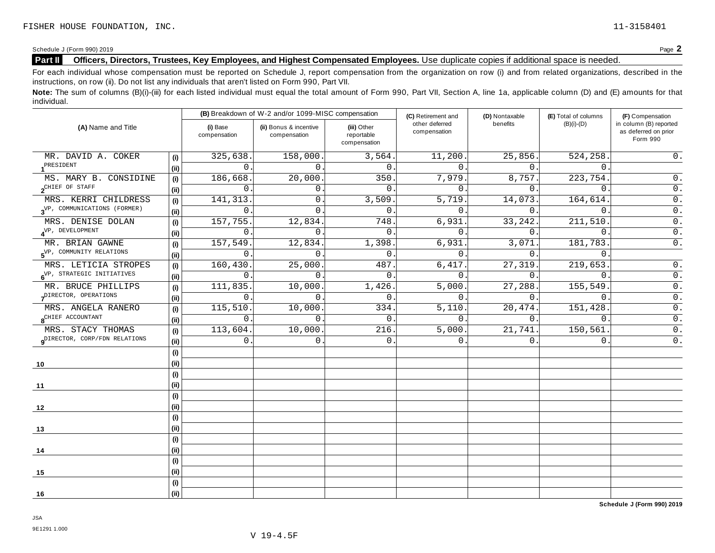Schedule <sup>J</sup> (Form 990) <sup>2019</sup> Page **2**

## **Part II** Officers, Directors, Trustees, Key Employees, and Highest Compensated Employees. Use duplicate copies if additional space is needed.

For each individual whose compensation must be reported on Schedule J, report compensation from the organization on row (i) and from related organizations, described in the instructions, on row (ii). Do not list any individuals that aren't listed on Form 990, Part VII.

Note: The sum of columns (B)(i)-(iii) for each listed individual must equal the total amount of Form 990, Part VII, Section A, line 1a, applicable column (D) and (E) amounts for that individual.

|                                           |                              |                          | (B) Breakdown of W-2 and/or 1099-MISC compensation |                                           |                                | (D) Nontaxable   | (E) Total of columns | (F) Compensation                                           |  |
|-------------------------------------------|------------------------------|--------------------------|----------------------------------------------------|-------------------------------------------|--------------------------------|------------------|----------------------|------------------------------------------------------------|--|
| (A) Name and Title                        |                              | (i) Base<br>compensation | (ii) Bonus & incentive<br>compensation             | (iii) Other<br>reportable<br>compensation | other deferred<br>compensation | benefits         | $(B)(i)-(D)$         | in column (B) reported<br>as deferred on prior<br>Form 990 |  |
| MR. DAVID A. COKER                        | (i)                          | 325,638.                 | 158,000.                                           | 3,564.                                    | 11,200.                        | 25,856.          | 524,258.             | $0$ .                                                      |  |
| PRESIDENT                                 | (ii)                         | $\Omega$                 | $\Omega$                                           | $\Omega$ .                                | $\Omega$                       | $\Omega$ .       | $\Omega$ .           |                                                            |  |
| MS. MARY B. CONSIDINE                     | (i)                          | 186,668                  | 20,000                                             | 350.                                      | 7,979.                         | 8,757.           | 223,754.             | $0$ .                                                      |  |
| $2^{\text{CHIEF OF STAFF}}$               | (i)                          | 0                        | $\mathsf{O}$ .                                     | $\overline{0}$ .                          | $\mathbf{0}$ .                 | 0.               | $\mathbf{0}$ .       | $0$ .                                                      |  |
| MRS. KERRI CHILDRESS                      | (i)                          | 141,313                  | $\mathbf{0}$ .                                     | 3,509.                                    | 5,719                          | 14,073.          | 164,614              | $0$ .                                                      |  |
| $3^{\text{VP}}$ , COMMUNICATIONS (FORMER) | (i)                          | $\mathbf 0$              | $\Omega$ .                                         | $\overline{0}$ .                          | $\Omega$ .                     | 0.               | $\mathbf{0}$ .       | $0$ .                                                      |  |
| MRS. DENISE DOLAN                         | (i)                          | 157,755                  | 12,834                                             | 748                                       | 6,931                          | 33, 242.         | 211,510              | $0$ .                                                      |  |
| $4^{\text{VP}}$ , DEVELOPMENT             | (ii)                         | $\Omega$                 | $\Omega$ .                                         | $\Omega$ .                                | $\mathbf{0}$ .                 | $\overline{0}$ . | $\mathbf{0}$ .       | $\overline{0}$ .                                           |  |
| MR. BRIAN GAWNE                           | (i)                          | 157,549                  | 12,834.                                            | 1,398.                                    | 6,931                          | 3,071.           | 181,783.             | $\overline{0}$ .                                           |  |
| 5 <sup>VP, COMMUNITY RELATIONS</sup>      |                              | 0                        | 0                                                  | $\mathbf{0}$ .                            | $\mathbf{0}$ .                 | 0.               | $\overline{0}$ .     |                                                            |  |
| MRS. LETICIA STROPES                      | (i)                          | 160,430                  | 25,000                                             | 487.                                      | 6,417.                         | 27,319.          | 219,653.             | $0$ .<br>$\overline{0}$ .                                  |  |
| 6 <sup>VP, STRATEGIC INITIATIVES</sup>    |                              | $\overline{0}$           | $\Omega$ .                                         | $\mathbf{0}$ .                            | $\mathbf{0}$ .                 | 0.               | $\overline{0}$ .     |                                                            |  |
| MR. BRUCE PHILLIPS                        | (i)                          | 111,835.                 | 10,000.                                            | 1,426.                                    | 5,000.                         | 27,288.          | 155,549.             | $\overline{0}$ .                                           |  |
| DIRECTOR, OPERATIONS                      | (ii)                         | $\Omega$                 | $\Omega$ .                                         | $\mathbf{0}$ .                            | $\Omega$                       | 0.               | $\mathbf{0}$ .       | $0$ .                                                      |  |
| MRS. ANGELA RANERO                        | (i)                          | 115,510                  | 10,000.                                            | 334.                                      | 5,110.                         | 20,474.          | 151,428.             | $\overline{0}$ .                                           |  |
| 8 <sup>CHIEF</sup> ACCOUNTANT             | (i)                          | $\Omega$                 | $\Omega$                                           | $\overline{0}$ .                          | $\Omega$ .                     | 0.               | $\Omega$             | $\overline{0}$ .                                           |  |
| MRS. STACY THOMAS                         | (i)                          | 113,604.                 | 10,000                                             | 216.                                      | 5,000.                         | 21,741.          | 150,561              | $0$ .                                                      |  |
| Q <sup>DIRECTOR, CORP/FDN RELATIONS</sup> | (i)                          | 0                        | $\Omega$ .                                         | $\mathbf{0}$ .                            | 0                              | $\Omega$ .       | $\Omega$ .           | $0$ .                                                      |  |
|                                           | (i)                          |                          |                                                    |                                           |                                |                  |                      |                                                            |  |
| 10                                        | (i)                          |                          |                                                    |                                           |                                |                  |                      |                                                            |  |
|                                           | $\qquad \qquad \textbf{(i)}$ |                          |                                                    |                                           |                                |                  |                      |                                                            |  |
| 11                                        | (i)                          |                          |                                                    |                                           |                                |                  |                      |                                                            |  |
|                                           | (i)                          |                          |                                                    |                                           |                                |                  |                      |                                                            |  |
| 12                                        | (ii)                         |                          |                                                    |                                           |                                |                  |                      |                                                            |  |
|                                           | (i)                          |                          |                                                    |                                           |                                |                  |                      |                                                            |  |
| 13                                        | (ii)                         |                          |                                                    |                                           |                                |                  |                      |                                                            |  |
|                                           | (i)                          |                          |                                                    |                                           |                                |                  |                      |                                                            |  |
| 14                                        | (ii)                         |                          |                                                    |                                           |                                |                  |                      |                                                            |  |
|                                           | (i)                          |                          |                                                    |                                           |                                |                  |                      |                                                            |  |
| 15                                        | (i)                          |                          |                                                    |                                           |                                |                  |                      |                                                            |  |
|                                           | (i)                          |                          |                                                    |                                           |                                |                  |                      |                                                            |  |
| 16                                        | (i)                          |                          |                                                    |                                           |                                |                  |                      |                                                            |  |

**Schedule J (Form 990) 2019**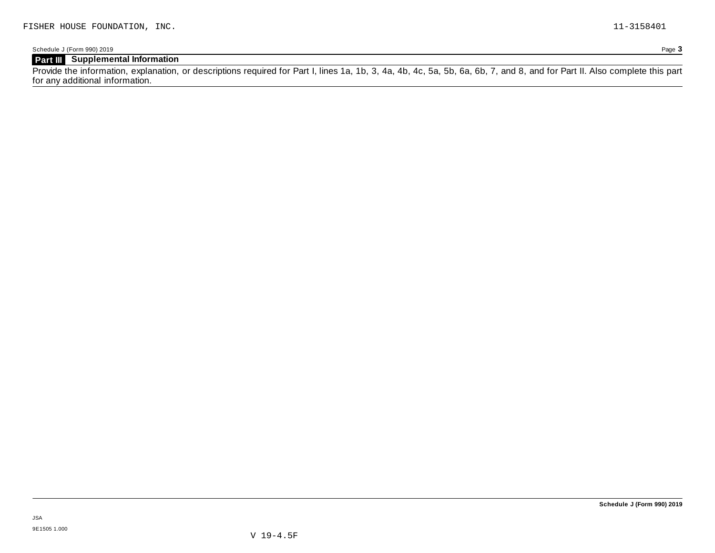## **Part III Supplemental Information**

Provide the information, explanation, or descriptions required for Part I, lines 1a, 1b, 3, 4a, 4b, 4c, 5a, 5b, 6a, 6b, 7, and 8, and for Part II. Also complete this part for any additional information.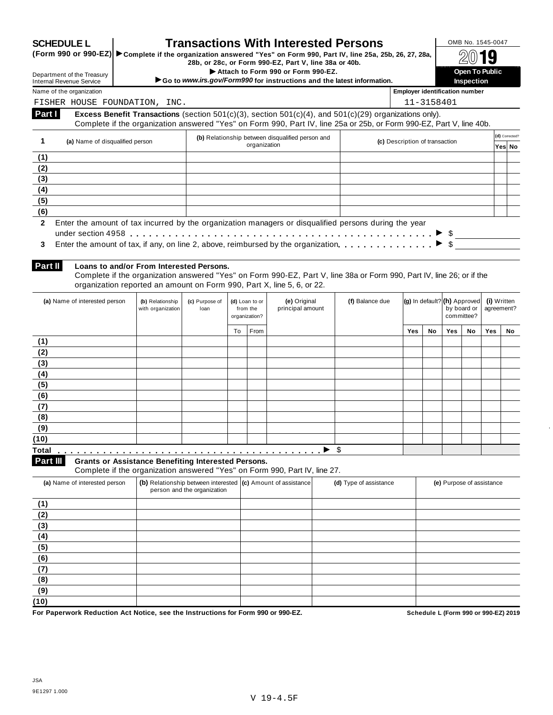| Department of the Treasury<br><b>Internal Revenue Service</b> | <b>SCHEDULE L</b>                                                      |                                                                                                                                          |                                                                                                           |    |              | 28b, or 28c, or Form 990-EZ, Part V, line 38a or 40b.<br>Attach to Form 990 or Form 990-EZ. |                 | <b>Transactions With Interested Persons</b><br>(Form 990 or 990-EZ) > Complete if the organization answered "Yes" on Form 990, Part IV, line 25a, 25b, 26, 27, 28a,<br>Go to www.irs.gov/Form990 for instructions and the latest information. |                                       |            |                                                           | OMB No. 1545-0047<br><b>Open To Public</b><br>Inspection |                           |                          |
|---------------------------------------------------------------|------------------------------------------------------------------------|------------------------------------------------------------------------------------------------------------------------------------------|-----------------------------------------------------------------------------------------------------------|----|--------------|---------------------------------------------------------------------------------------------|-----------------|-----------------------------------------------------------------------------------------------------------------------------------------------------------------------------------------------------------------------------------------------|---------------------------------------|------------|-----------------------------------------------------------|----------------------------------------------------------|---------------------------|--------------------------|
| Name of the organization                                      |                                                                        |                                                                                                                                          |                                                                                                           |    |              |                                                                                             |                 |                                                                                                                                                                                                                                               | <b>Employer identification number</b> |            |                                                           |                                                          |                           |                          |
|                                                               |                                                                        | FISHER HOUSE FOUNDATION, INC.                                                                                                            |                                                                                                           |    |              |                                                                                             |                 |                                                                                                                                                                                                                                               |                                       | 11-3158401 |                                                           |                                                          |                           |                          |
| Part I                                                        |                                                                        |                                                                                                                                          |                                                                                                           |    |              |                                                                                             |                 | Excess Benefit Transactions (section $501(c)(3)$ , section $501(c)(4)$ , and $501(c)(29)$ organizations only).<br>Complete if the organization answered "Yes" on Form 990, Part IV, line 25a or 25b, or Form 990-EZ, Part V, line 40b.        |                                       |            |                                                           |                                                          |                           |                          |
| 1                                                             | (a) Name of disqualified person                                        |                                                                                                                                          |                                                                                                           |    | organization | (b) Relationship between disqualified person and                                            |                 |                                                                                                                                                                                                                                               | (c) Description of transaction        |            |                                                           |                                                          |                           | (d) Corrected?<br>Yes No |
| (1)                                                           |                                                                        |                                                                                                                                          |                                                                                                           |    |              |                                                                                             |                 |                                                                                                                                                                                                                                               |                                       |            |                                                           |                                                          |                           |                          |
| (2)<br>(3)                                                    |                                                                        |                                                                                                                                          |                                                                                                           |    |              |                                                                                             |                 |                                                                                                                                                                                                                                               |                                       |            |                                                           |                                                          |                           |                          |
| (4)                                                           |                                                                        |                                                                                                                                          |                                                                                                           |    |              |                                                                                             |                 |                                                                                                                                                                                                                                               |                                       |            |                                                           |                                                          |                           |                          |
| (5)                                                           |                                                                        |                                                                                                                                          |                                                                                                           |    |              |                                                                                             |                 |                                                                                                                                                                                                                                               |                                       |            |                                                           |                                                          |                           |                          |
| (6)                                                           |                                                                        |                                                                                                                                          |                                                                                                           |    |              |                                                                                             |                 |                                                                                                                                                                                                                                               |                                       |            |                                                           |                                                          |                           |                          |
| 3<br>Part II                                                  |                                                                        | Loans to and/or From Interested Persons.<br>organization reported an amount on Form 990, Part X, line 5, 6, or 22.                       |                                                                                                           |    |              |                                                                                             |                 | Enter the amount of tax, if any, on line 2, above, reimbursed by the organization.<br>Complete if the organization answered "Yes" on Form 990-EZ, Part V, line 38a or Form 990, Part IV, line 26; or if the                                   |                                       |            |                                                           | $\blacktriangleright$ \$                                 |                           |                          |
|                                                               | (a) Name of interested person<br>(b) Relationship<br>with organization |                                                                                                                                          | (e) Original<br>(c) Purpose of<br>(d) Loan to or<br>principal amount<br>from the<br>loan<br>organization? |    |              |                                                                                             | (f) Balance due |                                                                                                                                                                                                                                               |                                       |            | (g) In default? (h) Approved<br>by board or<br>committee? |                                                          | (i) Written<br>agreement? |                          |
|                                                               |                                                                        |                                                                                                                                          |                                                                                                           | To | From         |                                                                                             |                 |                                                                                                                                                                                                                                               | <b>Yes</b>                            | No         | Yes                                                       | No                                                       | Yes                       | No                       |
| (1)                                                           |                                                                        |                                                                                                                                          |                                                                                                           |    |              |                                                                                             |                 |                                                                                                                                                                                                                                               |                                       |            |                                                           |                                                          |                           |                          |
| (2)                                                           |                                                                        |                                                                                                                                          |                                                                                                           |    |              |                                                                                             |                 |                                                                                                                                                                                                                                               |                                       |            |                                                           |                                                          |                           |                          |
| (3)                                                           |                                                                        |                                                                                                                                          |                                                                                                           |    |              |                                                                                             |                 |                                                                                                                                                                                                                                               |                                       |            |                                                           |                                                          |                           |                          |
| (4)                                                           |                                                                        |                                                                                                                                          |                                                                                                           |    |              |                                                                                             |                 |                                                                                                                                                                                                                                               |                                       |            |                                                           |                                                          |                           |                          |
| (5)                                                           |                                                                        |                                                                                                                                          |                                                                                                           |    |              |                                                                                             |                 |                                                                                                                                                                                                                                               |                                       |            |                                                           |                                                          |                           |                          |
| (6)                                                           |                                                                        |                                                                                                                                          |                                                                                                           |    |              |                                                                                             |                 |                                                                                                                                                                                                                                               |                                       |            |                                                           |                                                          |                           |                          |
| (7)                                                           |                                                                        |                                                                                                                                          |                                                                                                           |    |              |                                                                                             |                 |                                                                                                                                                                                                                                               |                                       |            |                                                           |                                                          |                           |                          |
| (8)                                                           |                                                                        |                                                                                                                                          |                                                                                                           |    |              |                                                                                             |                 |                                                                                                                                                                                                                                               |                                       |            |                                                           |                                                          |                           |                          |
| (9)<br>(10)                                                   |                                                                        |                                                                                                                                          |                                                                                                           |    |              |                                                                                             |                 |                                                                                                                                                                                                                                               |                                       |            |                                                           |                                                          |                           |                          |
| Total                                                         |                                                                        |                                                                                                                                          |                                                                                                           |    |              |                                                                                             |                 | \$                                                                                                                                                                                                                                            |                                       |            |                                                           |                                                          |                           |                          |
| Part III                                                      |                                                                        | <b>Grants or Assistance Benefiting Interested Persons.</b><br>Complete if the organization answered "Yes" on Form 990, Part IV, line 27. |                                                                                                           |    |              |                                                                                             |                 |                                                                                                                                                                                                                                               |                                       |            |                                                           |                                                          |                           |                          |
| (a) Name of interested person                                 |                                                                        | (b) Relationship between interested (c) Amount of assistance                                                                             | person and the organization                                                                               |    |              |                                                                                             |                 | (d) Type of assistance                                                                                                                                                                                                                        |                                       |            |                                                           | (e) Purpose of assistance                                |                           |                          |
| (1)                                                           |                                                                        |                                                                                                                                          |                                                                                                           |    |              |                                                                                             |                 |                                                                                                                                                                                                                                               |                                       |            |                                                           |                                                          |                           |                          |
| (2)                                                           |                                                                        |                                                                                                                                          |                                                                                                           |    |              |                                                                                             |                 |                                                                                                                                                                                                                                               |                                       |            |                                                           |                                                          |                           |                          |
| (3)                                                           |                                                                        |                                                                                                                                          |                                                                                                           |    |              |                                                                                             |                 |                                                                                                                                                                                                                                               |                                       |            |                                                           |                                                          |                           |                          |
| (4)                                                           |                                                                        |                                                                                                                                          |                                                                                                           |    |              |                                                                                             |                 |                                                                                                                                                                                                                                               |                                       |            |                                                           |                                                          |                           |                          |
|                                                               |                                                                        |                                                                                                                                          |                                                                                                           |    |              |                                                                                             |                 |                                                                                                                                                                                                                                               |                                       |            |                                                           |                                                          |                           |                          |
|                                                               |                                                                        |                                                                                                                                          |                                                                                                           |    |              |                                                                                             |                 |                                                                                                                                                                                                                                               |                                       |            |                                                           |                                                          |                           |                          |
|                                                               |                                                                        |                                                                                                                                          |                                                                                                           |    |              |                                                                                             |                 |                                                                                                                                                                                                                                               |                                       |            |                                                           |                                                          |                           |                          |
| (5)<br>(6)<br>(7)                                             |                                                                        |                                                                                                                                          |                                                                                                           |    |              |                                                                                             |                 |                                                                                                                                                                                                                                               |                                       |            |                                                           |                                                          |                           |                          |
| (8)<br>(9)                                                    |                                                                        |                                                                                                                                          |                                                                                                           |    |              |                                                                                             |                 |                                                                                                                                                                                                                                               |                                       |            |                                                           |                                                          |                           |                          |

 $\ddot{\phantom{a}}$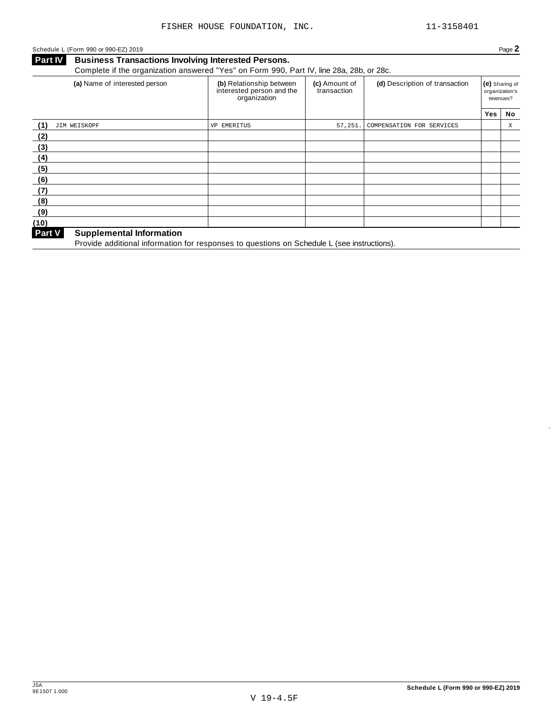## Schedule <sup>L</sup> (Form <sup>990</sup> or 990-EZ) <sup>2019</sup> Page **2**

## **Business Transactions Involving Interested Persons.** Complete if the organization answered "Yes" on Form 990, Part IV, line 28a, 28b, or 28c.

| (a) Name of interested person             | (b) Relationship between<br>interested person and the<br>organization | (c) Amount of<br>transaction | (d) Description of transaction | (e) Sharing of<br>revenues? | organization's |
|-------------------------------------------|-----------------------------------------------------------------------|------------------------------|--------------------------------|-----------------------------|----------------|
|                                           |                                                                       |                              |                                | Yes                         | No             |
| (1)<br>JIM WEISKOPF                       | VP EMERITUS                                                           | 57,251.                      | COMPENSATION FOR SERVICES      |                             | Χ              |
| (2)                                       |                                                                       |                              |                                |                             |                |
| (3)                                       |                                                                       |                              |                                |                             |                |
| (4)                                       |                                                                       |                              |                                |                             |                |
| (5)                                       |                                                                       |                              |                                |                             |                |
| (6)                                       |                                                                       |                              |                                |                             |                |
| (7)                                       |                                                                       |                              |                                |                             |                |
| (8)                                       |                                                                       |                              |                                |                             |                |
| (9)                                       |                                                                       |                              |                                |                             |                |
| (10)                                      |                                                                       |                              |                                |                             |                |
| Part V<br><b>Supplemental Information</b> |                                                                       |                              |                                |                             |                |

**Provide additional information for responses to questions on Schedule L (see instructions).**<br>Provide additional information for responses to questions on Schedule L (see instructions).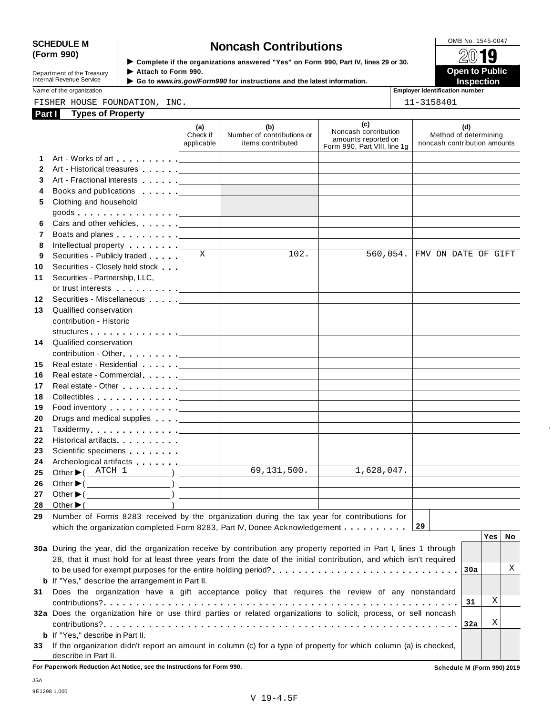# SCHEDULE M<br>
(Form 990) **Supplementary of the organizations answered** "Yes" on Form 990 Part IV lines 29 or 30

Department of the Treasury<br>
Internal Revenue Service<br> **Internal Revenue Service**<br> **Co to www.irs.gov/Form** 

**Examplete if the organizations answered "Yes" on Form 990, Part IV, lines 29 or 30.** ★ Attach to Form 990.

 **Open to Public**  ▶ Go to *www.irs.gov/Form990* for instructions and the latest information. **INSPECTION** 

Name of the organization **Employer identification number Employer identification number** 

|              | FISHER HOUSE FOUNDATION, INC.                                                                                      |                                   |                                                                            |                                                                                    | 11-3158401                                                   |
|--------------|--------------------------------------------------------------------------------------------------------------------|-----------------------------------|----------------------------------------------------------------------------|------------------------------------------------------------------------------------|--------------------------------------------------------------|
| Part I       | <b>Types of Property</b>                                                                                           |                                   |                                                                            |                                                                                    |                                                              |
|              |                                                                                                                    | (a)<br>Check if<br>applicable     | (b)<br>Number of contributions or<br>items contributed                     | (c)<br>Noncash contribution<br>amounts reported on<br>Form 990, Part VIII, line 1g | (d)<br>Method of determining<br>noncash contribution amounts |
| 1.           | Art - Works of art example and all                                                                                 |                                   |                                                                            |                                                                                    |                                                              |
| $\mathbf{2}$ | Art - Historical treasures                                                                                         |                                   |                                                                            |                                                                                    |                                                              |
| 3            | Art - Fractional interests                                                                                         | the control of the control of the |                                                                            |                                                                                    |                                                              |
| 4            | Books and publications [19]                                                                                        |                                   |                                                                            |                                                                                    |                                                              |
| 5            | Clothing and household                                                                                             |                                   |                                                                            |                                                                                    |                                                              |
|              |                                                                                                                    |                                   |                                                                            |                                                                                    |                                                              |
| 6            | Cars and other vehicles                                                                                            |                                   | the control of the control of the control of the control of the control of |                                                                                    |                                                              |
| 7            | Boats and planes <u>  _ _ _ _ _</u>                                                                                |                                   | the control of the control of the control of the control of the control of |                                                                                    |                                                              |
| 8            | Intellectual property [1,1,1,1,1,1]                                                                                |                                   |                                                                            |                                                                                    |                                                              |
| 9            | Securities - Publicly traded                                                                                       | X                                 | 102.                                                                       | 560,054.                                                                           | FMV ON DATE OF GIFT                                          |
| 10           | Securities - Closely held stock                                                                                    |                                   |                                                                            |                                                                                    |                                                              |
| 11           | Securities - Partnership, LLC,                                                                                     |                                   |                                                                            |                                                                                    |                                                              |
|              |                                                                                                                    |                                   |                                                                            |                                                                                    |                                                              |
| 12           | Securities - Miscellaneous                                                                                         |                                   |                                                                            |                                                                                    |                                                              |
| 13           | Qualified conservation                                                                                             |                                   |                                                                            |                                                                                    |                                                              |
|              | contribution - Historic                                                                                            |                                   |                                                                            |                                                                                    |                                                              |
|              |                                                                                                                    |                                   |                                                                            |                                                                                    |                                                              |
|              | 14 Qualified conservation                                                                                          |                                   |                                                                            |                                                                                    |                                                              |
|              |                                                                                                                    |                                   |                                                                            |                                                                                    |                                                              |
| 15           | Real estate - Residential                                                                                          |                                   | the control of the control of the control of the control of the control of |                                                                                    |                                                              |
| 16           |                                                                                                                    |                                   |                                                                            |                                                                                    |                                                              |
| 17           |                                                                                                                    |                                   |                                                                            |                                                                                    |                                                              |
| 18           |                                                                                                                    |                                   |                                                                            |                                                                                    |                                                              |
| 19           | Food inventory $\ldots \ldots \ldots$ $\boxed{\phantom{a} \phantom{a}}$                                            |                                   |                                                                            |                                                                                    |                                                              |
| 20           | Drugs and medical supplies                                                                                         |                                   | <u> 1989 - John Stein, Amerikaansk politiker († 1908)</u>                  |                                                                                    |                                                              |
| 21           |                                                                                                                    |                                   |                                                                            |                                                                                    |                                                              |
| 22           | Historical artifacts [10]                                                                                          | <b>Contract Contract Contract</b> | the control of the control of the control of the control of the control of |                                                                                    |                                                              |
| 23           | Scientific specimens <u>  _ _ _ _ _</u>                                                                            |                                   | <u> 1989 - Johann Barn, mars eta inperiodo</u>                             |                                                                                    |                                                              |
| 24           | Archeological artifacts                                                                                            |                                   |                                                                            |                                                                                    |                                                              |
| 25           | Other $\blacktriangleright$ ( ATCH 1                                                                               |                                   | 69, 131, 500.                                                              | 1,628,047.                                                                         |                                                              |
| 26           | Other $\blacktriangleright$ ( $\qquad \qquad$                                                                      |                                   |                                                                            |                                                                                    |                                                              |
| 27           | Other $\blacktriangleright$ (                                                                                      |                                   |                                                                            |                                                                                    |                                                              |
| 28           | Other $\blacktriangleright$ (                                                                                      |                                   |                                                                            |                                                                                    |                                                              |
| 29           | Number of Forms 8283 received by the organization during the tax year for contributions for                        |                                   |                                                                            |                                                                                    |                                                              |
|              | which the organization completed Form 8283, Part IV, Donee Acknowledgement                                         |                                   |                                                                            |                                                                                    | 29                                                           |
|              |                                                                                                                    |                                   |                                                                            |                                                                                    | Yes   No                                                     |
|              | 30a During the year, did the organization receive by contribution any property reported in Part I, lines 1 through |                                   |                                                                            |                                                                                    |                                                              |
|              | 28, that it must hold for at least three years from the date of the initial contribution, and which isn't required |                                   |                                                                            |                                                                                    | Χ                                                            |
|              |                                                                                                                    |                                   |                                                                            |                                                                                    | 30a                                                          |
|              | <b>b</b> If "Yes," describe the arrangement in Part II.                                                            |                                   |                                                                            |                                                                                    |                                                              |
| 31           | Does the organization have a gift acceptance policy that requires the review of any nonstandard                    |                                   |                                                                            |                                                                                    | Χ<br>31                                                      |
|              |                                                                                                                    |                                   |                                                                            |                                                                                    |                                                              |
|              | 32a Does the organization hire or use third parties or related organizations to solicit, process, or sell noncash  |                                   |                                                                            |                                                                                    | Χ<br>32a                                                     |
|              | <b>b</b> If "Yes," describe in Part II.                                                                            |                                   |                                                                            |                                                                                    |                                                              |
|              | If the organization didn't report an amount in column (c) for a type of property for which column (a) is checked,  |                                   |                                                                            |                                                                                    |                                                              |
| 33           | describe in Part II.                                                                                               |                                   |                                                                            |                                                                                    |                                                              |

**For Paperwork Reduction Act Notice, see the Instructions for Form 990. Schedule M (Form 990) 2019**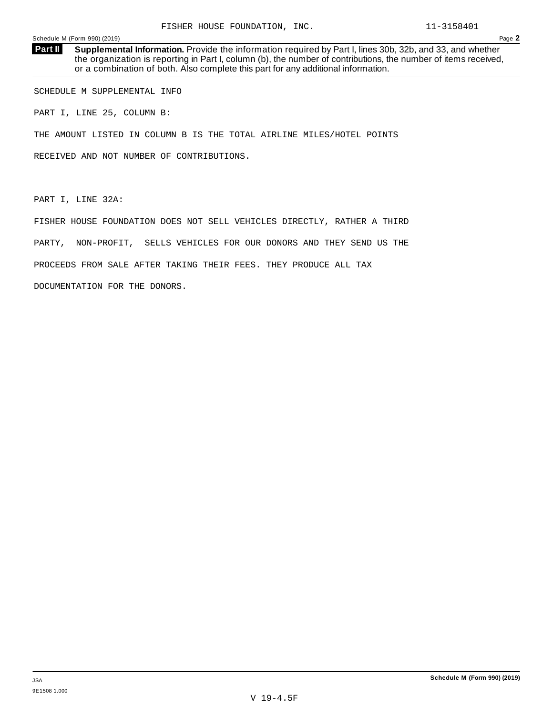**Supplemental Information.** Provide the information required by Part I, lines 30b, 32b, and 33, and whether the organization is reporting in Part I, column (b), the number of contributions, the number of items received, or a combination of both. Also complete this part for any additional information. **Part II**

SCHEDULE M SUPPLEMENTAL INFO

PART I, LINE 25, COLUMN B:

THE AMOUNT LISTED IN COLUMN B IS THE TOTAL AIRLINE MILES/HOTEL POINTS

RECEIVED AND NOT NUMBER OF CONTRIBUTIONS.

PART I, LINE 32A:

FISHER HOUSE FOUNDATION DOES NOT SELL VEHICLES DIRECTLY, RATHER A THIRD PARTY, NON-PROFIT, SELLS VEHICLES FOR OUR DONORS AND THEY SEND US THE PROCEEDS FROM SALE AFTER TAKING THEIR FEES. THEY PRODUCE ALL TAX DOCUMENTATION FOR THE DONORS.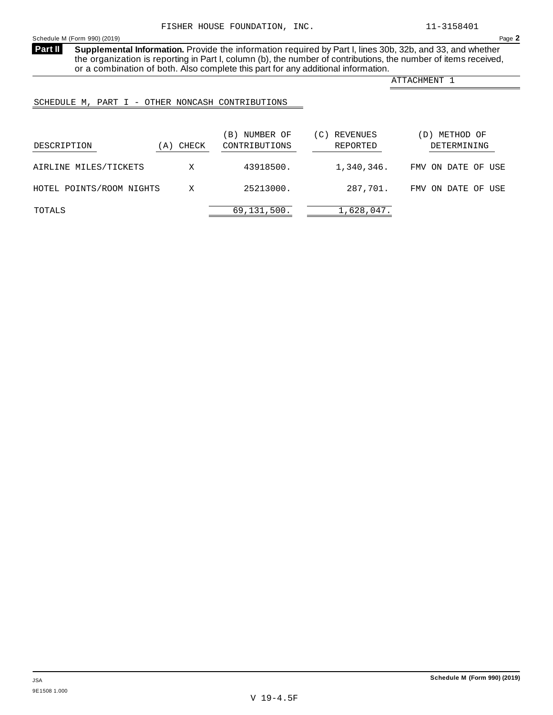**Supplemental Information.** Provide the information required by Part I, lines 30b, 32b, and 33, and whether the organization is reporting in Part I, column (b), the number of contributions, the number of items received, or a combination of both. Also complete this part for any additional information. **Part II** 

ATTACHMENT 1

## SCHEDULE M, PART I - OTHER NONCASH CONTRIBUTIONS

| DESCRIPTION              | (A) CHECK | NUMBER OF<br>$\vert B \vert$<br>CONTRIBUTIONS | REVENUES<br>, C)<br>REPORTED | METHOD OF<br>$\mathbf{D}$<br>DETERMINING |
|--------------------------|-----------|-----------------------------------------------|------------------------------|------------------------------------------|
| AIRLINE MILES/TICKETS    | X         | 43918500.                                     | 1,340,346.                   | FMV ON DATE OF USE                       |
| HOTEL POINTS/ROOM NIGHTS | X         | 25213000.                                     | 287,701.                     | FMV ON DATE OF USE                       |
| TOTALS                   |           | 69,131,500.                                   | 1,628,047.                   |                                          |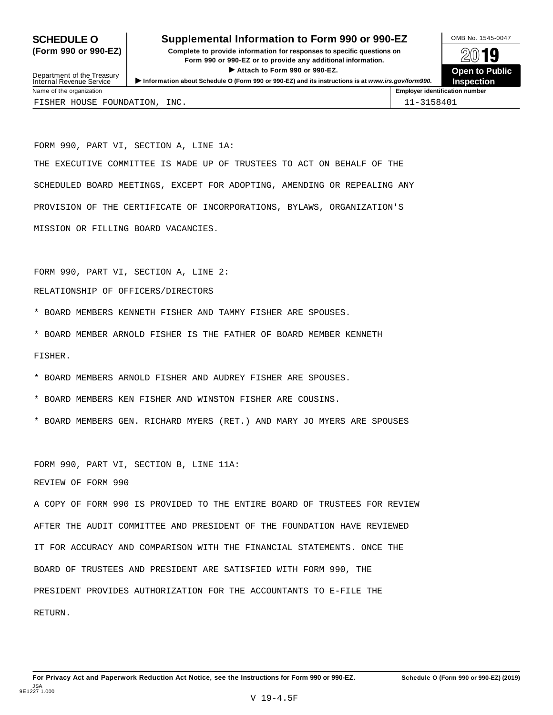## **SCHEDULE O** Supplemental Information to Form 990 or 990-EZ MB No. 1545-0047

**(Form 990 or 990-EZ) Complete to provide information for responses to specific questions on** plete to provide information for responses to specific questions on  $\mathbb{Z} \setminus \mathbb{R}$ **I Attach to Form 990 or 990-EZ.**<br>
Attach to Form 990 or 990-EZ.<br>
and a contract of Public and a contract of Public and a contract of the COP of Density of the COP of Density of A **INSPECTED OF OPPORTUNISM**<br>Department of the Treasury<br>Internal Revenue Service III information about Schedule O (Form 990 or 990-EZ) and its instructions is at *www.irs.gov/form990.*<br>Internal Revenue Service III insp**ecti** 



Name of the organization **Employer identification number Employer identification number** FISHER HOUSE FOUNDATION, INC.  $|11-3158401$ 

FORM 990, PART VI, SECTION A, LINE 1A: THE EXECUTIVE COMMITTEE IS MADE UP OF TRUSTEES TO ACT ON BEHALF OF THE SCHEDULED BOARD MEETINGS, EXCEPT FOR ADOPTING, AMENDING OR REPEALING ANY PROVISION OF THE CERTIFICATE OF INCORPORATIONS, BYLAWS, ORGANIZATION'S MISSION OR FILLING BOARD VACANCIES.

FORM 990, PART VI, SECTION A, LINE 2:

## RELATIONSHIP OF OFFICERS/DIRECTORS

- \* BOARD MEMBERS KENNETH FISHER AND TAMMY FISHER ARE SPOUSES.
- \* BOARD MEMBER ARNOLD FISHER IS THE FATHER OF BOARD MEMBER KENNETH

FISHER.

- \* BOARD MEMBERS ARNOLD FISHER AND AUDREY FISHER ARE SPOUSES.
- \* BOARD MEMBERS KEN FISHER AND WINSTON FISHER ARE COUSINS.
- \* BOARD MEMBERS GEN. RICHARD MYERS (RET.) AND MARY JO MYERS ARE SPOUSES

FORM 990, PART VI, SECTION B, LINE 11A:

REVIEW OF FORM 990

A COPY OF FORM 990 IS PROVIDED TO THE ENTIRE BOARD OF TRUSTEES FOR REVIEW AFTER THE AUDIT COMMITTEE AND PRESIDENT OF THE FOUNDATION HAVE REVIEWED IT FOR ACCURACY AND COMPARISON WITH THE FINANCIAL STATEMENTS. ONCE THE BOARD OF TRUSTEES AND PRESIDENT ARE SATISFIED WITH FORM 990, THE PRESIDENT PROVIDES AUTHORIZATION FOR THE ACCOUNTANTS TO E-FILE THE RETURN.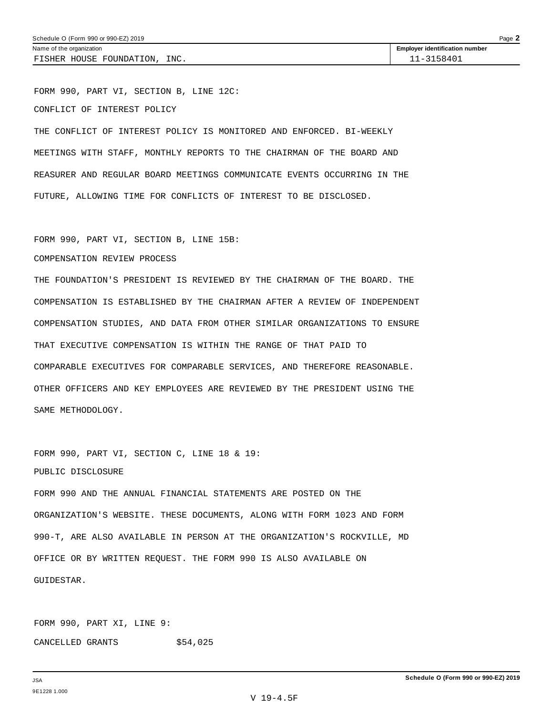FISHER HOUSE FOUNDATION, INC.  $\vert$  11-3158401

FORM 990, PART VI, SECTION B, LINE 12C: CONFLICT OF INTEREST POLICY

THE CONFLICT OF INTEREST POLICY IS MONITORED AND ENFORCED. BI-WEEKLY MEETINGS WITH STAFF, MONTHLY REPORTS TO THE CHAIRMAN OF THE BOARD AND REASURER AND REGULAR BOARD MEETINGS COMMUNICATE EVENTS OCCURRING IN THE FUTURE, ALLOWING TIME FOR CONFLICTS OF INTEREST TO BE DISCLOSED.

FORM 990, PART VI, SECTION B, LINE 15B:

## COMPENSATION REVIEW PROCESS

THE FOUNDATION'S PRESIDENT IS REVIEWED BY THE CHAIRMAN OF THE BOARD. THE COMPENSATION IS ESTABLISHED BY THE CHAIRMAN AFTER A REVIEW OF INDEPENDENT COMPENSATION STUDIES, AND DATA FROM OTHER SIMILAR ORGANIZATIONS TO ENSURE THAT EXECUTIVE COMPENSATION IS WITHIN THE RANGE OF THAT PAID TO COMPARABLE EXECUTIVES FOR COMPARABLE SERVICES, AND THEREFORE REASONABLE. OTHER OFFICERS AND KEY EMPLOYEES ARE REVIEWED BY THE PRESIDENT USING THE SAME METHODOLOGY.

FORM 990, PART VI, SECTION C, LINE 18 & 19: PUBLIC DISCLOSURE

FORM 990 AND THE ANNUAL FINANCIAL STATEMENTS ARE POSTED ON THE ORGANIZATION'S WEBSITE. THESE DOCUMENTS, ALONG WITH FORM 1023 AND FORM 990-T, ARE ALSO AVAILABLE IN PERSON AT THE ORGANIZATION'S ROCKVILLE, MD OFFICE OR BY WRITTEN REQUEST. THE FORM 990 IS ALSO AVAILABLE ON GUIDESTAR.

FORM 990, PART XI, LINE 9: CANCELLED GRANTS \$54,025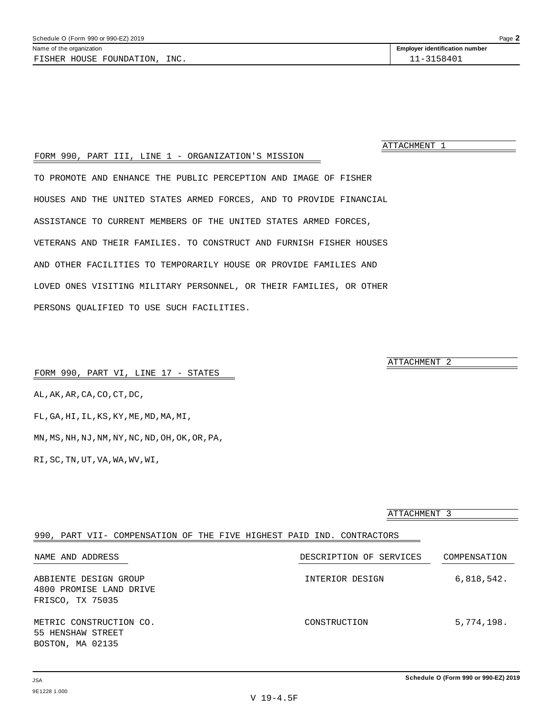ATTACHMENT 1

## FORM 990, PART III, LINE 1 - ORGANIZATION'S MISSION

TO PROMOTE AND ENHANCE THE PUBLIC PERCEPTION AND IMAGE OF FISHER HOUSES AND THE UNITED STATES ARMED FORCES, AND TO PROVIDE FINANCIAL ASSISTANCE TO CURRENT MEMBERS OF THE UNITED STATES ARMED FORCES, VETERANS AND THEIR FAMILIES. TO CONSTRUCT AND FURNISH FISHER HOUSES AND OTHER FACILITIES TO TEMPORARILY HOUSE OR PROVIDE FAMILIES AND LOVED ONES VISITING MILITARY PERSONNEL, OR THEIR FAMILIES, OR OTHER PERSONS QUALIFIED TO USE SUCH FACILITIES.

ATTACHMENT 2

## FORM 990, PART VI, LINE 17 - STATES

AL,AK,AR,CA,CO,CT,DC, FL,GA,HI,IL,KS,KY,ME,MD,MA,MI, MN,MS,NH,NJ,NM,NY,NC,ND,OH,OK,OR,PA,

RI,SC,TN,UT,VA,WA,WV,WI,

|                                                                       | ATTACHMENT 3            |              |  |
|-----------------------------------------------------------------------|-------------------------|--------------|--|
| 990, PART VII- COMPENSATION OF THE FIVE HIGHEST PAID IND. CONTRACTORS |                         |              |  |
| NAME AND ADDRESS                                                      | DESCRIPTION OF SERVICES | COMPENSATION |  |
| ABBIENTE DESIGN GROUP<br>4800 PROMISE LAND DRIVE<br>FRISCO, TX 75035  | INTERIOR DESIGN         | 6,818,542.   |  |
| METRIC CONSTRUCTION CO.<br>55 HENSHAW STREET<br>BOSTON, MA 02135      | CONSTRUCTION            | 5,774,198.   |  |